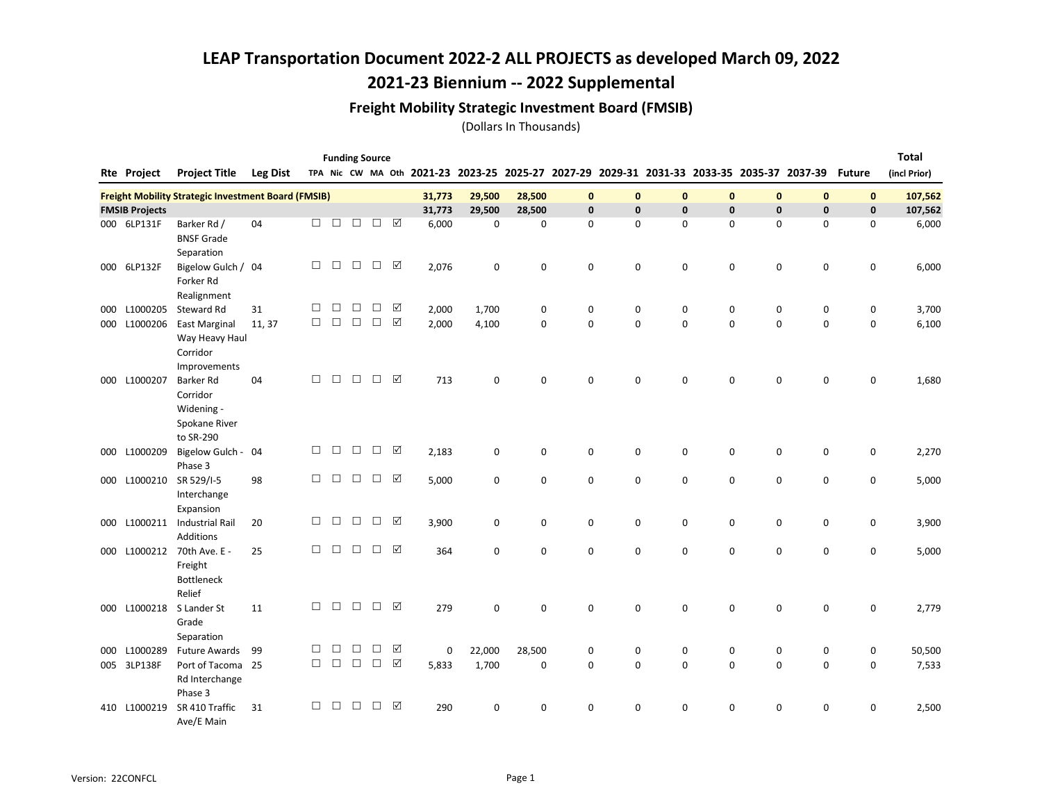## 2021-23 Biennium -- 2022 Supplemental

### Freight Mobility Strategic Investment Board (FMSIB)

|     |                       |                                                                          |                 |        | <b>Funding Source</b> |        |                   |   |        |                                                                                           |             |              |              |              |              |              |              |               | <b>Total</b> |
|-----|-----------------------|--------------------------------------------------------------------------|-----------------|--------|-----------------------|--------|-------------------|---|--------|-------------------------------------------------------------------------------------------|-------------|--------------|--------------|--------------|--------------|--------------|--------------|---------------|--------------|
| Rte | Project               | <b>Project Title</b>                                                     | <b>Leg Dist</b> |        |                       |        |                   |   |        | TPA Nic CW MA Oth 2021-23 2023-25 2025-27 2027-29 2029-31 2031-33 2033-35 2035-37 2037-39 |             |              |              |              |              |              |              | <b>Future</b> | (incl Prior) |
|     |                       | <b>Freight Mobility Strategic Investment Board (FMSIB)</b>               |                 |        |                       |        |                   |   | 31,773 | 29,500                                                                                    | 28,500      | $\mathbf 0$  | $\mathbf{0}$ | $\mathbf{0}$ | $\mathbf{0}$ | $\mathbf 0$  | $\mathbf{0}$ | $\mathbf{0}$  | 107,562      |
|     | <b>FMSIB Projects</b> |                                                                          |                 |        |                       |        |                   |   | 31,773 | 29.500                                                                                    | 28,500      | $\mathbf{0}$ | $\mathbf 0$  | $\mathbf{0}$ | $\mathbf 0$  | $\mathbf{0}$ | $\mathbf 0$  | $\pmb{0}$     | 107,562      |
|     | 000 6LP131F           | Barker Rd /<br><b>BNSF Grade</b><br>Separation                           | 04              | п      | $\Box$                | $\Box$ | $\Box$            | ☑ | 6,000  | 0                                                                                         | $\mathbf 0$ | 0            | $\mathbf 0$  | 0            | $\mathbf 0$  | $\mathbf 0$  | 0            | 0             | 6,000        |
|     | 000 6LP132F           | Bigelow Gulch / 04<br>Forker Rd<br>Realignment                           |                 | $\Box$ | $\Box$                | $\Box$ | $\Box$            | ☑ | 2,076  | 0                                                                                         | 0           | 0            | $\mathbf 0$  | 0            | 0            | 0            | $\mathsf 0$  | 0             | 6,000        |
| 000 | L1000205              | Steward Rd                                                               | 31              | П      | П                     | $\Box$ | □                 | ☑ | 2,000  | 1,700                                                                                     | 0           | 0            | 0            | 0            | 0            | 0            | 0            | 0             | 3,700        |
|     | 000 L1000206          | <b>East Marginal</b>                                                     | 11, 37          | $\Box$ | $\Box$                | $\Box$ | $\Box$            | ☑ | 2,000  | 4,100                                                                                     | $\mathbf 0$ | $\mathbf 0$  | $\mathbf 0$  | 0            | 0            | $\mathbf 0$  | $\pmb{0}$    | 0             | 6,100        |
|     |                       | Way Heavy Haul<br>Corridor<br>Improvements                               | 04              | $\Box$ | $\Box$                | $\Box$ | $\Box$ \  \, \Box |   | 713    |                                                                                           |             |              |              |              |              |              |              |               |              |
|     | 000 L1000207          | <b>Barker Rd</b><br>Corridor<br>Widening -<br>Spokane River<br>to SR-290 |                 |        |                       |        |                   |   |        | 0                                                                                         | $\mathsf 0$ | 0            | $\mathbf 0$  | 0            | 0            | 0            | $\mathsf 0$  | 0             | 1,680        |
|     | 000 L1000209          | Bigelow Gulch -<br>Phase 3                                               | 04              | $\Box$ | □                     | $\Box$ | $\Box$            | ☑ | 2,183  | 0                                                                                         | 0           | 0            | $\mathbf 0$  | 0            | 0            | 0            | 0            | 0             | 2,270        |
|     | 000 L1000210          | SR 529/I-5<br>Interchange<br>Expansion                                   | 98              | $\Box$ | $\Box$                | $\Box$ | $\Box$            | ☑ | 5,000  | 0                                                                                         | $\mathbf 0$ | 0            | $\mathbf 0$  | 0            | $\mathbf 0$  | $\mathbf 0$  | $\mathsf 0$  | 0             | 5,000        |
|     | 000 L1000211          | <b>Industrial Rail</b><br>Additions                                      | 20              | $\Box$ | $\Box$                | $\Box$ | $\Box$            | ☑ | 3,900  | 0                                                                                         | 0           | 0            | 0            | 0            | 0            | 0            | 0            | 0             | 3,900        |
|     | 000 L1000212          | 70th Ave. E -<br>Freight<br><b>Bottleneck</b><br>Relief                  | 25              | $\Box$ | $\Box$                | $\Box$ | □                 | ☑ | 364    | 0                                                                                         | $\mathbf 0$ | 0            | 0            | 0            | 0            | $\mathbf 0$  | $\mathbf 0$  | 0             | 5,000        |
|     |                       | 000 L1000218 S Lander St<br>Grade<br>Separation                          | 11              | $\Box$ | $\Box$                | $\Box$ | $\Box$            | ⊠ | 279    | 0                                                                                         | $\mathbf 0$ | 0            | $\mathbf 0$  | 0            | $\mathbf 0$  | 0            | 0            | 0             | 2,779        |
| 000 | L1000289              | <b>Future Awards</b>                                                     | 99              | П      | $\Box$                | $\Box$ | $\Box$            | ☑ | 0      | 22,000                                                                                    | 28,500      | 0            | $\mathbf 0$  | 0            | 0            | 0            | 0            | 0             | 50,500       |
|     | 005 3LP138F           | Port of Tacoma<br>Rd Interchange<br>Phase 3                              | 25              | $\Box$ | $\Box$                | $\Box$ | $\Box$            | ☑ | 5,833  | 1,700                                                                                     | $\mathbf 0$ | 0            | $\mathbf 0$  | 0            | 0            | $\mathbf 0$  | $\mathsf 0$  | 0             | 7,533        |
|     | 410 L1000219          | SR 410 Traffic<br>Ave/E Main                                             | 31              | □      | П                     | П      | П                 | ☑ | 290    | 0                                                                                         | $\mathbf 0$ | 0            | 0            | 0            | 0            | 0            | 0            | 0             | 2,500        |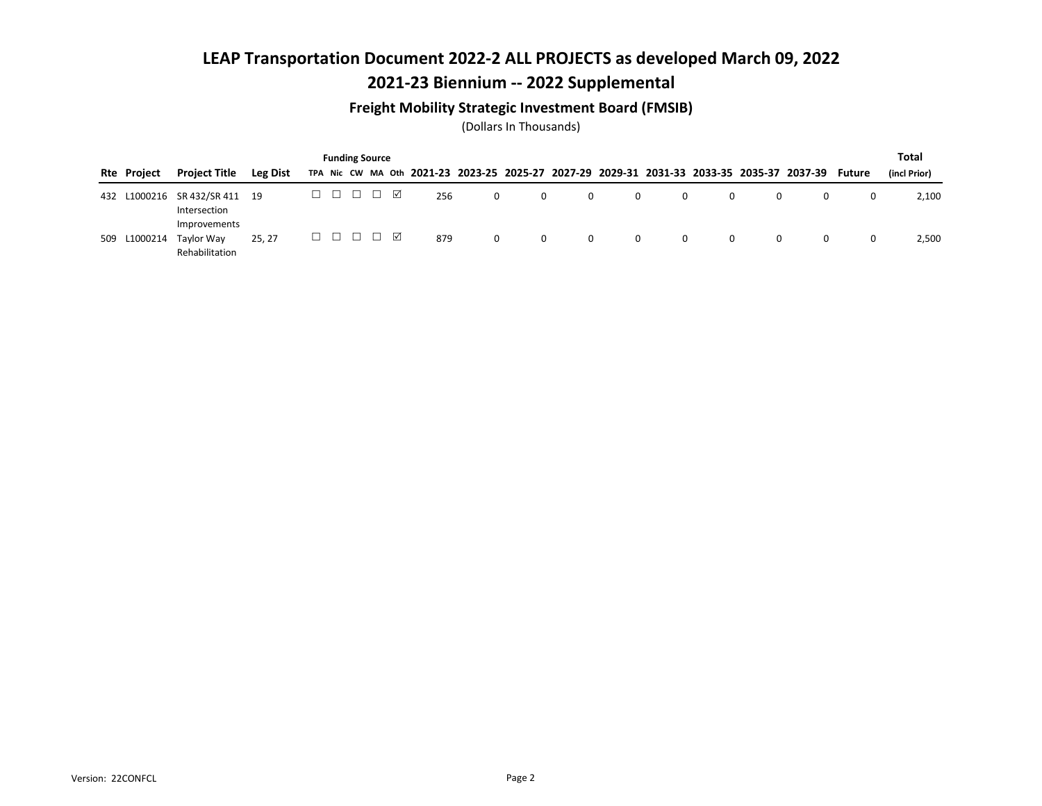## 2021-23 Biennium -- 2022 Supplemental

### Freight Mobility Strategic Investment Board (FMSIB)

|                    |                                               |                 |  | <b>Funding Source</b> |                          |     |          |          |   |          |          |   |   |                                                                                                  |   | <b>Total</b> |
|--------------------|-----------------------------------------------|-----------------|--|-----------------------|--------------------------|-----|----------|----------|---|----------|----------|---|---|--------------------------------------------------------------------------------------------------|---|--------------|
| <b>Rte Project</b> | <b>Project Title</b>                          | <b>Leg Dist</b> |  |                       |                          |     |          |          |   |          |          |   |   | TPA Nic CW MA Oth 2021-23 2023-25 2025-27 2027-29 2029-31 2031-33 2033-35 2035-37 2037-39 Future |   | (incl Prior) |
|                    | 432 L1000216 SR 432/SR 411 19<br>Intersection |                 |  |                       | $\overline{\phantom{0}}$ | 256 | 0        | 0        | 0 | 0        | 0        | 0 | 0 |                                                                                                  | 0 | 2,100        |
| 509 L1000214       | Improvements<br>Taylor Way<br>Rehabilitation  | 25, 27          |  | <b>UUUUU</b>          |                          | 879 | $\Omega$ | $\Omega$ | 0 | $\Omega$ | $\Omega$ | 0 | 0 |                                                                                                  |   | 2,500        |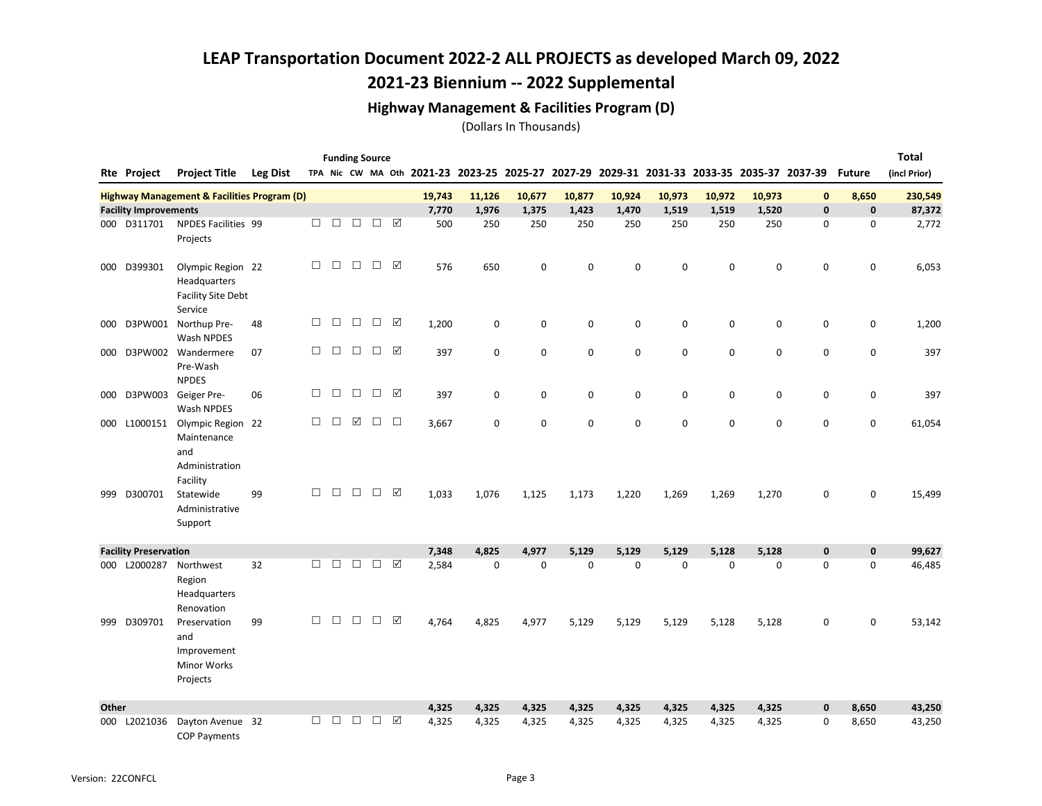## 2021-23 Biennium -- 2022 Supplemental

### Highway Management & Facilities Program (D)

|       |                              |                                                               |                 |        |        |          | <b>Funding Source</b> |        |        |             |             |             |          |                                                                                           |        |             |              |               | Total        |
|-------|------------------------------|---------------------------------------------------------------|-----------------|--------|--------|----------|-----------------------|--------|--------|-------------|-------------|-------------|----------|-------------------------------------------------------------------------------------------|--------|-------------|--------------|---------------|--------------|
|       | Rte Project                  | <b>Project Title</b>                                          | <b>Leg Dist</b> |        |        |          |                       |        |        |             |             |             |          | TPA Nic CW MA Oth 2021-23 2023-25 2025-27 2027-29 2029-31 2031-33 2033-35 2035-37 2037-39 |        |             |              | <b>Future</b> | (incl Prior) |
|       |                              | <b>Highway Management &amp; Facilities Program (D)</b>        |                 |        |        |          |                       |        | 19,743 | 11,126      | 10,677      | 10,877      | 10,924   | 10,973                                                                                    | 10,972 | 10,973      | $\mathbf{0}$ | 8,650         | 230,549      |
|       | <b>Facility Improvements</b> |                                                               |                 |        |        |          |                       |        | 7,770  | 1,976       | 1,375       | 1,423       | 1,470    | 1,519                                                                                     | 1,519  | 1,520       | $\mathbf 0$  | $\mathbf 0$   | 87,372       |
|       | 000 D311701                  | <b>NPDES Facilities 99</b>                                    |                 | П      | □      | □        | $\Box$                | ☑      | 500    | 250         | 250         | 250         | 250      | 250                                                                                       | 250    | 250         | 0            | 0             | 2,772        |
|       |                              | Projects                                                      |                 |        |        |          |                       |        |        |             |             |             |          |                                                                                           |        |             |              |               |              |
| 000   | D399301                      | Olympic Region 22<br>Headquarters<br>Facility Site Debt       |                 | $\Box$ | $\Box$ | $\Box$   | $\Box$                | ☑      | 576    | 650         | 0           | $\mathbf 0$ | 0        | 0                                                                                         | 0      | 0           | 0            | 0             | 6,053        |
| 000   |                              | Service<br>D3PW001 Northup Pre-                               | 48              | $\Box$ | $\Box$ | $\Box$   | $\Box$                | ☑      | 1,200  | $\mathbf 0$ | 0           | $\mathbf 0$ | 0        | 0                                                                                         | 0      | 0           | 0            | 0             | 1,200        |
|       |                              | Wash NPDES                                                    |                 |        |        |          |                       |        |        |             |             |             |          |                                                                                           |        |             |              |               |              |
| 000   |                              | D3PW002 Wandermere<br>Pre-Wash<br><b>NPDES</b>                | 07              | $\Box$ | $\Box$ | $\Box$   | $\Box$                | ☑      | 397    | $\mathbf 0$ | $\mathbf 0$ | $\mathbf 0$ | 0        | 0                                                                                         | 0      | $\mathbf 0$ | 0            | $\mathbf 0$   | 397          |
| 000   | D3PW003                      | Geiger Pre-                                                   | 06              | $\Box$ | $\Box$ | $\Box$   | $\Box$                | ☑      | 397    | $\mathbf 0$ | 0           | 0           | 0        | 0                                                                                         | 0      | 0           | 0            | 0             | 397          |
|       |                              | Wash NPDES                                                    |                 |        |        |          |                       |        |        |             |             |             |          |                                                                                           |        |             |              |               |              |
| 000   | L1000151                     | Olympic Region 22<br>Maintenance<br>and<br>Administration     |                 | $\Box$ | □      | $\Delta$ | $\Box$                | $\Box$ | 3,667  | $\mathbf 0$ | $\mathbf 0$ | $\mathbf 0$ | 0        | 0                                                                                         | 0      | $\mathbf 0$ | 0            | 0             | 61,054       |
|       |                              | Facility                                                      |                 |        |        |          |                       |        |        |             |             |             |          |                                                                                           |        |             |              |               |              |
| 999   | D300701                      | Statewide<br>Administrative<br>Support                        | 99              | П      | П      | $\Box$   | $\Box$                | ☑      | 1,033  | 1,076       | 1,125       | 1,173       | 1,220    | 1,269                                                                                     | 1,269  | 1,270       | 0            | 0             | 15,499       |
|       | <b>Facility Preservation</b> |                                                               |                 |        |        |          |                       |        | 7,348  | 4,825       | 4,977       | 5,129       | 5,129    | 5,129                                                                                     | 5,128  | 5,128       | $\mathbf{0}$ | $\mathbf 0$   | 99,627       |
| 000   | L2000287                     | Northwest<br>Region<br>Headquarters<br>Renovation             | 32              | П      | П      | $\Box$   | $\Box$                | ⊠      | 2,584  | $\Omega$    | $\Omega$    | $\Omega$    | $\Omega$ | $\Omega$                                                                                  | 0      | $\mathbf 0$ | 0            | $\mathbf 0$   | 46,485       |
| 999   | D309701                      | Preservation<br>and<br>Improvement<br>Minor Works<br>Projects | 99              | $\Box$ | П      | $\Box$   | $\Box$                | ☑      | 4,764  | 4,825       | 4,977       | 5,129       | 5,129    | 5,129                                                                                     | 5,128  | 5,128       | 0            | $\mathbf 0$   | 53,142       |
| Other |                              |                                                               |                 |        |        |          |                       |        | 4,325  | 4,325       | 4,325       | 4,325       | 4,325    | 4,325                                                                                     | 4,325  | 4,325       | $\mathbf{0}$ | 8,650         | 43,250       |
| 000   | L2021036                     | Dayton Avenue 32                                              |                 | П      | $\Box$ | $\Box$   | $\Box$                | ⊠      | 4,325  | 4,325       | 4,325       | 4,325       | 4,325    | 4,325                                                                                     | 4,325  | 4,325       | 0            | 8,650         | 43,250       |
|       |                              | <b>COP Payments</b>                                           |                 |        |        |          |                       |        |        |             |             |             |          |                                                                                           |        |             |              |               |              |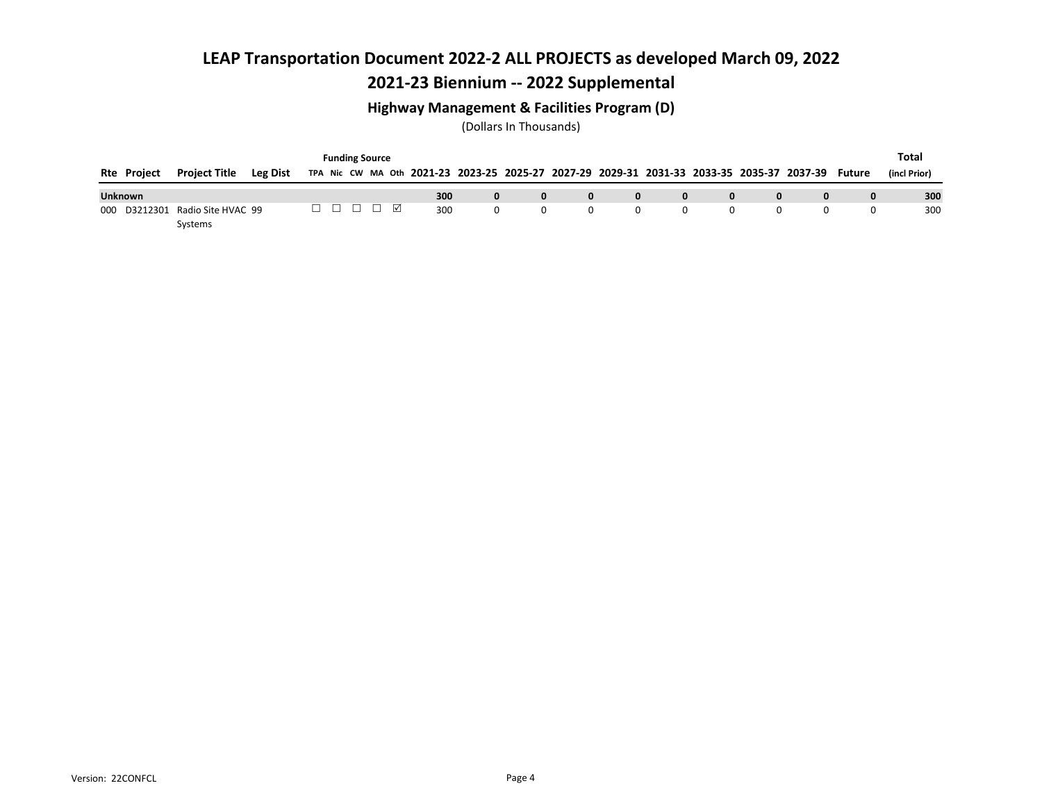## 2021-23 Biennium -- 2022 Supplemental

### Highway Management & Facilities Program (D)

|                    |                                 |                 |  | <b>Funding Source</b>       |                                                                                                  |    |   |   |   |   |  | <b>Total</b> |
|--------------------|---------------------------------|-----------------|--|-----------------------------|--------------------------------------------------------------------------------------------------|----|---|---|---|---|--|--------------|
| <b>Rte Project</b> | <b>Project Title</b>            | <b>Leg Dist</b> |  |                             | TPA Nic CW MA Oth 2021-23 2023-25 2025-27 2027-29 2029-31 2031-33 2033-35 2035-37 2037-39 Future |    |   |   |   |   |  | (incl Prior) |
| <b>Unknown</b>     |                                 |                 |  |                             | 300                                                                                              |    | 0 | 0 | 0 | 0 |  | 300          |
|                    | 000 D3212301 Radio Site HVAC 99 |                 |  | $\Box$ $\Box$ $\Box$ $\Box$ | 300                                                                                              | n. |   |   |   | 0 |  | 300          |
|                    | Systems                         |                 |  |                             |                                                                                                  |    |   |   |   |   |  |              |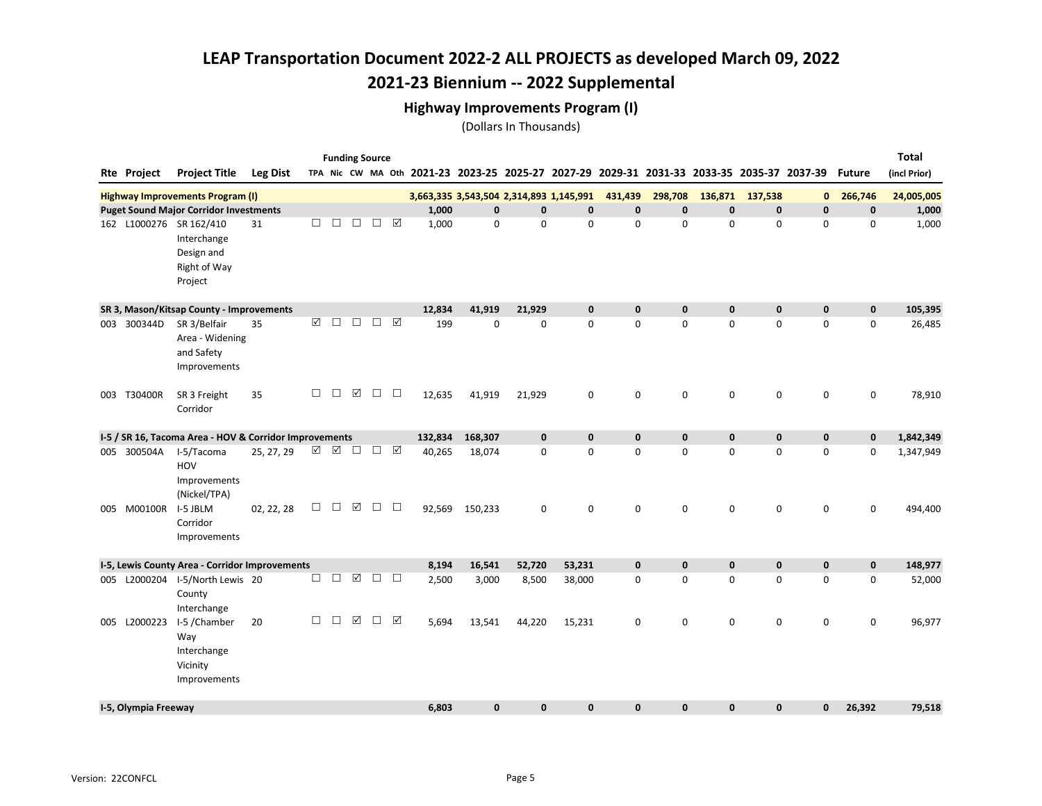## 2021-23 Biennium -- 2022 Supplemental

### Highway Improvements Program (I)

|                      |                                                                                 |                 |        |                 |          | <b>Funding Source</b> |        |                                                                                           |              |                                         |              |              |              |              |                 |              |               | <b>Total</b> |
|----------------------|---------------------------------------------------------------------------------|-----------------|--------|-----------------|----------|-----------------------|--------|-------------------------------------------------------------------------------------------|--------------|-----------------------------------------|--------------|--------------|--------------|--------------|-----------------|--------------|---------------|--------------|
| Rte Project          | <b>Project Title</b>                                                            | <b>Leg Dist</b> |        |                 |          |                       |        | TPA Nic CW MA Oth 2021-23 2023-25 2025-27 2027-29 2029-31 2031-33 2033-35 2035-37 2037-39 |              |                                         |              |              |              |              |                 |              | <b>Future</b> | (incl Prior) |
|                      | <b>Highway Improvements Program (I)</b>                                         |                 |        |                 |          |                       |        |                                                                                           |              | 3,663,335 3,543,504 2,314,893 1,145,991 |              | 431,439      | 298,708      |              | 136,871 137,538 | $\mathbf{0}$ | 266,746       | 24,005,005   |
|                      | <b>Puget Sound Major Corridor Investments</b>                                   |                 |        |                 |          |                       |        | 1,000                                                                                     | $\mathbf{0}$ | $\mathbf 0$                             | $\mathbf{0}$ | $\mathbf{0}$ | $\mathbf{0}$ | $\mathbf{0}$ | $\bf{0}$        | $\mathbf{0}$ | $\mathbf 0$   | 1,000        |
|                      | 162 L1000276 SR 162/410<br>Interchange<br>Design and<br>Right of Way<br>Project | 31              | $\Box$ | $\Box$          | $\Box$   | $\Box$                | ☑      | 1,000                                                                                     | $\mathbf 0$  | $\mathbf 0$                             | $\Omega$     | $\Omega$     | $\Omega$     | 0            | 0               | 0            | $\mathbf 0$   | 1,000        |
|                      | SR 3, Mason/Kitsap County - Improvements                                        |                 |        |                 |          |                       |        | 12,834                                                                                    | 41.919       | 21,929                                  | $\mathbf{0}$ | $\mathbf{0}$ | 0            | $\mathbf{0}$ | $\mathbf 0$     | $\pmb{0}$    | $\mathbf 0$   | 105,395      |
| 003 300344D          | SR 3/Belfair<br>Area - Widening<br>and Safety<br>Improvements                   | 35              | ☑      | $\Box$          | $\Box$   | $\Box$                | ☑      | 199                                                                                       | 0            | $\mathbf 0$                             | $\mathbf 0$  | $\Omega$     | 0            | 0            | $\mathbf 0$     | 0            | $\mathbf 0$   | 26,485       |
| 003 T30400R          | SR 3 Freight<br>Corridor                                                        | 35              | $\Box$ | $\Box$          | ☑        | $\Box$                | $\Box$ | 12,635                                                                                    | 41,919       | 21,929                                  | $\pmb{0}$    | 0            | 0            | 0            | $\mathbf 0$     | 0            | $\mathbf 0$   | 78,910       |
|                      | I-5 / SR 16, Tacoma Area - HOV & Corridor Improvements                          |                 |        |                 |          |                       |        | 132,834                                                                                   | 168,307      | $\mathbf 0$                             | $\mathbf{0}$ | $\mathbf{0}$ | 0            | 0            | $\mathbf 0$     | $\pmb{0}$    | $\mathbf 0$   | 1,842,349    |
| 005 300504A          | I-5/Tacoma<br>HOV<br>Improvements<br>(Nickel/TPA)                               | 25, 27, 29      | ☑      | $\triangledown$ | $\Box$   | $\Box$                | ☑      | 40,265                                                                                    | 18,074       | $\mathsf 0$                             | $\pmb{0}$    | $\mathbf 0$  | 0            | 0            | 0               | 0            | 0             | 1,347,949    |
| 005 M00100R          | I-5 JBLM<br>Corridor<br>Improvements                                            | 02, 22, 28      | $\Box$ | □               | ☑        | $\Box$                | □      | 92,569                                                                                    | 150,233      | $\mathsf 0$                             | $\mathbf 0$  | $\mathbf 0$  | 0            | 0            | $\mathsf 0$     | 0            | $\mathbf 0$   | 494,400      |
|                      | I-5, Lewis County Area - Corridor Improvements                                  |                 |        |                 |          |                       |        | 8,194                                                                                     | 16,541       | 52,720                                  | 53,231       | $\mathbf 0$  | 0            | 0            | $\mathbf 0$     | 0            | $\mathbf 0$   | 148,977      |
|                      | 005 L2000204 I-5/North Lewis 20<br>County<br>Interchange                        |                 | $\Box$ | □               | $\Delta$ | $\Box$                | $\Box$ | 2,500                                                                                     | 3,000        | 8,500                                   | 38,000       | $\mathbf 0$  | $\Omega$     | 0            | $\mathbf 0$     | 0            | $\mathbf 0$   | 52,000       |
| 005 L2000223         | I-5 / Chamber<br>Way<br>Interchange<br>Vicinity<br>Improvements                 | 20              | $\Box$ | □               | ☑        | $\Box$                | ☑      | 5,694                                                                                     | 13,541       | 44,220                                  | 15,231       | 0            | 0            | 0            | 0               | 0            | 0             | 96,977       |
| I-5, Olympia Freeway |                                                                                 |                 |        |                 |          |                       |        | 6,803                                                                                     | $\mathbf{0}$ | $\mathbf{0}$                            | $\mathbf{0}$ | $\mathbf{0}$ | $\mathbf{0}$ | 0            | $\mathbf{0}$    | 0            | 26,392        | 79,518       |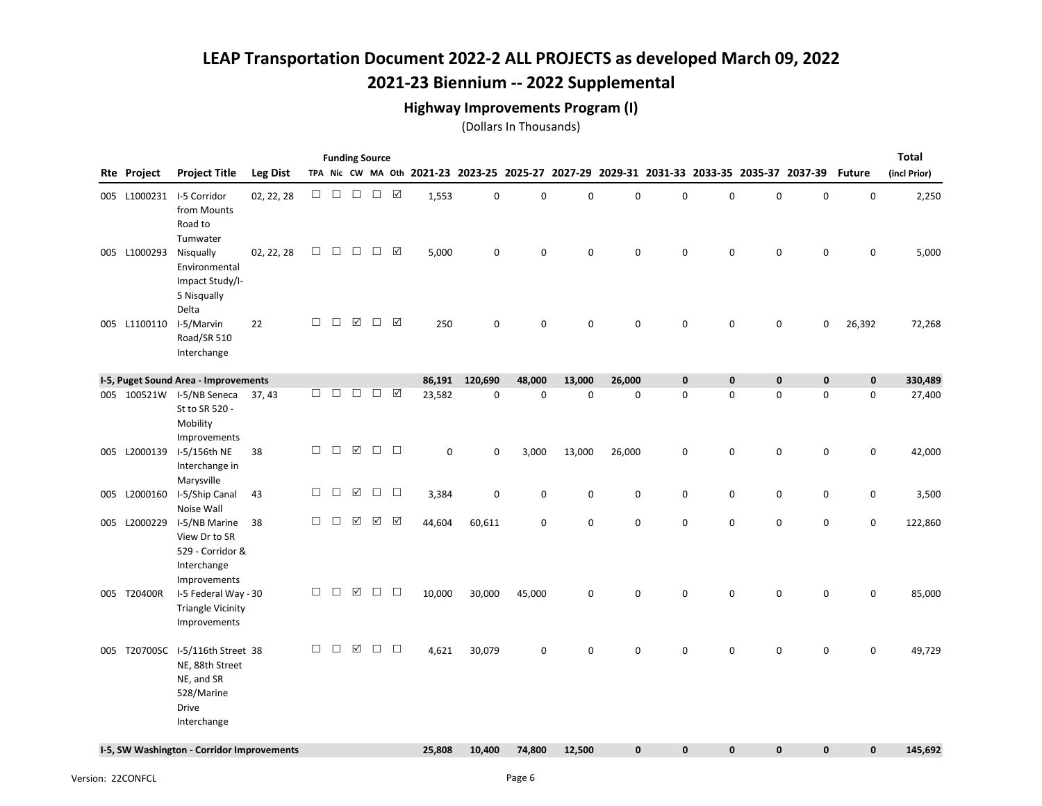## 2021-23 Biennium -- 2022 Supplemental

### Highway Improvements Program (I)

|     |              |                                                                                                         |                 |        |        |             | <b>Funding Source</b> |                     |             |             |                                           |             |             |              |   |                                                 |             |                     | <b>Total</b> |
|-----|--------------|---------------------------------------------------------------------------------------------------------|-----------------|--------|--------|-------------|-----------------------|---------------------|-------------|-------------|-------------------------------------------|-------------|-------------|--------------|---|-------------------------------------------------|-------------|---------------------|--------------|
|     | Rte Project  | <b>Project Title</b>                                                                                    | <b>Leg Dist</b> |        |        |             |                       |                     |             |             | TPA Nic CW MA Oth 2021-23 2023-25 2025-27 |             |             |              |   | 2027-29 2029-31 2031-33 2033-35 2035-37 2037-39 |             | <b>Future</b>       | (incl Prior) |
|     | 005 L1000231 | I-5 Corridor<br>from Mounts<br>Road to<br>Tumwater                                                      | 02, 22, 28      | $\Box$ | $\Box$ | $\Box$      | $\Box$ $\Box$         |                     | 1,553       | 0           | 0                                         | $\mathsf 0$ | 0           | $\mathbf 0$  | 0 | $\mathbf 0$                                     | 0           | 0                   | 2,250        |
|     | 005 L1000293 | Nisqually<br>Environmental<br>Impact Study/I-<br>5 Nisqually<br>Delta                                   | 02, 22, 28      | $\Box$ | $\Box$ | $\Box$      | $\Box$                | ☑                   | 5,000       | 0           | 0                                         | 0           | 0           | 0            | 0 | $\pmb{0}$                                       | 0           | 0                   | 5,000        |
|     | 005 L1100110 | I-5/Marvin<br>Road/SR 510<br>Interchange                                                                | 22              | □      | $\Box$ | ☑           | $\Box$                | ☑                   | 250         | 0           | 0                                         | $\pmb{0}$   | 0           | 0            | 0 | 0                                               | 0           | 26,392              | 72,268       |
|     |              | I-5, Puget Sound Area - Improvements                                                                    |                 |        |        |             |                       |                     | 86,191      | 120,690     | 48,000                                    | 13,000      | 26,000      | $\mathbf 0$  | 0 | $\mathbf 0$                                     | $\mathbf 0$ | $\mathbf 0$         | 330,489      |
|     |              | 005 100521W I-5/NB Seneca<br>St to SR 520 -<br>Mobility<br>Improvements                                 | 37, 43          | $\Box$ | $\Box$ | $\Box$      | $\Box$                | $\boxed{\triangle}$ | 23,582      | $\mathbf 0$ | 0                                         | $\mathbf 0$ | $\mathbf 0$ | $\mathbf 0$  | 0 | $\mathbf 0$                                     | $\mathbf 0$ | 0                   | 27,400       |
| 005 | L2000139     | I-5/156th NE<br>Interchange in<br>Marysville                                                            | 38              | $\Box$ | $\Box$ | ☑           | $\Box$                | $\Box$              | $\mathbf 0$ | $\mathbf 0$ | 3,000                                     | 13,000      | 26,000      | 0            | 0 | $\pmb{0}$                                       | 0           | $\mathsf{O}\xspace$ | 42,000       |
| 005 | L2000160     | I-5/Ship Canal<br>Noise Wall                                                                            | 43              | $\Box$ | $\Box$ | ☑           | $\Box$                | $\Box$              | 3,384       | 0           | 0                                         | 0           | 0           | 0            | 0 | 0                                               | 0           | $\pmb{0}$           | 3,500        |
|     | 005 L2000229 | I-5/NB Marine<br>View Dr to SR<br>529 - Corridor &<br>Interchange<br>Improvements                       | 38              | $\Box$ | $\Box$ | ☑           | ☑                     | ☑                   | 44,604      | 60,611      | 0                                         | 0           | 0           | 0            | 0 | 0                                               | 0           | 0                   | 122,860      |
|     | 005 T20400R  | I-5 Federal Way - 30<br><b>Triangle Vicinity</b><br>Improvements                                        |                 | $\Box$ | $\Box$ | $\boxtimes$ | $\Box$                | $\Box$              | 10,000      | 30,000      | 45,000                                    | $\pmb{0}$   | 0           | 0            | 0 | $\mathbf 0$                                     | 0           | $\mathbf 0$         | 85,000       |
|     |              | 005 T20700SC I-5/116th Street 38<br>NE, 88th Street<br>NE, and SR<br>528/Marine<br>Drive<br>Interchange |                 | □      | $\Box$ | ☑           | $\Box$                | $\Box$              | 4,621       | 30,079      | 0                                         | $\mathbf 0$ | 0           | 0            | 0 | $\mathbf 0$                                     | 0           | 0                   | 49,729       |
|     |              | I-5, SW Washington - Corridor Improvements                                                              |                 |        |        |             |                       |                     | 25,808      | 10,400      | 74,800                                    | 12,500      | 0           | $\mathbf{0}$ | 0 | $\mathbf 0$                                     | $\mathbf 0$ | $\mathbf 0$         | 145,692      |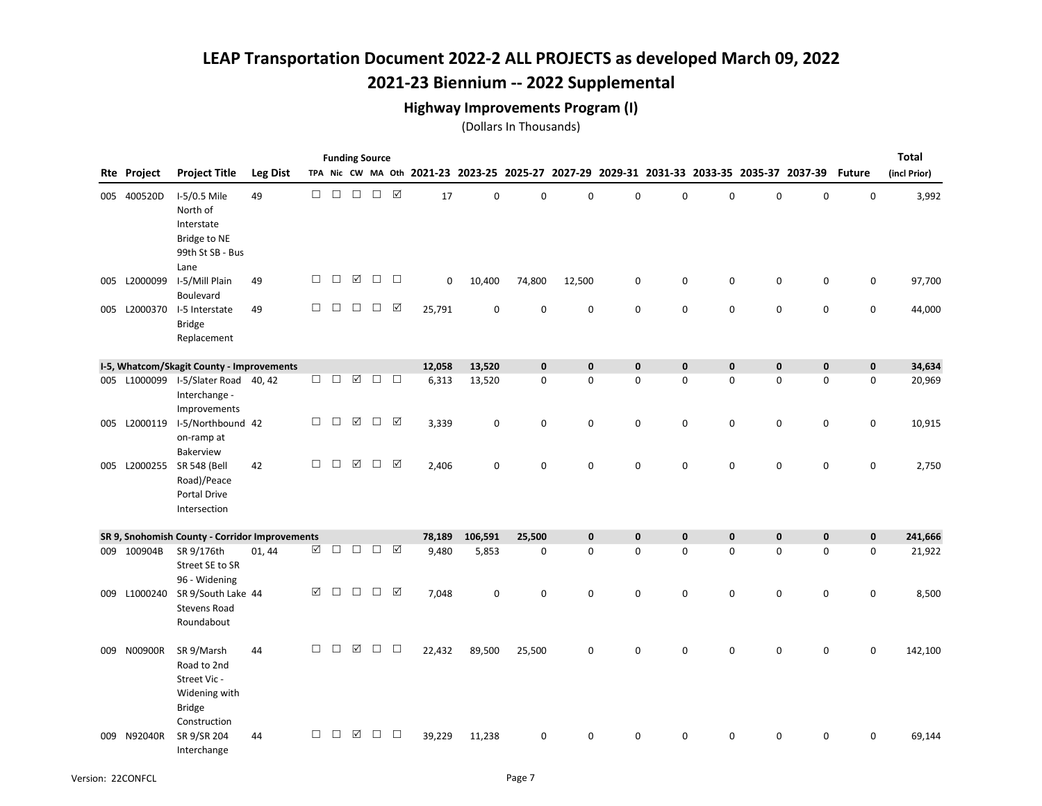## 2021-23 Biennium -- 2022 Supplemental

### Highway Improvements Program (I)

|     |                    |                                                                                             |                 |        |        |             | <b>Funding Source</b>                              |                       |        |             |                                                                                           |              |              |              |   |              |              |                     | <b>Total</b> |
|-----|--------------------|---------------------------------------------------------------------------------------------|-----------------|--------|--------|-------------|----------------------------------------------------|-----------------------|--------|-------------|-------------------------------------------------------------------------------------------|--------------|--------------|--------------|---|--------------|--------------|---------------------|--------------|
|     | <b>Rte Project</b> | <b>Project Title</b>                                                                        | <b>Leg Dist</b> |        |        |             |                                                    |                       |        |             | TPA Nic CW MA Oth 2021-23 2023-25 2025-27 2027-29 2029-31 2031-33 2033-35 2035-37 2037-39 |              |              |              |   |              |              | <b>Future</b>       | (incl Prior) |
|     | 005 400520D        | I-5/0.5 Mile<br>North of<br>Interstate<br>Bridge to NE<br>99th St SB - Bus<br>Lane          | 49              | $\Box$ | $\Box$ | $\Box$      | $\Box$ $\Box$                                      |                       | 17     | 0           | 0                                                                                         | $\mathbf 0$  | 0            | $\mathbf 0$  | 0 | $\mathbf 0$  | $\mathbf 0$  | 0                   | 3,992        |
| 005 | L2000099           | I-5/Mill Plain<br>Boulevard                                                                 | 49              | □      | $\Box$ | ☑           | $\Box$                                             | $\Box$                | 0      | 10,400      | 74,800                                                                                    | 12,500       | 0            | 0            | 0 | $\pmb{0}$    | 0            | $\mathsf{O}\xspace$ | 97,700       |
| 005 | L2000370           | I-5 Interstate<br><b>Bridge</b><br>Replacement                                              | 49              | $\Box$ | $\Box$ | $\Box$      | $\Box$                                             | ☑                     | 25,791 | $\mathbf 0$ | 0                                                                                         | $\mathbf 0$  | 0            | 0            | 0 | $\mathbf 0$  | 0            | 0                   | 44,000       |
|     |                    | I-5, Whatcom/Skagit County - Improvements                                                   |                 |        |        |             |                                                    |                       | 12,058 | 13,520      | $\mathbf{0}$                                                                              | $\mathbf{0}$ | $\mathbf{0}$ | $\mathbf{0}$ | 0 | $\mathbf{0}$ | $\mathbf{0}$ | $\mathbf 0$         | 34,634       |
|     | 005 L1000099       | I-5/Slater Road 40, 42<br>Interchange -<br>Improvements                                     |                 | $\Box$ | $\Box$ | $\boxtimes$ | $\begin{array}{ccc} \square & \square \end{array}$ |                       | 6,313  | 13,520      | 0                                                                                         | $\mathbf 0$  | 0            | $\mathbf 0$  | 0 | $\mathbf 0$  | 0            | 0                   | 20,969       |
| 005 | L2000119           | I-5/Northbound 42<br>on-ramp at<br>Bakerview                                                |                 | $\Box$ | $\Box$ | ☑           | $\Box$                                             | ☑                     | 3,339  | 0           | 0                                                                                         | $\mathbf 0$  | 0            | 0            | 0 | 0            | 0            | 0                   | 10,915       |
|     | 005 L2000255       | SR 548 (Bell<br>Road)/Peace<br>Portal Drive<br>Intersection                                 | 42              | П      | $\Box$ | ☑           | $\Box$                                             | ☑                     | 2,406  | $\mathbf 0$ | 0                                                                                         | $\Omega$     | $\Omega$     | $\Omega$     | 0 | $\mathbf 0$  | 0            | $\mathbf 0$         | 2,750        |
|     |                    | SR 9, Snohomish County - Corridor Improvements                                              |                 |        |        |             |                                                    |                       | 78,189 | 106,591     | 25,500                                                                                    | $\mathbf{0}$ | $\mathbf{0}$ | $\mathbf{0}$ | 0 | $\mathbf{0}$ | $\mathbf{0}$ | $\mathbf 0$         | 241,666      |
|     | 009 100904B        | SR 9/176th<br>Street SE to SR<br>96 - Widening                                              | 01, 44          | ☑      | $\Box$ | $\Box$      | $\Box$                                             | $\boxed{\mathcal{S}}$ | 9,480  | 5,853       | 0                                                                                         | $\pmb{0}$    | 0            | 0            | 0 | $\mathbf 0$  | 0            | $\mathsf 0$         | 21,922       |
|     | 009 L1000240       | SR 9/South Lake 44<br><b>Stevens Road</b><br>Roundabout                                     |                 | ☑      | $\Box$ | $\Box$      | $\Box$                                             | $\triangledown$       | 7,048  | $\mathbf 0$ | 0                                                                                         | $\mathbf 0$  | 0            | $\mathbf 0$  | 0 | 0            | 0            | $\mathbf 0$         | 8,500        |
| 009 | N00900R            | SR 9/Marsh<br>Road to 2nd<br>Street Vic -<br>Widening with<br><b>Bridge</b><br>Construction | 44              | □      | П      | ☑           | $\Box$                                             | $\Box$                | 22,432 | 89,500      | 25,500                                                                                    | $\mathbf 0$  | 0            | 0            | 0 | $\mathbf 0$  | 0            | $\mathbf 0$         | 142,100      |
|     | 009 N92040R        | SR 9/SR 204<br>Interchange                                                                  | 44              | $\Box$ | $\Box$ | ☑           | $\Box$                                             | $\Box$                | 39,229 | 11,238      | 0                                                                                         | $\mathbf 0$  | 0            | 0            | 0 | 0            | 0            | 0                   | 69,144       |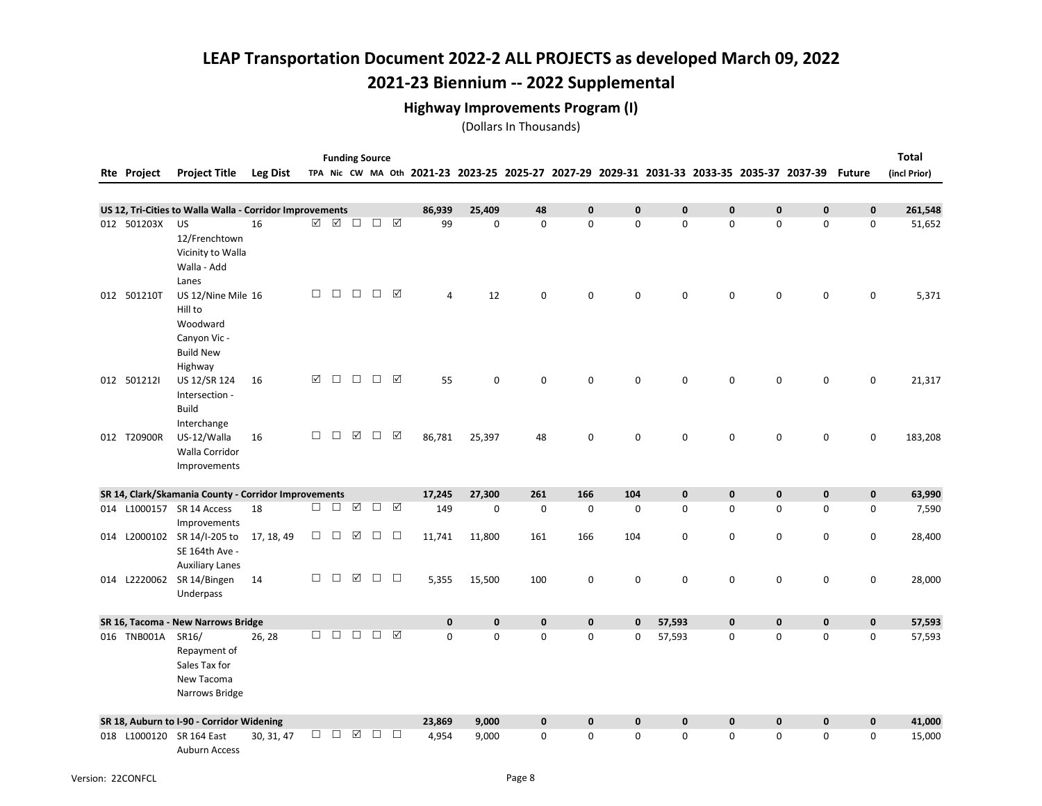## 2021-23 Biennium -- 2022 Supplemental

### Highway Improvements Program (I)

|     |              |                                                                                          |                 |        | <b>Funding Source</b> |                 |        |        |                |                                                                                           |             |              |              |              |             |             |             |                     | <b>Total</b> |
|-----|--------------|------------------------------------------------------------------------------------------|-----------------|--------|-----------------------|-----------------|--------|--------|----------------|-------------------------------------------------------------------------------------------|-------------|--------------|--------------|--------------|-------------|-------------|-------------|---------------------|--------------|
|     | Rte Project  | <b>Project Title</b>                                                                     | <b>Leg Dist</b> |        |                       |                 |        |        |                | TPA Nic CW MA Oth 2021-23 2023-25 2025-27 2027-29 2029-31 2031-33 2033-35 2035-37 2037-39 |             |              |              |              |             |             |             | <b>Future</b>       | (incl Prior) |
|     |              |                                                                                          |                 |        |                       |                 |        |        |                |                                                                                           |             |              |              |              |             |             |             |                     |              |
|     |              | US 12, Tri-Cities to Walla Walla - Corridor Improvements                                 |                 |        |                       |                 |        |        | 86,939         | 25,409                                                                                    | 48          | $\mathbf{0}$ | $\mathbf{0}$ | $\mathbf{0}$ | 0           | $\pmb{0}$   | $\mathbf 0$ | $\mathbf 0$         | 261,548      |
|     | 012 501203X  | <b>US</b><br>12/Frenchtown<br>Vicinity to Walla<br>Walla - Add<br>Lanes                  | 16              | ☑      | ☑                     | $\Box$          | $\Box$ | ☑      | 99             | 0                                                                                         | $\mathbf 0$ | $\mathbf 0$  | $\mathbf 0$  | 0            | 0           | $\mathbf 0$ | 0           | 0                   | 51,652       |
|     | 012 501210T  | US 12/Nine Mile 16<br>Hill to<br>Woodward<br>Canyon Vic -<br><b>Build New</b><br>Highway |                 | $\Box$ | $\Box$                | $\Box$          | $\Box$ | ☑      | $\overline{4}$ | 12                                                                                        | 0           | $\mathbf 0$  | $\Omega$     | 0            | 0           | $\mathbf 0$ | 0           | $\mathbf 0$         | 5,371        |
|     | 012 5012121  | US 12/SR 124<br>Intersection -<br><b>Build</b><br>Interchange                            | 16              | ☑      | $\Box$                | $\Box$          | $\Box$ | ☑      | 55             | 0                                                                                         | $\mathbf 0$ | $\mathbf 0$  | $\mathbf 0$  | $\mathbf 0$  | 0           | $\mathbf 0$ | $\mathbf 0$ | $\mathbf 0$         | 21,317       |
|     | 012 T20900R  | US-12/Walla<br>Walla Corridor<br>Improvements                                            | 16              | $\Box$ | $\Box$                | $\triangledown$ | $\Box$ | ☑      | 86,781         | 25,397                                                                                    | 48          | 0            | $\mathbf 0$  | 0            | 0           | 0           | 0           | 0                   | 183,208      |
|     |              | SR 14, Clark/Skamania County - Corridor Improvements                                     |                 |        |                       |                 |        |        | 17,245         | 27,300                                                                                    | 261         | 166          | 104          | $\mathbf 0$  | $\mathbf 0$ | $\pmb{0}$   | $\pmb{0}$   | $\mathbf 0$         | 63,990       |
|     |              | 014 L1000157 SR 14 Access<br>Improvements                                                | 18              | $\Box$ | $\Box$                | ☑               | $\Box$ | ☑      | 149            | 0                                                                                         | 0           | $\Omega$     | $\Omega$     | $\mathbf 0$  | 0           | 0           | $\mathbf 0$ | 0                   | 7,590        |
| 014 |              | L2000102 SR 14/I-205 to<br>SE 164th Ave -<br><b>Auxiliary Lanes</b>                      | 17, 18, 49      | $\Box$ | $\Box$                | ☑               | $\Box$ | $\Box$ | 11,741         | 11,800                                                                                    | 161         | 166          | 104          | 0            | 0           | $\mathsf 0$ | 0           | $\mathsf{O}\xspace$ | 28,400       |
|     |              | 014 L2220062 SR 14/Bingen<br>Underpass                                                   | 14              | $\Box$ | $\Box$                | $\boxtimes$     | $\Box$ | $\Box$ | 5,355          | 15,500                                                                                    | 100         | 0            | 0            | 0            | 0           | $\mathsf 0$ | 0           | $\mathsf{O}\xspace$ | 28,000       |
|     |              | SR 16, Tacoma - New Narrows Bridge                                                       |                 |        |                       |                 |        |        | $\mathbf 0$    | $\pmb{0}$                                                                                 | $\mathbf 0$ | $\bf{0}$     | $\mathbf 0$  | 57,593       | 0           | 0           | $\mathbf 0$ | $\mathbf 0$         | 57,593       |
|     | 016 TNB001A  | SR16/<br>Repayment of<br>Sales Tax for<br>New Tacoma<br>Narrows Bridge                   | 26, 28          | $\Box$ | $\Box$                | $\Box$          | $\Box$ | ☑      | $\Omega$       | 0                                                                                         | $\mathbf 0$ | $\mathbf 0$  | 0            | 57,593       | 0           | $\mathbf 0$ | 0           | 0                   | 57,593       |
|     |              | SR 18, Auburn to I-90 - Corridor Widening                                                |                 |        |                       |                 |        |        | 23,869         | 9,000                                                                                     | $\mathbf 0$ | $\mathbf{0}$ | $\mathbf{0}$ | 0            | $\mathbf 0$ | $\mathbf 0$ | $\mathbf 0$ | $\mathbf 0$         | 41,000       |
|     | 018 L1000120 | SR 164 East<br><b>Auburn Access</b>                                                      | 30, 31, 47      | $\Box$ | $\Box$                | ☑               | $\Box$ | $\Box$ | 4,954          | 9,000                                                                                     | $\mathbf 0$ | $\mathbf 0$  | $\mathbf 0$  | 0            | 0           | 0           | 0           | 0                   | 15,000       |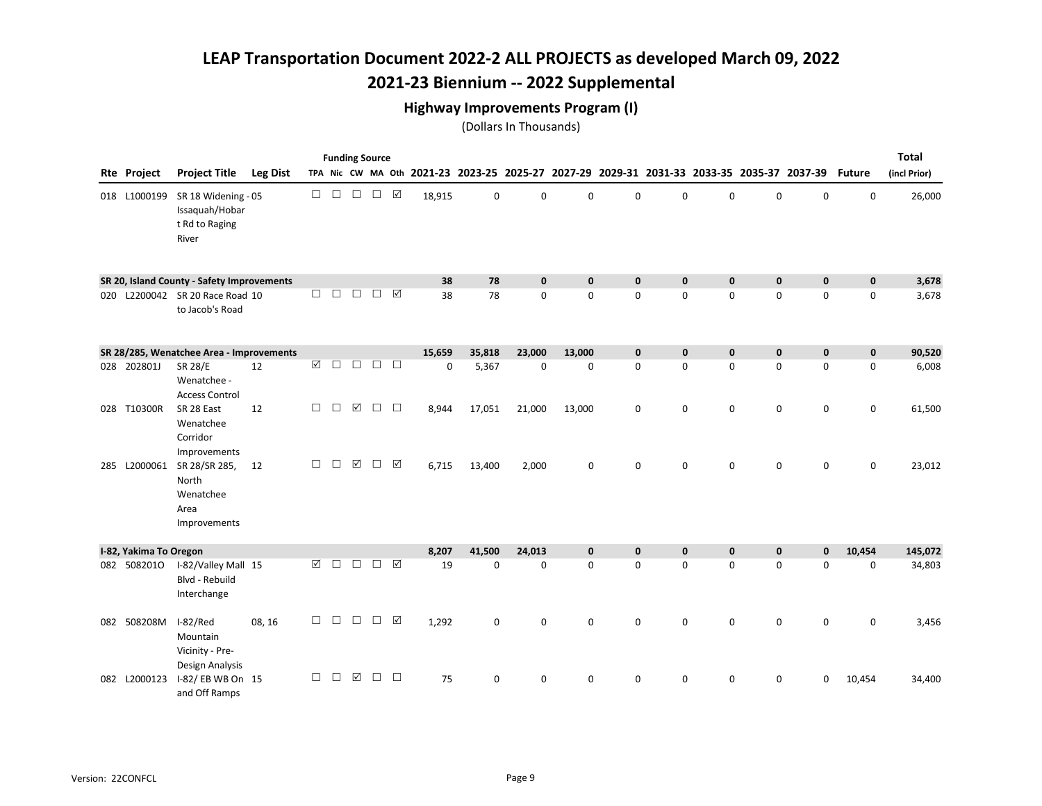## 2021-23 Biennium -- 2022 Supplemental

### Highway Improvements Program (I)

|                        |                                                                  |                 |        |        |        | <b>Funding Source</b> |        |           |        |              |              |              |              |              |             |                                                                                                  |             | <b>Total</b> |
|------------------------|------------------------------------------------------------------|-----------------|--------|--------|--------|-----------------------|--------|-----------|--------|--------------|--------------|--------------|--------------|--------------|-------------|--------------------------------------------------------------------------------------------------|-------------|--------------|
| <b>Rte Project</b>     | <b>Project Title</b>                                             | <b>Leg Dist</b> |        |        |        |                       |        |           |        |              |              |              |              |              |             | TPA Nic CW MA Oth 2021-23 2023-25 2025-27 2027-29 2029-31 2031-33 2033-35 2035-37 2037-39 Future |             | (incl Prior) |
| 018 L1000199           | SR 18 Widening - 05<br>Issaquah/Hobar<br>t Rd to Raging<br>River |                 | $\Box$ | $\Box$ | $\Box$ | $\Box$                | ☑      | 18,915    | 0      | $\mathbf 0$  | 0            | $\mathbf 0$  | 0            | 0            | $\mathbf 0$ | 0                                                                                                | 0           | 26,000       |
|                        | SR 20, Island County - Safety Improvements                       |                 |        |        |        |                       |        | 38        | 78     | $\mathbf{0}$ | $\mathbf{0}$ | $\mathbf{0}$ | $\mathbf{0}$ | $\mathbf{0}$ | $\mathbf 0$ | $\mathbf{0}$                                                                                     | $\mathbf 0$ | 3,678        |
|                        | 020 L2200042 SR 20 Race Road 10<br>to Jacob's Road               |                 | $\Box$ | П      | $\Box$ | $\Box$                | ☑      | 38        | 78     | 0            | 0            | $\mathbf 0$  | 0            | 0            | 0           | $\mathsf 0$                                                                                      | $\mathsf 0$ | 3,678        |
|                        | SR 28/285, Wenatchee Area - Improvements                         |                 |        |        |        |                       |        | 15,659    | 35,818 | 23,000       | 13,000       | $\mathbf{0}$ | $\mathbf{0}$ | $\mathbf 0$  | $\mathbf 0$ | $\mathbf 0$                                                                                      | $\mathbf 0$ | 90,520       |
| 028 202801J            | <b>SR 28/E</b><br>Wenatchee -<br><b>Access Control</b>           | 12              | ☑      | $\Box$ | $\Box$ | $\Box$                | $\Box$ | $\pmb{0}$ | 5,367  | 0            | $\mathsf 0$  | $\mathbf 0$  | $\mathbf 0$  | 0            | $\mathbf 0$ | 0                                                                                                | $\mathsf 0$ | 6,008        |
| 028 T10300R            | SR 28 East<br>Wenatchee<br>Corridor<br>Improvements              | 12              | □      | П      | ☑      | $\Box$                | □      | 8,944     | 17,051 | 21,000       | 13,000       | $\mathbf 0$  | 0            | 0            | 0           | 0                                                                                                | 0           | 61,500       |
| 285 L2000061           | SR 28/SR 285,<br>North<br>Wenatchee<br>Area<br>Improvements      | 12              | $\Box$ | □      | ☑      | $\Box$                | ☑      | 6,715     | 13,400 | 2,000        | 0            | $\Omega$     | $\Omega$     | 0            | 0           | 0                                                                                                | $\mathbf 0$ | 23,012       |
| I-82, Yakima To Oregon |                                                                  |                 |        |        |        |                       |        | 8,207     | 41,500 | 24,013       | $\mathbf 0$  | $\mathbf 0$  | $\mathbf{0}$ | $\mathbf 0$  | $\mathbf 0$ | $\mathbf 0$                                                                                      | 10,454      | 145,072      |
| 082 5082010            | I-82/Valley Mall 15<br>Blvd - Rebuild<br>Interchange             |                 | ☑      | $\Box$ | $\Box$ | $\Box$                | ☑      | 19        | 0      | $\mathbf 0$  | $\Omega$     | $\mathbf 0$  | $\Omega$     | 0            | $\mathbf 0$ | 0                                                                                                | $\mathbf 0$ | 34,803       |
| 082 508208M            | I-82/Red<br>Mountain<br>Vicinity - Pre-<br>Design Analysis       | 08, 16          | $\Box$ | $\Box$ | $\Box$ | $\Box$                | ☑      | 1,292     | 0      | $\mathbf 0$  | 0            | $\mathbf 0$  | 0            | 0            | $\mathbf 0$ | 0                                                                                                | $\mathbf 0$ | 3,456        |
| 082 L2000123           | I-82/EB WB On 15<br>and Off Ramps                                |                 | $\Box$ | $\Box$ | ☑      | $\Box$                | $\Box$ | 75        | 0      | 0            | 0            | $\mathbf 0$  | 0            | 0            | $\mathbf 0$ | 0                                                                                                | 10,454      | 34,400       |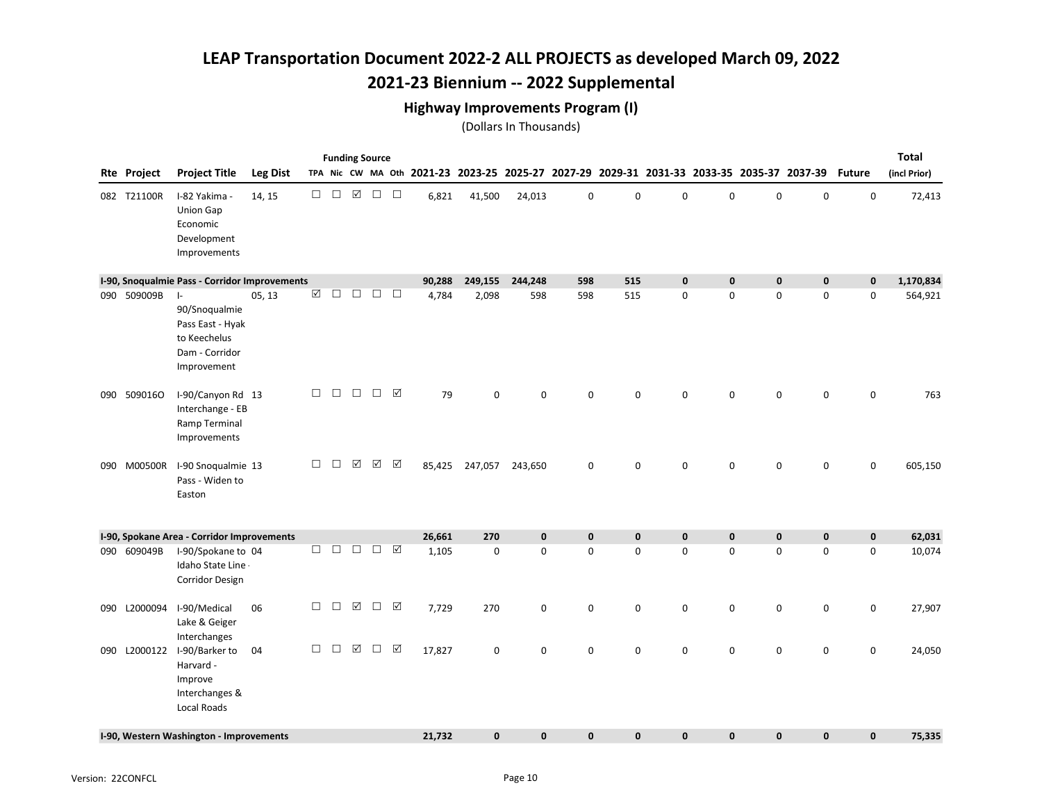## 2021-23 Biennium -- 2022 Supplemental

### Highway Improvements Program (I)

|     |             |                                                                                                 |                 |        | <b>Funding Source</b> |               |        |        |              |              |              |              |                                                                                           |              |              |              |               | <b>Total</b> |
|-----|-------------|-------------------------------------------------------------------------------------------------|-----------------|--------|-----------------------|---------------|--------|--------|--------------|--------------|--------------|--------------|-------------------------------------------------------------------------------------------|--------------|--------------|--------------|---------------|--------------|
|     | Rte Project | <b>Project Title</b>                                                                            | <b>Leg Dist</b> |        |                       |               |        |        |              |              |              |              | TPA Nic CW MA Oth 2021-23 2023-25 2025-27 2027-29 2029-31 2031-33 2033-35 2035-37 2037-39 |              |              |              | <b>Future</b> | (incl Prior) |
|     | 082 T21100R | I-82 Yakima -<br>Union Gap<br>Economic<br>Development<br>Improvements                           | □<br>14, 15     | $\Box$ | $\boxtimes$           | $\Box$        | $\Box$ | 6,821  | 41,500       | 24,013       | $\mathbf 0$  | $\mathbf 0$  | $\mathbf 0$                                                                               | 0            | 0            | 0            | $\mathbf 0$   | 72,413       |
|     |             | I-90, Snoqualmie Pass - Corridor Improvements                                                   |                 |        |                       |               |        | 90,288 | 249,155      | 244,248      | 598          | 515          | $\mathbf 0$                                                                               | $\mathbf 0$  | $\mathbf 0$  | $\mathbf 0$  | $\mathbf 0$   | 1,170,834    |
|     | 090 509009B | $\vert$ -<br>90/Snoqualmie<br>Pass East - Hyak<br>to Keechelus<br>Dam - Corridor<br>Improvement | ☑<br>05, 13     | $\Box$ | $\Box$                | $\Box$        | $\Box$ | 4,784  | 2,098        | 598          | 598          | 515          | $\mathbf 0$                                                                               | 0            | $\mathbf 0$  | 0            | $\mathbf 0$   | 564,921      |
|     | 090 5090160 | I-90/Canyon Rd 13<br>Interchange - EB<br>Ramp Terminal<br>Improvements                          | $\Box$          | $\Box$ | $\Box$                | □ ☑           |        | 79     | 0            | $\mathbf 0$  | $\mathbf 0$  | $\mathbf 0$  | 0                                                                                         | 0            | 0            | 0            | $\mathsf 0$   | 763          |
|     | 090 M00500R | I-90 Snoqualmie 13<br>Pass - Widen to<br>Easton                                                 | $\Box$          | $\Box$ | ☑                     | ☑             | ☑      | 85,425 | 247,057      | 243,650      | $\mathbf 0$  | $\mathbf 0$  | 0                                                                                         | 0            | $\mathbf 0$  | 0            | $\mathbf 0$   | 605,150      |
|     |             | I-90, Spokane Area - Corridor Improvements                                                      |                 |        |                       |               |        | 26,661 | 270          | $\mathbf 0$  | $\mathbf{0}$ | $\mathbf{0}$ | $\mathbf{0}$                                                                              | $\mathbf{0}$ | $\mathbf 0$  | $\mathbf 0$  | $\mathbf 0$   | 62,031       |
|     | 090 609049B | I-90/Spokane to 04<br>Idaho State Line<br>Corridor Design                                       | $\Box$          | $\Box$ | $\Box$                | $\Box$ $\Box$ |        | 1,105  | 0            | $\mathbf 0$  | $\mathbf 0$  | $\mathbf 0$  | 0                                                                                         | 0            | 0            | 0            | 0             | 10,074       |
| 090 | L2000094    | I-90/Medical<br>Lake & Geiger<br>Interchanges                                                   | $\Box$<br>06    | $\Box$ | ☑                     | $\Box$        | ☑      | 7,729  | 270          | $\mathsf 0$  | $\mathbf 0$  | $\mathbf 0$  | 0                                                                                         | 0            | 0            | 0            | 0             | 27,907       |
|     |             | 090 L2000122 I-90/Barker to<br>Harvard -<br>Improve<br>Interchanges &<br><b>Local Roads</b>     | □<br>04         | $\Box$ | $\triangledown$       | $\Box$        | ☑      | 17,827 | $\mathbf 0$  | $\mathbf 0$  | $\mathbf 0$  | $\mathbf 0$  | 0                                                                                         | 0            | $\mathbf 0$  | 0            | 0             | 24,050       |
|     |             | I-90, Western Washington - Improvements                                                         |                 |        |                       |               |        | 21.732 | $\mathbf{0}$ | $\mathbf{0}$ | $\mathbf{0}$ | $\mathbf{0}$ | $\mathbf{0}$                                                                              | $\mathbf{0}$ | $\mathbf{0}$ | $\mathbf{0}$ | $\mathbf{0}$  | 75,335       |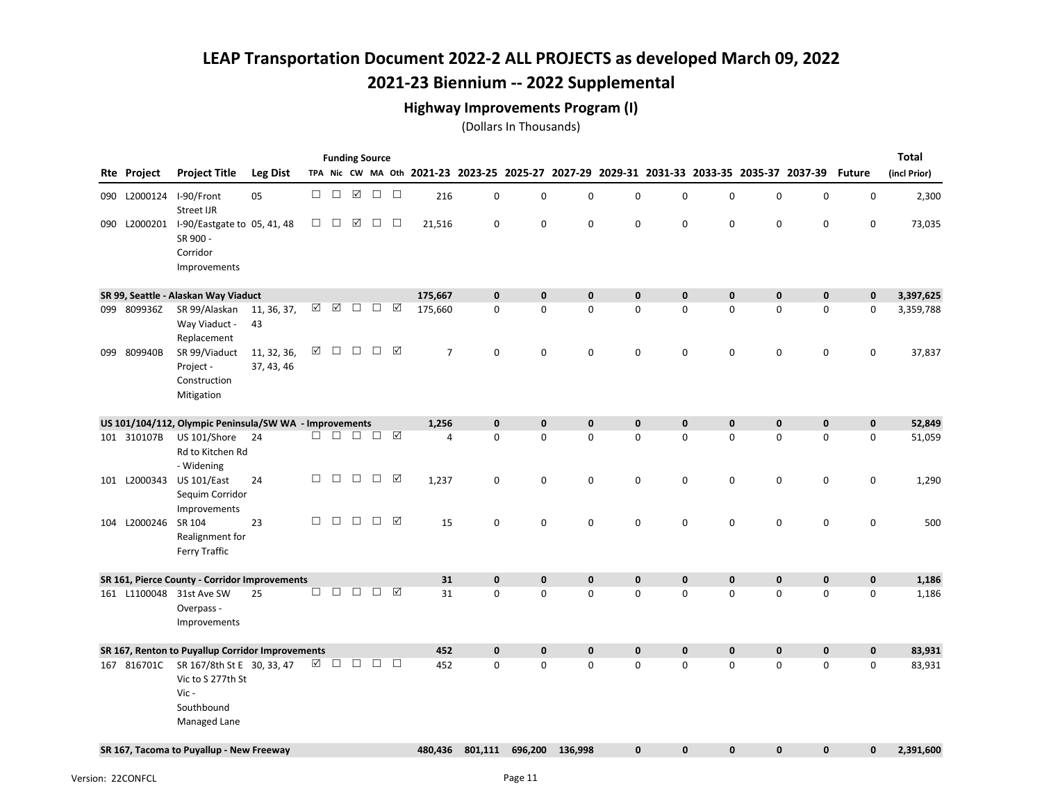## 2021-23 Biennium -- 2022 Supplemental

### Highway Improvements Program (I)

| <b>Project Title</b><br><b>Leg Dist</b><br>TPA Nic CW MA Oth 2021-23 2023-25 2025-27<br>2027-29 2029-31 2031-33 2033-35 2035-37 2037-39<br>(incl Prior)<br>Rte Project<br><b>Future</b><br>☑<br>$\Box$ $\Box$<br>$\Box$<br>$\Box$<br>I-90/Front<br>05<br>216<br>0<br>0<br>$\pmb{0}$<br>0<br>0<br>0<br>$\mathsf 0$<br>0<br>$\mathbf 0$<br>090 L2000124<br>2,300<br><b>Street IJR</b><br>☑<br>$\Box$<br>$\Box$<br>$\Box$<br>$\Box$<br>$\mathbf 0$<br>0<br>$\mathbf 0$<br>0<br>$\mathbf 0$<br>0<br>$\mathsf 0$<br>$\mathbf 0$<br>$\mathbf 0$<br>090 L2000201 I-90/Eastgate to 05, 41, 48<br>21,516<br>73,035<br>SR 900 -<br>Corridor<br>Improvements<br>$\mathbf{0}$<br>$\mathbf{0}$<br>$\mathbf{0}$<br>3,397,625<br>SR 99, Seattle - Alaskan Way Viaduct<br>175,667<br>$\mathbf{0}$<br>$\mathbf{0}$<br>$\mathbf{0}$<br>$\mathbf{0}$<br>$\mathbf{0}$<br>$\mathbf 0$<br>☑<br>☑<br>$\Box$<br>$\Box$<br>☑<br>$\pmb{0}$<br>099 809936Z<br>SR 99/Alaskan<br>175,660<br>$\mathbf 0$<br>0<br>$\mathbf 0$<br>0<br>0<br>0<br>$\mathbf 0$<br>0<br>3,359,788<br>11, 36, 37,<br>Way Viaduct -<br>43<br>Replacement<br>☑<br>$\Box$ $\Box$<br>☑<br>$\Box$<br>$\overline{7}$<br>$\mathsf 0$<br>099 809940B<br>SR 99/Viaduct<br>11, 32, 36,<br>$\mathbf 0$<br>0<br>$\mathsf 0$<br>0<br>$\mathbf 0$<br>0<br>$\mathsf 0$<br>0<br>37,837<br>37, 43, 46<br>Project -<br>Construction<br>Mitigation<br>US 101/104/112, Olympic Peninsula/SW WA - Improvements<br>1,256<br>$\mathbf 0$<br>$\mathbf 0$<br>$\pmb{0}$<br>0<br>0<br>$\pmb{0}$<br>$\mathbf 0$<br>$\mathbf 0$<br>$\mathbf 0$<br>52,849<br>☑<br>$\Box$ $\Box$ $\Box$<br>$\Box$<br>$\mathbf 0$<br>0<br>$\mathbf 0$<br>0<br>0<br>$\mathbf 0$<br>$\mathbf 0$<br>$\mathsf 0$<br>US 101/Shore<br>$\overline{4}$<br>0<br>51,059<br>101 310107B<br>24<br>Rd to Kitchen Rd<br>- Widening<br>$\Box$<br>$\Box$<br>$\Box$<br>☑<br>$\Box$<br><b>US 101/East</b><br>0<br>0<br>$\mathbf 0$<br>0<br>$\mathbf 0$<br>0<br>$\mathsf 0$<br>$\mathbf 0$<br>$\mathsf 0$<br>1,290<br>101 L2000343<br>24<br>1,237<br>Sequim Corridor<br>Improvements<br>☑<br>П<br>$\Box$<br>$\Box$<br>$\Box$<br>23<br>15<br>$\mathbf 0$<br>$\mathbf 0$<br>$\mathbf 0$<br>0<br>$\mathsf{O}$<br>0<br>$\mathbf 0$<br>$\mathbf 0$<br>0<br>500<br>104 L2000246<br>SR 104<br>Realignment for<br>Ferry Traffic<br>SR 161, Pierce County - Corridor Improvements<br>1,186<br>31<br>$\mathbf{0}$<br>$\mathbf 0$<br>$\mathbf{0}$<br>0<br>0<br>$\pmb{0}$<br>$\mathbf 0$<br>$\mathbf 0$<br>$\mathbf 0$<br>$\Box$<br>$\Box$<br>$\Box$<br>$\Box$<br>⊠<br>$\mathbf 0$<br>$\mathbf 0$<br>$\mathbf 0$<br>$\Omega$<br>$\mathbf 0$<br>$\mathbf 0$<br>0<br>$\mathbf 0$<br>161 L1100048 31st Ave SW<br>25<br>31<br>$\Omega$<br>1,186<br>Overpass -<br>Improvements<br>452<br>$\mathbf{0}$<br>$\pmb{0}$<br>SR 167, Renton to Puyallup Corridor Improvements<br>$\pmb{0}$<br>$\mathbf 0$<br>0<br>0<br>$\pmb{0}$<br>$\mathbf 0$<br>$\mathbf 0$<br>83,931<br>$\Box$ $\Box$<br>$\mathbf 0$<br>$\mathbf 0$<br>SR 167/8th St E 30, 33, 47<br>452<br>$\Omega$<br>0<br>$\mathbf 0$<br>0<br>0<br>0<br>$\mathbf 0$<br>83,931<br>167 816701C<br>Vic to S 277th St<br>Vic-<br>Southbound<br>Managed Lane<br>801,111<br>696,200<br>$\mathbf{0}$<br>$\mathbf{0}$<br>$\mathbf 0$<br>$\mathbf 0$<br>$\mathbf 0$<br>$\mathbf 0$<br>2,391,600<br>SR 167, Tacoma to Puyallup - New Freeway<br>480,436<br>136,998 |  |  |  | <b>Funding Source</b> |  |  |  |  |  |  | <b>Total</b> |
|------------------------------------------------------------------------------------------------------------------------------------------------------------------------------------------------------------------------------------------------------------------------------------------------------------------------------------------------------------------------------------------------------------------------------------------------------------------------------------------------------------------------------------------------------------------------------------------------------------------------------------------------------------------------------------------------------------------------------------------------------------------------------------------------------------------------------------------------------------------------------------------------------------------------------------------------------------------------------------------------------------------------------------------------------------------------------------------------------------------------------------------------------------------------------------------------------------------------------------------------------------------------------------------------------------------------------------------------------------------------------------------------------------------------------------------------------------------------------------------------------------------------------------------------------------------------------------------------------------------------------------------------------------------------------------------------------------------------------------------------------------------------------------------------------------------------------------------------------------------------------------------------------------------------------------------------------------------------------------------------------------------------------------------------------------------------------------------------------------------------------------------------------------------------------------------------------------------------------------------------------------------------------------------------------------------------------------------------------------------------------------------------------------------------------------------------------------------------------------------------------------------------------------------------------------------------------------------------------------------------------------------------------------------------------------------------------------------------------------------------------------------------------------------------------------------------------------------------------------------------------------------------------------------------------------------------------------------------------------------------------------------------------------------------------------------------------------------------------------------------------------------------------------------------------------------------------------------------------------------------------------------------------------------------------------------------------------------------------------------|--|--|--|-----------------------|--|--|--|--|--|--|--------------|
|                                                                                                                                                                                                                                                                                                                                                                                                                                                                                                                                                                                                                                                                                                                                                                                                                                                                                                                                                                                                                                                                                                                                                                                                                                                                                                                                                                                                                                                                                                                                                                                                                                                                                                                                                                                                                                                                                                                                                                                                                                                                                                                                                                                                                                                                                                                                                                                                                                                                                                                                                                                                                                                                                                                                                                                                                                                                                                                                                                                                                                                                                                                                                                                                                                                                                                                                                                  |  |  |  |                       |  |  |  |  |  |  |              |
|                                                                                                                                                                                                                                                                                                                                                                                                                                                                                                                                                                                                                                                                                                                                                                                                                                                                                                                                                                                                                                                                                                                                                                                                                                                                                                                                                                                                                                                                                                                                                                                                                                                                                                                                                                                                                                                                                                                                                                                                                                                                                                                                                                                                                                                                                                                                                                                                                                                                                                                                                                                                                                                                                                                                                                                                                                                                                                                                                                                                                                                                                                                                                                                                                                                                                                                                                                  |  |  |  |                       |  |  |  |  |  |  |              |
|                                                                                                                                                                                                                                                                                                                                                                                                                                                                                                                                                                                                                                                                                                                                                                                                                                                                                                                                                                                                                                                                                                                                                                                                                                                                                                                                                                                                                                                                                                                                                                                                                                                                                                                                                                                                                                                                                                                                                                                                                                                                                                                                                                                                                                                                                                                                                                                                                                                                                                                                                                                                                                                                                                                                                                                                                                                                                                                                                                                                                                                                                                                                                                                                                                                                                                                                                                  |  |  |  |                       |  |  |  |  |  |  |              |
|                                                                                                                                                                                                                                                                                                                                                                                                                                                                                                                                                                                                                                                                                                                                                                                                                                                                                                                                                                                                                                                                                                                                                                                                                                                                                                                                                                                                                                                                                                                                                                                                                                                                                                                                                                                                                                                                                                                                                                                                                                                                                                                                                                                                                                                                                                                                                                                                                                                                                                                                                                                                                                                                                                                                                                                                                                                                                                                                                                                                                                                                                                                                                                                                                                                                                                                                                                  |  |  |  |                       |  |  |  |  |  |  |              |
|                                                                                                                                                                                                                                                                                                                                                                                                                                                                                                                                                                                                                                                                                                                                                                                                                                                                                                                                                                                                                                                                                                                                                                                                                                                                                                                                                                                                                                                                                                                                                                                                                                                                                                                                                                                                                                                                                                                                                                                                                                                                                                                                                                                                                                                                                                                                                                                                                                                                                                                                                                                                                                                                                                                                                                                                                                                                                                                                                                                                                                                                                                                                                                                                                                                                                                                                                                  |  |  |  |                       |  |  |  |  |  |  |              |
|                                                                                                                                                                                                                                                                                                                                                                                                                                                                                                                                                                                                                                                                                                                                                                                                                                                                                                                                                                                                                                                                                                                                                                                                                                                                                                                                                                                                                                                                                                                                                                                                                                                                                                                                                                                                                                                                                                                                                                                                                                                                                                                                                                                                                                                                                                                                                                                                                                                                                                                                                                                                                                                                                                                                                                                                                                                                                                                                                                                                                                                                                                                                                                                                                                                                                                                                                                  |  |  |  |                       |  |  |  |  |  |  |              |
|                                                                                                                                                                                                                                                                                                                                                                                                                                                                                                                                                                                                                                                                                                                                                                                                                                                                                                                                                                                                                                                                                                                                                                                                                                                                                                                                                                                                                                                                                                                                                                                                                                                                                                                                                                                                                                                                                                                                                                                                                                                                                                                                                                                                                                                                                                                                                                                                                                                                                                                                                                                                                                                                                                                                                                                                                                                                                                                                                                                                                                                                                                                                                                                                                                                                                                                                                                  |  |  |  |                       |  |  |  |  |  |  |              |
|                                                                                                                                                                                                                                                                                                                                                                                                                                                                                                                                                                                                                                                                                                                                                                                                                                                                                                                                                                                                                                                                                                                                                                                                                                                                                                                                                                                                                                                                                                                                                                                                                                                                                                                                                                                                                                                                                                                                                                                                                                                                                                                                                                                                                                                                                                                                                                                                                                                                                                                                                                                                                                                                                                                                                                                                                                                                                                                                                                                                                                                                                                                                                                                                                                                                                                                                                                  |  |  |  |                       |  |  |  |  |  |  |              |
|                                                                                                                                                                                                                                                                                                                                                                                                                                                                                                                                                                                                                                                                                                                                                                                                                                                                                                                                                                                                                                                                                                                                                                                                                                                                                                                                                                                                                                                                                                                                                                                                                                                                                                                                                                                                                                                                                                                                                                                                                                                                                                                                                                                                                                                                                                                                                                                                                                                                                                                                                                                                                                                                                                                                                                                                                                                                                                                                                                                                                                                                                                                                                                                                                                                                                                                                                                  |  |  |  |                       |  |  |  |  |  |  |              |
|                                                                                                                                                                                                                                                                                                                                                                                                                                                                                                                                                                                                                                                                                                                                                                                                                                                                                                                                                                                                                                                                                                                                                                                                                                                                                                                                                                                                                                                                                                                                                                                                                                                                                                                                                                                                                                                                                                                                                                                                                                                                                                                                                                                                                                                                                                                                                                                                                                                                                                                                                                                                                                                                                                                                                                                                                                                                                                                                                                                                                                                                                                                                                                                                                                                                                                                                                                  |  |  |  |                       |  |  |  |  |  |  |              |
|                                                                                                                                                                                                                                                                                                                                                                                                                                                                                                                                                                                                                                                                                                                                                                                                                                                                                                                                                                                                                                                                                                                                                                                                                                                                                                                                                                                                                                                                                                                                                                                                                                                                                                                                                                                                                                                                                                                                                                                                                                                                                                                                                                                                                                                                                                                                                                                                                                                                                                                                                                                                                                                                                                                                                                                                                                                                                                                                                                                                                                                                                                                                                                                                                                                                                                                                                                  |  |  |  |                       |  |  |  |  |  |  |              |
|                                                                                                                                                                                                                                                                                                                                                                                                                                                                                                                                                                                                                                                                                                                                                                                                                                                                                                                                                                                                                                                                                                                                                                                                                                                                                                                                                                                                                                                                                                                                                                                                                                                                                                                                                                                                                                                                                                                                                                                                                                                                                                                                                                                                                                                                                                                                                                                                                                                                                                                                                                                                                                                                                                                                                                                                                                                                                                                                                                                                                                                                                                                                                                                                                                                                                                                                                                  |  |  |  |                       |  |  |  |  |  |  |              |
|                                                                                                                                                                                                                                                                                                                                                                                                                                                                                                                                                                                                                                                                                                                                                                                                                                                                                                                                                                                                                                                                                                                                                                                                                                                                                                                                                                                                                                                                                                                                                                                                                                                                                                                                                                                                                                                                                                                                                                                                                                                                                                                                                                                                                                                                                                                                                                                                                                                                                                                                                                                                                                                                                                                                                                                                                                                                                                                                                                                                                                                                                                                                                                                                                                                                                                                                                                  |  |  |  |                       |  |  |  |  |  |  |              |
|                                                                                                                                                                                                                                                                                                                                                                                                                                                                                                                                                                                                                                                                                                                                                                                                                                                                                                                                                                                                                                                                                                                                                                                                                                                                                                                                                                                                                                                                                                                                                                                                                                                                                                                                                                                                                                                                                                                                                                                                                                                                                                                                                                                                                                                                                                                                                                                                                                                                                                                                                                                                                                                                                                                                                                                                                                                                                                                                                                                                                                                                                                                                                                                                                                                                                                                                                                  |  |  |  |                       |  |  |  |  |  |  |              |
|                                                                                                                                                                                                                                                                                                                                                                                                                                                                                                                                                                                                                                                                                                                                                                                                                                                                                                                                                                                                                                                                                                                                                                                                                                                                                                                                                                                                                                                                                                                                                                                                                                                                                                                                                                                                                                                                                                                                                                                                                                                                                                                                                                                                                                                                                                                                                                                                                                                                                                                                                                                                                                                                                                                                                                                                                                                                                                                                                                                                                                                                                                                                                                                                                                                                                                                                                                  |  |  |  |                       |  |  |  |  |  |  |              |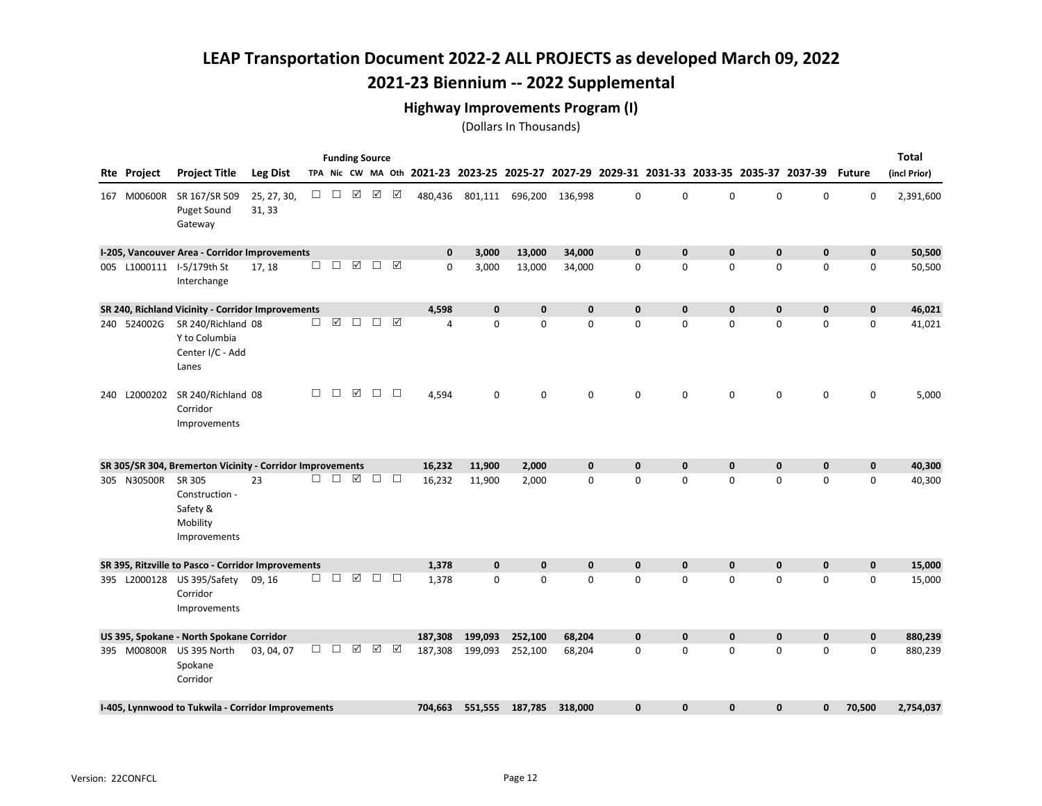## 2021-23 Biennium -- 2022 Supplemental

### Highway Improvements Program (I)

|              |                                                                  |                       |        |               |                      | <b>Funding Source</b> |        |                                                                                           |              |             |             |              |              |              |             |              |                     | <b>Total</b> |
|--------------|------------------------------------------------------------------|-----------------------|--------|---------------|----------------------|-----------------------|--------|-------------------------------------------------------------------------------------------|--------------|-------------|-------------|--------------|--------------|--------------|-------------|--------------|---------------------|--------------|
| Rte Project  | <b>Project Title</b>                                             | <b>Leg Dist</b>       |        |               |                      |                       |        | TPA Nic CW MA Oth 2021-23 2023-25 2025-27 2027-29 2029-31 2031-33 2033-35 2035-37 2037-39 |              |             |             |              |              |              |             |              | <b>Future</b>       | (incl Prior) |
| 167 M00600R  | SR 167/SR 509<br>Puget Sound<br>Gateway                          | 25, 27, 30,<br>31, 33 | $\Box$ | $\Box$        | ☑                    | ☑                     | ☑      | 480,436                                                                                   | 801,111      | 696,200     | 136,998     | $\mathsf 0$  | 0            | 0            | 0           | 0            | $\mathsf{O}\xspace$ | 2,391,600    |
|              | I-205, Vancouver Area - Corridor Improvements                    |                       |        |               |                      |                       |        | $\mathbf 0$                                                                               | 3,000        | 13,000      | 34,000      | $\mathbf 0$  | $\mathbf{0}$ | $\mathbf 0$  | $\mathbf 0$ | $\pmb{0}$    | $\mathbf 0$         | 50,500       |
|              | 005 L1000111 I-5/179th St<br>Interchange                         | 17, 18                |        | $\Box$ $\Box$ | ☑                    | $\Box$                | ☑      | 0                                                                                         | 3,000        | 13,000      | 34,000      | $\mathbf 0$  | 0            | 0            | 0           | 0            | 0                   | 50,500       |
|              | SR 240, Richland Vicinity - Corridor Improvements                |                       |        |               |                      |                       |        | 4,598                                                                                     | $\mathbf{0}$ | $\mathbf 0$ | 0           | $\mathbf{0}$ | 0            | 0            | $\mathbf 0$ | 0            | $\mathbf 0$         | 46,021       |
| 240 524002G  | SR 240/Richland 08<br>Y to Columbia<br>Center I/C - Add<br>Lanes |                       | □      | ☑             | П                    | $\Box$                | ⊠      | 4                                                                                         | $\Omega$     | $\Omega$    | $\Omega$    | $\Omega$     | $\Omega$     | $\Omega$     | 0           | $\mathbf 0$  | $\mathbf 0$         | 41,021       |
| 240 L2000202 | SR 240/Richland 08<br>Corridor<br>Improvements                   |                       | $\Box$ | $\Box$        | ☑                    | $\Box$                | $\Box$ | 4,594                                                                                     | 0            | $\mathbf 0$ | 0           | $\mathbf 0$  | 0            | 0            | $\mathbf 0$ | 0            | 0                   | 5,000        |
|              | SR 305/SR 304, Bremerton Vicinity - Corridor Improvements        |                       |        |               |                      |                       |        | 16,232                                                                                    | 11,900       | 2,000       | $\mathbf 0$ | $\mathbf{0}$ | $\mathbf{0}$ | $\mathbf{0}$ | $\mathbf 0$ | $\mathbf{0}$ | $\mathbf 0$         | 40,300       |
| 305 N30500R  | SR 305<br>Construction -<br>Safety &<br>Mobility<br>Improvements | 23                    | $\Box$ | $\Box$        | ☑                    | $\Box$                | $\Box$ | 16,232                                                                                    | 11,900       | 2,000       | 0           | 0            | 0            | 0            | 0           | 0            | 0                   | 40,300       |
|              | SR 395, Ritzville to Pasco - Corridor Improvements               |                       |        |               |                      |                       |        | 1,378                                                                                     | $\mathbf 0$  | $\pmb{0}$   | 0           | $\mathbf 0$  | $\pmb{0}$    | 0            | $\pmb{0}$   | $\pmb{0}$    | $\pmb{0}$           | 15,000       |
|              | 395 L2000128 US 395/Safety<br>Corridor<br>Improvements           | 09, 16                | $\Box$ | $\Box$        | ☑                    | $\Box$                | $\Box$ | 1,378                                                                                     | $\Omega$     | $\Omega$    | $\Omega$    | $\Omega$     | $\Omega$     | $\Omega$     | $\Omega$    | $\mathbf 0$  | $\mathbf 0$         | 15,000       |
|              | US 395, Spokane - North Spokane Corridor                         |                       |        |               |                      |                       |        | 187,308                                                                                   | 199,093      | 252,100     | 68,204      | $\mathbf 0$  | $\mathbf 0$  | 0            | $\mathbf 0$ | $\pmb{0}$    | $\mathbf 0$         | 880,239      |
| 395 M00800R  | US 395 North<br>Spokane<br>Corridor                              | 03, 04, 07            |        | $\Box$ $\Box$ | $\boxed{\checkmark}$ | $\boxed{\mathcal{S}}$ | ☑      | 187,308                                                                                   | 199,093      | 252,100     | 68,204      | $\Omega$     | $\Omega$     | 0            | $\mathbf 0$ | 0            | $\mathbf 0$         | 880,239      |
|              | I-405, Lynnwood to Tukwila - Corridor Improvements               |                       |        |               |                      |                       |        | 704,663                                                                                   | 551,555      | 187,785     | 318,000     | $\mathbf{0}$ | $\mathbf{0}$ | 0            | $\mathbf 0$ | $\mathbf{0}$ | 70,500              | 2,754,037    |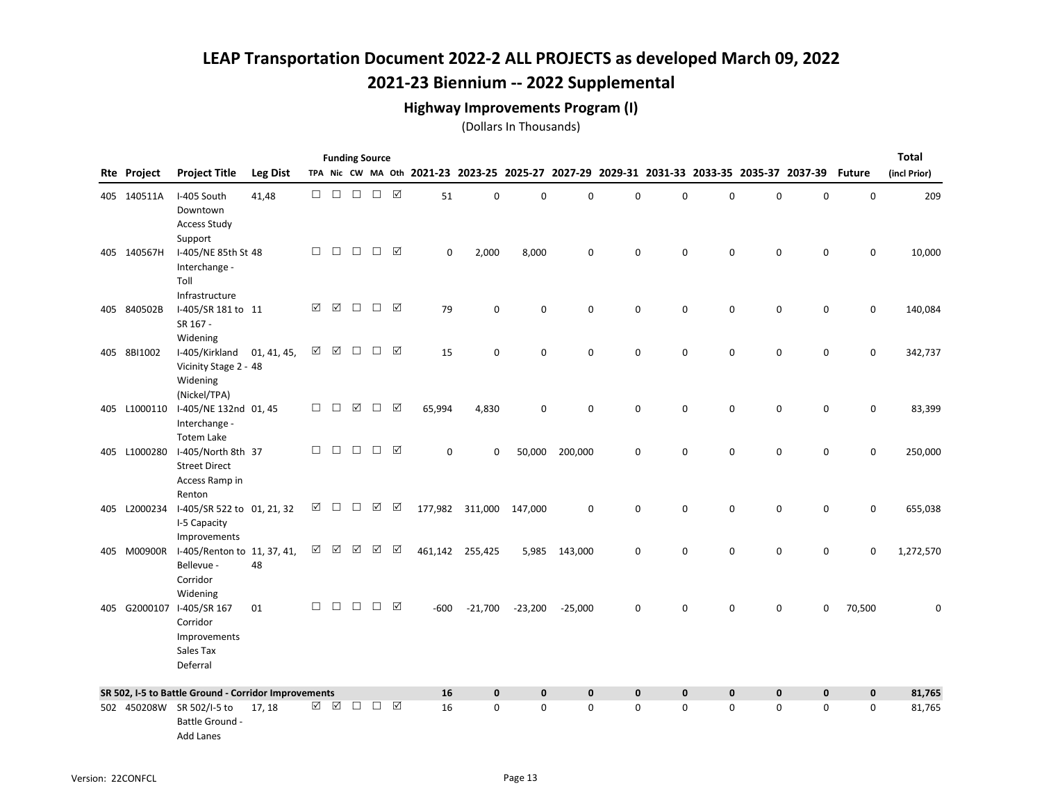## 2021-23 Biennium -- 2022 Supplemental

### Highway Improvements Program (I)

|              |                                                                               |                 |        |        | <b>Funding Source</b> |        |   |         |              |           |             |          |             |              |                                                                                                  |           |             | <b>Total</b> |
|--------------|-------------------------------------------------------------------------------|-----------------|--------|--------|-----------------------|--------|---|---------|--------------|-----------|-------------|----------|-------------|--------------|--------------------------------------------------------------------------------------------------|-----------|-------------|--------------|
| Rte Project  | <b>Project Title</b>                                                          | <b>Leg Dist</b> |        |        |                       |        |   |         |              |           |             |          |             |              | TPA Nic CW MA Oth 2021-23 2023-25 2025-27 2027-29 2029-31 2031-33 2033-35 2035-37 2037-39 Future |           |             | (incl Prior) |
| 405 140511A  | I-405 South<br>Downtown<br><b>Access Study</b>                                | 41,48           | $\Box$ | $\Box$ | $\Box$                | □      | ☑ | 51      | $\mathbf 0$  | 0         | 0           | 0        | $\mathbf 0$ | 0            | 0                                                                                                | 0         | $\mathsf 0$ | 209          |
| 405 140567H  | Support<br>I-405/NE 85th St 48<br>Interchange -<br>Toll                       |                 | $\Box$ | $\Box$ | $\Box$                | □      | ☑ | 0       | 2,000        | 8,000     | 0           | 0        | 0           | 0            | 0                                                                                                | 0         | 0           | 10,000       |
| 405 840502B  | Infrastructure<br>I-405/SR 181 to 11<br>SR 167 -                              |                 | ☑      | ☑      | $\Box$                | $\Box$ | ☑ | 79      | 0            | 0         | 0           | 0        | $\mathbf 0$ | 0            | 0                                                                                                | 0         | 0           | 140,084      |
| 405 8BI1002  | Widening<br>I-405/Kirkland<br>Vicinity Stage 2 - 48<br>Widening               | 01, 41, 45,     | ☑      | ☑      | $\Box$                | п      | ☑ | 15      | $\mathbf 0$  | 0         | $\mathbf 0$ | 0        | $\mathbf 0$ | 0            | 0                                                                                                | 0         | 0           | 342,737      |
| 405 L1000110 | (Nickel/TPA)<br>I-405/NE 132nd 01, 45<br>Interchange -<br><b>Totem Lake</b>   |                 | $\Box$ | $\Box$ | ☑                     | □      | ☑ | 65,994  | 4,830        | 0         | $\mathbf 0$ | 0        | $\mathbf 0$ | $\mathbf 0$  | 0                                                                                                | 0         | $\mathbf 0$ | 83,399       |
| 405 L1000280 | I-405/North 8th 37<br><b>Street Direct</b><br>Access Ramp in                  |                 | $\Box$ | $\Box$ | $\Box$                | $\Box$ | ☑ | 0       | 0            | 50,000    | 200,000     | 0        | 0           | 0            | 0                                                                                                | 0         | 0           | 250,000      |
| 405 L2000234 | Renton<br>I-405/SR 522 to 01, 21, 32<br>I-5 Capacity<br>Improvements          |                 | ☑      | □      | $\Box$                | ☑      | ☑ | 177,982 | 311,000      | 147,000   | 0           | 0        | $\mathbf 0$ | 0            | 0                                                                                                | 0         | $\pmb{0}$   | 655,038      |
| 405 M00900R  | I-405/Renton to 11, 37, 41,<br>Bellevue -<br>Corridor                         | 48              | ☑      | ☑      | ☑                     | ☑      | ☑ | 461,142 | 255,425      | 5,985     | 143,000     | 0        | 0           | 0            | 0                                                                                                | 0         | 0           | 1,272,570    |
| 405 G2000107 | Widening<br>I-405/SR 167<br>Corridor<br>Improvements<br>Sales Tax<br>Deferral | 01              | $\Box$ | $\Box$ | $\Box$                | □      | ☑ | $-600$  | $-21,700$    | $-23,200$ | $-25,000$   | 0        | $\mathbf 0$ | 0            | 0                                                                                                | 0         | 70,500      | 0            |
|              | SR 502, I-5 to Battle Ground - Corridor Improvements                          |                 |        |        |                       |        |   | 16      | $\mathbf{0}$ | 0         | $\mathbf 0$ | 0        | $\bf{0}$    | $\mathbf{0}$ | $\mathbf 0$                                                                                      | $\pmb{0}$ | $\mathbf 0$ | 81,765       |
|              | 502 450208W SR 502/I-5 to<br>Battle Ground -<br>Add Lanes                     | 17, 18          |        | ☑ ☑    | $\Box$                | П      | ☑ | 16      | $\Omega$     | $\Omega$  | $\Omega$    | $\Omega$ | $\Omega$    | $\Omega$     | 0                                                                                                | 0         | 0           | 81,765       |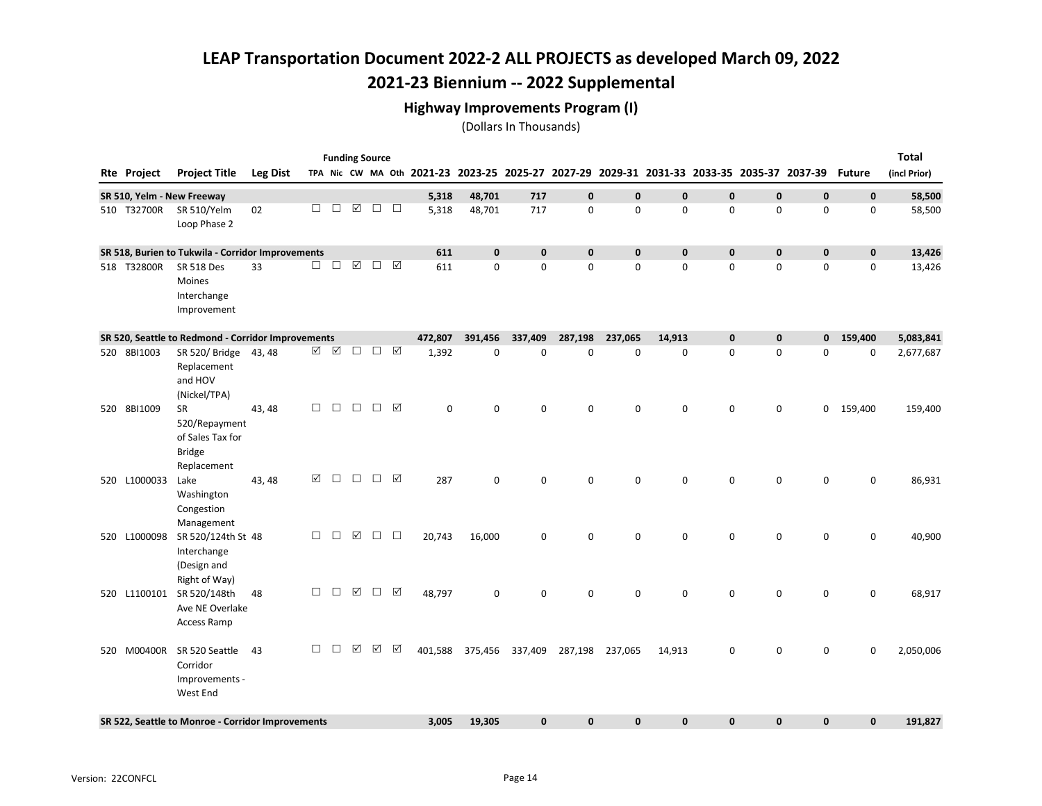## 2021-23 Biennium -- 2022 Supplemental

### Highway Improvements Program (I)

|              |                                                                                |                 |        | <b>Funding Source</b> |        |        |               |          |             |              |              |             |              |             |              |                                                                                           |              | <b>Total</b> |
|--------------|--------------------------------------------------------------------------------|-----------------|--------|-----------------------|--------|--------|---------------|----------|-------------|--------------|--------------|-------------|--------------|-------------|--------------|-------------------------------------------------------------------------------------------|--------------|--------------|
| Rte Project  | <b>Project Title</b>                                                           | <b>Leg Dist</b> |        |                       |        |        |               |          |             |              |              |             |              |             |              | TPA Nic CW MA Oth 2021-23 2023-25 2025-27 2027-29 2029-31 2031-33 2033-35 2035-37 2037-39 | Future       | (incl Prior) |
|              | SR 510, Yelm - New Freeway                                                     |                 |        |                       |        |        |               | 5,318    | 48,701      | 717          | $\mathbf{0}$ | $\mathbf 0$ | $\mathbf{0}$ | $\mathbf 0$ | $\mathbf{0}$ | $\mathbf 0$                                                                               | $\mathbf 0$  | 58,500       |
| 510 T32700R  | SR 510/Yelm<br>Loop Phase 2                                                    | 02              | П.     | $\Box$                | ☑      |        | $\Box$ $\Box$ | 5,318    | 48,701      | 717          | 0            | $\mathbf 0$ | $\Omega$     | 0           | $\mathbf 0$  | 0                                                                                         | $\mathbf 0$  | 58,500       |
|              | SR 518, Burien to Tukwila - Corridor Improvements                              |                 |        |                       |        |        |               | 611      | $\mathbf 0$ | $\mathbf 0$  | $\mathbf 0$  | $\mathbf 0$ | $\mathbf 0$  | $\mathbf 0$ | $\mathbf 0$  | $\mathbf 0$                                                                               | $\mathbf 0$  | 13,426       |
| 518 T32800R  | <b>SR 518 Des</b><br>Moines<br>Interchange<br>Improvement                      | 33              | $\Box$ | $\Box$                | ☑      | □      | ☑             | 611      | $\Omega$    | $\Omega$     | $\Omega$     | $\Omega$    | $\Omega$     | 0           | $\mathbf 0$  | $\Omega$                                                                                  | $\mathbf 0$  | 13,426       |
|              | SR 520, Seattle to Redmond - Corridor Improvements                             |                 |        |                       |        |        |               | 472,807  | 391,456     | 337,409      | 287,198      | 237,065     | 14,913       | 0           | 0            | $\mathbf 0$                                                                               | 159,400      | 5,083,841    |
| 520 8BI1003  | SR 520/ Bridge 43, 48<br>Replacement<br>and HOV<br>(Nickel/TPA)                |                 |        | ☑ ☑                   | $\Box$ | □      | ☑             | 1,392    | 0           | $\Omega$     | 0            | $\mathbf 0$ | 0            | $\mathbf 0$ | 0            | 0                                                                                         | 0            | 2,677,687    |
| 520 8BI1009  | <b>SR</b><br>520/Repayment<br>of Sales Tax for<br><b>Bridge</b><br>Replacement | 43, 48          | $\Box$ | $\Box$                | $\Box$ | $\Box$ | ☑             | $\Omega$ | 0           | $\Omega$     | 0            | $\mathbf 0$ | 0            | 0           | 0            | 0                                                                                         | 159,400      | 159,400      |
| 520 L1000033 | Lake<br>Washington<br>Congestion<br>Management                                 | 43, 48          | ☑      | $\Box$                | $\Box$ |        | $\Box$        | 287      | 0           | 0            | 0            | 0           | $\mathbf 0$  | 0           | $\mathbf 0$  | 0                                                                                         | 0            | 86,931       |
| 520 L1000098 | SR 520/124th St 48<br>Interchange<br>(Design and<br>Right of Way)              |                 | $\Box$ | $\Box$                | ☑      | $\Box$ | $\Box$        | 20,743   | 16,000      | 0            | 0            | $\mathbf 0$ | $\mathbf 0$  | 0           | 0            | 0                                                                                         | $\mathbf 0$  | 40,900       |
| 520 L1100101 | SR 520/148th<br>Ave NE Overlake<br>Access Ramp                                 | 48              | $\Box$ | $\Box$                | ☑      | $\Box$ | ☑             | 48,797   | 0           | $\mathbf 0$  | 0            | $\mathbf 0$ | $\Omega$     | 0           | 0            | 0                                                                                         | 0            | 68,917       |
| 520 M00400R  | SR 520 Seattle<br>Corridor<br>Improvements -<br>West End                       | 43              | $\Box$ | $\Box$                | ☑      | ☑      | ☑             | 401,588  | 375,456     | 337,409      | 287,198      | 237,065     | 14,913       | 0           | $\mathbf 0$  | 0                                                                                         | $\mathbf 0$  | 2,050,006    |
|              | SR 522, Seattle to Monroe - Corridor Improvements                              |                 |        |                       |        |        |               | 3,005    | 19,305      | $\mathbf{0}$ | $\mathbf{0}$ | $\mathbf 0$ | $\mathbf{0}$ | 0           | $\mathbf 0$  | $\mathbf{0}$                                                                              | $\mathbf{0}$ | 191,827      |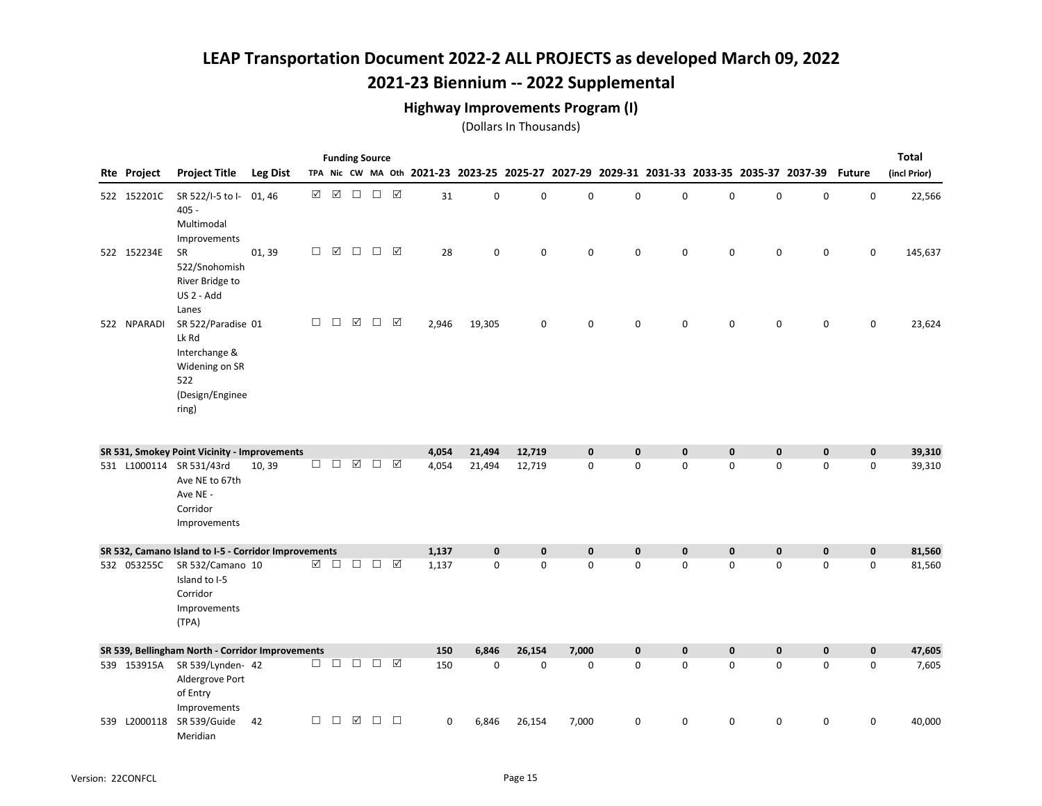## 2021-23 Biennium -- 2022 Supplemental

### Highway Improvements Program (I)

|              |                                                                                                   |                 |        |                 |                      | <b>Funding Source</b> |        |             |             |                                                                                                  |              |              |             |             |             |             |             | <b>Total</b> |
|--------------|---------------------------------------------------------------------------------------------------|-----------------|--------|-----------------|----------------------|-----------------------|--------|-------------|-------------|--------------------------------------------------------------------------------------------------|--------------|--------------|-------------|-------------|-------------|-------------|-------------|--------------|
| Rte Project  | <b>Project Title</b>                                                                              | <b>Leg Dist</b> |        |                 |                      |                       |        |             |             | TPA Nic CW MA Oth 2021-23 2023-25 2025-27 2027-29 2029-31 2031-33 2033-35 2035-37 2037-39 Future |              |              |             |             |             |             |             | (incl Prior) |
| 522 152201C  | SR 522/I-5 to I- 01, 46<br>$405 -$<br>Multimodal<br>Improvements                                  |                 | ☑      | $\triangledown$ | $\Box$               | $\Box$ $\Box$         |        | 31          | 0           | 0                                                                                                | $\mathsf 0$  | 0            | $\mathbf 0$ | 0           | $\mathsf 0$ | 0           | $\mathbf 0$ | 22,566       |
| 522 152234E  | <b>SR</b><br>522/Snohomish<br>River Bridge to<br>US 2 - Add<br>Lanes                              | 01, 39          | $\Box$ | $\triangledown$ | $\Box$               | $\Box$                |        | 28          | $\mathbf 0$ | $\mathbf 0$                                                                                      | $\mathbf 0$  | 0            | $\mathbf 0$ | 0           | $\mathsf 0$ | 0           | $\mathbf 0$ | 145,637      |
| 522 NPARADI  | SR 522/Paradise 01<br>Lk Rd<br>Interchange &<br>Widening on SR<br>522<br>(Design/Enginee<br>ring) |                 | $\Box$ | $\Box$          | $\triangledown$      | $\Box$ $\Box$         |        | 2,946       | 19,305      | 0                                                                                                | 0            | 0            | 0           | 0           | 0           | 0           | 0           | 23,624       |
|              | SR 531, Smokey Point Vicinity - Improvements                                                      |                 |        |                 |                      |                       |        | 4,054       | 21,494      | 12,719                                                                                           | $\mathbf 0$  | 0            | 0           | $\bf{0}$    | $\mathbf 0$ | $\mathbf 0$ | $\mathbf 0$ | 39,310       |
|              | 531 L1000114 SR 531/43rd<br>Ave NE to 67th<br>Ave NE -<br>Corridor<br>Improvements                | 10, 39          | $\Box$ | $\Box$          | ☑                    | $\Box$                | ☑      | 4,054       | 21,494      | 12,719                                                                                           | $\mathbf 0$  | 0            | 0           | 0           | $\mathsf 0$ | $\pmb{0}$   | $\mathbf 0$ | 39,310       |
|              | SR 532, Camano Island to I-5 - Corridor Improvements                                              |                 |        |                 |                      |                       |        | 1,137       | $\mathbf 0$ | $\mathbf 0$                                                                                      | $\mathbf{0}$ | $\mathbf{0}$ | $\mathbf 0$ | $\mathbf 0$ | $\mathbf 0$ | $\mathbf 0$ | $\mathbf 0$ | 81,560       |
| 532 053255C  | SR 532/Camano 10<br>Island to I-5<br>Corridor<br>Improvements<br>(TPA)                            |                 |        | ☑ □             | $\Box$               | $\Box$                |        | 1,137       | $\mathbf 0$ | $\Omega$                                                                                         | $\Omega$     | $\Omega$     | $\mathbf 0$ | 0           | $\mathbf 0$ | $\mathbf 0$ | $\mathbf 0$ | 81,560       |
|              | SR 539, Bellingham North - Corridor Improvements                                                  |                 |        |                 |                      |                       |        | 150         | 6,846       | 26,154                                                                                           | 7,000        | 0            | 0           | $\pmb{0}$   | $\mathbf 0$ | $\mathbf 0$ | $\mathbf 0$ | 47,605       |
| 539 153915A  | SR 539/Lynden- 42<br>Aldergrove Port<br>of Entry<br>Improvements                                  |                 | $\Box$ | $\Box$          | $\Box$               | $\Box$ $\Box$         |        | 150         | $\mathbf 0$ | 0                                                                                                | $\mathsf 0$  | 0            | $\mathbf 0$ | 0           | $\mathbf 0$ | $\mathbf 0$ | $\mathbf 0$ | 7,605        |
| 539 L2000118 | SR 539/Guide<br>Meridian                                                                          | 42              | $\Box$ | $\Box$          | $\boxed{\mathbf{v}}$ | $\Box$                | $\Box$ | $\mathbf 0$ | 6,846       | 26,154                                                                                           | 7,000        | 0            | $\mathbf 0$ | 0           | $\mathbf 0$ | $\mathbf 0$ | $\mathbf 0$ | 40,000       |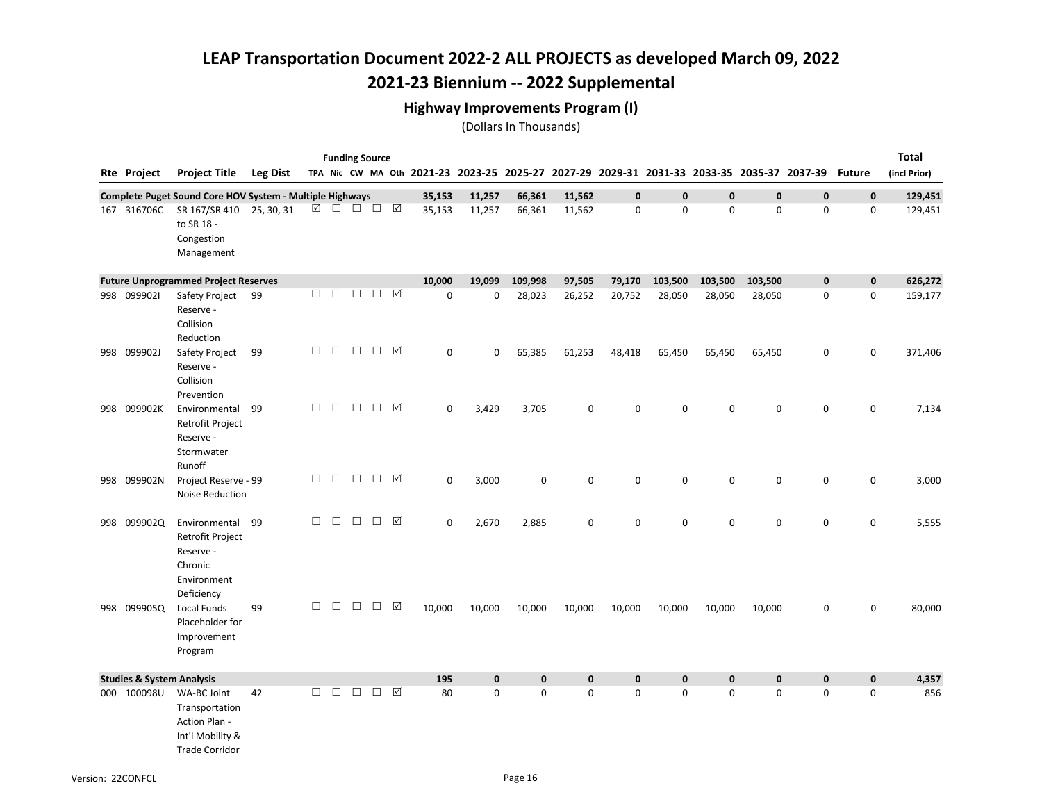## 2021-23 Biennium -- 2022 Supplemental

### Highway Improvements Program (I)

|     |                                      |                                                                                               |                 |        |        | <b>Funding Source</b> |        |               |             |              |             |          |              |              |              |              |                                                                                           |               | Total        |
|-----|--------------------------------------|-----------------------------------------------------------------------------------------------|-----------------|--------|--------|-----------------------|--------|---------------|-------------|--------------|-------------|----------|--------------|--------------|--------------|--------------|-------------------------------------------------------------------------------------------|---------------|--------------|
|     | Rte Project                          | <b>Project Title</b>                                                                          | <b>Leg Dist</b> |        |        |                       |        |               |             |              |             |          |              |              |              |              | TPA Nic CW MA Oth 2021-23 2023-25 2025-27 2027-29 2029-31 2031-33 2033-35 2035-37 2037-39 | <b>Future</b> | (incl Prior) |
|     |                                      | Complete Puget Sound Core HOV System - Multiple Highways                                      |                 |        |        |                       |        |               | 35,153      | 11,257       | 66,361      | 11,562   | $\mathbf{0}$ | $\mathbf{0}$ | $\mathbf{0}$ | $\mathbf{0}$ | $\mathbf{0}$                                                                              | $\mathbf{0}$  | 129,451      |
|     | 167 316706C                          | SR 167/SR 410<br>to SR 18 -<br>Congestion<br>Management                                       | 25, 30, 31      | ☑      |        |                       |        |               | 35,153      | 11,257       | 66,361      | 11,562   | 0            | 0            | 0            | $\mathbf 0$  | $\mathbf 0$                                                                               | 0             | 129,451      |
|     |                                      | <b>Future Unprogrammed Project Reserves</b>                                                   |                 |        |        |                       |        |               | 10,000      | 19,099       | 109,998     | 97,505   | 79,170       | 103,500      | 103,500      | 103,500      | $\mathbf 0$                                                                               | $\mathbf 0$   | 626,272      |
|     | 998 0999021                          | Safety Project<br>Reserve -<br>Collision<br>Reduction                                         | 99              | $\Box$ | $\Box$ | $\Box$                | $\Box$ | ☑             | $\mathbf 0$ | 0            | 28,023      | 26,252   | 20,752       | 28,050       | 28,050       | 28,050       | 0                                                                                         | 0             | 159,177      |
|     | 998 099902J                          | Safety Project<br>Reserve -<br>Collision<br>Prevention                                        | 99              | $\Box$ | $\Box$ | $\Box$                | $\Box$ | ☑             | 0           | 0            | 65,385      | 61,253   | 48,418       | 65,450       | 65,450       | 65,450       | $\mathsf 0$                                                                               | 0             | 371,406      |
|     | 998 099902K                          | Environmental<br>Retrofit Project<br>Reserve -<br>Stormwater<br>Runoff                        | 99              | $\Box$ | $\Box$ | $\Box$                |        | □ ☑           | 0           | 3,429        | 3,705       | 0        | $\mathbf 0$  | 0            | 0            | 0            | 0                                                                                         | 0             | 7,134        |
| 998 | 099902N                              | Project Reserve - 99<br><b>Noise Reduction</b>                                                |                 | $\Box$ | $\Box$ | $\Box$                | $\Box$ | ☑             | $\mathbf 0$ | 3,000        | 0           | 0        | 0            | 0            | 0            | 0            | $\mathsf 0$                                                                               | 0             | 3,000        |
| 998 | 099902Q                              | Environmental<br><b>Retrofit Project</b><br>Reserve -<br>Chronic<br>Environment<br>Deficiency | 99              | $\Box$ | $\Box$ | $\Box$                | $\Box$ | ☑             | 0           | 2,670        | 2,885       | 0        | $\mathbf 0$  | 0            | $\mathbf 0$  | $\mathbf 0$  | $\mathsf 0$                                                                               | 0             | 5,555        |
|     | 998 099905Q                          | Local Funds<br>Placeholder for<br>Improvement<br>Program                                      | 99              | $\Box$ | $\Box$ | $\Box$                |        | $\Box$ $\Box$ | 10,000      | 10,000       | 10,000      | 10,000   | 10,000       | 10,000       | 10,000       | 10,000       | $\mathsf 0$                                                                               | 0             | 80,000       |
|     | <b>Studies &amp; System Analysis</b> |                                                                                               |                 |        |        |                       |        |               | 195         | $\mathbf{0}$ | $\mathbf 0$ | $\bf{0}$ | $\mathbf 0$  | 0            | $\mathbf 0$  | $\mathbf 0$  | $\mathbf 0$                                                                               | $\pmb{0}$     | 4,357        |
|     | 000 100098U                          | WA-BC Joint<br>Transportation<br>Action Plan -<br>Int'l Mobility &<br><b>Trade Corridor</b>   | 42              | $\Box$ | $\Box$ | $\Box$                | $\Box$ | ⊠             | 80          | 0            | $\mathbf 0$ | 0        | $\mathbf 0$  | 0            | 0            | $\mathbf 0$  | $\mathbf 0$                                                                               | 0             | 856          |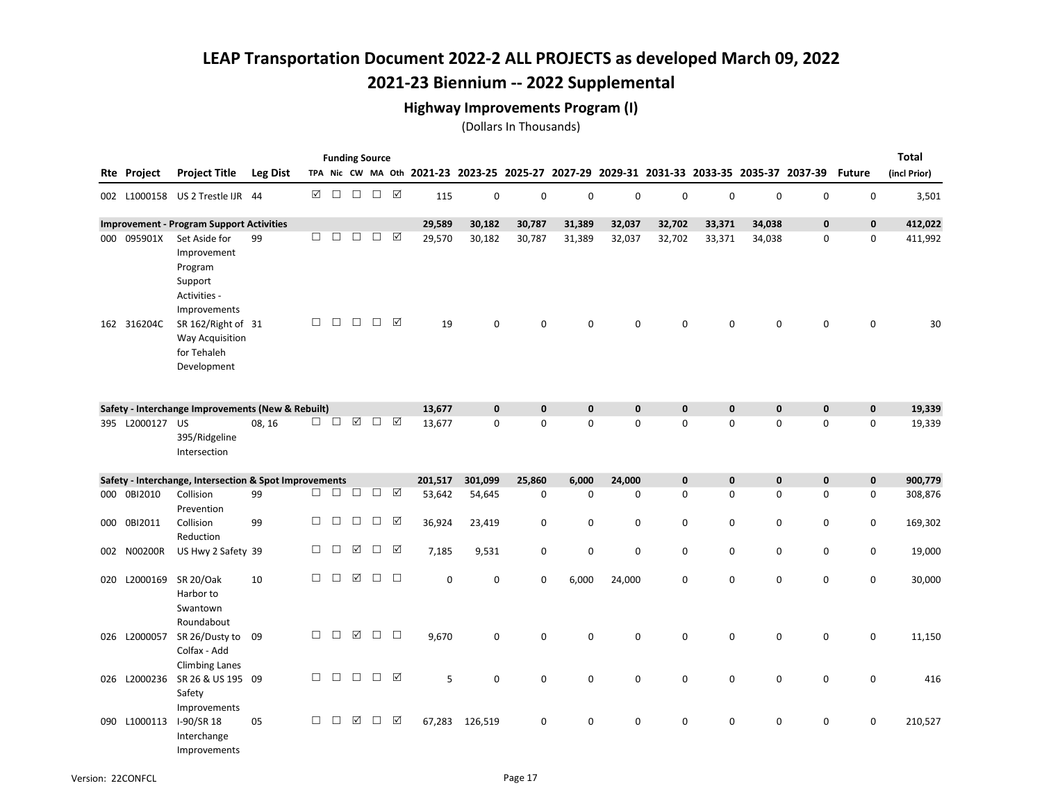## 2021-23 Biennium -- 2022 Supplemental

### Highway Improvements Program (I)

|     | <b>Funding Source</b><br>TPA Nic CW MA Oth 2021-23 2023-25 2025-27 2027-29 2029-31 2031-33 2033-35 2035-37 2037-39 Future |                                                                                    |                  |        |               |        |        |           |             |             |             |              |              |              | <b>Total</b> |              |              |              |
|-----|---------------------------------------------------------------------------------------------------------------------------|------------------------------------------------------------------------------------|------------------|--------|---------------|--------|--------|-----------|-------------|-------------|-------------|--------------|--------------|--------------|--------------|--------------|--------------|--------------|
| Rte | Project                                                                                                                   | <b>Project Title</b>                                                               | <b>Leg Dist</b>  |        |               |        |        |           |             |             |             |              |              |              |              |              |              | (incl Prior) |
|     | 002 L1000158                                                                                                              | US 2 Trestle IJR 44                                                                | ☑                | $\Box$ | $\Box$        | $\Box$ | ☑      | 115       | 0           | 0           | $\mathbf 0$ | 0            | $\mathsf 0$  | 0            | $\mathbf 0$  | 0            | 0            | 3,501        |
|     |                                                                                                                           | <b>Improvement - Program Support Activities</b>                                    |                  |        |               |        |        | 29,589    | 30,182      | 30,787      | 31,389      | 32,037       | 32,702       | 33,371       | 34,038       | $\mathbf{0}$ | $\mathbf{0}$ | 412,022      |
|     | 000 095901X                                                                                                               | Set Aside for<br>Improvement<br>Program<br>Support<br>Activities -<br>Improvements | $\Box$<br>99     | $\Box$ | $\Box$        | $\Box$ | ☑      | 29,570    | 30,182      | 30,787      | 31,389      | 32,037       | 32,702       | 33,371       | 34,038       | 0            | $\mathbf 0$  | 411,992      |
|     | 162 316204C                                                                                                               | SR 162/Right of 31<br>Way Acquisition<br>for Tehaleh<br>Development                | $\Box$           | $\Box$ | $\Box$        | $\Box$ | ☑      | 19        | 0           | 0           | $\mathbf 0$ | $\Omega$     | $\Omega$     | 0            | $\mathbf 0$  | $\mathbf 0$  | 0            | 30           |
|     |                                                                                                                           | Safety - Interchange Improvements (New & Rebuilt)                                  |                  |        |               |        |        | 13,677    | $\pmb{0}$   | $\mathbf 0$ | $\bf{0}$    | $\mathbf{0}$ | 0            | 0            | $\pmb{0}$    | $\mathbf 0$  | $\mathbf 0$  | 19,339       |
|     | 395 L2000127 US                                                                                                           | 395/Ridgeline<br>Intersection                                                      | $\Box$<br>08, 16 | $\Box$ | ☑             | $\Box$ | ☑      | 13,677    | 0           | $\pmb{0}$   | $\mathbf 0$ | $\mathbf 0$  | 0            | 0            | 0            | 0            | $\mathbf 0$  | 19,339       |
|     |                                                                                                                           | Safety - Interchange, Intersection & Spot Improvements                             |                  |        |               |        |        | 201,517   | 301,099     | 25,860      | 6,000       | 24,000       | $\mathbf{0}$ | $\mathbf{0}$ | $\pmb{0}$    | $\mathbf 0$  | $\mathbf 0$  | 900,779      |
|     | 000 0BI2010                                                                                                               | Collision<br>Prevention                                                            | $\Box$<br>99     |        | $\Box$ $\Box$ | $\Box$ | ☑      | 53,642    | 54,645      | 0           | $\mathbf 0$ | $\mathbf 0$  | 0            | 0            | $\mathbf 0$  | 0            | 0            | 308,876      |
| 000 | 0BI2011                                                                                                                   | Collision<br>Reduction                                                             | □<br>99          | $\Box$ | $\Box$        | $\Box$ | ☑      | 36,924    | 23,419      | 0           | $\mathbf 0$ | 0            | 0            | 0            | 0            | 0            | 0            | 169,302      |
|     | 002 N00200R                                                                                                               | US Hwy 2 Safety 39                                                                 | $\Box$           | $\Box$ | ☑             | $\Box$ | ☑      | 7,185     | 9,531       | $\mathsf 0$ | $\mathbf 0$ | 0            | $\mathsf 0$  | 0            | $\mathbf 0$  | 0            | $\mathbf 0$  | 19,000       |
|     | 020 L2000169                                                                                                              | SR 20/Oak<br>Harbor to<br>Swantown<br>Roundabout                                   | П<br>10          | П      | ☑             | $\Box$ | $\Box$ | $\pmb{0}$ | 0           | $\mathbf 0$ | 6,000       | 24,000       | 0            | 0            | $\mathsf 0$  | 0            | 0            | 30,000       |
|     | 026 L2000057                                                                                                              | SR 26/Dusty to 09<br>Colfax - Add<br><b>Climbing Lanes</b>                         | □                | $\Box$ | ☑             | $\Box$ | $\Box$ | 9,670     | $\mathbf 0$ | 0           | $\mathbf 0$ | $\mathbf 0$  | 0            | 0            | $\mathbf 0$  | 0            | 0            | 11,150       |
|     | 026 L2000236                                                                                                              | SR 26 & US 195 09<br>Safety<br>Improvements                                        | □                | П      | $\Box$        | П      | ☑      | 5         | 0           | 0           | $\mathbf 0$ | $\mathbf 0$  | 0            | 0            | $\mathsf 0$  | 0            | $\mathbf 0$  | 416          |
|     |                                                                                                                           | 090 L1000113 I-90/SR 18<br>Interchange<br>Improvements                             | $\Box$<br>05     | $\Box$ | ☑             | $\Box$ | ☑      | 67,283    | 126,519     | 0           | $\mathbf 0$ | 0            | $\mathbf 0$  | 0            | $\mathbf 0$  | 0            | $\mathbf 0$  | 210,527      |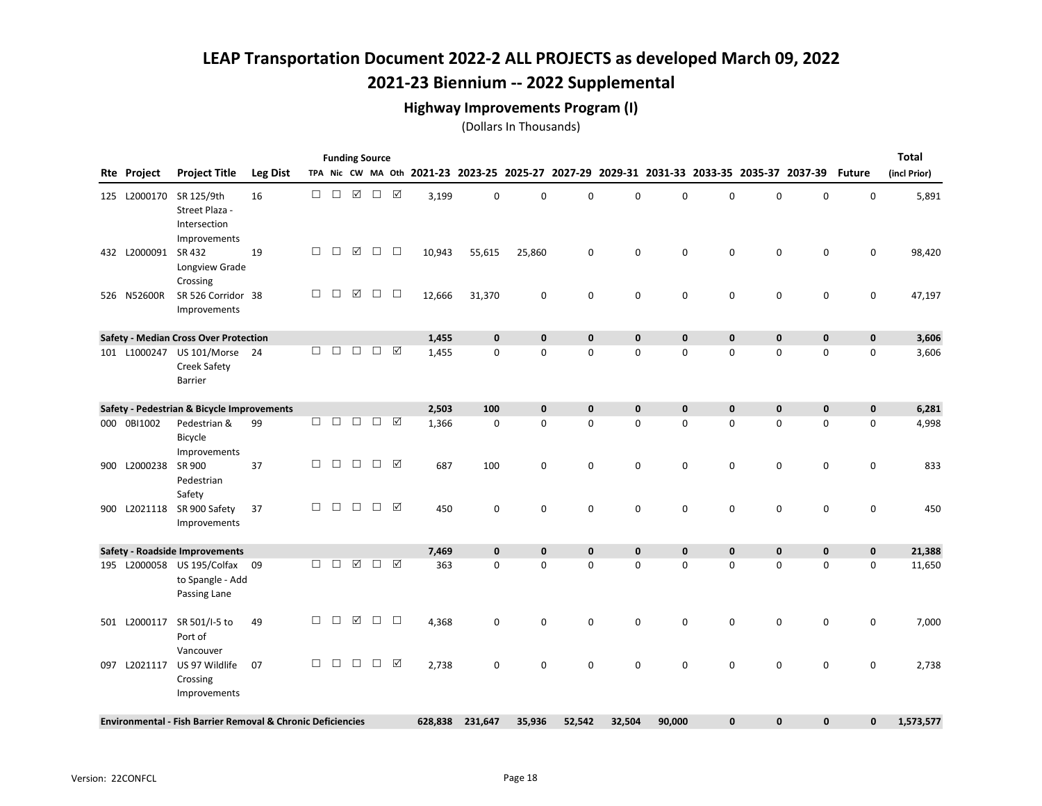## 2021-23 Biennium -- 2022 Supplemental

### Highway Improvements Program (I)

|                     |                                                                        |                 |        |        |                 | <b>Funding Source</b> |        |                                                                                           |              |             |              |              |             |              |             |             |               | <b>Total</b> |
|---------------------|------------------------------------------------------------------------|-----------------|--------|--------|-----------------|-----------------------|--------|-------------------------------------------------------------------------------------------|--------------|-------------|--------------|--------------|-------------|--------------|-------------|-------------|---------------|--------------|
| <b>Rte Project</b>  | <b>Project Title</b>                                                   | <b>Leg Dist</b> |        |        |                 |                       |        | TPA Nic CW MA Oth 2021-23 2023-25 2025-27 2027-29 2029-31 2031-33 2033-35 2035-37 2037-39 |              |             |              |              |             |              |             |             | <b>Future</b> | (incl Prior) |
| 125 L2000170        | SR 125/9th<br>Street Plaza -<br>Intersection                           | 16              | $\Box$ | $\Box$ | $\triangledown$ | $\Box \quad \nabla$   |        | 3,199                                                                                     | $\mathbf 0$  | $\mathbf 0$ | $\mathbf 0$  | $\mathbf 0$  | $\Omega$    | 0            | 0           | $\mathbf 0$ | 0             | 5,891        |
| 432 L2000091 SR 432 | Improvements<br>Longview Grade<br>Crossing                             | 19              | $\Box$ | □      | ☑               | $\Box$                | $\Box$ | 10,943                                                                                    | 55,615       | 25,860      | $\mathbf 0$  | $\mathbf 0$  | 0           | 0            | $\pmb{0}$   | 0           | $\mathbf 0$   | 98,420       |
| 526 N52600R         | SR 526 Corridor 38<br>Improvements                                     |                 | $\Box$ | $\Box$ | ☑               | $\Box$                | $\Box$ | 12,666                                                                                    | 31,370       | 0           | $\mathbf 0$  | 0            | 0           | 0            | 0           | 0           | 0             | 47,197       |
|                     | <b>Safety - Median Cross Over Protection</b>                           |                 |        |        |                 |                       |        | 1,455                                                                                     | 0            | $\mathbf 0$ | $\mathbf 0$  | $\mathbf 0$  | 0           | 0            | $\pmb{0}$   | 0           | $\mathbf 0$   | 3,606        |
|                     | 101 L1000247 US 101/Morse 24<br><b>Creek Safety</b><br>Barrier         |                 | □      | □      | $\Box$          | $\Box$                | ☑      | 1,455                                                                                     | $\mathbf 0$  | $\mathbf 0$ | $\mathbf 0$  | $\mathbf 0$  | 0           | 0            | 0           | 0           | 0             | 3,606        |
|                     | Safety - Pedestrian & Bicycle Improvements                             |                 |        |        |                 |                       |        | 2,503                                                                                     | 100          | $\mathbf 0$ | $\mathbf 0$  | $\mathbf 0$  | 0           | 0            | 0           | 0           | $\mathbf 0$   | 6,281        |
| 000 0BI1002         | Pedestrian &<br>Bicycle<br>Improvements                                | 99              | $\Box$ | $\Box$ | $\Box$          | □                     | ☑      | 1,366                                                                                     | $\mathbf 0$  | $\mathbf 0$ | $\mathbf 0$  | $\mathbf 0$  | $\mathbf 0$ | 0            | $\mathbf 0$ | 0           | 0             | 4,998        |
| 900 L2000238 SR 900 | Pedestrian<br>Safety                                                   | 37              | $\Box$ | □      | $\Box$          | $\Box$                | ☑      | 687                                                                                       | 100          | 0           | $\mathbf 0$  | $\mathbf 0$  | 0           | 0            | $\mathbf 0$ | 0           | 0             | 833          |
|                     | 900 L2021118 SR 900 Safety<br>Improvements                             | 37              | $\Box$ | □      | $\Box$          | $\Box$                | ☑      | 450                                                                                       | 0            | $\mathbf 0$ | $\mathbf 0$  | $\mathbf 0$  | 0           | 0            | 0           | 0           | 0             | 450          |
|                     | Safety - Roadside Improvements                                         |                 |        |        |                 |                       |        | 7,469                                                                                     | $\mathbf{0}$ | $\mathbf 0$ | $\mathbf{0}$ | $\mathbf{0}$ | 0           | $\mathbf{0}$ | $\mathbf 0$ | $\pmb{0}$   | $\mathbf 0$   | 21,388       |
|                     | 195 L2000058 US 195/Colfax 09<br>to Spangle - Add<br>Passing Lane      |                 | $\Box$ | $\Box$ | ☑               | $\Box$                | ☑      | 363                                                                                       | 0            | $\mathsf 0$ | $\mathbf 0$  | 0            | 0           | 0            | 0           | 0           | 0             | 11,650       |
|                     | 501 L2000117 SR 501/I-5 to<br>Port of<br>Vancouver                     | 49              | □      | □      | ☑               | $\Box$                | $\Box$ | 4,368                                                                                     | $\mathbf 0$  | $\mathbf 0$ | $\mathbf 0$  | $\mathbf 0$  | $\mathbf 0$ | 0            | 0           | $\pmb{0}$   | 0             | 7,000        |
| 097 L2021117        | US 97 Wildlife<br>Crossing<br>Improvements                             | 07              | $\Box$ | $\Box$ | $\Box$          | $\Box$                | ☑      | 2,738                                                                                     | $\mathbf 0$  | 0           | 0            | $\mathbf 0$  | 0           | 0            | 0           | 0           | 0             | 2,738        |
|                     | <b>Environmental - Fish Barrier Removal &amp; Chronic Deficiencies</b> |                 |        |        |                 |                       |        | 628,838                                                                                   | 231,647      | 35,936      | 52,542       | 32,504       | 90,000      | $\mathbf{0}$ | $\mathbf 0$ | $\bf{0}$    | $\mathbf 0$   | 1,573,577    |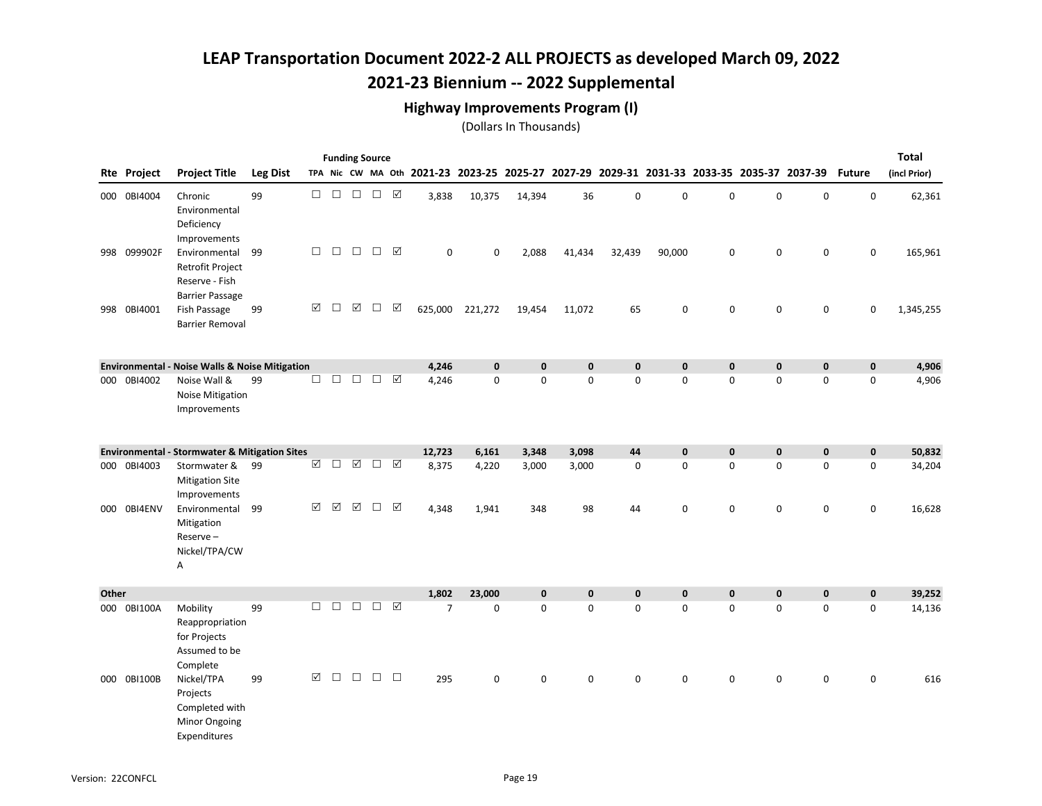## 2021-23 Biennium -- 2022 Supplemental

### Highway Improvements Program (I)

|       |             |                                                                                  |                 |                      |        | <b>Funding Source</b> |        |                      |                |           |             |             |             |                                                                                           |   |             |             |               | <b>Total</b> |
|-------|-------------|----------------------------------------------------------------------------------|-----------------|----------------------|--------|-----------------------|--------|----------------------|----------------|-----------|-------------|-------------|-------------|-------------------------------------------------------------------------------------------|---|-------------|-------------|---------------|--------------|
|       | Rte Project | <b>Project Title</b>                                                             | <b>Leg Dist</b> |                      |        |                       |        |                      |                |           |             |             |             | TPA Nic CW MA Oth 2021-23 2023-25 2025-27 2027-29 2029-31 2031-33 2033-35 2035-37 2037-39 |   |             |             | <b>Future</b> | (incl Prior) |
|       | 000 0BI4004 | Chronic<br>Environmental<br>Deficiency                                           | 99              | $\Box$               | $\Box$ | $\Box$                | $\Box$ | ☑                    | 3,838          | 10,375    | 14,394      | 36          | $\mathbf 0$ | $\mathbf 0$                                                                               | 0 | $\mathbf 0$ | 0           | $\mathsf 0$   | 62,361       |
|       | 998 099902F | Improvements<br>Environmental<br>Retrofit Project<br>Reserve - Fish              | 99              | $\Box$               | $\Box$ | $\Box$                | $\Box$ | ☑                    | $\mathbf 0$    | 0         | 2,088       | 41,434      | 32,439      | 90,000                                                                                    | 0 | $\mathsf 0$ | 0           | $\mathbf 0$   | 165,961      |
|       | 998 0BI4001 | <b>Barrier Passage</b><br>Fish Passage<br><b>Barrier Removal</b>                 | 99              | ☑                    | $\Box$ | ☑                     | $\Box$ | ☑                    | 625,000        | 221,272   | 19,454      | 11,072      | 65          | 0                                                                                         | 0 | $\mathbf 0$ | 0           | $\mathbf 0$   | 1,345,255    |
|       |             | <b>Environmental - Noise Walls &amp; Noise Mitigation</b>                        |                 |                      |        |                       |        |                      | 4,246          | $\pmb{0}$ | $\mathbf 0$ | $\bf{0}$    | $\mathbf 0$ | 0                                                                                         | 0 | 0           | $\pmb{0}$   | $\mathbf 0$   | 4,906        |
|       | 000 0BI4002 | Noise Wall &<br><b>Noise Mitigation</b><br>Improvements                          | 99              | $\Box$               | $\Box$ | $\Box$                | $\Box$ | ☑                    | 4,246          | 0         | $\mathbf 0$ | $\mathbf 0$ | $\mathbf 0$ | $\mathbf 0$                                                                               | 0 | $\mathbf 0$ | 0           | $\mathsf 0$   | 4,906        |
|       |             | <b>Environmental - Stormwater &amp; Mitigation Sites</b>                         |                 |                      |        |                       |        |                      | 12,723         | 6,161     | 3,348       | 3,098       | 44          | $\mathbf 0$                                                                               | 0 | $\pmb{0}$   | $\pmb{0}$   | $\mathbf 0$   | 50,832       |
|       | 000 0BI4003 | Stormwater &<br><b>Mitigation Site</b><br>Improvements                           | 99              | $\boxed{\mathbf{v}}$ | $\Box$ | ☑                     | $\Box$ | ☑                    | 8,375          | 4,220     | 3,000       | 3,000       | $\mathsf 0$ | $\mathbf 0$                                                                               | 0 | $\mathbf 0$ | 0           | $\mathbf 0$   | 34,204       |
|       | 000 0BI4ENV | Environmental<br>Mitigation<br>Reserve-<br>Nickel/TPA/CW<br>Α                    | 99              | ☑                    | ☑      | ☑                     | $\Box$ | ☑                    | 4,348          | 1,941     | 348         | 98          | 44          | $\mathbf 0$                                                                               | 0 | $\mathbf 0$ | $\mathbf 0$ | $\mathbf 0$   | 16,628       |
| Other |             |                                                                                  |                 |                      |        |                       |        |                      | 1,802          | 23,000    | $\mathbf 0$ | $\bf{0}$    | $\mathbf 0$ | $\mathbf 0$                                                                               | 0 | $\mathbf 0$ | $\mathbf 0$ | $\mathbf 0$   | 39,252       |
|       | 000 0BI100A | Mobility<br>Reappropriation<br>for Projects<br>Assumed to be<br>Complete         | 99              | $\Box$               | $\Box$ | $\Box$                | $\Box$ | $\boxed{\checkmark}$ | $\overline{7}$ | 0         | $\mathsf 0$ | $\mathbf 0$ | $\mathbf 0$ | $\mathbf 0$                                                                               | 0 | $\mathbf 0$ | 0           | $\mathbf 0$   | 14,136       |
|       | 000 0BI100B | Nickel/TPA<br>Projects<br>Completed with<br><b>Minor Ongoing</b><br>Expenditures | 99              | ☑                    | $\Box$ | $\Box$                | $\Box$ | $\Box$               | 295            | 0         | $\mathbf 0$ | $\mathbf 0$ | $\mathbf 0$ | $\Omega$                                                                                  | 0 | $\mathbf 0$ | 0           | $\mathbf 0$   | 616          |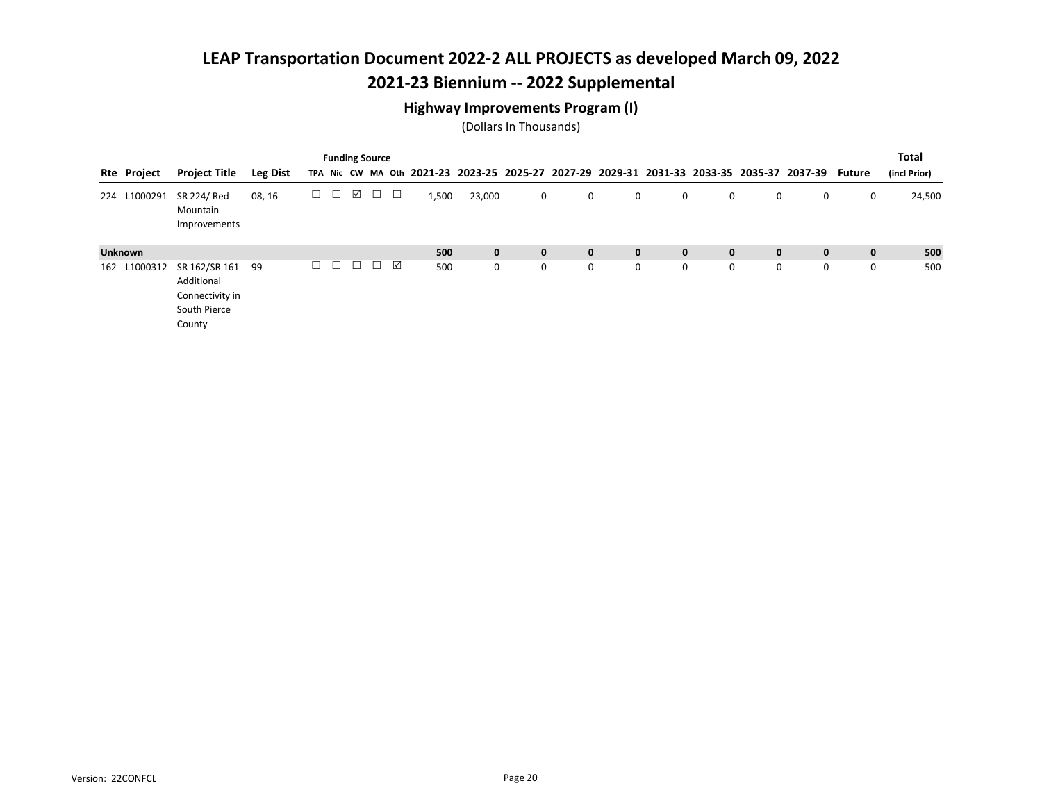## 2021-23 Biennium -- 2022 Supplemental

### Highway Improvements Program (I)

|     |                |                                                                          |                 |        |   |   | <b>Funding Source</b> |   |       |              |              |              |              |   |              |             |                                                                                                  |   | <b>Total</b> |
|-----|----------------|--------------------------------------------------------------------------|-----------------|--------|---|---|-----------------------|---|-------|--------------|--------------|--------------|--------------|---|--------------|-------------|--------------------------------------------------------------------------------------------------|---|--------------|
|     | Rte Project    | <b>Project Title</b>                                                     | <b>Leg Dist</b> |        |   |   |                       |   |       |              |              |              |              |   |              |             | TPA Nic CW MA Oth 2021-23 2023-25 2025-27 2027-29 2029-31 2031-33 2033-35 2035-37 2037-39 Future |   | (incl Prior) |
| 224 | L1000291       | SR 224/ Red<br>Mountain<br>Improvements                                  | 08, 16          | $\Box$ | ப | ☑ | $\Box$                | □ | 1,500 | 23,000       | 0            | 0            | 0            | 0 | 0            | 0           | 0                                                                                                | 0 | 24,500       |
|     | <b>Unknown</b> |                                                                          |                 |        |   |   |                       |   | 500   | $\mathbf{0}$ | $\mathbf{0}$ | $\mathbf{0}$ | $\mathbf{0}$ | 0 | $\mathbf{0}$ | $\mathbf 0$ | $\mathbf{0}$                                                                                     | 0 | 500          |
| 162 | L1000312       | SR 162/SR 161<br>Additional<br>Connectivity in<br>South Pierce<br>County | 99              |        | □ |   |                       | ☑ | 500   | 0            | 0            | 0            | 0            | 0 | 0            | 0           | 0                                                                                                | 0 | 500          |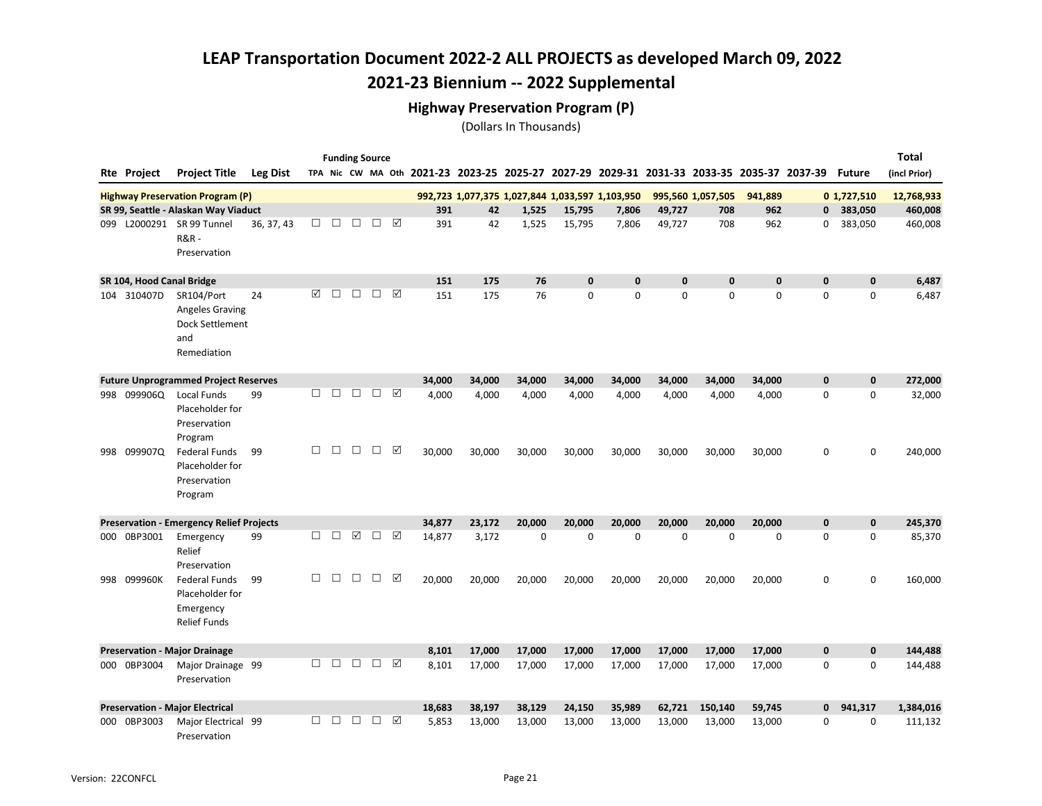## 2021-23 Biennium -- 2022 Supplemental

### Highway Preservation Program (P)

|     |                           |                                                                             |                 |        | <b>Funding Source</b> |             |        |   |        |                                           |        |              |                                                 |              |                   |              |              |                        | <b>Total</b> |
|-----|---------------------------|-----------------------------------------------------------------------------|-----------------|--------|-----------------------|-------------|--------|---|--------|-------------------------------------------|--------|--------------|-------------------------------------------------|--------------|-------------------|--------------|--------------|------------------------|--------------|
|     | <b>Rte Project</b>        | <b>Project Title</b>                                                        | <b>Leg Dist</b> |        |                       |             |        |   |        | TPA Nic CW MA Oth 2021-23 2023-25 2025-27 |        |              | 2027-29 2029-31 2031-33 2033-35 2035-37 2037-39 |              |                   |              |              | <b>Future</b>          | (incl Prior) |
|     |                           | <b>Highway Preservation Program (P)</b>                                     |                 |        |                       |             |        |   |        |                                           |        |              | 992,723 1,077,375 1,027,844 1,033,597 1,103,950 |              | 995,560 1,057,505 | 941,889      |              | 0 1,727,510            | 12,768,933   |
|     |                           | SR 99, Seattle - Alaskan Way Viaduct                                        |                 |        |                       |             |        |   | 391    | 42                                        | 1,525  | 15,795       | 7,806                                           | 49,727       | 708               | 962          |              | 0 383,050              | 460,008      |
|     |                           | 099 L2000291 SR 99 Tunnel<br><b>R&amp;R-</b><br>Preservation                | 36, 37, 43      | □      | $\Box$                | $\Box$      | $\Box$ | ☑ | 391    | 42                                        | 1,525  | 15,795       | 7,806                                           | 49,727       | 708               | 962          |              | 383,050<br>$\mathbf 0$ | 460,008      |
|     | SR 104, Hood Canal Bridge |                                                                             |                 |        |                       |             |        |   | 151    | 175                                       | 76     | $\mathbf{0}$ | $\mathbf{0}$                                    | $\mathbf{0}$ | 0                 | $\mathbf{0}$ | $\mathbf{0}$ | $\mathbf{0}$           | 6,487        |
|     | 104 310407D               | SR104/Port                                                                  | 24              | ⊠      | $\Box$                | $\Box$      | $\Box$ | ☑ | 151    | 175                                       | 76     | $\Omega$     | $\mathbf 0$                                     | $\mathbf 0$  | 0                 | 0            | 0            | $\mathbf 0$            | 6,487        |
|     |                           | Angeles Graving<br>Dock Settlement<br>and<br>Remediation                    |                 |        |                       |             |        |   |        |                                           |        |              |                                                 |              |                   |              |              |                        |              |
|     |                           | <b>Future Unprogrammed Project Reserves</b>                                 |                 |        |                       |             |        |   | 34,000 | 34,000                                    | 34,000 | 34,000       | 34,000                                          | 34,000       | 34,000            | 34,000       | $\mathbf 0$  | $\mathbf 0$            | 272,000      |
|     | 998 099906Q               | Local Funds<br>Placeholder for                                              | 99              | $\Box$ | □                     | $\Box$      | □      | ☑ | 4,000  | 4,000                                     | 4,000  | 4,000        | 4,000                                           | 4,000        | 4,000             | 4,000        | 0            | $\mathbf 0$            | 32,000       |
|     |                           | Preservation<br>Program                                                     |                 |        |                       |             |        |   |        |                                           |        |              |                                                 |              |                   |              |              |                        |              |
| 998 | 099907Q                   | <b>Federal Funds</b><br>Placeholder for<br>Preservation<br>Program          | 99              | П      | $\Box$                | $\Box$      | $\Box$ | ⊠ | 30,000 | 30,000                                    | 30,000 | 30,000       | 30,000                                          | 30,000       | 30,000            | 30,000       | 0            | 0                      | 240,000      |
|     |                           | <b>Preservation - Emergency Relief Projects</b>                             |                 |        |                       |             |        |   | 34,877 | 23,172                                    | 20.000 | 20,000       | 20,000                                          | 20,000       | 20,000            | 20,000       | $\mathbf 0$  | $\mathbf 0$            | 245,370      |
|     | 000 0BP3001               | Emergency<br>Relief<br>Preservation                                         | 99              | □      | $\Box$                | $\boxtimes$ | $\Box$ | ☑ | 14,877 | 3,172                                     | 0      | $\mathbf 0$  | $\mathbf 0$                                     | $\mathbf 0$  | $\mathbf 0$       | $\mathbf 0$  | 0            | 0                      | 85,370       |
| 998 | 099960K                   | <b>Federal Funds</b><br>Placeholder for<br>Emergency<br><b>Relief Funds</b> | 99              | □      | $\Box$                | $\Box$      | $\Box$ | ☑ | 20,000 | 20,000                                    | 20,000 | 20,000       | 20,000                                          | 20,000       | 20,000            | 20,000       | 0            | 0                      | 160,000      |
|     |                           | <b>Preservation - Major Drainage</b>                                        |                 |        |                       |             |        |   | 8,101  | 17,000                                    | 17,000 | 17,000       | 17,000                                          | 17,000       | 17,000            | 17,000       | 0            | $\mathbf 0$            | 144,488      |
|     | 000 0BP3004               | Major Drainage 99<br>Preservation                                           |                 | $\Box$ | $\Box$                | $\Box$      | $\Box$ | ☑ | 8,101  | 17,000                                    | 17,000 | 17,000       | 17,000                                          | 17,000       | 17,000            | 17,000       | 0            | 0                      | 144,488      |
|     |                           | <b>Preservation - Major Electrical</b>                                      |                 |        |                       |             |        |   | 18,683 | 38,197                                    | 38,129 | 24,150       | 35,989                                          | 62,721       | 150,140           | 59,745       | 0            | 941,317                | 1,384,016    |
|     | 000 0BP3003               | Major Electrical 99<br>Preservation                                         |                 | П      | $\Box$                | $\Box$      | $\Box$ | ☑ | 5,853  | 13,000                                    | 13,000 | 13,000       | 13,000                                          | 13,000       | 13,000            | 13,000       | 0            | 0                      | 111,132      |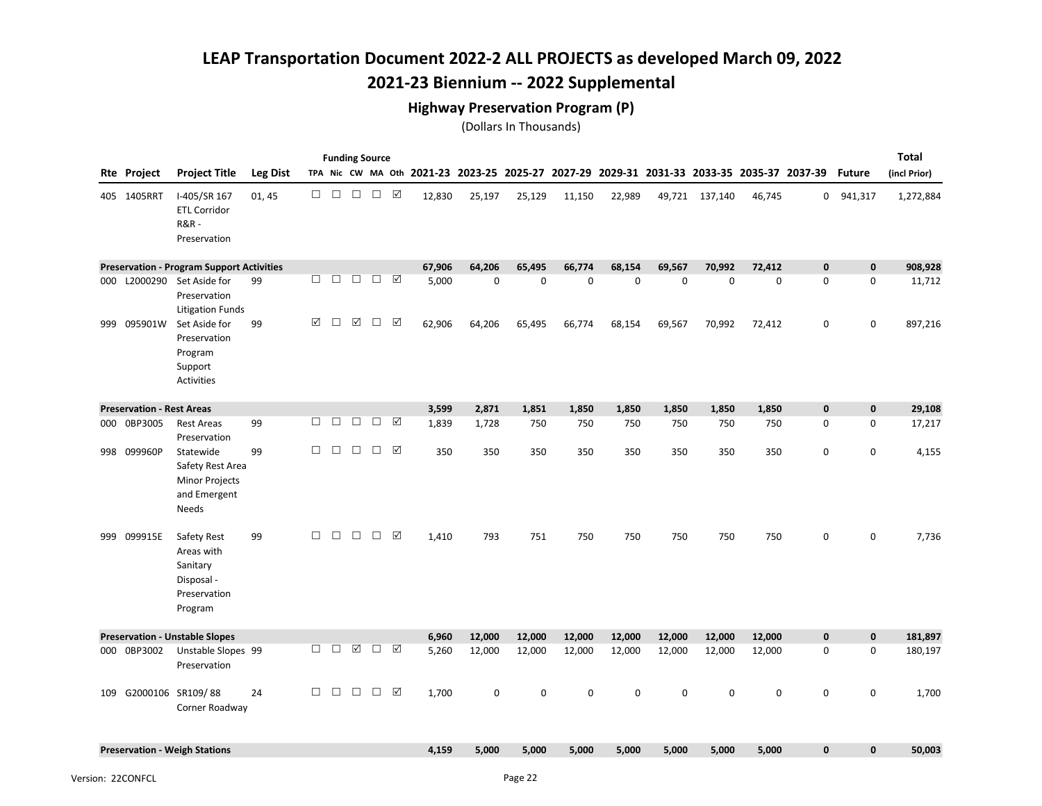## 2021-23 Biennium -- 2022 Supplemental

### Highway Preservation Program (P)

|     |                                  |                                                                                |                 |        |        |        | <b>Funding Source</b> |   |                                                                                           |             |             |             |             |             |                |             |              |               | <b>Total</b> |
|-----|----------------------------------|--------------------------------------------------------------------------------|-----------------|--------|--------|--------|-----------------------|---|-------------------------------------------------------------------------------------------|-------------|-------------|-------------|-------------|-------------|----------------|-------------|--------------|---------------|--------------|
|     | Rte Project                      | <b>Project Title</b>                                                           | <b>Leg Dist</b> |        |        |        |                       |   | TPA Nic CW MA Oth 2021-23 2023-25 2025-27 2027-29 2029-31 2031-33 2033-35 2035-37 2037-39 |             |             |             |             |             |                |             |              | <b>Future</b> | (incl Prior) |
|     | 405 1405RRT                      | I-405/SR 167<br><b>ETL Corridor</b><br><b>R&amp;R-</b><br>Preservation         | 01, 45          | $\Box$ | $\Box$ | $\Box$ | $\Box$                | ☑ | 12,830                                                                                    | 25,197      | 25,129      | 11,150      | 22,989      |             | 49,721 137,140 | 46,745      |              | 0 941,317     | 1,272,884    |
|     |                                  | <b>Preservation - Program Support Activities</b>                               |                 |        |        |        |                       |   | 67,906                                                                                    | 64,206      | 65,495      | 66,774      | 68,154      | 69,567      | 70,992         | 72,412      | 0            | $\mathbf 0$   | 908,928      |
| 000 | L2000290                         | Set Aside for<br>Preservation<br><b>Litigation Funds</b>                       | 99              | $\Box$ | $\Box$ | $\Box$ | $\Box$                | ☑ | 5,000                                                                                     | $\mathbf 0$ | $\mathbf 0$ | $\mathbf 0$ | $\mathbf 0$ | $\mathbf 0$ | 0              | $\mathbf 0$ | 0            | 0             | 11,712       |
| 999 | 095901W                          | Set Aside for<br>Preservation<br>Program<br>Support<br><b>Activities</b>       | 99              | ☑      | П      | ☑      | $\Box$                | ☑ | 62,906                                                                                    | 64,206      | 65,495      | 66,774      | 68,154      | 69,567      | 70,992         | 72,412      | 0            | $\mathbf 0$   | 897,216      |
|     | <b>Preservation - Rest Areas</b> |                                                                                |                 |        |        |        |                       |   | 3,599                                                                                     | 2,871       | 1,851       | 1,850       | 1,850       | 1,850       | 1,850          | 1,850       | 0            | $\mathbf 0$   | 29,108       |
| 000 | 0BP3005                          | <b>Rest Areas</b><br>Preservation                                              | 99              | $\Box$ | $\Box$ | $\Box$ | $\Box$                | ☑ | 1,839                                                                                     | 1,728       | 750         | 750         | 750         | 750         | 750            | 750         | 0            | 0             | 17,217       |
| 998 | 099960P                          | Statewide<br>Safety Rest Area<br>Minor Projects<br>and Emergent<br>Needs       | 99              | $\Box$ | □      | $\Box$ | $\Box$                | ☑ | 350                                                                                       | 350         | 350         | 350         | 350         | 350         | 350            | 350         | 0            | $\mathbf 0$   | 4,155        |
| 999 | 099915E                          | Safety Rest<br>Areas with<br>Sanitary<br>Disposal -<br>Preservation<br>Program | 99              | $\Box$ | $\Box$ | $\Box$ | $\Box$                | ☑ | 1,410                                                                                     | 793         | 751         | 750         | 750         | 750         | 750            | 750         | 0            | 0             | 7,736        |
|     |                                  | <b>Preservation - Unstable Slopes</b>                                          |                 |        |        |        |                       |   | 6,960                                                                                     | 12,000      | 12,000      | 12,000      | 12,000      | 12,000      | 12,000         | 12,000      | $\mathbf{0}$ | $\mathbf 0$   | 181,897      |
| 000 | 0BP3002                          | Unstable Slopes 99<br>Preservation                                             |                 | $\Box$ | $\Box$ | ☑      | $\Box$                | ☑ | 5,260                                                                                     | 12,000      | 12,000      | 12,000      | 12,000      | 12,000      | 12,000         | 12,000      | 0            | 0             | 180,197      |
| 109 |                                  | G2000106 SR109/88<br>Corner Roadway                                            | 24              | $\Box$ | $\Box$ | $\Box$ | $\Box$                | ☑ | 1,700                                                                                     | $\mathbf 0$ | $\mathbf 0$ | $\mathbf 0$ | $\mathbf 0$ | $\mathbf 0$ | $\mathbf 0$    | $\mathbf 0$ | 0            | 0             | 1,700        |
|     |                                  | <b>Preservation - Weigh Stations</b>                                           |                 |        |        |        |                       |   | 4,159                                                                                     | 5,000       | 5,000       | 5,000       | 5,000       | 5,000       | 5,000          | 5,000       | $\mathbf{0}$ | $\mathbf 0$   | 50,003       |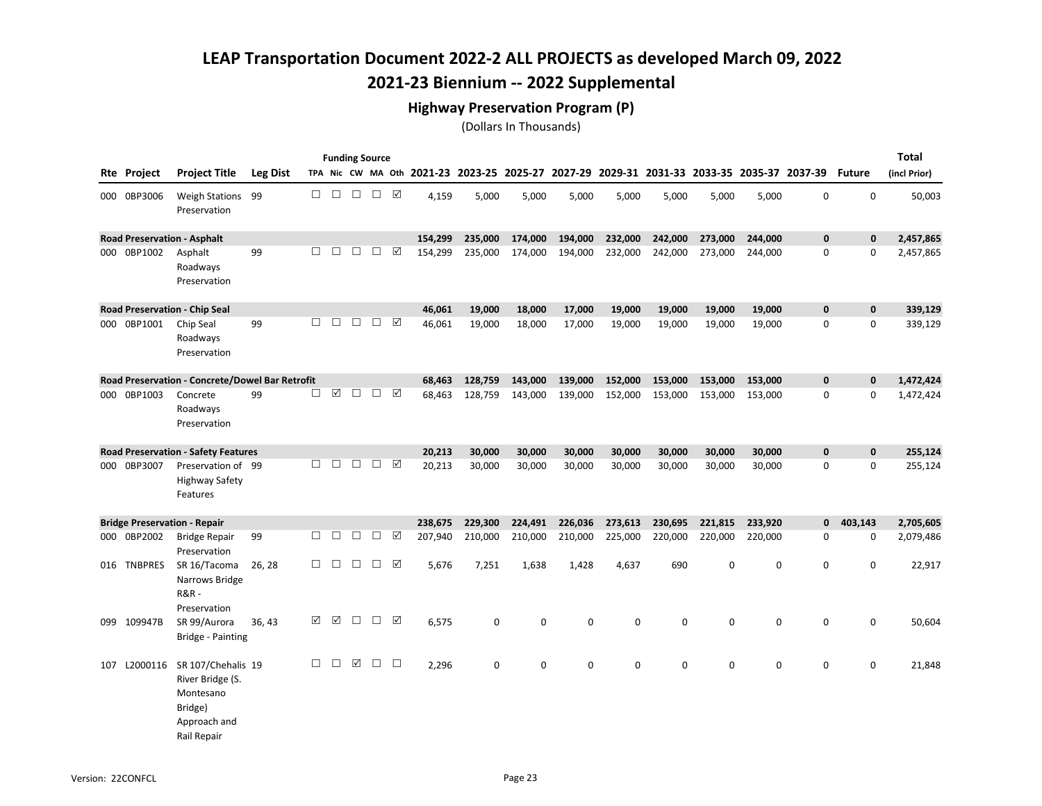## 2021-23 Biennium -- 2022 Supplemental

### Highway Preservation Program (P)

|     |                    |                                                                                               |                 |        |        |        | <b>Funding Source</b> |                 |                                                                                           |             |             |             |             |             |         |             |             |               | Total        |
|-----|--------------------|-----------------------------------------------------------------------------------------------|-----------------|--------|--------|--------|-----------------------|-----------------|-------------------------------------------------------------------------------------------|-------------|-------------|-------------|-------------|-------------|---------|-------------|-------------|---------------|--------------|
|     | <b>Rte Project</b> | <b>Project Title</b>                                                                          | <b>Leg Dist</b> |        |        |        |                       |                 | TPA Nic CW MA Oth 2021-23 2023-25 2025-27 2027-29 2029-31 2031-33 2033-35 2035-37 2037-39 |             |             |             |             |             |         |             |             | <b>Future</b> | (incl Prior) |
|     | 000 0BP3006        | <b>Weigh Stations</b><br>Preservation                                                         | 99              | $\Box$ | $\Box$ | $\Box$ | $\Box$                | $\triangledown$ | 4,159                                                                                     | 5,000       | 5,000       | 5,000       | 5,000       | 5,000       | 5,000   | 5,000       | 0           | 0             | 50,003       |
|     |                    | <b>Road Preservation - Asphalt</b>                                                            |                 |        |        |        |                       |                 | 154,299                                                                                   | 235,000     | 174,000     | 194,000     | 232,000     | 242,000     | 273,000 | 244,000     | 0           | $\mathbf 0$   | 2,457,865    |
|     | 000 0BP1002        | Asphalt<br>Roadways<br>Preservation                                                           | 99              | □      | $\Box$ | $\Box$ | $\Box$                | ☑               | 154,299                                                                                   | 235,000     | 174,000     | 194,000     | 232,000     | 242,000     | 273,000 | 244,000     | 0           | $\mathbf 0$   | 2,457,865    |
|     |                    | Road Preservation - Chip Seal                                                                 |                 |        |        |        |                       |                 | 46,061                                                                                    | 19,000      | 18,000      | 17,000      | 19,000      | 19,000      | 19,000  | 19,000      | $\mathbf 0$ | $\mathbf 0$   | 339,129      |
|     | 000 0BP1001        | Chip Seal<br>Roadways<br>Preservation                                                         | 99              | П      | $\Box$ | $\Box$ | $\Box$                | ☑               | 46,061                                                                                    | 19,000      | 18,000      | 17,000      | 19,000      | 19,000      | 19,000  | 19,000      | 0           | $\mathbf 0$   | 339,129      |
|     |                    | Road Preservation - Concrete/Dowel Bar Retrofit                                               |                 |        |        |        |                       |                 | 68,463                                                                                    | 128,759     | 143,000     | 139,000     | 152,000     | 153,000     | 153,000 | 153,000     | 0           | $\mathbf 0$   | 1,472,424    |
|     | 000 0BP1003        | Concrete<br>Roadways<br>Preservation                                                          | 99              | П      | ☑      | $\Box$ | □                     | ☑               | 68,463                                                                                    | 128,759     | 143,000     | 139,000     | 152,000     | 153,000     | 153,000 | 153,000     | 0           | $\mathbf 0$   | 1,472,424    |
|     |                    | <b>Road Preservation - Safety Features</b>                                                    |                 |        |        |        |                       |                 | 20,213                                                                                    | 30,000      | 30,000      | 30,000      | 30,000      | 30,000      | 30,000  | 30,000      | $\mathbf 0$ | $\mathbf 0$   | 255,124      |
| 000 | 0BP3007            | Preservation of 99<br><b>Highway Safety</b><br>Features                                       |                 | □      | $\Box$ | $\Box$ | $\Box$                | ☑               | 20,213                                                                                    | 30,000      | 30,000      | 30,000      | 30,000      | 30,000      | 30,000  | 30,000      | 0           | 0             | 255,124      |
|     |                    | <b>Bridge Preservation - Repair</b>                                                           |                 |        |        |        |                       |                 | 238.675                                                                                   | 229,300     | 224,491     | 226,036     | 273,613     | 230,695     | 221.815 | 233,920     | 0           | 403,143       | 2,705,605    |
|     | 000 0BP2002        | <b>Bridge Repair</b><br>Preservation                                                          | 99              | $\Box$ | $\Box$ | $\Box$ | $\Box$                | ☑               | 207,940                                                                                   | 210,000     | 210,000     | 210,000     | 225,000     | 220,000     | 220,000 | 220,000     | 0           | $\mathbf 0$   | 2,079,486    |
|     | 016 TNBPRES        | SR 16/Tacoma<br>Narrows Bridge<br><b>R&amp;R-</b><br>Preservation                             | 26, 28          | □      | □      | $\Box$ | $\Box$                | ☑               | 5,676                                                                                     | 7,251       | 1,638       | 1,428       | 4,637       | 690         | 0       | 0           | 0           | 0             | 22,917       |
|     | 099 109947B        | SR 99/Aurora<br><b>Bridge - Painting</b>                                                      | 36, 43          | ☑      | ☑      | $\Box$ | $\Box$                | ☑               | 6,575                                                                                     | $\mathbf 0$ | 0           | $\mathbf 0$ | $\mathbf 0$ | $\mathbf 0$ | 0       | $\mathbf 0$ | 0           | $\mathbf 0$   | 50,604       |
| 107 | L2000116           | SR 107/Chehalis 19<br>River Bridge (S.<br>Montesano<br>Bridge)<br>Approach and<br>Rail Repair |                 | $\Box$ | □      | ☑      | $\Box$                | $\Box$          | 2,296                                                                                     | 0           | $\mathbf 0$ | $\mathbf 0$ | $\mathbf 0$ | $\mathbf 0$ | 0       | 0           | 0           | 0             | 21,848       |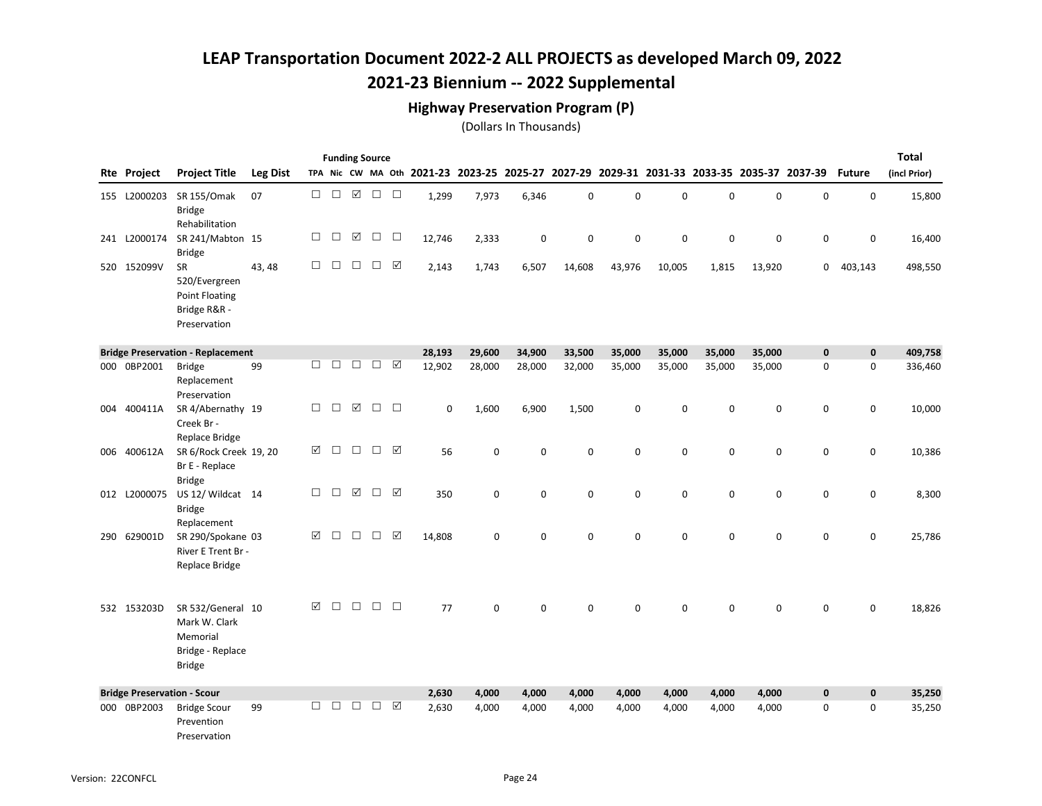## 2021-23 Biennium -- 2022 Supplemental

### Highway Preservation Program (P)

|     |                                    |                                                                                     |                 |        |        |             | <b>Funding Source</b> |                      |             |             |             |             |          |          |        |             |                                                                                           |               | <b>Total</b> |
|-----|------------------------------------|-------------------------------------------------------------------------------------|-----------------|--------|--------|-------------|-----------------------|----------------------|-------------|-------------|-------------|-------------|----------|----------|--------|-------------|-------------------------------------------------------------------------------------------|---------------|--------------|
|     | <b>Rte Project</b>                 | <b>Project Title</b>                                                                | <b>Leg Dist</b> |        |        |             |                       |                      |             |             |             |             |          |          |        |             | TPA Nic CW MA Oth 2021-23 2023-25 2025-27 2027-29 2029-31 2031-33 2033-35 2035-37 2037-39 | <b>Future</b> | (incl Prior) |
|     | 155 L2000203                       | SR 155/Omak<br><b>Bridge</b><br>Rehabilitation                                      | 07              | $\Box$ | $\Box$ | ☑           | $\Box$                | $\Box$               | 1,299       | 7,973       | 6,346       | $\mathbf 0$ | 0        | 0        | 0      | 0           | 0                                                                                         | $\mathbf 0$   | 15,800       |
|     | 241 L2000174                       | SR 241/Mabton 15<br><b>Bridge</b>                                                   |                 | □      | $\Box$ | ☑           | $\Box$                | □                    | 12,746      | 2,333       | 0           | $\mathbf 0$ | 0        | 0        | 0      | 0           | 0                                                                                         | 0             | 16,400       |
|     | 520 152099V                        | SR<br>520/Evergreen<br><b>Point Floating</b><br>Bridge R&R -<br>Preservation        | 43, 48          | $\Box$ | $\Box$ | $\Box$      | $\Box$                | $\boxed{\checkmark}$ | 2,143       | 1,743       | 6,507       | 14,608      | 43,976   | 10,005   | 1,815  | 13,920      | 0                                                                                         | 403,143       | 498,550      |
|     |                                    | <b>Bridge Preservation - Replacement</b>                                            |                 |        |        |             |                       |                      | 28,193      | 29,600      | 34,900      | 33,500      | 35,000   | 35,000   | 35,000 | 35,000      | 0                                                                                         | $\mathbf 0$   | 409,758      |
|     | 000 0BP2001                        | <b>Bridge</b><br>Replacement<br>Preservation                                        | 99              | $\Box$ | $\Box$ | $\Box$      | $\Box$                | ☑                    | 12,902      | 28,000      | 28,000      | 32,000      | 35,000   | 35,000   | 35,000 | 35,000      | 0                                                                                         | $\mathbf 0$   | 336,460      |
| 004 | 400411A                            | SR 4/Abernathy 19<br>Creek Br -<br>Replace Bridge                                   |                 | $\Box$ | $\Box$ | $\boxtimes$ | $\Box$                | $\Box$               | $\mathbf 0$ | 1,600       | 6,900       | 1,500       | 0        | 0        | 0      | 0           | 0                                                                                         | $\mathbf 0$   | 10,000       |
| 006 | 400612A                            | SR 6/Rock Creek 19, 20<br>Br E - Replace<br><b>Bridge</b>                           |                 | ☑      | $\Box$ | $\Box$      | $\Box$                | ☑                    | 56          | 0           | 0           | 0           | 0        | 0        | 0      | 0           | 0                                                                                         | 0             | 10,386       |
|     | 012 L2000075                       | US 12/ Wildcat 14<br><b>Bridge</b><br>Replacement                                   |                 | $\Box$ | $\Box$ | ☑           | $\Box$                | ☑                    | 350         | 0           | 0           | 0           | 0        | 0        | 0      | $\pmb{0}$   | 0                                                                                         | $\mathbf 0$   | 8,300        |
|     | 290 629001D                        | SR 290/Spokane 03<br>River E Trent Br -<br>Replace Bridge                           |                 | ☑      | $\Box$ | $\Box$      | $\Box$                | ☑                    | 14,808      | $\mathbf 0$ | $\mathbf 0$ | $\mathbf 0$ | 0        | 0        | 0      | 0           | 0                                                                                         | $\mathbf 0$   | 25,786       |
|     | 532 153203D                        | SR 532/General 10<br>Mark W. Clark<br>Memorial<br>Bridge - Replace<br><b>Bridge</b> |                 | ☑      | $\Box$ | $\Box$      | $\Box$                | $\Box$               | 77          | $\mathbf 0$ | 0           | $\Omega$    | $\Omega$ | $\Omega$ | 0      | $\mathbf 0$ | 0                                                                                         | $\mathbf 0$   | 18,826       |
|     | <b>Bridge Preservation - Scour</b> |                                                                                     |                 |        |        |             |                       |                      | 2,630       | 4,000       | 4,000       | 4,000       | 4,000    | 4,000    | 4,000  | 4,000       | 0                                                                                         | $\mathbf 0$   | 35,250       |
|     | 000 0BP2003                        | <b>Bridge Scour</b><br>Prevention<br>Preservation                                   | 99              | П.     | $\Box$ | $\Box$      | $\Box$                | ☑                    | 2,630       | 4,000       | 4,000       | 4,000       | 4,000    | 4,000    | 4,000  | 4,000       | 0                                                                                         | $\Omega$      | 35,250       |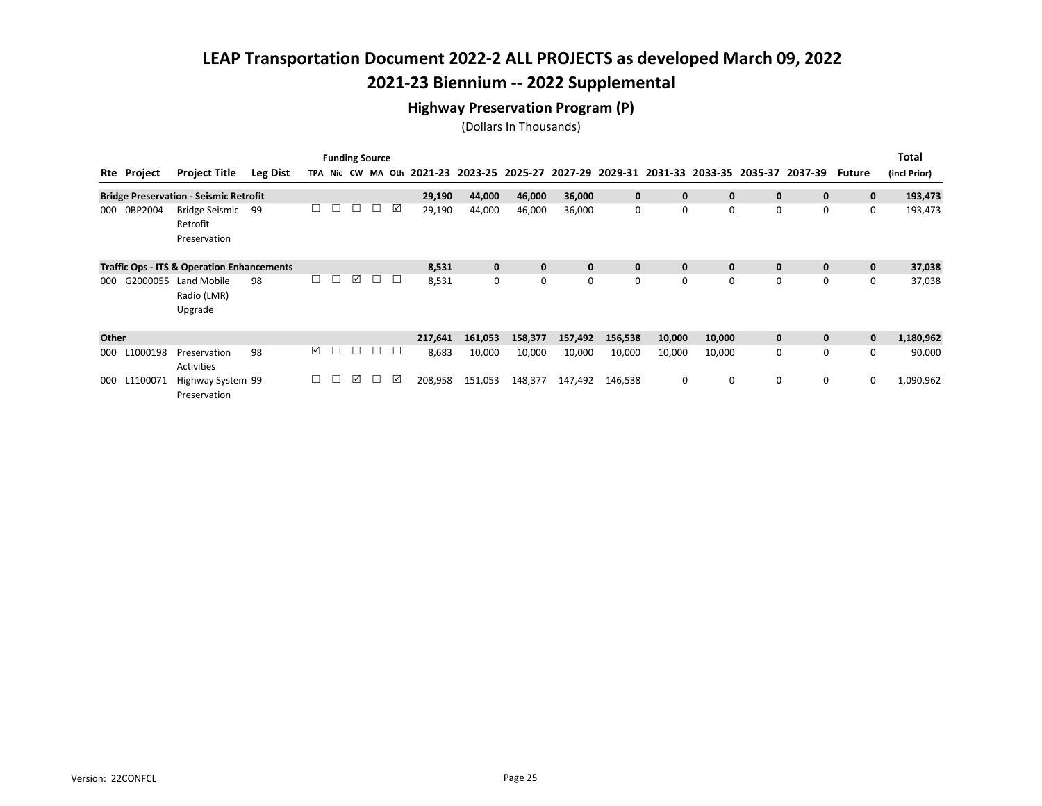## 2021-23 Biennium -- 2022 Supplemental

### Highway Preservation Program (P)

|       |             |                                                       |                 |        |   |   | <b>Funding Source</b> |        |                                         |              |              |              |              |                                 |              |              |              |               | <b>Total</b> |
|-------|-------------|-------------------------------------------------------|-----------------|--------|---|---|-----------------------|--------|-----------------------------------------|--------------|--------------|--------------|--------------|---------------------------------|--------------|--------------|--------------|---------------|--------------|
|       | Rte Project | <b>Project Title</b>                                  | <b>Leg Dist</b> |        |   |   | TPA Nic CW MA Oth     |        | 2021-23 2023-25 2025-27 2027-29 2029-31 |              |              |              |              | 2031-33 2033-35 2035-37 2037-39 |              |              |              | <b>Future</b> | (incl Prior) |
|       |             | <b>Bridge Preservation - Seismic Retrofit</b>         |                 |        |   |   |                       |        | 29,190                                  | 44,000       | 46,000       | 36,000       | $\mathbf{0}$ | $\mathbf{0}$                    | $\mathbf{0}$ | $\mathbf{0}$ | $\mathbf{0}$ | $\mathbf 0$   | 193,473      |
| 000   | 0BP2004     | Bridge Seismic<br>Retrofit<br>Preservation            | 99              | $\Box$ | □ |   | $\Box$                | ☑      | 29,190                                  | 44,000       | 46,000       | 36,000       | 0            | 0                               | 0            | 0            | 0            | 0             | 193,473      |
|       |             | <b>Traffic Ops - ITS &amp; Operation Enhancements</b> |                 |        |   |   |                       |        | 8,531                                   | $\mathbf{0}$ | $\mathbf{0}$ | $\mathbf{0}$ | $\mathbf{0}$ | $\mathbf{0}$                    | $\mathbf{0}$ | $\mathbf{0}$ | $\mathbf 0$  | $\mathbf 0$   | 37,038       |
| 000   | G2000055    | Land Mobile<br>Radio (LMR)<br>Upgrade                 | 98              | $\Box$ | □ | ☑ | $\Box$                | ⊔      | 8,531                                   | 0            | 0            | 0            | 0            | 0                               | 0            | 0            | 0            | 0             | 37,038       |
| Other |             |                                                       |                 |        |   |   |                       |        | 217,641                                 | 161,053      | 158,377      | 157,492      | 156,538      | 10,000                          | 10,000       | $\mathbf{0}$ | $\mathbf{0}$ | $\mathbf 0$   | 1,180,962    |
| 000   | L1000198    | Preservation<br><b>Activities</b>                     | 98              | ☑      | П |   | □                     | $\Box$ | 8,683                                   | 10,000       | 10,000       | 10,000       | 10,000       | 10,000                          | 10,000       | 0            | 0            | 0             | 90,000       |
| 000   | L1100071    | Highway System 99<br>Preservation                     |                 | $\Box$ | □ | ☑ | $\Box$                | ☑      | 208,958                                 | 151,053      | 148,377      | 147,492      | 146,538      | 0                               | 0            | 0            | 0            | 0             | 1,090,962    |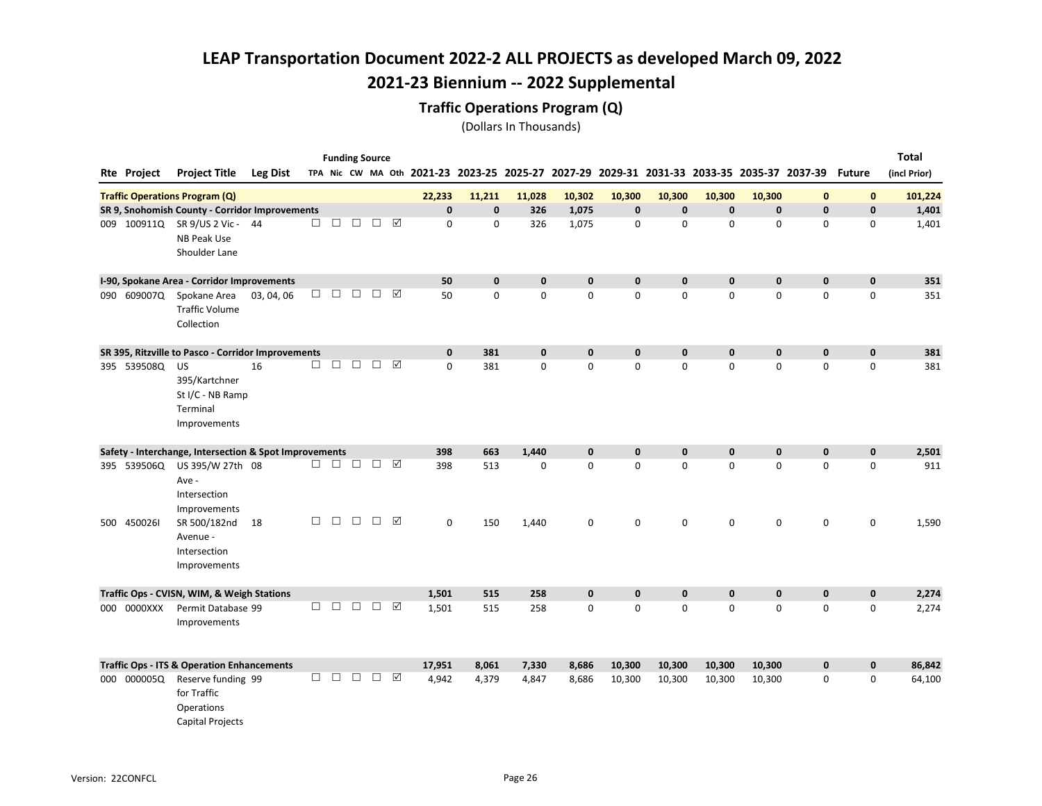## 2021-23 Biennium -- 2022 Supplemental

### Traffic Operations Program (Q)

|                    |                                                                            |                 |        |        |               | <b>Funding Source</b> |                      |              |              |              |              |              |              |             |                                                                                           |             |              | <b>Total</b> |
|--------------------|----------------------------------------------------------------------------|-----------------|--------|--------|---------------|-----------------------|----------------------|--------------|--------------|--------------|--------------|--------------|--------------|-------------|-------------------------------------------------------------------------------------------|-------------|--------------|--------------|
| <b>Rte Project</b> | <b>Project Title</b>                                                       | <b>Leg Dist</b> |        |        |               |                       |                      |              |              |              |              |              |              |             | TPA Nic CW MA Oth 2021-23 2023-25 2025-27 2027-29 2029-31 2031-33 2033-35 2035-37 2037-39 |             | Future       | (incl Prior) |
|                    | <b>Traffic Operations Program (Q)</b>                                      |                 |        |        |               |                       |                      | 22,233       | 11,211       | 11,028       | 10,302       | 10,300       | 10,300       | 10,300      | 10,300                                                                                    | $\bf{0}$    | $\mathbf{0}$ | 101,224      |
|                    | SR 9, Snohomish County - Corridor Improvements                             |                 |        |        |               |                       |                      | $\mathbf{0}$ | $\mathbf{0}$ | 326          | 1,075        | $\mathbf 0$  | $\mathbf 0$  | $\mathbf 0$ | $\mathbf 0$                                                                               | $\mathbf 0$ | $\mathbf 0$  | 1,401        |
|                    | 009 100911Q SR 9/US 2 Vic- 44<br><b>NB Peak Use</b><br>Shoulder Lane       |                 | $\Box$ | $\Box$ | $\Box$        | $\Box$                |                      | $\mathbf 0$  | 0            | 326          | 1,075        | $\mathbf 0$  | $\mathbf 0$  | 0           | 0                                                                                         | 0           | 0            | 1,401        |
|                    | I-90, Spokane Area - Corridor Improvements                                 |                 |        |        |               |                       |                      | 50           | $\mathbf{0}$ | $\mathbf 0$  | $\bf{0}$     | $\mathbf 0$  | $\mathbf 0$  | $\pmb{0}$   | $\mathbf 0$                                                                               | $\pmb{0}$   | $\mathbf 0$  | 351          |
| 090 609007Q        | Spokane Area<br><b>Traffic Volume</b><br>Collection                        | 03, 04, 06      | $\Box$ |        | $\Box$ $\Box$ | ⊓ 17                  |                      | 50           | 0            | 0            | $\mathbf 0$  | $\mathbf 0$  | $\mathbf 0$  | 0           | $\mathbf 0$                                                                               | 0           | $\mathbf 0$  | 351          |
|                    | SR 395, Ritzville to Pasco - Corridor Improvements                         |                 |        |        |               |                       |                      | $\mathbf 0$  | 381          | $\mathbf{0}$ | $\mathbf 0$  | $\mathbf{0}$ | $\mathbf 0$  | $\mathbf 0$ | $\mathbf 0$                                                                               | $\mathbf 0$ | $\mathbf 0$  | 381          |
| 395 539508Q        | <b>US</b><br>395/Kartchner<br>St I/C - NB Ramp<br>Terminal<br>Improvements | 16              | $\Box$ | $\Box$ | $\Box$        | $\Box$                | $\triangledown$      | $\Omega$     | 381          | $\mathbf 0$  | $\mathbf 0$  | $\mathbf 0$  | $\mathbf 0$  | $\mathbf 0$ | $\mathbf 0$                                                                               | $\mathbf 0$ | $\mathbf 0$  | 381          |
|                    | Safety - Interchange, Intersection & Spot Improvements                     |                 |        |        |               |                       |                      | 398          | 663          | 1,440        | $\bf{0}$     | $\mathbf 0$  | $\mathbf 0$  | $\mathbf 0$ | $\mathbf 0$                                                                               | $\mathbf 0$ | $\mathbf 0$  | 2,501        |
| 395 5395060        | US 395/W 27th 08<br>Ave -<br>Intersection<br>Improvements                  |                 | $\Box$ | $\Box$ | $\Box$        | $\Box$                | $\boxed{\checkmark}$ | 398          | 513          | $\mathbf 0$  | $\mathbf 0$  | $\mathbf 0$  | $\mathbf 0$  | 0           | $\mathbf 0$                                                                               | 0           | 0            | 911          |
| 500 4500261        | SR 500/182nd<br>Avenue -<br>Intersection<br>Improvements                   | 18              | □      | $\Box$ | $\Box$        | $\Box$                | ☑                    | 0            | 150          | 1,440        | 0            | 0            | 0            | 0           | $\mathbf 0$                                                                               | 0           | 0            | 1,590        |
|                    | Traffic Ops - CVISN, WIM, & Weigh Stations                                 |                 |        |        |               |                       |                      | 1,501        | 515          | 258          | $\mathbf{0}$ | $\mathbf{0}$ | $\mathbf{0}$ | 0           | $\mathbf 0$                                                                               | 0           | $\mathbf 0$  | 2,274        |
| 000 0000XXX        | Permit Database 99<br>Improvements                                         |                 | П      | $\Box$ | $\Box$        | $\Box$                | ⊠                    | 1,501        | 515          | 258          | $\mathbf 0$  | $\Omega$     | $\Omega$     | 0           | $\mathbf 0$                                                                               | 0           | $\mathbf 0$  | 2,274        |
|                    | <b>Traffic Ops - ITS &amp; Operation Enhancements</b>                      |                 |        |        |               |                       |                      | 17,951       | 8,061        | 7,330        | 8,686        | 10,300       | 10,300       | 10,300      | 10,300                                                                                    | 0           | $\mathbf 0$  | 86,842       |
| 000 000005Q        | Reserve funding 99<br>for Traffic<br>Operations<br><b>Capital Projects</b> |                 | $\Box$ | $\Box$ | $\Box$        | □ ☑                   |                      | 4,942        | 4,379        | 4,847        | 8,686        | 10,300       | 10,300       | 10,300      | 10,300                                                                                    | 0           | $\mathbf 0$  | 64,100       |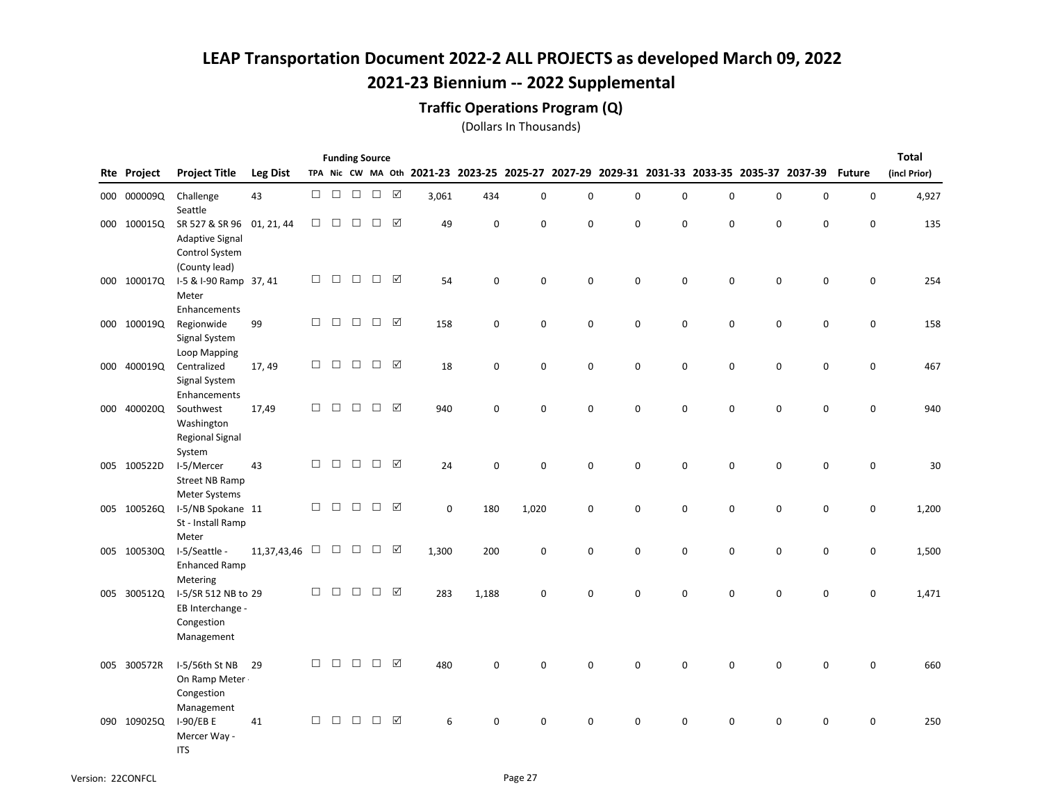## 2021-23 Biennium -- 2022 Supplemental

### Traffic Operations Program (Q)

|     |                    |                                                                   |                 |        |               |        | <b>Funding Source</b> |   |             |                                                   |             |             |             |             |             |                                         |                     |               | <b>Total</b> |
|-----|--------------------|-------------------------------------------------------------------|-----------------|--------|---------------|--------|-----------------------|---|-------------|---------------------------------------------------|-------------|-------------|-------------|-------------|-------------|-----------------------------------------|---------------------|---------------|--------------|
|     | <b>Rte Project</b> | <b>Project Title</b>                                              | <b>Leg Dist</b> |        |               |        |                       |   |             | TPA Nic CW MA Oth 2021-23 2023-25 2025-27 2027-29 |             |             |             |             |             | 2029-31 2031-33 2033-35 2035-37 2037-39 |                     | <b>Future</b> | (incl Prior) |
|     | 000 000009Q        | Challenge<br>Seattle                                              | 43              | $\Box$ | $\Box$        | $\Box$ | $\Box$                | ☑ | 3,061       | 434                                               | $\mathbf 0$ | $\pmb{0}$   | $\mathsf 0$ | $\mathsf 0$ | 0           | 0                                       | $\mathsf{O}\xspace$ | 0             | 4,927        |
| 000 | 100015Q            | SR 527 & SR 96<br><b>Adaptive Signal</b>                          | 01, 21, 44      | $\Box$ | $\Box$        | $\Box$ | □                     | ☑ | 49          | 0                                                 | $\mathbf 0$ | $\mathbf 0$ | $\mathbf 0$ | $\mathbf 0$ | 0           | 0                                       | 0                   | 0             | 135          |
| 000 | 100017Q            | Control System<br>(County lead)<br>I-5 & I-90 Ramp 37, 41         |                 | □      | $\Box$        | $\Box$ | $\Box$                | ☑ | 54          | 0                                                 | $\mathbf 0$ | $\pmb{0}$   | $\mathsf 0$ | $\Omega$    | 0           | 0                                       | 0                   | 0             | 254          |
|     |                    | Meter<br>Enhancements                                             |                 |        |               |        |                       |   |             |                                                   |             |             |             |             |             |                                         |                     |               |              |
|     | 000 100019Q        | Regionwide<br>Signal System                                       | 99              | □      | $\Box$        | $\Box$ | $\Box$                | ☑ | 158         | 0                                                 | $\mathbf 0$ | $\mathbf 0$ | $\mathbf 0$ | $\Omega$    | 0           | 0                                       | $\mathbf 0$         | 0             | 158          |
| 000 | 400019Q            | Loop Mapping<br>Centralized<br>Signal System                      | 17, 49          | $\Box$ | $\Box$ $\Box$ |        | $\Box$ $\Box$         |   | 18          | 0                                                 | $\mathbf 0$ | $\pmb{0}$   | $\mathsf 0$ | $\mathbf 0$ | $\mathsf 0$ | 0                                       | $\mathbf 0$         | $\mathsf 0$   | 467          |
| 000 | 400020Q            | Enhancements<br>Southwest                                         | 17,49           | $\Box$ | $\Box$        | $\Box$ | $\Box$                | ☑ | 940         | 0                                                 | 0           | $\Omega$    | $\Omega$    | $\Omega$    | $\Omega$    | 0                                       | $\mathbf 0$         | 0             | 940          |
|     |                    | Washington<br><b>Regional Signal</b><br>System                    |                 |        |               |        |                       |   |             |                                                   |             |             |             |             |             |                                         |                     |               |              |
|     | 005 100522D        | I-5/Mercer<br><b>Street NB Ramp</b>                               | 43              | $\Box$ | $\Box$        | $\Box$ | $\Box$                | ☑ | 24          | 0                                                 | $\mathsf 0$ | $\mathbf 0$ | $\mathbf 0$ | $\mathbf 0$ | $\mathbf 0$ | 0                                       | $\pmb{0}$           | 0             | 30           |
|     | 005 100526Q        | Meter Systems<br>I-5/NB Spokane 11<br>St - Install Ramp           |                 | $\Box$ | $\Box$        | $\Box$ | $\Box$                | ☑ | $\mathbf 0$ | 180                                               | 1,020       | 0           | 0           | 0           | 0           | 0                                       | 0                   | 0             | 1,200        |
|     | 005 100530Q        | Meter<br>I-5/Seattle -<br><b>Enhanced Ramp</b>                    | 11,37,43,46     | $\Box$ | $\Box$        | $\Box$ | П                     | ☑ | 1,300       | 200                                               | 0           | 0           | 0           | 0           | 0           | 0                                       | 0                   | 0             | 1,500        |
|     | 005 300512Q        | Metering<br>I-5/SR 512 NB to 29<br>EB Interchange -<br>Congestion |                 | $\Box$ | $\Box$        | $\Box$ | $\Box$                | ☑ | 283         | 1,188                                             | $\mathbf 0$ | $\mathbf 0$ | $\mathbf 0$ | $\Omega$    | $\Omega$    | 0                                       | $\mathbf 0$         | 0             | 1,471        |
| 005 | 300572R            | Management<br>I-5/56th St NB                                      | 29              | $\Box$ | $\Box$        | $\Box$ | $\Box$                | ☑ | 480         | 0                                                 | 0           | $\mathbf 0$ | $\mathbf 0$ | $\mathbf 0$ | 0           | 0                                       | $\mathbf 0$         | 0             | 660          |
|     |                    | On Ramp Meter .<br>Congestion                                     |                 |        |               |        |                       |   |             |                                                   |             |             |             |             |             |                                         |                     |               |              |
|     | 090 109025Q        | Management<br>I-90/EB E<br>Mercer Way -<br><b>ITS</b>             | 41              | $\Box$ | $\Box$        | $\Box$ | $\Box$                | ☑ | 6           | 0                                                 | $\mathbf 0$ | $\mathbf 0$ | $\mathbf 0$ | 0           | 0           | 0                                       | 0                   | 0             | 250          |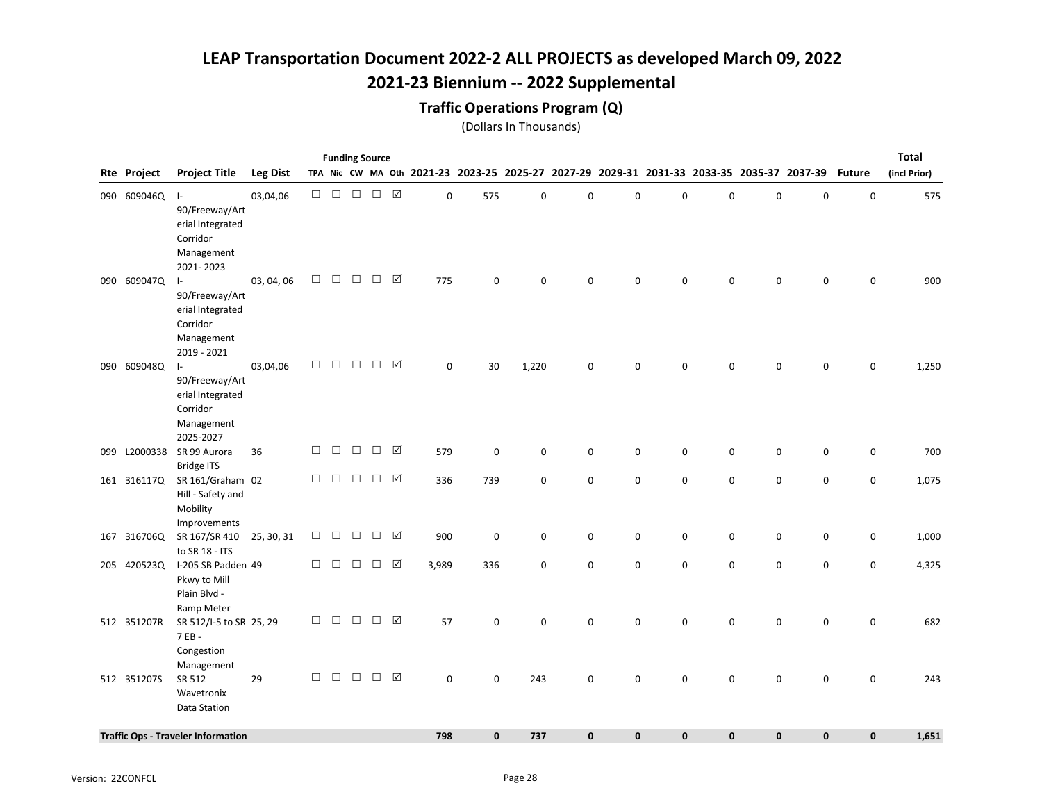## 2021-23 Biennium -- 2022 Supplemental

### Traffic Operations Program (Q)

|                    |                                                                                        |                 |        |        |        | <b>Funding Source</b> |   |       |              |             |              |              |             |             |             |                                                                                                  |             | Total        |
|--------------------|----------------------------------------------------------------------------------------|-----------------|--------|--------|--------|-----------------------|---|-------|--------------|-------------|--------------|--------------|-------------|-------------|-------------|--------------------------------------------------------------------------------------------------|-------------|--------------|
| <b>Rte Project</b> | <b>Project Title</b>                                                                   | <b>Leg Dist</b> |        |        |        |                       |   |       |              |             |              |              |             |             |             | TPA Nic CW MA Oth 2021-23 2023-25 2025-27 2027-29 2029-31 2031-33 2033-35 2035-37 2037-39 Future |             | (incl Prior) |
| 090 609046Q        | $\vert$ -<br>90/Freeway/Art<br>erial Integrated<br>Corridor<br>Management<br>2021-2023 | 03,04,06        | $\Box$ | $\Box$ | $\Box$ | $\Box$ $\nabla$       |   | 0     | 575          | 0           | 0            | $\mathsf 0$  | $\mathbf 0$ | 0           | 0           | 0                                                                                                | 0           | 575          |
| 090 609047Q        | $\vert$ -                                                                              | 03, 04, 06      | $\Box$ | $\Box$ | $\Box$ | $\Box$                | ☑ | 775   | 0            | 0           | 0            | 0            | 0           | 0           | 0           | 0                                                                                                | 0           | 900          |
|                    | 90/Freeway/Art<br>erial Integrated<br>Corridor<br>Management<br>2019 - 2021            |                 |        |        |        |                       |   |       |              |             |              |              |             |             |             |                                                                                                  |             |              |
| 090 609048Q        | $\mathsf{I}$                                                                           | 03,04,06        | $\Box$ | $\Box$ | $\Box$ | $\Box$                | ☑ | 0     | 30           | 1,220       | 0            | 0            | 0           | 0           | 0           | 0                                                                                                | 0           | 1,250        |
|                    | 90/Freeway/Art<br>erial Integrated<br>Corridor<br>Management<br>2025-2027              |                 |        |        |        |                       |   |       |              |             |              |              |             |             |             |                                                                                                  |             |              |
| 099 L2000338       | SR 99 Aurora                                                                           | 36              | $\Box$ | $\Box$ | $\Box$ | $\Box$                | ☑ | 579   | 0            | 0           | 0            | 0            | 0           | 0           | 0           | 0                                                                                                | 0           | 700          |
|                    | <b>Bridge ITS</b>                                                                      |                 |        |        |        |                       |   |       |              |             |              |              |             |             |             |                                                                                                  |             |              |
| 161 316117Q        | SR 161/Graham 02<br>Hill - Safety and<br>Mobility<br>Improvements                      |                 | $\Box$ | $\Box$ | $\Box$ | □ ☑                   |   | 336   | 739          | 0           | 0            | 0            | 0           | 0           | 0           | 0                                                                                                | 0           | 1,075        |
| 167 316706Q        | SR 167/SR 410<br>to SR 18 - ITS                                                        | 25, 30, 31      | $\Box$ | $\Box$ | $\Box$ | $\Box$                | ☑ | 900   | 0            | 0           | 0            | $\pmb{0}$    | 0           | 0           | 0           | 0                                                                                                | 0           | 1,000        |
| 205 420523Q        | I-205 SB Padden 49<br>Pkwy to Mill<br>Plain Blvd -<br>Ramp Meter                       |                 | $\Box$ | $\Box$ | $\Box$ | $\Box$ $\Box$         |   | 3,989 | 336          | $\mathbf 0$ | 0            | $\mathbf 0$  | 0           | 0           | $\pmb{0}$   | $\mathsf 0$                                                                                      | 0           | 4,325        |
| 512 351207R        | SR 512/I-5 to SR 25, 29<br>7 EB -<br>Congestion<br>Management                          |                 | $\Box$ | $\Box$ | $\Box$ | $\Box$                | ☑ | 57    | 0            | 0           | 0            | 0            | 0           | 0           | 0           | 0                                                                                                | 0           | 682          |
| 512 351207S        | SR 512<br>Wavetronix<br>Data Station                                                   | 29              | $\Box$ | $\Box$ | $\Box$ | $\Box$                | ☑ | 0     | 0            | 243         | 0            | 0            | 0           | 0           | $\mathbf 0$ | 0                                                                                                | 0           | 243          |
|                    | <b>Traffic Ops - Traveler Information</b>                                              |                 |        |        |        |                       |   | 798   | $\mathbf{0}$ | 737         | $\mathbf{0}$ | $\mathbf{0}$ | $\mathbf 0$ | $\mathbf 0$ | $\mathbf 0$ | $\mathbf 0$                                                                                      | $\mathbf 0$ | 1,651        |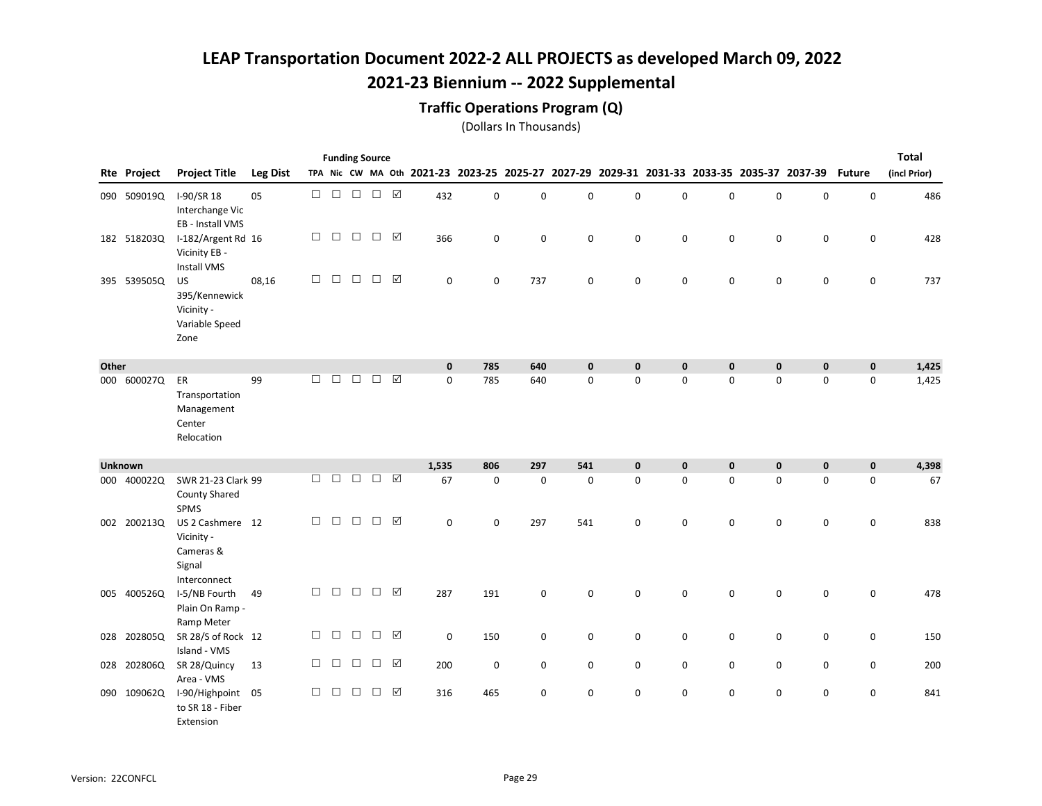## 2021-23 Biennium -- 2022 Supplemental

### Traffic Operations Program (Q)

|       |                |                                                              |                 |        |        |        | <b>Funding Source</b> |                      |              |             |             |              |              |              |              |             |                                                                                           |               | Total        |
|-------|----------------|--------------------------------------------------------------|-----------------|--------|--------|--------|-----------------------|----------------------|--------------|-------------|-------------|--------------|--------------|--------------|--------------|-------------|-------------------------------------------------------------------------------------------|---------------|--------------|
|       | Rte Project    | <b>Project Title</b>                                         | <b>Leg Dist</b> |        |        |        |                       |                      |              |             |             |              |              |              |              |             | TPA Nic CW MA Oth 2021-23 2023-25 2025-27 2027-29 2029-31 2031-33 2033-35 2035-37 2037-39 | <b>Future</b> | (incl Prior) |
|       | 090 509019Q    | I-90/SR 18<br>Interchange Vic<br>EB - Install VMS            | 05              | $\Box$ | $\Box$ | $\Box$ | $\Box$                | ☑                    | 432          | $\mathbf 0$ | $\mathbf 0$ | $\mathbf 0$  | $\mathbf 0$  | $\mathbf 0$  | 0            | $\mathbf 0$ | 0                                                                                         | $\mathbf 0$   | 486          |
|       | 182 518203Q    | I-182/Argent Rd 16<br>Vicinity EB -<br><b>Install VMS</b>    |                 | □      | $\Box$ | $\Box$ | $\Box$                | ☑                    | 366          | $\mathbf 0$ | $\mathbf 0$ | $\mathbf 0$  | $\mathbf 0$  | $\mathbf 0$  | 0            | 0           | 0                                                                                         | $\mathbf 0$   | 428          |
|       | 395 5395050    | US.<br>395/Kennewick<br>Vicinity -<br>Variable Speed<br>Zone | 08,16           | $\Box$ | $\Box$ | $\Box$ | $\Box$                | ☑                    | $\mathbf 0$  | 0           | 737         | $\mathbf 0$  | $\mathbf 0$  | $\mathbf 0$  | 0            | 0           | 0                                                                                         | 0             | 737          |
| Other |                |                                                              |                 |        |        |        |                       |                      | $\mathbf{0}$ | 785         | 640         | $\mathbf{0}$ | $\mathbf{0}$ | $\mathbf{0}$ | $\mathbf{0}$ | $\mathbf 0$ | $\mathbf{0}$                                                                              | $\mathbf 0$   | 1,425        |
|       | 000 600027Q    | ER<br>Transportation<br>Management<br>Center<br>Relocation   | 99              | $\Box$ | $\Box$ | $\Box$ | $\Box$                | $\boxtimes$          | $\mathbf 0$  | 785         | 640         | 0            | 0            | 0            | 0            | $\mathbf 0$ | 0                                                                                         | $\mathsf 0$   | 1,425        |
|       | <b>Unknown</b> |                                                              |                 |        |        |        |                       |                      | 1,535        | 806         | 297         | 541          | $\mathbf 0$  | $\mathbf 0$  | 0            | $\mathbf 0$ | $\mathbf 0$                                                                               | $\mathbf 0$   | 4,398        |
| 000   | 400022Q        | SWR 21-23 Clark 99<br><b>County Shared</b><br><b>SPMS</b>    |                 | $\Box$ | $\Box$ | $\Box$ | $\Box$                | $\boxed{\triangle}$  | 67           | $\mathbf 0$ | $\mathbf 0$ | $\mathbf 0$  | $\mathbf 0$  | $\mathbf 0$  | 0            | $\mathbf 0$ | 0                                                                                         | $\mathbf 0$   | 67           |
|       | 002 200213Q    | US 2 Cashmere 12<br>Vicinity -<br>Cameras &<br>Signal        |                 | □      | $\Box$ | $\Box$ | $\Box$                | ☑                    | $\mathbf 0$  | $\mathbf 0$ | 297         | 541          | 0            | $\mathbf 0$  | 0            | $\mathbf 0$ | 0                                                                                         | $\mathsf 0$   | 838          |
|       | 005 400526Q    | Interconnect<br>I-5/NB Fourth<br>Plain On Ramp -             | 49              | □      | $\Box$ | $\Box$ | $\Box$                | ☑                    | 287          | 191         | 0           | $\mathsf 0$  | $\mathbf 0$  | 0            | 0            | $\mathbf 0$ | $\mathbf 0$                                                                               | $\mathbf 0$   | 478          |
| 028   | 202805Q        | Ramp Meter<br>SR 28/S of Rock 12<br>Island - VMS             |                 | $\Box$ | $\Box$ | $\Box$ | $\Box$                | $\boxed{\checkmark}$ | $\mathbf 0$  | 150         | $\mathsf 0$ | $\mathsf 0$  | $\mathbf 0$  | $\mathbf 0$  | 0            | $\mathsf 0$ | $\mathsf{O}\xspace$                                                                       | $\mathsf 0$   | 150          |
|       | 028 202806Q    | SR 28/Quincy<br>Area - VMS                                   | 13              | □      | $\Box$ | $\Box$ | $\Box$                | $\sqrt{ }$           | 200          | $\mathbf 0$ | $\mathbf 0$ | 0            | $\mathbf 0$  | 0            | 0            | 0           | 0                                                                                         | $\mathbf 0$   | 200          |
|       | 090 109062Q    | I-90/Highpoint<br>to SR 18 - Fiber<br>Extension              | 05              | $\Box$ | $\Box$ | $\Box$ | $\Box$                | $\boxtimes$          | 316          | 465         | $\mathbf 0$ | $\mathbf 0$  | $\mathbf 0$  | $\mathbf 0$  | 0            | $\mathsf 0$ | 0                                                                                         | $\mathsf 0$   | 841          |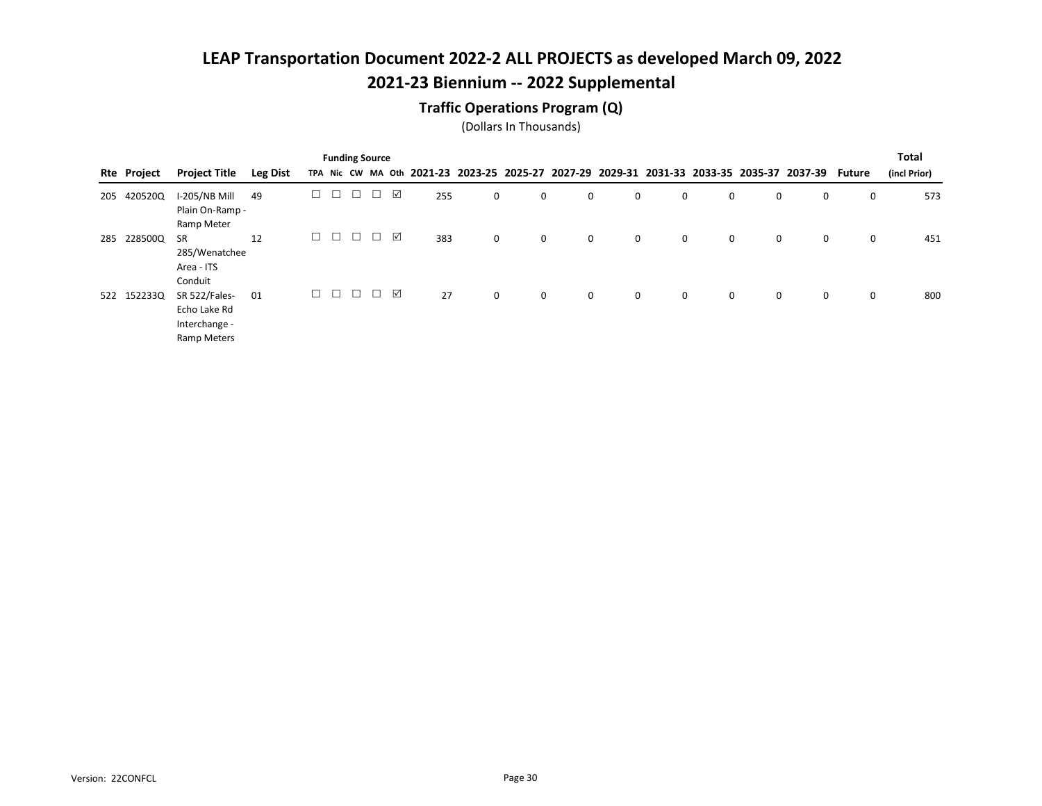## 2021-23 Biennium -- 2022 Supplemental

### Traffic Operations Program (Q)

|     |                    |                                                               |                 |   |         |        | <b>Funding Source</b> |   |     |   |   |   |             |   |   |   |                                                                                           |        | <b>Total</b> |
|-----|--------------------|---------------------------------------------------------------|-----------------|---|---------|--------|-----------------------|---|-----|---|---|---|-------------|---|---|---|-------------------------------------------------------------------------------------------|--------|--------------|
|     | <b>Rte Project</b> | <b>Project Title</b>                                          | <b>Leg Dist</b> |   |         |        |                       |   |     |   |   |   |             |   |   |   | TPA Nic CW MA Oth 2021-23 2023-25 2025-27 2027-29 2029-31 2031-33 2033-35 2035-37 2037-39 | Future | (incl Prior) |
| 205 | 420520Q            | I-205/NB Mill<br>Plain On-Ramp -<br>Ramp Meter                | 49              | ⊔ |         | □      |                       | ☑ | 255 | 0 | 0 | 0 | 0           | 0 | 0 | 0 | 0                                                                                         | 0      | 573          |
| 285 | 228500Q            | <b>SR</b><br>285/Wenatchee<br>Area - ITS<br>Conduit           | 12              | □ | $\perp$ | $\Box$ | $\Box$                | ☑ | 383 | 0 | 0 | 0 | 0           | 0 | 0 | 0 | 0                                                                                         | 0      | 451          |
|     | 522 1522330        | SR 522/Fales-<br>Echo Lake Rd<br>Interchange -<br>Ramp Meters | 01              | П | $\Box$  | $\Box$ |                       | ☑ | 27  | 0 | 0 | 0 | $\mathbf 0$ | 0 | 0 | 0 | 0                                                                                         | 0      | 800          |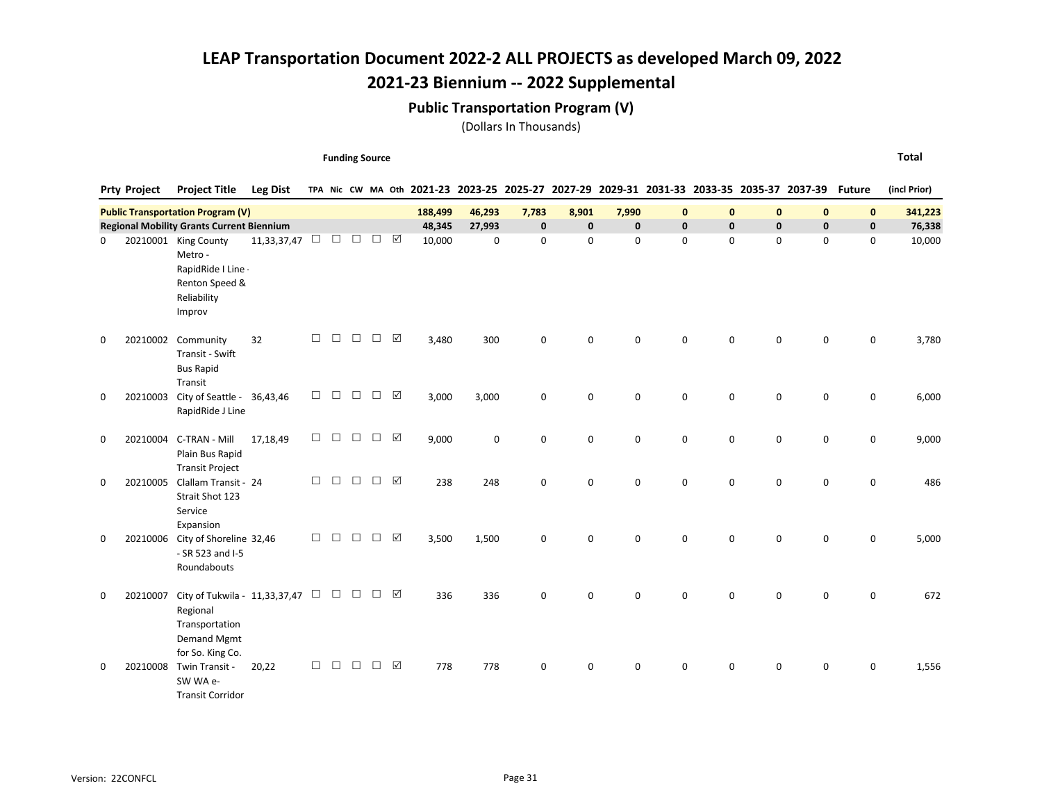## 2021-23 Biennium -- 2022 Supplemental

### Public Transportation Program (V)

(Dollars In Thousands)

Funding Source

|          | <b>Prty Project</b> | <b>Project Title</b>                                                                             | <b>Leg Dist</b> |        |        |        |        |             |         |             |             |             |             |             |              |              | TPA Nic CW MA Oth 2021-23 2023-25 2025-27 2027-29 2029-31 2031-33 2033-35 2035-37 2037-39 | <b>Future</b> | (incl Prior) |
|----------|---------------------|--------------------------------------------------------------------------------------------------|-----------------|--------|--------|--------|--------|-------------|---------|-------------|-------------|-------------|-------------|-------------|--------------|--------------|-------------------------------------------------------------------------------------------|---------------|--------------|
|          |                     | <b>Public Transportation Program (V)</b>                                                         |                 |        |        |        |        |             | 188,499 | 46,293      | 7,783       | 8,901       | 7,990       | $\mathbf 0$ | $\mathbf{0}$ | $\mathbf{0}$ | $\mathbf{0}$                                                                              | $\mathbf{0}$  | 341,223      |
|          |                     | <b>Regional Mobility Grants Current Biennium</b>                                                 |                 |        |        |        |        |             | 48,345  | 27,993      | $\mathbf 0$ | $\mathbf 0$ | $\mathbf 0$ | $\mathbf 0$ | 0            | $\mathbf 0$  | $\mathbf 0$                                                                               | $\mathbf 0$   | 76,338       |
| 0        |                     | 20210001 King County<br>Metro -<br>RapidRide I Line -<br>Renton Speed &<br>Reliability<br>Improv | 11,33,37,47     | $\Box$ | $\Box$ | $\Box$ | П      | ☑           | 10,000  | $\mathbf 0$ | $\mathbf 0$ | $\mathbf 0$ | $\mathbf 0$ | $\mathbf 0$ | 0            | $\mathbf 0$  | 0                                                                                         | 0             | 10,000       |
| 0        | 20210002            | Community<br>Transit - Swift<br><b>Bus Rapid</b><br>Transit                                      | 32              | $\Box$ | $\Box$ | $\Box$ | $\Box$ | ☑           | 3,480   | 300         | 0           | $\mathbf 0$ | $\mathbf 0$ | $\Omega$    | 0            | $\mathbf 0$  | 0                                                                                         | $\mathbf 0$   | 3,780        |
| 0        |                     | 20210003 City of Seattle - 36,43,46<br>RapidRide J Line                                          |                 | $\Box$ | $\Box$ | $\Box$ | $\Box$ | $\boxtimes$ | 3,000   | 3,000       | $\mathbf 0$ | $\mathbf 0$ | 0           | $\mathbf 0$ | 0            | $\mathbf 0$  | $\mathbf 0$                                                                               | $\mathbf 0$   | 6,000        |
| 0        |                     | 20210004 C-TRAN - Mill<br>Plain Bus Rapid<br><b>Transit Project</b>                              | 17,18,49        | $\Box$ | $\Box$ | $\Box$ | $\Box$ | ☑           | 9,000   | $\mathbf 0$ | $\mathbf 0$ | $\mathbf 0$ | 0           | $\mathbf 0$ | 0            | $\mathbf 0$  | $\mathbf 0$                                                                               | $\mathbf 0$   | 9,000        |
| 0        | 20210005            | Clallam Transit - 24<br>Strait Shot 123<br>Service<br>Expansion                                  |                 | П      | $\Box$ | П      | $\Box$ | ☑           | 238     | 248         | 0           | $\mathbf 0$ | 0           | 0           | 0            | $\mathbf 0$  | $\mathbf 0$                                                                               | 0             | 486          |
| 0        | 20210006            | City of Shoreline 32,46<br>- SR 523 and I-5<br>Roundabouts                                       |                 | $\Box$ | $\Box$ | П      | п      | ☑           | 3,500   | 1,500       | 0           | $\Omega$    | 0           | 0           | 0            | $\mathbf 0$  | $\mathbf 0$                                                                               | 0             | 5,000        |
| $\Omega$ | 20210007            | City of Tukwila - 11,33,37,47<br>Regional<br>Transportation<br>Demand Mgmt<br>for So. King Co.   |                 | $\Box$ | $\Box$ | $\Box$ | $\Box$ | ☑           | 336     | 336         | 0           | $\Omega$    | $\Omega$    | 0           | 0            | $\mathbf 0$  | $\mathbf 0$                                                                               | 0             | 672          |
| 0        | 20210008            | Twin Transit -<br>SW WA e-<br><b>Transit Corridor</b>                                            | 20,22           | $\Box$ | $\Box$ | $\Box$ | П      | ☑           | 778     | 778         | 0           | $\mathbf 0$ | 0           | $\mathbf 0$ | 0            | $\mathbf 0$  | $\mathbf 0$                                                                               | $\mathsf 0$   | 1,556        |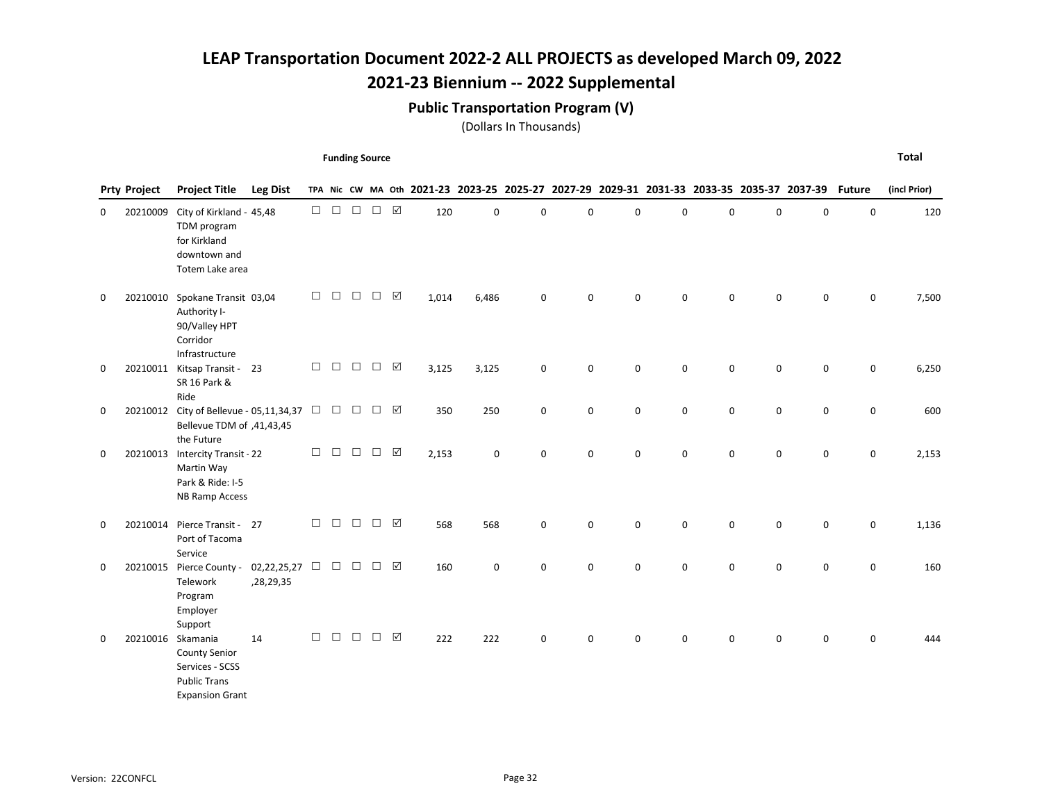## 2021-23 Biennium -- 2022 Supplemental

### Public Transportation Program (V)

(Dollars In Thousands)

Funding Source

|          | <b>Prty Project</b> | <b>Project Title</b>                                                                                          | <b>Leg Dist</b>          |        |        |        |               |             |       |             |             |             |          |             |   |             | TPA Nic CW MA Oth 2021-23 2023-25 2025-27 2027-29 2029-31 2031-33 2033-35 2035-37 2037-39 | <b>Future</b>       | (incl Prior) |
|----------|---------------------|---------------------------------------------------------------------------------------------------------------|--------------------------|--------|--------|--------|---------------|-------------|-------|-------------|-------------|-------------|----------|-------------|---|-------------|-------------------------------------------------------------------------------------------|---------------------|--------------|
| 0        | 20210009            | City of Kirkland - 45,48<br>TDM program<br>for Kirkland<br>downtown and<br>Totem Lake area                    |                          | $\Box$ | $\Box$ | $\Box$ | $\Box$        | $\boxtimes$ | 120   | $\Omega$    | 0           | $\Omega$    | $\Omega$ | $\Omega$    | 0 | $\mathbf 0$ | 0                                                                                         | 0                   | 120          |
| 0        | 20210010            | Spokane Transit 03,04<br>Authority I-<br>90/Valley HPT<br>Corridor<br>Infrastructure                          |                          | $\Box$ | $\Box$ | $\Box$ | $\Box$        | ☑           | 1,014 | 6,486       | 0           | $\mathsf 0$ | 0        | 0           | 0 | 0           | 0                                                                                         | $\mathbf 0$         | 7,500        |
| 0        |                     | 20210011 Kitsap Transit - 23<br>SR 16 Park &<br>Ride                                                          |                          | П.     | $\Box$ | $\Box$ | $\Box$        | ☑           | 3,125 | 3,125       | $\mathbf 0$ | $\mathbf 0$ | 0        | $\mathbf 0$ | 0 | $\mathsf 0$ | 0                                                                                         | $\mathbf 0$         | 6,250        |
| 0        |                     | 20210012 City of Bellevue - 05,11,34,37<br>Bellevue TDM of ,41,43,45<br>the Future                            |                          | $\Box$ | $\Box$ | $\Box$ | $\Box$ $\Box$ |             | 350   | 250         | $\mathbf 0$ | $\mathbf 0$ | 0        | 0           | 0 | $\mathsf 0$ | 0                                                                                         | $\mathbf 0$         | 600          |
| 0        |                     | 20210013 Intercity Transit - 22<br>Martin Way<br>Park & Ride: I-5<br><b>NB Ramp Access</b>                    |                          | □      | $\Box$ | $\Box$ | $\Box$        | ☑           | 2,153 | $\mathbf 0$ | 0           | $\mathbf 0$ | 0        | $\mathbf 0$ | 0 | $\mathsf 0$ | 0                                                                                         | $\mathbf 0$         | 2,153        |
| 0        | 20210014            | Pierce Transit - 27<br>Port of Tacoma<br>Service                                                              |                          | $\Box$ | $\Box$ | $\Box$ | $\Box$        | $\boxtimes$ | 568   | 568         | $\mathbf 0$ | $\mathbf 0$ | 0        | 0           | 0 | $\mathsf 0$ | 0                                                                                         | $\mathsf{O}\xspace$ | 1,136        |
| 0        |                     | 20210015 Pierce County -<br>Telework<br>Program<br>Employer<br>Support                                        | 02,22,25,27<br>,28,29,35 | $\Box$ | $\Box$ | $\Box$ | $\Box$        | ☑           | 160   | $\mathbf 0$ | 0           | 0           | 0        | 0           | 0 | 0           | 0                                                                                         | 0                   | 160          |
| $\Omega$ |                     | 20210016 Skamania<br><b>County Senior</b><br>Services - SCSS<br><b>Public Trans</b><br><b>Expansion Grant</b> | 14                       | П      | П      | П      | п             | ☑           | 222   | 222         | 0           | $\Omega$    | $\Omega$ | $\Omega$    | 0 | $\Omega$    | $\Omega$                                                                                  | $\Omega$            | 444          |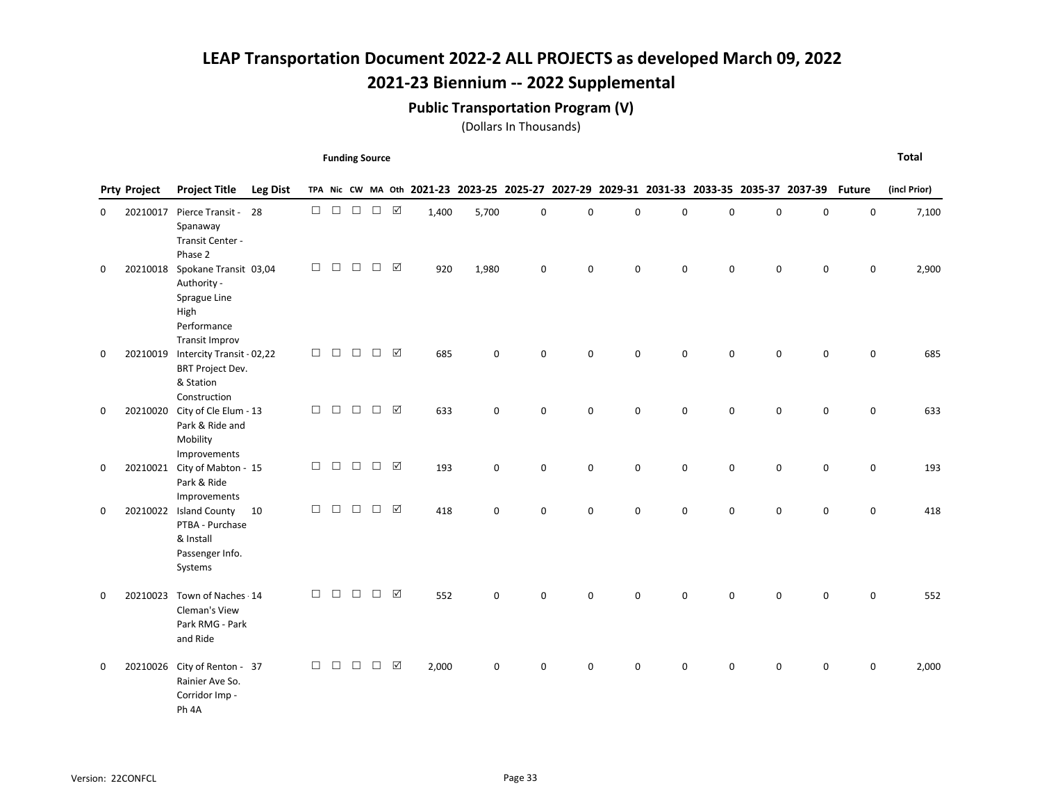## 2021-23 Biennium -- 2022 Supplemental

### Public Transportation Program (V)

(Dollars In Thousands)

Funding Source

|          | <b>Prty Project</b> | <b>Project Title</b>                                                                                          | <b>Leg Dist</b> |        |        |               |        |             |       |             |   |             |          |             |   |             | TPA Nic CW MA Oth 2021-23 2023-25 2025-27 2027-29 2029-31 2031-33 2033-35 2035-37 2037-39 | <b>Future</b> | (incl Prior) |
|----------|---------------------|---------------------------------------------------------------------------------------------------------------|-----------------|--------|--------|---------------|--------|-------------|-------|-------------|---|-------------|----------|-------------|---|-------------|-------------------------------------------------------------------------------------------|---------------|--------------|
| 0        | 20210017            | Pierce Transit - 28<br>Spanaway<br>Transit Center -<br>Phase 2                                                |                 | $\Box$ | $\Box$ | $\Box$        | $\Box$ | ☑           | 1,400 | 5,700       | 0 | $\mathbf 0$ | 0        | 0           | 0 | $\mathbf 0$ | 0                                                                                         | $\mathbf 0$   | 7,100        |
| 0        |                     | 20210018 Spokane Transit 03,04<br>Authority -<br>Sprague Line<br>High<br>Performance<br><b>Transit Improv</b> |                 | $\Box$ | $\Box$ | $\Box$        | $\Box$ | ☑           | 920   | 1,980       | 0 | $\mathbf 0$ | 0        | 0           | 0 | $\mathbf 0$ | 0                                                                                         | 0             | 2,900        |
| 0        |                     | 20210019 Intercity Transit - 02,22<br><b>BRT Project Dev.</b><br>& Station<br>Construction                    |                 | $\Box$ | $\Box$ | $\Box$        | $\Box$ | ☑           | 685   | $\pmb{0}$   | 0 | $\mathbf 0$ | 0        | $\Omega$    | 0 | $\mathbf 0$ | 0                                                                                         | $\mathbf 0$   | 685          |
| 0        |                     | 20210020 City of Cle Elum - 13<br>Park & Ride and<br>Mobility<br>Improvements                                 |                 | $\Box$ | $\Box$ | $\Box$        | $\Box$ | $\boxtimes$ | 633   | $\mathbf 0$ | 0 | $\mathbf 0$ | 0        | $\Omega$    | 0 | $\mathbf 0$ | 0                                                                                         | $\mathbf 0$   | 633          |
| 0        |                     | 20210021 City of Mabton - 15<br>Park & Ride<br>Improvements                                                   |                 | $\Box$ | $\Box$ | $\Box$        | $\Box$ | ☑           | 193   | $\mathsf 0$ | 0 | $\mathsf 0$ | 0        | $\mathbf 0$ | 0 | $\mathsf 0$ | 0                                                                                         | $\mathsf 0$   | 193          |
| $\Omega$ |                     | 20210022 Island County<br>PTBA - Purchase<br>& Install<br>Passenger Info.<br>Systems                          | 10              | $\Box$ | $\Box$ | $\Box$        | $\Box$ | $\boxtimes$ | 418   | $\Omega$    | 0 | $\Omega$    | $\Omega$ | $\Omega$    | 0 | $\mathbf 0$ | 0                                                                                         | 0             | 418          |
| 0        | 20210023            | Town of Naches 14<br>Cleman's View<br>Park RMG - Park<br>and Ride                                             |                 | $\Box$ |        | $\Box$ $\Box$ | $\Box$ | ☑           | 552   | 0           | 0 | $\mathbf 0$ | 0        | $\Omega$    | 0 | $\pmb{0}$   | 0                                                                                         | $\mathbf 0$   | 552          |
| $\Omega$ | 20210026            | City of Renton - 37<br>Rainier Ave So.<br>Corridor Imp -<br>Ph <sub>4A</sub>                                  |                 | □      | $\Box$ | $\Box$        | $\Box$ | $\boxtimes$ | 2,000 | 0           | 0 | $\Omega$    | $\Omega$ | $\Omega$    | 0 | $\mathbf 0$ | 0                                                                                         | 0             | 2,000        |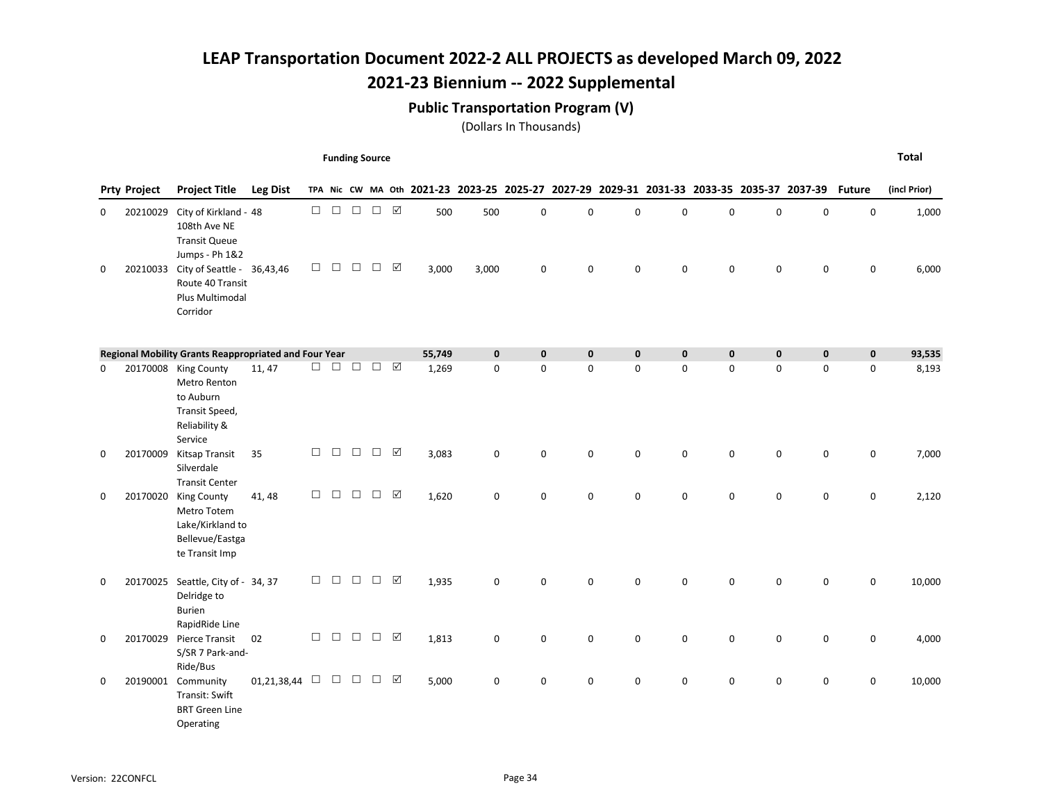## 2021-23 Biennium -- 2022 Supplemental

### Public Transportation Program (V)

(Dollars In Thousands)

Funding Source

Total

|   | <b>Prty Project</b> | <b>Project Title</b>                                                                                     | <b>Leg Dist</b> |        |        |        |        |             |        |             |             |             |             |             |             |             | TPA Nic CW MA Oth 2021-23 2023-25 2025-27 2027-29 2029-31 2031-33 2033-35 2035-37 2037-39 | <b>Future</b> | (incl Prior) |
|---|---------------------|----------------------------------------------------------------------------------------------------------|-----------------|--------|--------|--------|--------|-------------|--------|-------------|-------------|-------------|-------------|-------------|-------------|-------------|-------------------------------------------------------------------------------------------|---------------|--------------|
| 0 | 20210029            | City of Kirkland - 48<br>108th Ave NE<br><b>Transit Queue</b>                                            |                 |        |        |        |        |             | 500    | 500         | 0           | $\mathsf 0$ | 0           | 0           | 0           | 0           | $\mathsf 0$                                                                               | $\pmb{0}$     | 1,000        |
| 0 |                     | Jumps - Ph 1&2<br>20210033 City of Seattle - 36,43,46<br>Route 40 Transit<br>Plus Multimodal<br>Corridor |                 | $\Box$ | $\Box$ | □      | $\Box$ | ☑           | 3,000  | 3,000       | 0           | $\mathbf 0$ | $\mathbf 0$ | $\mathbf 0$ | 0           | 0           | $\mathbf 0$                                                                               | 0             | 6,000        |
|   |                     | Regional Mobility Grants Reappropriated and Four Year                                                    |                 |        |        |        |        |             | 55,749 | $\mathbf 0$ | $\mathbf 0$ | $\bf{0}$    | $\mathbf 0$ | $\mathbf 0$ | $\mathbf 0$ | $\mathbf 0$ | $\mathbf 0$                                                                               | $\mathbf 0$   | 93,535       |
| 0 |                     | 20170008 King County<br><b>Metro Renton</b><br>to Auburn<br>Transit Speed,<br>Reliability &<br>Service   | 11, 47          | $\Box$ | $\Box$ | $\Box$ | $\Box$ | ☑           | 1,269  | 0           | $\mathbf 0$ | $\mathbf 0$ | $\mathbf 0$ | 0           | 0           | 0           | $\mathbf 0$                                                                               | $\mathsf 0$   | 8,193        |
| 0 | 20170009            | Kitsap Transit<br>Silverdale<br><b>Transit Center</b>                                                    | 35              | $\Box$ | $\Box$ | $\Box$ | $\Box$ | ☑           | 3,083  | 0           | $\mathsf 0$ | $\mathbf 0$ | $\mathsf 0$ | 0           | $\mathsf 0$ | 0           | $\mathsf{O}\xspace$                                                                       | $\mathsf 0$   | 7,000        |
| 0 | 20170020            | <b>King County</b><br>Metro Totem<br>Lake/Kirkland to<br>Bellevue/Eastga<br>te Transit Imp               | 41, 48          | $\Box$ | $\Box$ | $\Box$ | $\Box$ | $\boxtimes$ | 1,620  | 0           | $\mathsf 0$ | $\mathsf 0$ | $\mathsf 0$ | 0           | 0           | 0           | $\mathbf 0$                                                                               | $\mathsf 0$   | 2,120        |
| 0 | 20170025            | Seattle, City of - 34, 37<br>Delridge to<br><b>Burien</b><br>RapidRide Line                              |                 | $\Box$ | $\Box$ | $\Box$ | $\Box$ | ☑           | 1,935  | $\mathbf 0$ | $\mathbf 0$ | $\mathbf 0$ | $\mathbf 0$ | $\mathbf 0$ | 0           | 0           | $\mathbf 0$                                                                               | $\mathbf 0$   | 10,000       |
| 0 | 20170029            | Pierce Transit<br>S/SR 7 Park-and-<br>Ride/Bus                                                           | 02              | $\Box$ | $\Box$ | $\Box$ | $\Box$ | ☑           | 1,813  | $\mathbf 0$ | $\mathbf 0$ | $\mathbf 0$ | $\mathbf 0$ | $\mathbf 0$ | 0           | 0           | $\mathbf 0$                                                                               | 0             | 4,000        |
| 0 | 20190001            | Community<br>Transit: Swift<br><b>BRT Green Line</b>                                                     | 01,21,38,44     | $\Box$ | □      | $\Box$ | $\Box$ | ☑           | 5,000  | 0           | $\mathsf 0$ | $\mathsf 0$ | $\mathsf 0$ | 0           | 0           | 0           | $\mathbf 0$                                                                               | $\mathsf 0$   | 10,000       |

Operating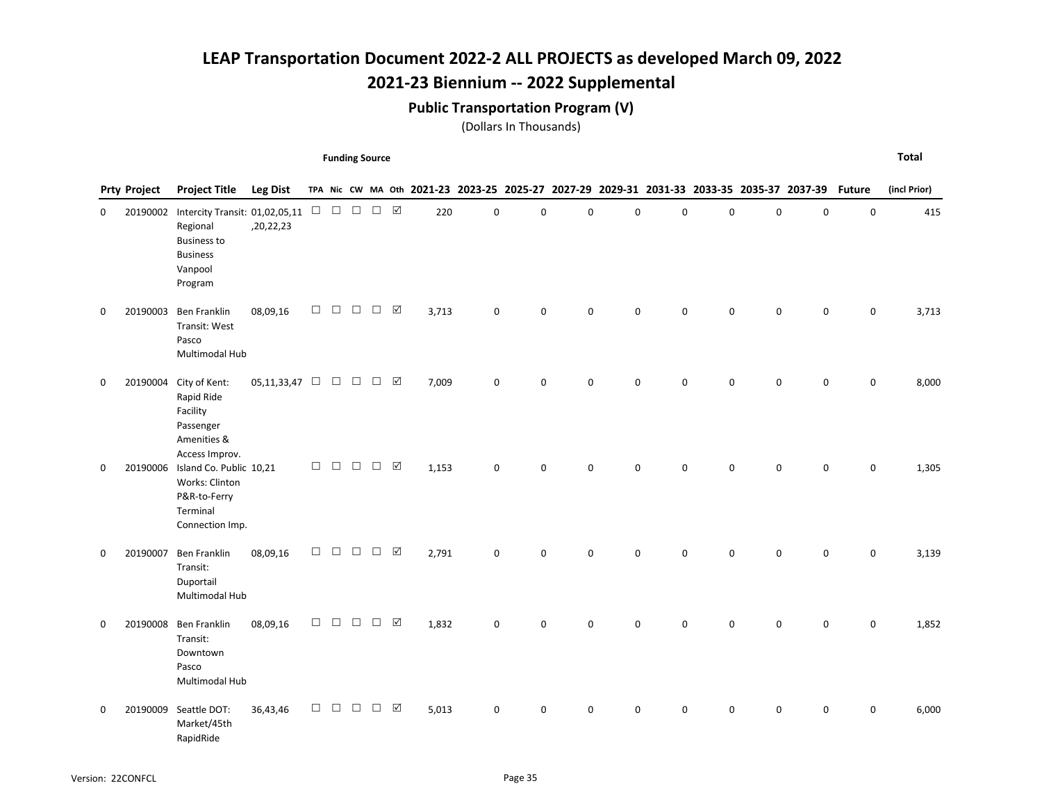## 2021-23 Biennium -- 2022 Supplemental

### Public Transportation Program (V)

(Dollars In Thousands)

Funding Source

|          | <b>Prty Project</b> | <b>Project Title</b>                                                                                             | <b>Leg Dist</b> |        |        |               |        |                 |       |   |             |             |             |             |          |             | TPA Nic CW MA Oth 2021-23 2023-25 2025-27 2027-29 2029-31 2031-33 2033-35 2035-37 2037-39 Future |             | (incl Prior) |
|----------|---------------------|------------------------------------------------------------------------------------------------------------------|-----------------|--------|--------|---------------|--------|-----------------|-------|---|-------------|-------------|-------------|-------------|----------|-------------|--------------------------------------------------------------------------------------------------|-------------|--------------|
| 0        | 20190002            | Intercity Transit: 01,02,05,11 $\Box$<br>Regional<br><b>Business to</b><br><b>Business</b><br>Vanpool<br>Program | ,20,22,23       |        |        | $\Box$ $\Box$ | $\Box$ | $\triangledown$ | 220   | 0 | $\mathsf 0$ | $\mathbf 0$ | $\pmb{0}$   | $\mathbf 0$ | 0        | $\pmb{0}$   | $\mathsf 0$                                                                                      | $\pmb{0}$   | 415          |
| 0        | 20190003            | <b>Ben Franklin</b><br>Transit: West<br>Pasco<br>Multimodal Hub                                                  | 08,09,16        | $\Box$ | $\Box$ | $\Box$        | $\Box$ | ☑               | 3,713 | 0 | $\mathbf 0$ | $\mathsf 0$ | $\mathsf 0$ | 0           | 0        | $\pmb{0}$   | $\mathsf 0$                                                                                      | 0           | 3,713        |
| 0        | 20190004            | City of Kent:<br>Rapid Ride<br>Facility<br>Passenger<br>Amenities &<br>Access Improv.                            | 05,11,33,47     | $\Box$ | $\Box$ | $\Box$        | $\Box$ | ☑               | 7,009 | 0 | $\mathbf 0$ | $\mathsf 0$ | 0           | 0           | 0        | 0           | 0                                                                                                | 0           | 8,000        |
| 0        | 20190006            | Island Co. Public 10,21<br>Works: Clinton<br>P&R-to-Ferry<br>Terminal<br>Connection Imp.                         |                 | $\Box$ | $\Box$ | $\Box$        | $\Box$ | $\boxtimes$     | 1,153 | 0 | $\mathbf 0$ | $\mathbf 0$ | $\mathbf 0$ | $\mathbf 0$ | 0        | $\mathbf 0$ | $\mathbf 0$                                                                                      | 0           | 1,305        |
| 0        | 20190007            | <b>Ben Franklin</b><br>Transit:<br>Duportail<br>Multimodal Hub                                                   | 08,09,16        | $\Box$ | $\Box$ | $\Box$        | $\Box$ | ☑               | 2,791 | 0 | $\mathbf 0$ | $\Omega$    | $\mathbf 0$ | $\Omega$    | $\Omega$ | $\mathbf 0$ | $\mathbf 0$                                                                                      | $\pmb{0}$   | 3,139        |
| $\Omega$ | 20190008            | <b>Ben Franklin</b><br>Transit:<br>Downtown<br>Pasco<br>Multimodal Hub                                           | 08,09,16        | $\Box$ | □      | $\Box$        | $\Box$ | ☑               | 1,832 | 0 | $\mathbf 0$ | $\mathbf 0$ | $\mathbf 0$ | $\mathbf 0$ | 0        | 0           | 0                                                                                                | 0           | 1,852        |
| 0        | 20190009            | Seattle DOT:<br>Market/45th<br>RapidRide                                                                         | 36,43,46        | $\Box$ | □      | $\Box$        | П      | ☑               | 5,013 | 0 | 0           | $\mathbf 0$ | $\mathbf 0$ | 0           | 0        | 0           | 0                                                                                                | $\mathbf 0$ | 6,000        |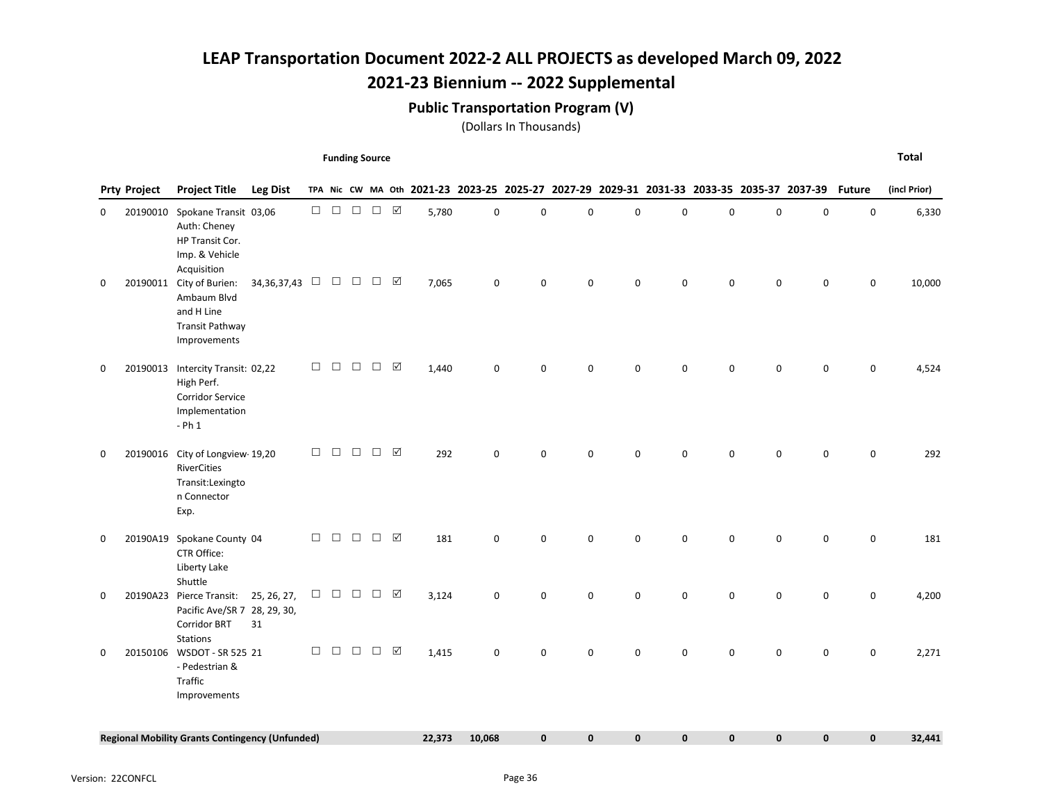## 2021-23 Biennium -- 2022 Supplemental

### Public Transportation Program (V)

(Dollars In Thousands)

Funding Source

|   | <b>Prty Project</b> | <b>Project Title</b>                                                                                       | <b>Leg Dist</b>   |        |        |               |               |             |        |             |              |             |              |              |              |              | TPA Nic CW MA Oth 2021-23 2023-25 2025-27 2027-29 2029-31 2031-33 2033-35 2035-37 2037-39 Future |              | (incl Prior) |
|---|---------------------|------------------------------------------------------------------------------------------------------------|-------------------|--------|--------|---------------|---------------|-------------|--------|-------------|--------------|-------------|--------------|--------------|--------------|--------------|--------------------------------------------------------------------------------------------------|--------------|--------------|
| 0 | 20190010            | Spokane Transit 03,06<br>Auth: Cheney<br>HP Transit Cor.<br>Imp. & Vehicle<br>Acquisition                  |                   | $\Box$ | $\Box$ | $\Box$        | $\Box$        | $\boxtimes$ | 5,780  | 0           | $\mathbf 0$  | $\mathbf 0$ | $\mathbf 0$  | $\mathbf 0$  | 0            | $\mathbf 0$  | 0                                                                                                | 0            | 6,330        |
| 0 | 20190011            | City of Burien:<br>Ambaum Blvd<br>and H Line<br><b>Transit Pathway</b><br>Improvements                     | 34, 36, 37, 43    |        | $\Box$ | $\Box$        | $\Box$        | ☑           | 7,065  | $\mathbf 0$ | $\mathsf 0$  | $\mathbf 0$ | $\mathbf 0$  | $\mathbf 0$  | 0            | $\pmb{0}$    | $\mathbf 0$                                                                                      | 0            | 10,000       |
| 0 |                     | 20190013 Intercity Transit: 02,22<br>High Perf.<br><b>Corridor Service</b><br>Implementation<br>$-$ Ph $1$ |                   | $\Box$ |        | $\Box$ $\Box$ | $\Box$ $\Box$ |             | 1,440  | 0           | $\mathbf 0$  | $\mathbf 0$ | $\mathbf 0$  | 0            | 0            | $\mathbf 0$  | $\mathbf 0$                                                                                      | 0            | 4,524        |
| 0 |                     | 20190016 City of Longview- 19,20<br>RiverCities<br>Transit:Lexingto<br>n Connector<br>Exp.                 |                   | $\Box$ |        | $\Box$ $\Box$ | $\Box$ $\Box$ |             | 292    | 0           | 0            | $\mathbf 0$ | $\mathbf 0$  | $\mathbf 0$  | 0            | 0            | 0                                                                                                | 0            | 292          |
| 0 |                     | 20190A19 Spokane County 04<br>CTR Office:<br>Liberty Lake<br>Shuttle                                       |                   | $\Box$ | $\Box$ | $\Box$        | $\Box$        | $\boxtimes$ | 181    | 0           | $\mathbf 0$  | $\mathbf 0$ | $\mathbf 0$  | $\mathbf 0$  | 0            | $\mathbf 0$  | $\mathbf 0$                                                                                      | $\mathbf 0$  | 181          |
| 0 |                     | 20190A23 Pierce Transit:<br>Pacific Ave/SR 7 28, 29, 30,<br><b>Corridor BRT</b><br><b>Stations</b>         | 25, 26, 27,<br>31 | $\Box$ | $\Box$ | $\Box$        | $\Box$        | ☑           | 3,124  | 0           | $\mathbf 0$  | $\mathbf 0$ | $\mathbf 0$  | $\mathbf 0$  | $\mathbf 0$  | $\pmb{0}$    | $\mathbf 0$                                                                                      | 0            | 4,200        |
| 0 | 20150106            | WSDOT - SR 525 21<br>- Pedestrian &<br>Traffic<br>Improvements                                             |                   | $\Box$ |        | $\Box$ $\Box$ | $\Box$        |             | 1,415  | 0           | $\mathsf 0$  | $\mathbf 0$ | $\mathbf 0$  | $\mathbf 0$  | 0            | $\pmb{0}$    | 0                                                                                                | 0            | 2,271        |
|   |                     | <b>Regional Mobility Grants Contingency (Unfunded)</b>                                                     |                   |        |        |               |               |             | 22,373 | 10,068      | $\mathbf{0}$ | $\mathbf 0$ | $\mathbf{0}$ | $\mathbf{0}$ | $\mathbf{0}$ | $\mathbf{0}$ | $\mathbf{0}$                                                                                     | $\mathbf{0}$ | 32,441       |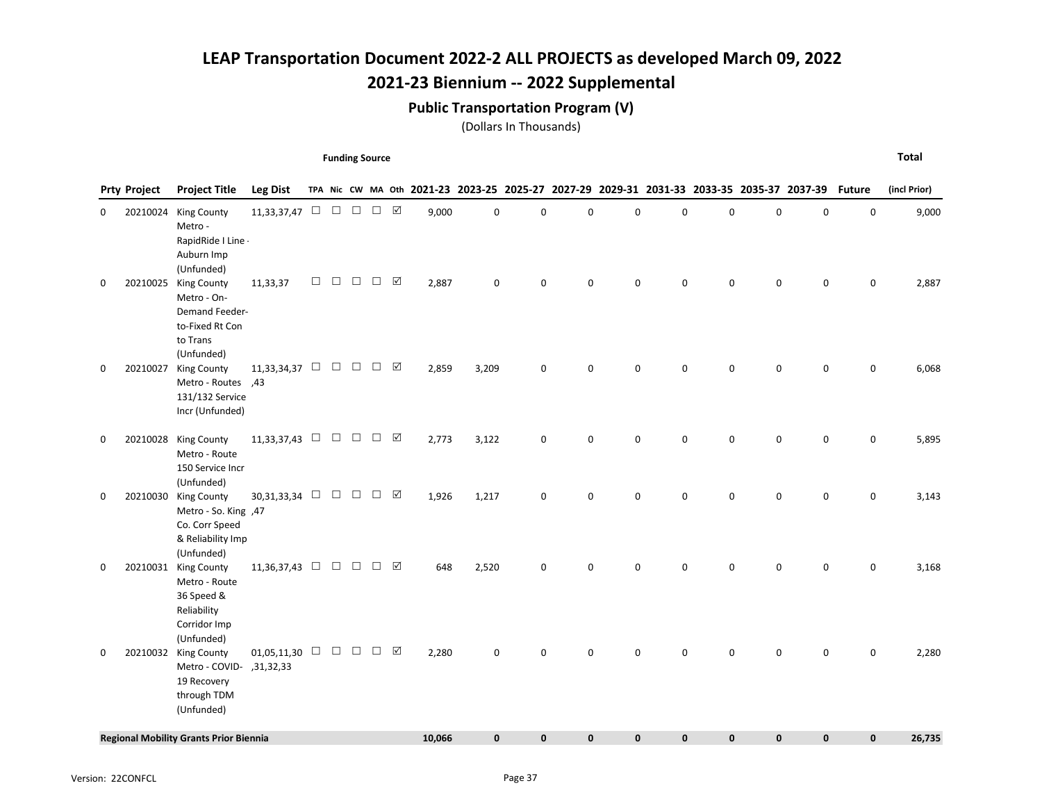## 2021-23 Biennium -- 2022 Supplemental

### Public Transportation Program (V)

(Dollars In Thousands)

Funding Source

|   | <b>Prty Project</b> | <b>Project Title</b>                                                                             | <b>Leg Dist</b>             |        |        |                                                      |               |   |        |           |                     |   |             |             |             |           | TPA Nic CW MA Oth 2021-23 2023-25 2025-27 2027-29 2029-31 2031-33 2033-35 2035-37 2037-39 | <b>Future</b> | (incl Prior) |
|---|---------------------|--------------------------------------------------------------------------------------------------|-----------------------------|--------|--------|------------------------------------------------------|---------------|---|--------|-----------|---------------------|---|-------------|-------------|-------------|-----------|-------------------------------------------------------------------------------------------|---------------|--------------|
| 0 |                     | 20210024 King County<br>Metro -<br>RapidRide I Line -<br>Auburn Imp<br>(Unfunded)                | 11,33,37,47                 | $\Box$ | $\Box$ | $\Box$                                               | $\Box$        | ☑ | 9,000  | 0         | 0                   | 0 | $\mathbf 0$ | $\mathbf 0$ | 0           | 0         | 0                                                                                         | $\mathsf 0$   | 9,000        |
| 0 | 20210025            | <b>King County</b><br>Metro - On-<br>Demand Feeder-<br>to-Fixed Rt Con<br>to Trans<br>(Unfunded) | 11,33,37                    | $\Box$ | $\Box$ | $\Box$                                               | $\Box$        | ☑ | 2,887  | 0         | $\pmb{0}$           | 0 | $\pmb{0}$   | $\mathbf 0$ | 0           | 0         | $\mathbf 0$                                                                               | 0             | 2,887        |
| 0 |                     | 20210027 King County<br>A3, Metro - Routes<br>131/132 Service<br>Incr (Unfunded)                 | 11,33,34,37                 | $\Box$ |        | $\Box$ $\Box$                                        | $\Box$ $\Box$ |   | 2,859  | 3,209     | $\mathsf 0$         | 0 | $\pmb{0}$   | 0           | 0           | 0         | $\pmb{0}$                                                                                 | 0             | 6,068        |
| 0 | 20210028            | <b>King County</b><br>Metro - Route<br>150 Service Incr<br>(Unfunded)                            | 11,33,37,43 $\Box$          |        |        | $\begin{array}{ccc} & \square & \square \end{array}$ | $\Box$        | ☑ | 2,773  | 3,122     | $\mathsf{O}\xspace$ | 0 | $\pmb{0}$   | $\mathbf 0$ | 0           | 0         | 0                                                                                         | 0             | 5,895        |
| 0 | 20210030            | <b>King County</b><br>Metro - So. King ,47<br>Co. Corr Speed<br>& Reliability Imp<br>(Unfunded)  | $30,31,33,34$ $\Box$ $\Box$ |        |        |                                                      | $\Box$ $\Box$ |   | 1,926  | 1,217     | $\mathsf 0$         | 0 | $\pmb{0}$   | $\mathbf 0$ | $\mathsf 0$ | 0         | 0                                                                                         | 0             | 3,143        |
| 0 |                     | 20210031 King County<br>Metro - Route<br>36 Speed &<br>Reliability<br>Corridor Imp<br>(Unfunded) | 11,36,37,43                 |        | $\Box$ | $\Box$                                               | $\Box$        | ☑ | 648    | 2,520     | $\mathbf 0$         | 0 | $\mathbf 0$ | $\mathbf 0$ | 0           | 0         | 0                                                                                         | 0             | 3,168        |
| 0 |                     | 20210032 King County<br>Metro - COVID- , 31, 32, 33<br>19 Recovery<br>through TDM<br>(Unfunded)  | 01,05,11,30 $\Box$          |        | $\Box$ | $\Box$                                               | $\Box$        | ☑ | 2,280  | 0         | $\mathbf 0$         | 0 | $\mathbf 0$ | $\mathbf 0$ | 0           | 0         | $\mathbf 0$                                                                               | 0             | 2,280        |
|   |                     | <b>Regional Mobility Grants Prior Biennia</b>                                                    |                             |        |        |                                                      |               |   | 10,066 | $\pmb{0}$ | $\mathbf 0$         | 0 | $\bf{0}$    | $\mathbf 0$ | 0           | $\pmb{0}$ | $\pmb{0}$                                                                                 | 0             | 26,735       |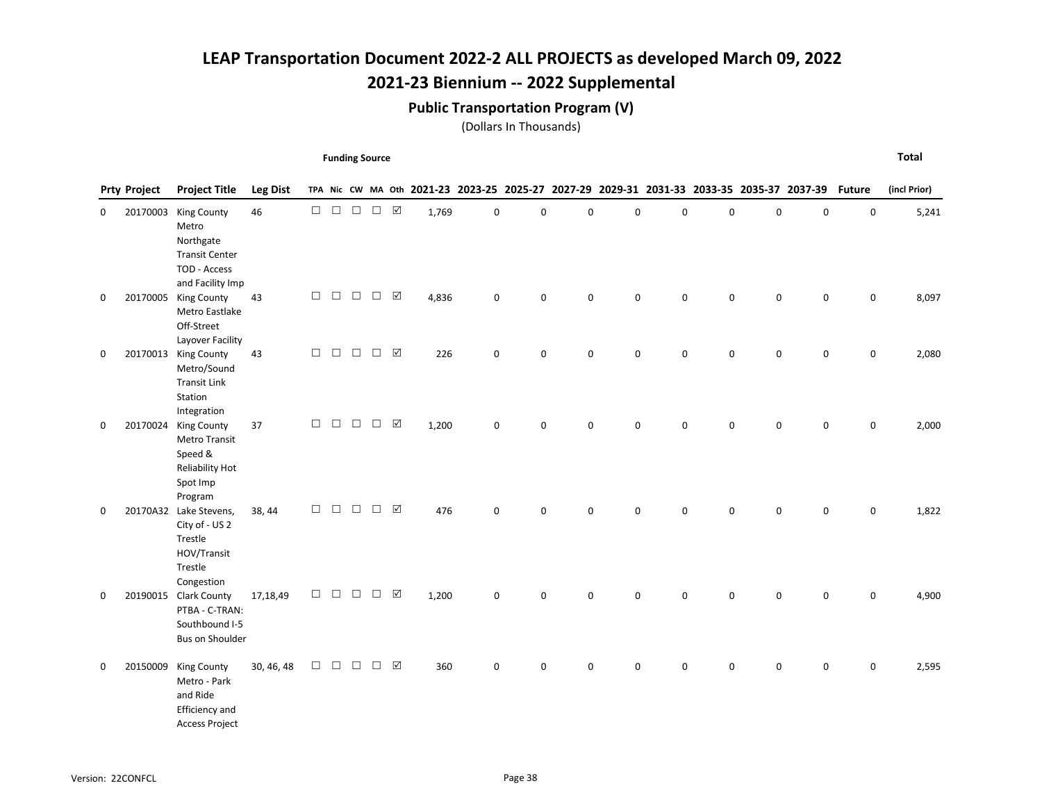## 2021-23 Biennium -- 2022 Supplemental

### Public Transportation Program (V)

(Dollars In Thousands)

Funding Source

|          | <b>Prty Project</b> | <b>Project Title</b>                                                                                    | <b>Leg Dist</b> |        |        |               |        |                     |       |             |           |             |             |             |          |             | TPA Nic CW MA Oth 2021-23 2023-25 2025-27 2027-29 2029-31 2031-33 2033-35 2035-37 2037-39 | <b>Future</b> | (incl Prior) |
|----------|---------------------|---------------------------------------------------------------------------------------------------------|-----------------|--------|--------|---------------|--------|---------------------|-------|-------------|-----------|-------------|-------------|-------------|----------|-------------|-------------------------------------------------------------------------------------------|---------------|--------------|
| 0        |                     | 20170003 King County<br>Metro<br>Northgate<br><b>Transit Center</b><br>TOD - Access<br>and Facility Imp | 46              | $\Box$ |        | $\Box$ $\Box$ |        | $\Box \quad \nabla$ | 1,769 | $\mathsf 0$ | 0         | $\mathbf 0$ | $\mathbf 0$ | 0           | 0        | $\pmb{0}$   | 0                                                                                         | $\pmb{0}$     | 5,241        |
| 0        |                     | 20170005 King County<br>Metro Eastlake<br>Off-Street<br>Layover Facility                                | 43              | $\Box$ | $\Box$ | $\Box$        | $\Box$ | ☑                   | 4,836 | $\pmb{0}$   | $\pmb{0}$ | $\mathbf 0$ | $\mathbf 0$ | $\mathbf 0$ | 0        | 0           | 0                                                                                         | $\mathbf 0$   | 8,097        |
| 0        |                     | 20170013 King County<br>Metro/Sound<br><b>Transit Link</b><br>Station<br>Integration                    | 43              | $\Box$ | $\Box$ | $\Box$        | $\Box$ | $\boxed{\vee}$      | 226   | $\mathbf 0$ | 0         | $\mathsf 0$ | 0           | 0           | 0        | $\mathsf 0$ | 0                                                                                         | $\mathbf 0$   | 2,080        |
| 0        |                     | 20170024 King County<br>Metro Transit<br>Speed &<br><b>Reliability Hot</b><br>Spot Imp<br>Program       | 37              | $\Box$ | $\Box$ | $\Box$        |        | $\Box \quad \nabla$ | 1,200 | $\mathsf 0$ | $\pmb{0}$ | $\mathsf 0$ | 0           | 0           | 0        | $\mathsf 0$ | 0                                                                                         | $\mathbf 0$   | 2,000        |
| 0        |                     | 20170A32 Lake Stevens,<br>City of - US 2<br>Trestle<br>HOV/Transit<br>Trestle<br>Congestion             | 38, 44          | $\Box$ | $\Box$ | $\Box$        | $\Box$ | ☑                   | 476   | $\mathbf 0$ | 0         | $\mathbf 0$ | $\mathbf 0$ | 0           | 0        | $\mathbf 0$ | $\mathbf 0$                                                                               | 0             | 1,822        |
| 0        |                     | 20190015 Clark County<br>PTBA - C-TRAN:<br>Southbound I-5<br><b>Bus on Shoulder</b>                     | 17,18,49        | $\Box$ | $\Box$ | $\Box$        | $\Box$ | $\boxtimes$         | 1,200 | $\mathsf 0$ | 0         | $\mathbf 0$ | 0           | 0           | 0        | 0           | 0                                                                                         | 0             | 4,900        |
| $\Omega$ | 20150009            | <b>King County</b><br>Metro - Park<br>and Ride<br>Efficiency and<br><b>Access Project</b>               | 30, 46, 48      | □      | $\Box$ | П             | П      | ☑                   | 360   | 0           | 0         | $\Omega$    | $\Omega$    | $\Omega$    | $\Omega$ | $\Omega$    | $\Omega$                                                                                  | 0             | 2,595        |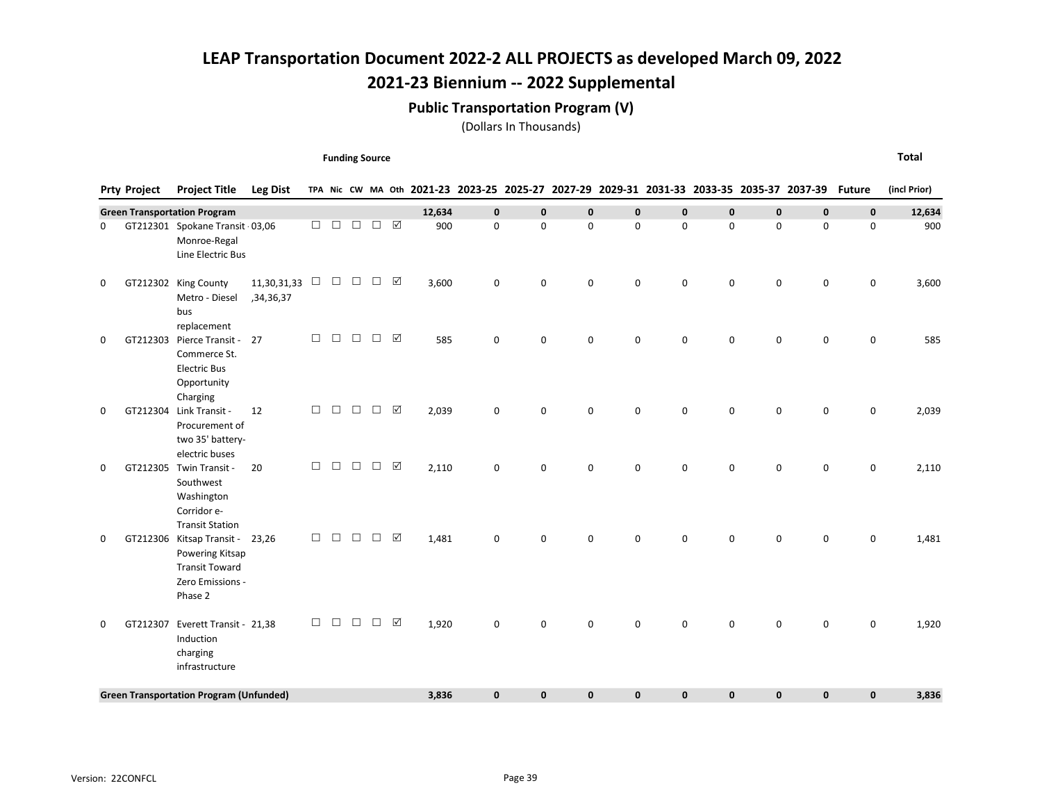## 2021-23 Biennium -- 2022 Supplemental

### Public Transportation Program (V)

(Dollars In Thousands)

Funding Source

|             | <b>Prty Project</b> | <b>Project Title</b>                                                                                 | <b>Leg Dist</b>          |        |        |                                                    |        |   |        |             |              |              |              |             |   |             | TPA Nic CW MA Oth 2021-23 2023-25 2025-27 2027-29 2029-31 2031-33 2033-35 2035-37 2037-39 | <b>Future</b> | (incl Prior) |
|-------------|---------------------|------------------------------------------------------------------------------------------------------|--------------------------|--------|--------|----------------------------------------------------|--------|---|--------|-------------|--------------|--------------|--------------|-------------|---|-------------|-------------------------------------------------------------------------------------------|---------------|--------------|
|             |                     | <b>Green Transportation Program</b>                                                                  |                          |        |        |                                                    |        |   | 12,634 | $\mathbf 0$ | $\mathbf 0$  | $\mathbf{0}$ | $\mathbf 0$  | $\mathbf 0$ | 0 | $\mathbf 0$ | 0                                                                                         | $\mathbf 0$   | 12,634       |
| 0           |                     | GT212301 Spokane Transit 03,06<br>Monroe-Regal<br>Line Electric Bus                                  |                          | $\Box$ | $\Box$ | $\Box$                                             | $\Box$ | ☑ | 900    | $\mathbf 0$ | 0            | $\mathsf 0$  | 0            | $\mathbf 0$ | 0 | $\mathsf 0$ | $\mathbf 0$                                                                               | $\mathsf 0$   | 900          |
| $\mathbf 0$ |                     | GT212302 King County<br>Metro - Diesel<br>bus<br>replacement                                         | 11,30,31,33<br>,34,36,37 |        |        | $\begin{array}{ccc} \square & \square \end{array}$ | $\Box$ | ☑ | 3,600  | 0           | 0            | 0            | $\mathbf 0$  | 0           | 0 | 0           | 0                                                                                         | 0             | 3,600        |
| 0           |                     | GT212303 Pierce Transit -<br>Commerce St.<br><b>Electric Bus</b><br>Opportunity<br>Charging          | 27                       | $\Box$ | $\Box$ | $\Box$                                             | $\Box$ | ☑ | 585    | $\mathsf 0$ | 0            | $\mathsf 0$  | 0            | 0           | 0 | 0           | 0                                                                                         | $\mathsf 0$   | 585          |
| 0           |                     | GT212304 Link Transit -<br>Procurement of<br>two 35' battery-<br>electric buses                      | 12                       | $\Box$ | П      | $\Box$                                             | $\Box$ | ☑ | 2,039  | $\mathbf 0$ | 0            | $\mathbf 0$  | $\mathbf 0$  | $\mathbf 0$ | 0 | $\mathsf 0$ | $\pmb{0}$                                                                                 | $\pmb{0}$     | 2,039        |
| 0           |                     | GT212305 Twin Transit -<br>Southwest<br>Washington<br>Corridor e-<br><b>Transit Station</b>          | 20                       | $\Box$ | □      | $\Box$                                             | $\Box$ | ☑ | 2,110  | 0           | 0            | $\Omega$     | 0            | $\mathbf 0$ | 0 | $\mathbf 0$ | 0                                                                                         | $\mathsf 0$   | 2,110        |
| 0           |                     | GT212306 Kitsap Transit -<br>Powering Kitsap<br><b>Transit Toward</b><br>Zero Emissions -<br>Phase 2 | 23,26                    | $\Box$ | $\Box$ | П                                                  | $\Box$ | ☑ | 1,481  | 0           | 0            | $\Omega$     | 0            | $\mathbf 0$ | 0 | $\mathbf 0$ | 0                                                                                         | $\mathbf 0$   | 1,481        |
| $\Omega$    | GT212307            | Everett Transit - 21,38<br>Induction<br>charging<br>infrastructure                                   |                          | $\Box$ | $\Box$ | $\Box$                                             | $\Box$ | ☑ | 1,920  | 0           | 0            | $\mathbf 0$  | 0            | $\mathbf 0$ | 0 | 0           | 0                                                                                         | $\mathsf 0$   | 1,920        |
|             |                     | <b>Green Transportation Program (Unfunded)</b>                                                       |                          |        |        |                                                    |        |   | 3,836  | $\mathbf 0$ | $\mathbf{0}$ | $\mathbf 0$  | $\mathbf{0}$ | $\mathbf 0$ | 0 | $\mathbf 0$ | 0                                                                                         | $\mathbf 0$   | 3,836        |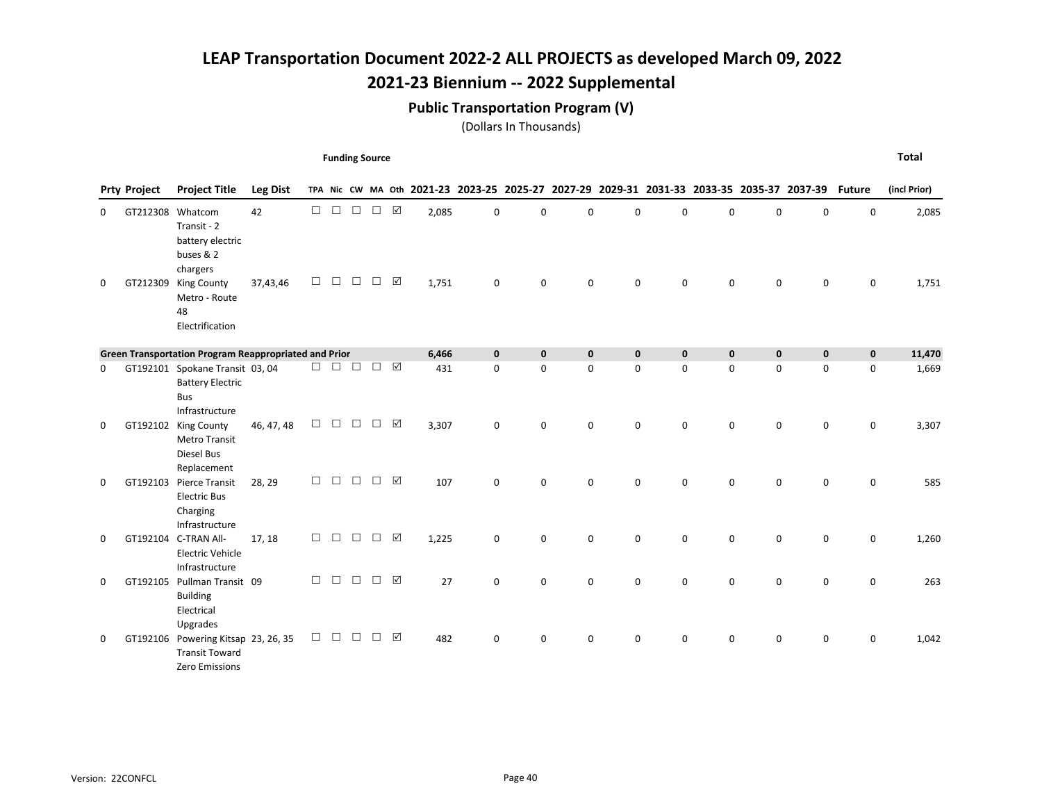## 2021-23 Biennium -- 2022 Supplemental

### Public Transportation Program (V)

(Dollars In Thousands)

Funding Source

|          | <b>Prty Project</b> | <b>Project Title</b>                                                                       | <b>Leg Dist</b> |        |        |        |        |                 |       |             |             |             |             |             |             |             | TPA Nic CW MA Oth 2021-23 2023-25 2025-27 2027-29 2029-31 2031-33 2033-35 2035-37 2037-39 | <b>Future</b> | (incl Prior) |
|----------|---------------------|--------------------------------------------------------------------------------------------|-----------------|--------|--------|--------|--------|-----------------|-------|-------------|-------------|-------------|-------------|-------------|-------------|-------------|-------------------------------------------------------------------------------------------|---------------|--------------|
| 0        | GT212308            | Whatcom<br>Transit - 2<br>battery electric<br>buses & 2<br>chargers                        | 42              | $\Box$ | $\Box$ | $\Box$ | $\Box$ | $\boxtimes$     | 2,085 | 0           | 0           | $\mathbf 0$ | 0           | $\mathbf 0$ | 0           | $\mathsf 0$ | 0                                                                                         | $\mathsf 0$   | 2,085        |
| 0        | GT212309            | <b>King County</b><br>Metro - Route<br>48<br>Electrification                               | 37,43,46        | □      | П      | П      | П      | ☑               | 1,751 | $\mathbf 0$ | $\mathbf 0$ | $\mathbf 0$ | $\Omega$    | $\Omega$    | $\mathbf 0$ | $\mathbf 0$ | $\mathbf 0$                                                                               | 0             | 1,751        |
|          |                     | <b>Green Transportation Program Reappropriated and Prior</b>                               |                 |        |        |        |        |                 | 6,466 | $\mathbf 0$ | $\mathbf 0$ | $\mathbf 0$ | $\mathbf 0$ | $\mathbf 0$ | $\mathbf 0$ | $\mathbf 0$ | $\mathbf 0$                                                                               | $\pmb{0}$     | 11,470       |
| 0        |                     | GT192101 Spokane Transit 03, 04<br><b>Battery Electric</b><br><b>Bus</b><br>Infrastructure |                 | □      | □      | $\Box$ | $\Box$ | ☑               | 431   | $\Omega$    | $\Omega$    | $\Omega$    | $\Omega$    | $\Omega$    | $\mathbf 0$ | $\mathbf 0$ | $\mathbf 0$                                                                               | $\mathbf 0$   | 1,669        |
| 0        |                     | GT192102 King County<br><b>Metro Transit</b><br>Diesel Bus<br>Replacement                  | 46, 47, 48      | $\Box$ | $\Box$ | П      | П      | ☑               | 3,307 | $\mathbf 0$ | 0           | $\mathbf 0$ | $\Omega$    | 0           | $\mathbf 0$ | $\mathbf 0$ | $\mathbf 0$                                                                               | $\mathbf 0$   | 3,307        |
| $\Omega$ | GT192103            | Pierce Transit<br><b>Electric Bus</b><br>Charging<br>Infrastructure                        | 28, 29          | $\Box$ | $\Box$ | $\Box$ | $\Box$ | ☑               | 107   | $\Omega$    | $\Omega$    | $\Omega$    | $\Omega$    | $\Omega$    | $\Omega$    | $\Omega$    | $\Omega$                                                                                  | $\Omega$      | 585          |
| $\Omega$ |                     | GT192104 C-TRAN All-<br><b>Electric Vehicle</b><br>Infrastructure                          | 17, 18          | $\Box$ | $\Box$ | $\Box$ | $\Box$ | ☑               | 1,225 | $\mathbf 0$ | 0           | $\mathbf 0$ | 0           | 0           | $\mathbf 0$ | 0           | $\mathbf 0$                                                                               | $\mathbf 0$   | 1,260        |
| 0        |                     | GT192105 Pullman Transit 09<br><b>Building</b><br>Electrical<br>Upgrades                   |                 | П      | $\Box$ | П      | $\Box$ | $\triangledown$ | 27    | $\Omega$    | 0           | $\Omega$    | $\Omega$    | $\Omega$    | $\mathbf 0$ | $\mathsf 0$ | $\mathbf 0$                                                                               | $\mathbf 0$   | 263          |
| 0        |                     | GT192106 Powering Kitsap 23, 26, 35<br><b>Transit Toward</b><br><b>Zero Emissions</b>      |                 | $\Box$ | $\Box$ | $\Box$ | п      | ☑               | 482   | 0           | 0           | $\mathbf 0$ | $\Omega$    | $\Omega$    | $\mathbf 0$ | $\mathbf 0$ | $\mathbf 0$                                                                               | 0             | 1,042        |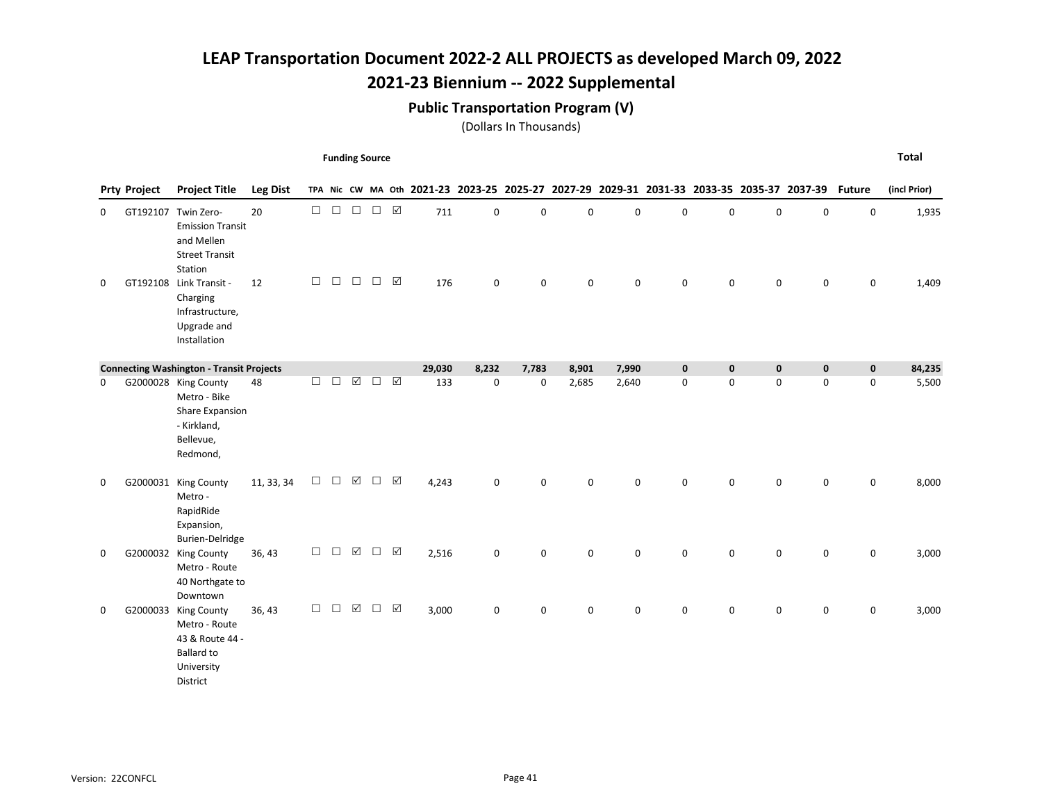## 2021-23 Biennium -- 2022 Supplemental

### Public Transportation Program (V)

(Dollars In Thousands)

Funding Source

Total

|          | <b>Prty Project</b> | <b>Project Title</b>                                                                             | Leg Dist   |        |        |                      |        |               |        |             |             |             |             |             |             |           | TPA Nic CW MA Oth 2021-23 2023-25 2025-27 2027-29 2029-31 2031-33 2033-35 2035-37 2037-39 Future |                     | (incl Prior) |
|----------|---------------------|--------------------------------------------------------------------------------------------------|------------|--------|--------|----------------------|--------|---------------|--------|-------------|-------------|-------------|-------------|-------------|-------------|-----------|--------------------------------------------------------------------------------------------------|---------------------|--------------|
| $\Omega$ |                     | GT192107 Twin Zero-<br><b>Emission Transit</b><br>and Mellen<br><b>Street Transit</b><br>Station | 20         | $\Box$ | $\Box$ | $\Box$               | $\Box$ | ☑             | 711    | $\mathbf 0$ | $\mathbf 0$ | 0           | $\mathbf 0$ | $\mathbf 0$ | $\mathbf 0$ | 0         | $\pmb{0}$                                                                                        | $\mathsf 0$         | 1,935        |
| 0        |                     | GT192108 Link Transit -<br>Charging<br>Infrastructure,<br>Upgrade and<br>Installation            | 12         | П      | $\Box$ | П                    | $\Box$ | ☑             | 176    | $\mathbf 0$ | $\Omega$    | $\Omega$    | $\Omega$    | $\Omega$    | 0           | 0         | $\mathbf 0$                                                                                      | $\mathsf 0$         | 1,409        |
|          |                     | <b>Connecting Washington - Transit Projects</b>                                                  |            |        |        |                      |        |               | 29,030 | 8,232       | 7,783       | 8,901       | 7,990       | $\mathbf 0$ | 0           | $\pmb{0}$ | $\mathbf 0$                                                                                      | $\pmb{0}$           | 84,235       |
| 0        |                     | G2000028 King County<br>Metro - Bike<br>Share Expansion<br>- Kirkland,<br>Bellevue,<br>Redmond,  | 48         | $\Box$ | $\Box$ | ☑                    | $\Box$ | ☑             | 133    | 0           | 0           | 2,685       | 2,640       | 0           | 0           | 0         | $\mathsf{O}\xspace$                                                                              | $\mathsf{O}\xspace$ | 5,500        |
| 0        |                     | G2000031 King County<br>Metro -<br>RapidRide<br>Expansion,<br>Burien-Delridge                    | 11, 33, 34 | $\Box$ | $\Box$ | $\boxed{\checkmark}$ | $\Box$ | ☑             | 4,243  | $\mathbf 0$ | $\mathbf 0$ | $\mathbf 0$ | $\Omega$    | $\Omega$    | 0           | 0         | 0                                                                                                | $\mathsf 0$         | 8,000        |
| 0        |                     | G2000032 King County<br>Metro - Route<br>40 Northgate to<br>Downtown                             | 36, 43     | $\Box$ | $\Box$ | ☑                    | $\Box$ | ☑             | 2,516  | 0           | $\Omega$    | $\Omega$    | $\Omega$    | $\Omega$    | 0           | 0         | $\mathbf 0$                                                                                      | 0                   | 3,000        |
| 0        |                     | G2000033 King County<br>Metro - Route<br>43 & Route 44 -<br><b>Ballard to</b><br>University      | 36, 43     | $\Box$ | $\Box$ | ☑                    |        | $\Box$ $\Box$ | 3,000  | 0           | $\Omega$    | 0           | $\Omega$    | $\mathbf 0$ | 0           | 0         | $\mathbf 0$                                                                                      | $\mathsf 0$         | 3,000        |

District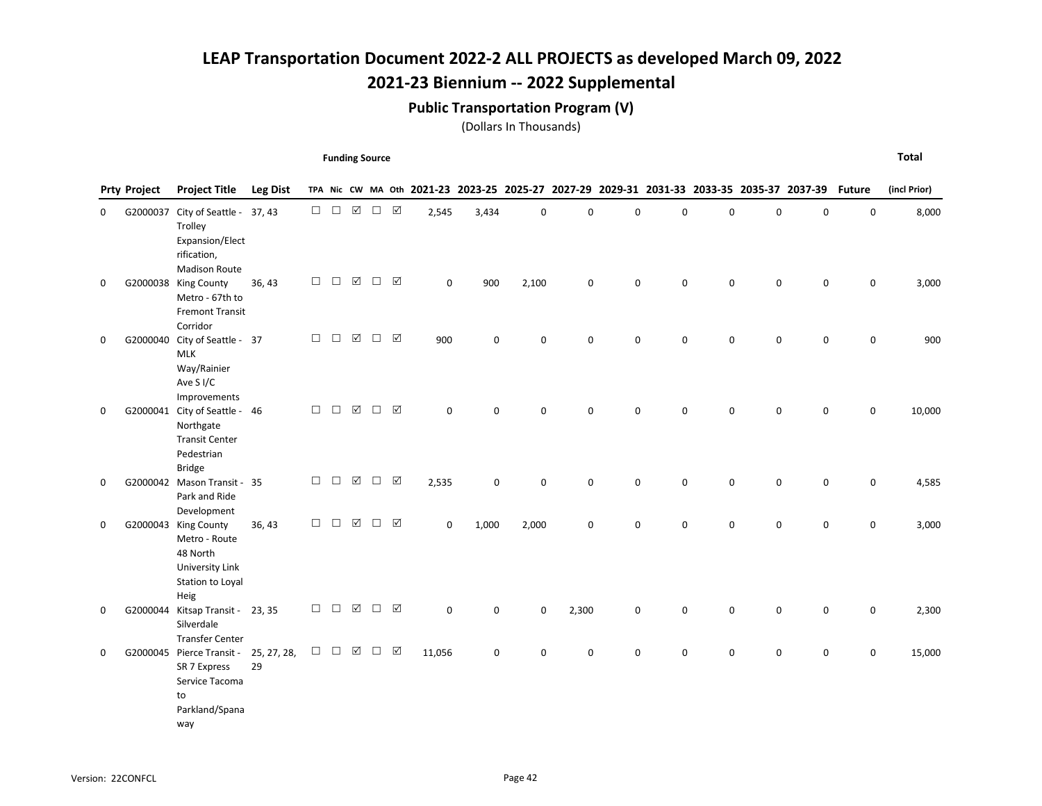## 2021-23 Biennium -- 2022 Supplemental

### Public Transportation Program (V)

(Dollars In Thousands)

Funding Source

|   | <b>Prty Project</b> | <b>Project Title</b>                                                                                   | <b>Leg Dist</b>   |        |        |                       |        |                      |                     |             |                     |             |             |             |             |             | TPA Nic CW MA Oth 2021-23 2023-25 2025-27 2027-29 2029-31 2031-33 2033-35 2035-37 2037-39 | <b>Future</b> | (incl Prior) |
|---|---------------------|--------------------------------------------------------------------------------------------------------|-------------------|--------|--------|-----------------------|--------|----------------------|---------------------|-------------|---------------------|-------------|-------------|-------------|-------------|-------------|-------------------------------------------------------------------------------------------|---------------|--------------|
| 0 |                     | G2000037 City of Seattle - 37, 43<br>Trolley<br>Expansion/Elect<br>rification,<br><b>Madison Route</b> |                   | $\Box$ | $\Box$ | $\boxed{\vee}$        | $\Box$ | $\boxed{\checkmark}$ | 2,545               | 3,434       | $\mathsf{O}\xspace$ | $\mathsf 0$ | $\mathbf 0$ | $\mathbf 0$ | 0           | $\mathsf 0$ | 0                                                                                         | $\mathbf 0$   | 8,000        |
| 0 |                     | G2000038 King County<br>Metro - 67th to<br><b>Fremont Transit</b><br>Corridor                          | 36, 43            | $\Box$ |        | $\Box$ $\Box$         | $\Box$ | $\triangledown$      | $\mathbf 0$         | 900         | 2,100               | $\mathbf 0$ | 0           | 0           | $\mathbf 0$ | $\mathsf 0$ | 0                                                                                         | $\mathbf 0$   | 3,000        |
| 0 |                     | G2000040 City of Seattle - 37<br><b>MLK</b><br>Way/Rainier<br>Ave S <sub>I/C</sub><br>Improvements     |                   | □      | $\Box$ | ☑                     | $\Box$ | ☑                    | 900                 | $\mathbf 0$ | 0                   | $\mathbf 0$ | 0           | 0           | 0           | $\mathsf 0$ | 0                                                                                         | $\mathbf 0$   | 900          |
| 0 |                     | G2000041 City of Seattle - 46<br>Northgate<br><b>Transit Center</b><br>Pedestrian<br><b>Bridge</b>     |                   | □      | $\Box$ | $\boxed{\mathcal{S}}$ | $\Box$ | ☑                    | $\mathbf 0$         | $\Omega$    | 0                   | $\mathbf 0$ | $\mathbf 0$ | $\Omega$    | $\mathbf 0$ | $\mathbf 0$ | $\mathbf 0$                                                                               | $\mathbf 0$   | 10,000       |
| 0 |                     | G2000042 Mason Transit - 35<br>Park and Ride<br>Development                                            |                   | $\Box$ | $\Box$ | $\boxtimes$           | $\Box$ | $\boxtimes$          | 2,535               | 0           | $\mathsf 0$         | 0           | 0           | 0           | 0           | $\mathsf 0$ | 0                                                                                         | 0             | 4,585        |
| 0 |                     | G2000043 King County<br>Metro - Route<br>48 North<br>University Link<br>Station to Loyal<br>Heig       | 36, 43            | $\Box$ | $\Box$ | ☑                     | $\Box$ | $\triangledown$      | $\mathbf 0$         | 1,000       | 2,000               | $\mathsf 0$ | $\mathbf 0$ | $\mathbf 0$ | 0           | 0           | 0                                                                                         | 0             | 3,000        |
| 0 |                     | G2000044 Kitsap Transit - 23, 35<br>Silverdale<br><b>Transfer Center</b>                               |                   | $\Box$ | $\Box$ | $\triangledown$       | $\Box$ | ☑                    | $\mathsf{O}\xspace$ | 0           | 0                   | 2,300       | 0           | 0           | 0           | $\mathsf 0$ | $\mathsf 0$                                                                               | 0             | 2,300        |
| 0 |                     | G2000045 Pierce Transit -<br>SR 7 Express<br>Service Tacoma<br>to<br>Parkland/Spana<br>way             | 25, 27, 28,<br>29 | $\Box$ | $\Box$ | ☑                     | П      | ☑                    | 11,056              | $\mathbf 0$ | 0                   | $\mathbf 0$ | 0           | 0           | 0           | 0           | 0                                                                                         | $\mathsf 0$   | 15,000       |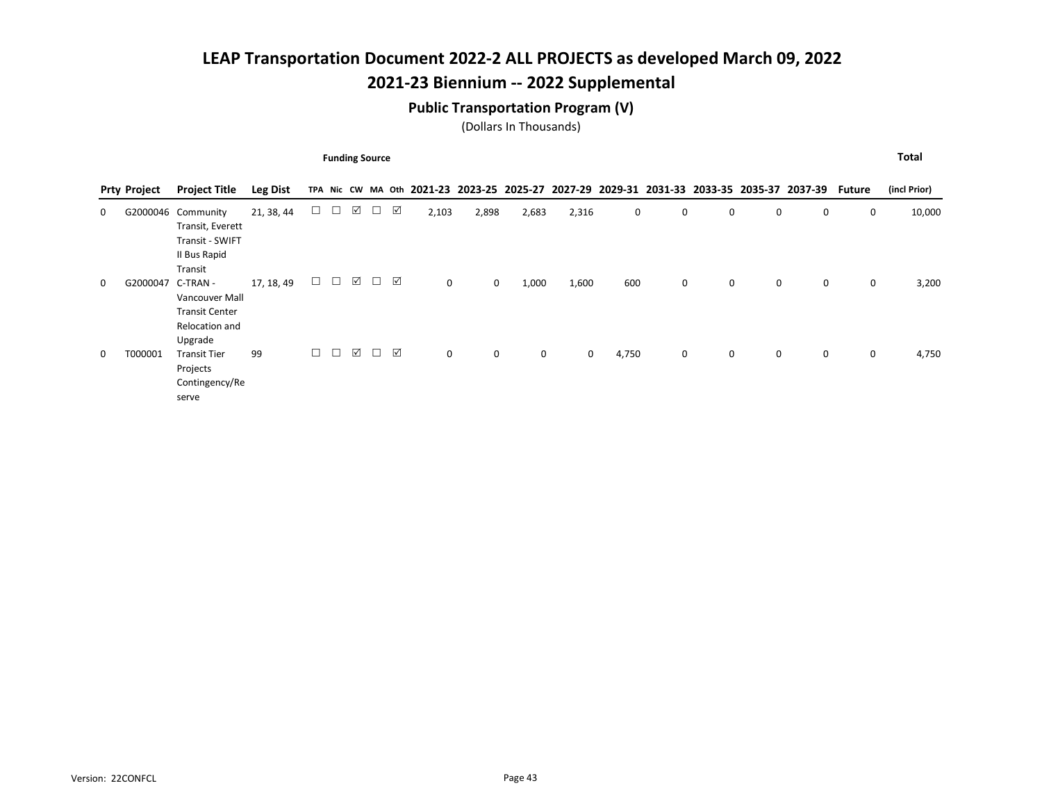## 2021-23 Biennium -- 2022 Supplemental

### Public Transportation Program (V)

(Dollars In Thousands)

Funding Source

|   | <b>Prty Project</b> | <b>Project Title</b>                                                                 | Leg Dist   |        |        |             |        |   | TPA Nic CW MA Oth 2021-23 2023-25 2025-27 2027-29 2029-31 2031-33 2033-35 2035-37 2037-39 |             |       |              |       |   |   |   |   | Future | (incl Prior) |
|---|---------------------|--------------------------------------------------------------------------------------|------------|--------|--------|-------------|--------|---|-------------------------------------------------------------------------------------------|-------------|-------|--------------|-------|---|---|---|---|--------|--------------|
| 0 |                     | G2000046 Community<br>Transit, Everett<br>Transit - SWIFT<br>II Bus Rapid<br>Transit | 21, 38, 44 | □      | $\Box$ | ☑           |        | ☑ | 2,103                                                                                     | 2,898       | 2,683 | 2,316        | 0     | 0 | 0 | 0 | 0 | 0      | 10,000       |
| 0 | G2000047            | C-TRAN -<br>Vancouver Mall<br><b>Transit Center</b><br>Relocation and<br>Upgrade     | 17, 18, 49 | □      | $\Box$ | ☑           | $\Box$ | ☑ | $\mathbf 0$                                                                               | 0           | 1,000 | 1,600        | 600   | 0 | 0 | 0 | 0 | 0      | 3,200        |
| 0 | T000001             | <b>Transit Tier</b><br>Projects<br>Contingency/Re<br>serve                           | 99         | $\Box$ | $\Box$ | $\boxtimes$ | $\Box$ |   | $\mathbf 0$                                                                               | $\mathbf 0$ | 0     | $\mathbf{0}$ | 4,750 | 0 | 0 | 0 | 0 | 0      | 4,750        |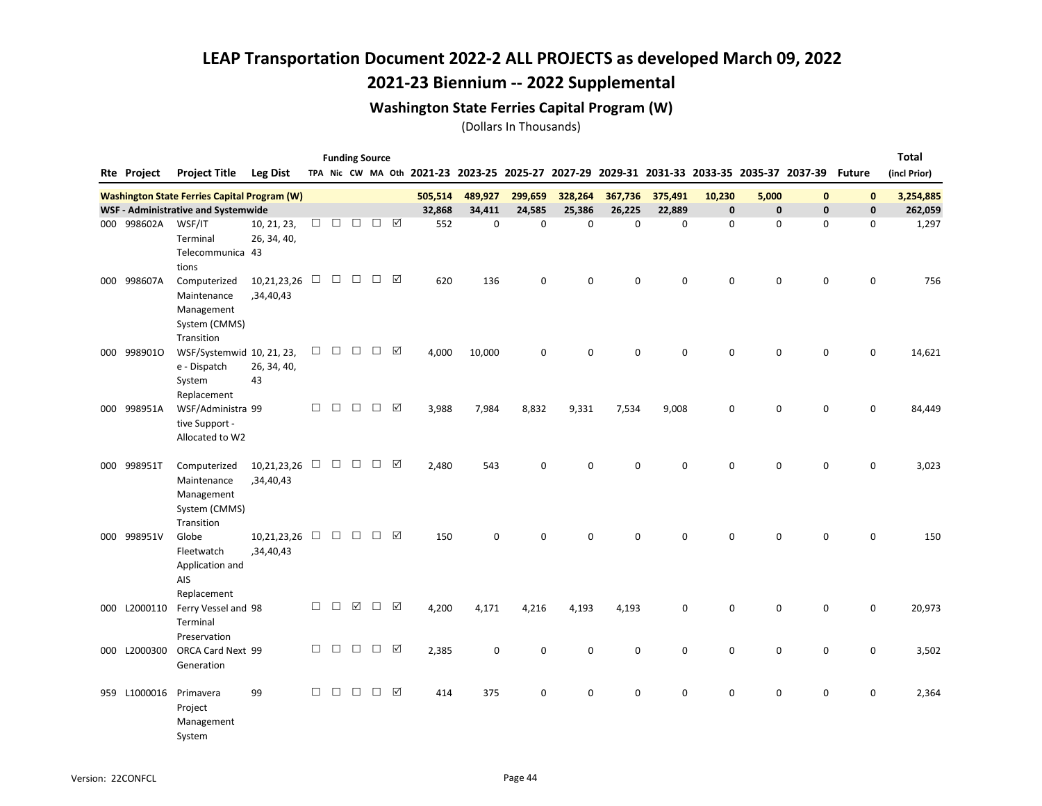## 2021-23 Biennium -- 2022 Supplemental

### Washington State Ferries Capital Program (W)

|     |                    |                                                                                  |                            |        |        | <b>Funding Source</b> |               |                 |                                                                                           |         |             |             |             |             |              |              |              |               | <b>Total</b> |
|-----|--------------------|----------------------------------------------------------------------------------|----------------------------|--------|--------|-----------------------|---------------|-----------------|-------------------------------------------------------------------------------------------|---------|-------------|-------------|-------------|-------------|--------------|--------------|--------------|---------------|--------------|
|     | <b>Rte Project</b> | <b>Project Title</b>                                                             | <b>Leg Dist</b>            |        |        |                       |               |                 | TPA Nic CW MA Oth 2021-23 2023-25 2025-27 2027-29 2029-31 2031-33 2033-35 2035-37 2037-39 |         |             |             |             |             |              |              |              | <b>Future</b> | (incl Prior) |
|     |                    | <b>Washington State Ferries Capital Program (W)</b>                              |                            |        |        |                       |               |                 | 505,514                                                                                   | 489,927 | 299,659     | 328,264     | 367,736     | 375,491     | 10,230       | 5,000        | $\mathbf{0}$ | $\mathbf{0}$  | 3,254,885    |
|     |                    | <b>WSF - Administrative and Systemwide</b>                                       |                            |        |        |                       |               |                 | 32,868                                                                                    | 34,411  | 24,585      | 25,386      | 26,225      | 22,889      | $\mathbf{0}$ | $\mathbf{0}$ | $\mathbf{0}$ | $\mathbf{0}$  | 262,059      |
|     | 000 998602A        | WSF/IT<br>Terminal<br>Telecommunica 43                                           | 10, 21, 23,<br>26, 34, 40, | $\Box$ | $\Box$ | $\Box$                | $\Box$        | ☑               | 552                                                                                       | 0       | $\mathbf 0$ | $\mathbf 0$ | $\Omega$    | $\mathbf 0$ | $\mathbf 0$  | $\mathbf 0$  | $\mathbf 0$  | 0             | 1,297        |
|     | 000 998607A        | tions<br>Computerized<br>Maintenance<br>Management<br>System (CMMS)              | 10,21,23,26<br>,34,40,43   | $\Box$ |        | $\Box$ $\Box$         | $\Box$        | $\sqrt{ }$      | 620                                                                                       | 136     | $\mathbf 0$ | $\mathbf 0$ | $\mathbf 0$ | 0           | 0            | 0            | $\mathbf 0$  | $\mathbf 0$   | 756          |
|     | 000 9989010        | Transition<br>WSF/Systemwid 10, 21, 23,<br>e - Dispatch<br>System<br>Replacement | 26, 34, 40,<br>43          | $\Box$ | $\Box$ | $\Box$                | $\Box$        | ☑               | 4,000                                                                                     | 10,000  | 0           | $\mathbf 0$ | $\mathbf 0$ | 0           | 0            | $\mathbf 0$  | $\mathbf 0$  | 0             | 14,621       |
| 000 | 998951A            | WSF/Administra 99<br>tive Support -<br>Allocated to W2                           |                            | $\Box$ | $\Box$ | $\Box$                | $\Box$        | ☑               | 3,988                                                                                     | 7,984   | 8,832       | 9,331       | 7,534       | 9,008       | 0            | $\mathbf 0$  | 0            | 0             | 84,449       |
| 000 | 998951T            | Computerized<br>Maintenance<br>Management<br>System (CMMS)<br>Transition         | 10,21,23,26<br>,34,40,43   |        | $\Box$ | $\Box$                | $\Box$        | ☑               | 2,480                                                                                     | 543     | $\mathbf 0$ | $\Omega$    | $\Omega$    | $\Omega$    | $\Omega$     | $\Omega$     | $\mathbf 0$  | $\mathbf 0$   | 3,023        |
| 000 | 998951V            | Globe<br>Fleetwatch<br>Application and<br><b>AIS</b><br>Replacement              | 10,21,23,26<br>,34,40,43   |        | $\Box$ | $\Box$                | $\Box$        | $\triangledown$ | 150                                                                                       | 0       | $\mathbf 0$ | $\Omega$    | $\mathbf 0$ | $\Omega$    | $\Omega$     | $\mathbf 0$  | $\mathbf 0$  | $\mathbf 0$   | 150          |
|     | 000 L2000110       | Ferry Vessel and 98<br>Terminal<br>Preservation                                  |                            | $\Box$ | $\Box$ | ☑                     | $\Box$        | ☑               | 4,200                                                                                     | 4,171   | 4,216       | 4,193       | 4,193       | 0           | 0            | 0            | 0            | 0             | 20,973       |
|     | 000 L2000300       | ORCA Card Next 99<br>Generation                                                  |                            | □      | $\Box$ | $\Box$                | □             | ☑               | 2,385                                                                                     | 0       | 0           | $\mathbf 0$ | 0           | 0           | 0            | 0            | 0            | 0             | 3,502        |
|     | 959 L1000016       | Primavera<br>Project<br>Management<br>System                                     | 99                         | $\Box$ | $\Box$ | $\Box$                | $\Box$ $\Box$ |                 | 414                                                                                       | 375     | 0           | 0           | 0           | 0           | 0            | 0            | 0            | 0             | 2,364        |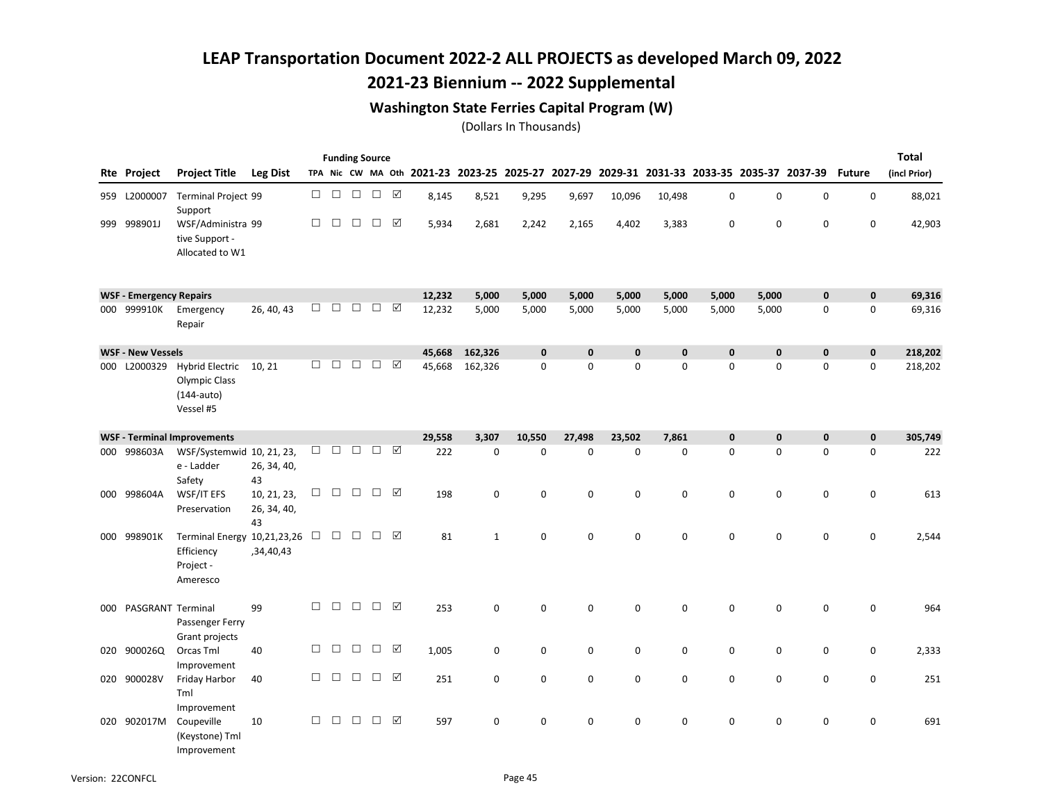## 2021-23 Biennium -- 2022 Supplemental

### Washington State Ferries Capital Program (W)

|     |                                |                                                                              |                                  |        |        |               | <b>Funding Source</b> |   |                                                                                           |              |             |              |              |              |              |             |              |               | <b>Total</b> |
|-----|--------------------------------|------------------------------------------------------------------------------|----------------------------------|--------|--------|---------------|-----------------------|---|-------------------------------------------------------------------------------------------|--------------|-------------|--------------|--------------|--------------|--------------|-------------|--------------|---------------|--------------|
|     | <b>Rte Project</b>             | <b>Project Title</b>                                                         | <b>Leg Dist</b>                  |        |        |               |                       |   | TPA Nic CW MA Oth 2021-23 2023-25 2025-27 2027-29 2029-31 2031-33 2033-35 2035-37 2037-39 |              |             |              |              |              |              |             |              | <b>Future</b> | (incl Prior) |
| 959 | L2000007                       | <b>Terminal Project 99</b><br>Support                                        |                                  | $\Box$ | П.     | $\Box$        | $\Box$                | ☑ | 8,145                                                                                     | 8,521        | 9,295       | 9,697        | 10,096       | 10,498       | 0            | $\mathbf 0$ | 0            | 0             | 88,021       |
|     | 999 998901J                    | WSF/Administra 99<br>tive Support -<br>Allocated to W1                       |                                  | □      | $\Box$ | $\Box$        | $\Box$                | ☑ | 5,934                                                                                     | 2,681        | 2,242       | 2,165        | 4,402        | 3,383        | 0            | 0           | 0            | 0             | 42,903       |
|     | <b>WSF - Emergency Repairs</b> |                                                                              |                                  |        |        |               |                       |   | 12,232                                                                                    | 5,000        | 5,000       | 5,000        | 5,000        | 5,000        | 5,000        | 5,000       | 0            | $\mathbf 0$   | 69,316       |
| 000 | 999910K                        | Emergency<br>Repair                                                          | 26, 40, 43                       | $\Box$ | $\Box$ | $\Box$        | $\Box$                | ☑ | 12,232                                                                                    | 5,000        | 5,000       | 5,000        | 5,000        | 5,000        | 5,000        | 5,000       | 0            | $\mathsf 0$   | 69,316       |
|     | <b>WSF - New Vessels</b>       |                                                                              |                                  |        |        |               |                       |   | 45,668                                                                                    | 162,326      | $\mathbf 0$ | $\mathbf{0}$ | $\mathbf{0}$ | $\mathbf{0}$ | $\mathbf{0}$ | $\mathbf 0$ | $\mathbf{0}$ | $\mathbf 0$   | 218,202      |
| 000 | L2000329                       | <b>Hybrid Electric</b><br><b>Olympic Class</b><br>$(144$ -auto)<br>Vessel #5 | 10, 21                           | $\Box$ | $\Box$ | $\Box$        | $\Box$                | ☑ | 45,668                                                                                    | 162,326      | $\mathbf 0$ | $\mathbf 0$  | 0            | $\mathbf 0$  | 0            | $\pmb{0}$   | 0            | 0             | 218,202      |
|     |                                | <b>WSF - Terminal Improvements</b>                                           |                                  |        |        |               |                       |   | 29,558                                                                                    | 3,307        | 10,550      | 27,498       | 23,502       | 7,861        | $\mathbf{0}$ | $\mathbf 0$ | 0            | $\mathbf 0$   | 305,749      |
|     | 000 998603A                    | WSF/Systemwid 10, 21, 23,<br>e - Ladder<br>Safety                            | 26, 34, 40,<br>43                | $\Box$ | $\Box$ | $\Box$        | $\Box$                | ☑ | 222                                                                                       | 0            | 0           | $\mathbf 0$  | $\mathbf 0$  | $\mathbf 0$  | 0            | $\mathsf 0$ | 0            | 0             | 222          |
| 000 | 998604A                        | WSF/IT EFS<br>Preservation                                                   | 10, 21, 23,<br>26, 34, 40,<br>43 | □      | $\Box$ | $\Box$        | $\Box$                | ☑ | 198                                                                                       | 0            | $\mathbf 0$ | 0            | 0            | 0            | 0            | 0           | 0            | 0             | 613          |
| 000 | 998901K                        | Terminal Energy 10,21,23,26<br>Efficiency<br>Project -<br>Ameresco           | ,34,40,43                        | $\Box$ |        | $\Box$ $\Box$ | $\Box$                | ☑ | 81                                                                                        | $\mathbf{1}$ | $\mathbf 0$ | $\mathbf 0$  | 0            | $\mathbf 0$  | 0            | 0           | 0            | 0             | 2,544        |
| 000 | PASGRANT Terminal              | Passenger Ferry<br>Grant projects                                            | 99                               | □      | $\Box$ | $\Box$        | $\Box$                | ☑ | 253                                                                                       | $\mathbf 0$  | $\mathbf 0$ | $\mathbf 0$  | 0            | $\mathbf 0$  | 0            | 0           | $\mathbf 0$  | $\mathbf 0$   | 964          |
| 020 | 900026Q                        | Orcas Tml<br>Improvement                                                     | 40                               | $\Box$ | $\Box$ | $\Box$        | $\Box$                | ☑ | 1,005                                                                                     | 0            | 0           | 0            | 0            | $\mathbf 0$  | 0            | $\pmb{0}$   | 0            | $\mathsf 0$   | 2,333        |
|     | 020 900028V                    | Friday Harbor<br>Tml                                                         | 40                               | П.     | $\Box$ | $\Box$        | $\Box$                | ☑ | 251                                                                                       | 0            | $\mathbf 0$ | $\mathbf 0$  | 0            | $\mathbf 0$  | 0            | 0           | 0            | 0             | 251          |
|     | 020 902017M                    | Improvement<br>Coupeville<br>(Keystone) Tml<br>Improvement                   | 10                               | □      | $\Box$ | $\Box$        | $\Box$                | ☑ | 597                                                                                       | 0            | 0           | 0            | 0            | 0            | 0            | 0           | 0            | 0             | 691          |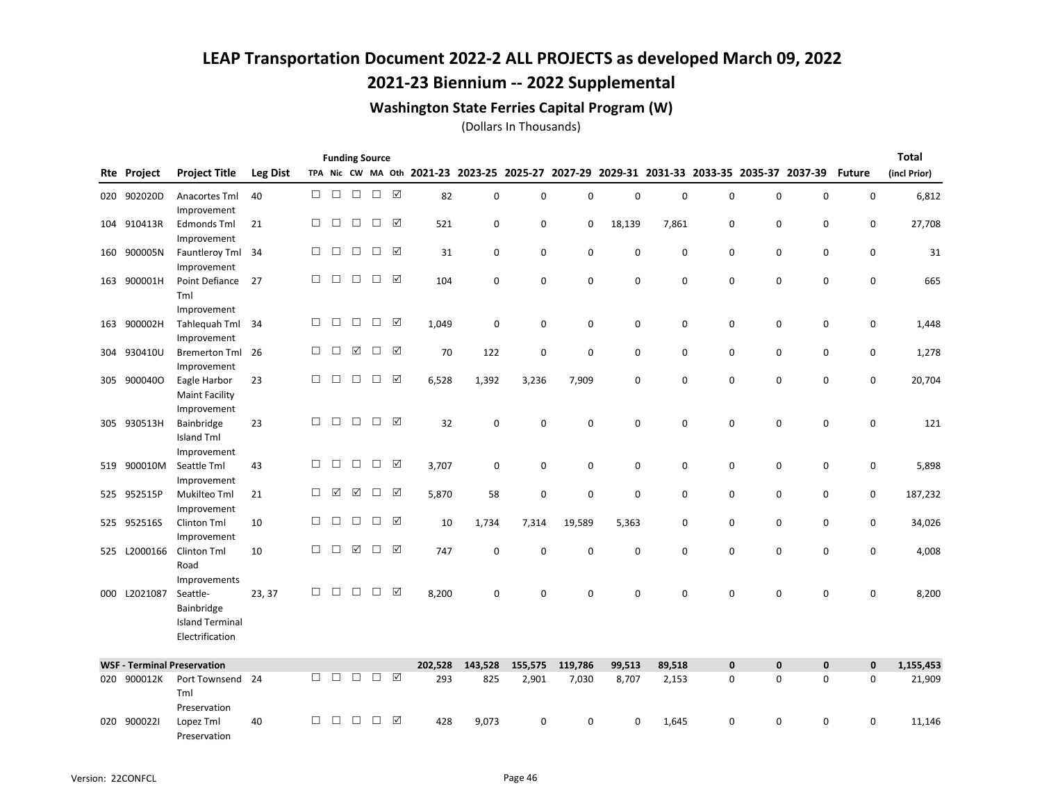## 2021-23 Biennium -- 2022 Supplemental

### Washington State Ferries Capital Program (W)

(Dollars In Thousands)

|     |                    |                                                                                     |                 |        |        |        | <b>Funding Source</b> |   |                                                                                           |         |             |             |             |             |   |             |   |               | <b>Total</b> |
|-----|--------------------|-------------------------------------------------------------------------------------|-----------------|--------|--------|--------|-----------------------|---|-------------------------------------------------------------------------------------------|---------|-------------|-------------|-------------|-------------|---|-------------|---|---------------|--------------|
|     | <b>Rte Project</b> | <b>Project Title</b>                                                                | <b>Leg Dist</b> |        |        |        |                       |   | TPA Nic CW MA Oth 2021-23 2023-25 2025-27 2027-29 2029-31 2031-33 2033-35 2035-37 2037-39 |         |             |             |             |             |   |             |   | <b>Future</b> | (incl Prior) |
|     | 020 902020D        | Anacortes Tml<br>Improvement                                                        | 40              | $\Box$ | $\Box$ | $\Box$ | $\Box$                | ☑ | 82                                                                                        | 0       | 0           | $\mathbf 0$ | $\mathbf 0$ | $\Omega$    | 0 | 0           | 0 | 0             | 6,812        |
|     | 104 910413R        | Edmonds Tml<br>Improvement                                                          | 21              | $\Box$ | $\Box$ | $\Box$ | $\Box$                | ☑ | 521                                                                                       | 0       | $\mathsf 0$ | 0           | 18,139      | 7,861       | 0 | $\mathbf 0$ | 0 | 0             | 27,708       |
|     | 160 900005N        | Fauntleroy Tml 34<br>Improvement                                                    |                 | □      | $\Box$ | $\Box$ | □                     | ☑ | 31                                                                                        | 0       | $\mathbf 0$ | $\mathbf 0$ | 0           | 0           | 0 | 0           | 0 | 0             | 31           |
|     | 163 900001H        | Point Defiance<br>Tml                                                               | 27              | □      | $\Box$ | $\Box$ | $\Box$                | ☑ | 104                                                                                       | 0       | 0           | $\mathbf 0$ | 0           | $\mathbf 0$ | 0 | 0           | 0 | 0             | 665          |
| 163 | 900002H            | Improvement<br>Tahlequah Tml<br>Improvement                                         | 34              | $\Box$ | $\Box$ | $\Box$ | $\Box$                | ☑ | 1,049                                                                                     | 0       | 0           | 0           | 0           | 0           | 0 | 0           | 0 | 0             | 1,448        |
| 304 | 930410U            | <b>Bremerton Tml</b><br>Improvement                                                 | -26             | □      | $\Box$ | ☑      | $\Box$                | ☑ | 70                                                                                        | 122     | $\mathbf 0$ | 0           | 0           | 0           | 0 | 0           | 0 | 0             | 1,278        |
| 305 | 9000400            | Eagle Harbor<br><b>Maint Facility</b><br>Improvement                                | 23              | □      | □      | $\Box$ | □                     | ☑ | 6,528                                                                                     | 1,392   | 3,236       | 7,909       | 0           | $\mathbf 0$ | 0 | $\mathbf 0$ | 0 | 0             | 20,704       |
|     | 305 930513H        | Bainbridge<br><b>Island Tml</b>                                                     | 23              | □      | □      | $\Box$ | $\Box$                | ☑ | 32                                                                                        | 0       | 0           | $\mathbf 0$ | 0           | 0           | 0 | $\mathbf 0$ | 0 | 0             | 121          |
| 519 | 900010M            | Improvement<br>Seattle Tml<br>Improvement                                           | 43              | $\Box$ | $\Box$ | $\Box$ | $\Box$                | ☑ | 3,707                                                                                     | 0       | 0           | 0           | 0           | 0           | 0 | 0           | 0 | 0             | 5,898        |
|     | 525 952515P        | Mukilteo Tml<br>Improvement                                                         | 21              | □      | ☑      | ☑      | $\Box$                | ☑ | 5,870                                                                                     | 58      | $\mathbf 0$ | $\mathbf 0$ | $\mathbf 0$ | 0           | 0 | 0           | 0 | 0             | 187,232      |
|     | 525 952516S        | Clinton Tml<br>Improvement                                                          | 10              | □      | □      | □      | $\Box$                | ☑ | 10                                                                                        | 1,734   | 7,314       | 19,589      | 5,363       | 0           | 0 | 0           | 0 | 0             | 34,026       |
| 525 | L2000166           | Clinton Tml<br>Road                                                                 | 10              | □      | $\Box$ | ☑      | □                     | ☑ | 747                                                                                       | 0       | $\mathbf 0$ | $\mathbf 0$ | $\mathbf 0$ | $\mathbf 0$ | 0 | $\pmb{0}$   | 0 | $\pmb{0}$     | 4,008        |
|     | 000 L2021087       | Improvements<br>Seattle-<br>Bainbridge<br><b>Island Terminal</b><br>Electrification | 23, 37          | □      | □      | $\Box$ | □                     | ☑ | 8,200                                                                                     | 0       | 0           | $\mathbf 0$ | $\Omega$    | $\Omega$    | 0 | $\mathbf 0$ | 0 | 0             | 8,200        |
|     |                    | <b>WSF - Terminal Preservation</b>                                                  |                 |        |        |        |                       |   | 202,528                                                                                   | 143,528 | 155,575     | 119,786     | 99,513      | 89,518      | 0 | $\mathbf 0$ | 0 | $\pmb{0}$     | 1,155,453    |
| 020 | 900012K            | Port Townsend 24<br>Tml<br>Preservation                                             |                 | $\Box$ | $\Box$ | $\Box$ | $\Box$                | ☑ | 293                                                                                       | 825     | 2,901       | 7,030       | 8,707       | 2,153       | 0 | $\mathbf 0$ | 0 | $\mathbf 0$   | 21,909       |
|     | 020 9000221        | Lopez Tml                                                                           | 40              | □      | $\Box$ | $\Box$ | $\Box$                | ☑ | 428                                                                                       | 9,073   | $\mathbf 0$ | 0           | 0           | 1,645       | 0 | 0           | 0 | 0             | 11,146       |

Preservation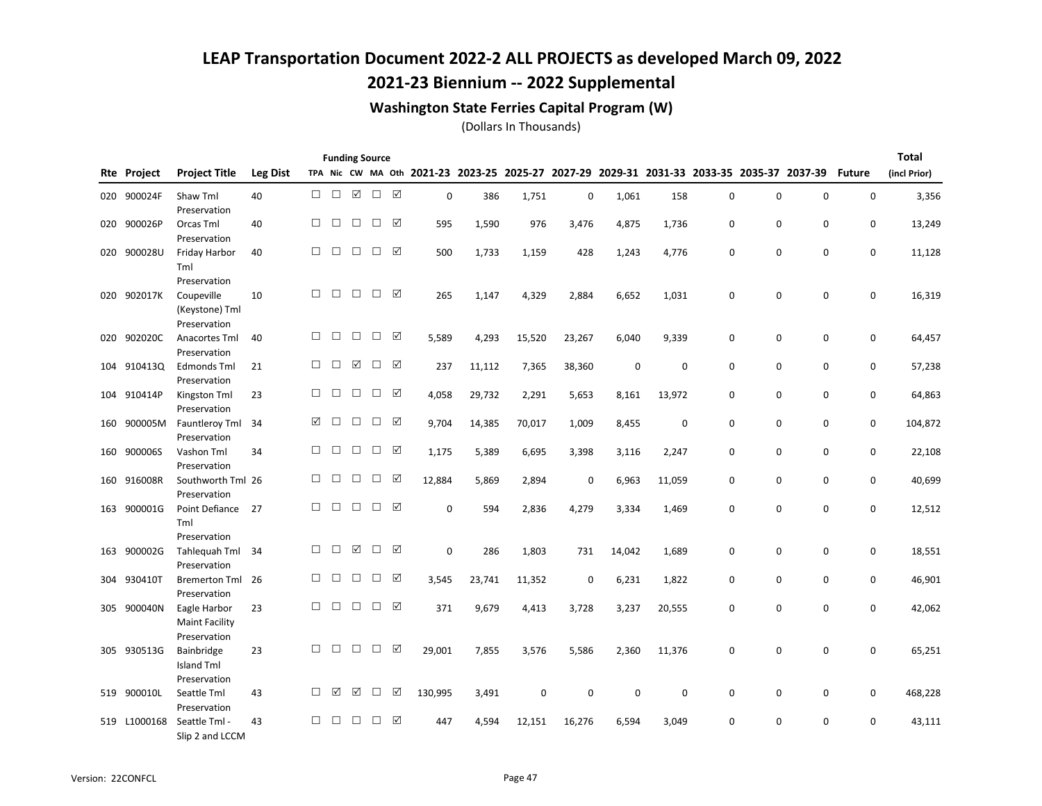## 2021-23 Biennium -- 2022 Supplemental

### Washington State Ferries Capital Program (W)

|     |                    |                                                                 |                 |        |        |        | <b>Funding Source</b> |   |                                                   |        |        |             |             |                                         |   |             |             |               | <b>Total</b> |
|-----|--------------------|-----------------------------------------------------------------|-----------------|--------|--------|--------|-----------------------|---|---------------------------------------------------|--------|--------|-------------|-------------|-----------------------------------------|---|-------------|-------------|---------------|--------------|
|     | <b>Rte Project</b> | <b>Project Title</b>                                            | <b>Leg Dist</b> |        |        |        |                       |   | TPA Nic CW MA Oth 2021-23 2023-25 2025-27 2027-29 |        |        |             |             | 2029-31 2031-33 2033-35 2035-37 2037-39 |   |             |             | <b>Future</b> | (incl Prior) |
| 020 | 900024F            | Shaw Tml<br>Preservation                                        | 40              | $\Box$ | $\Box$ | ☑      | $\Box$                | ☑ | $\mathbf 0$                                       | 386    | 1,751  | $\mathbf 0$ | 1,061       | 158                                     | 0 | 0           | $\mathbf 0$ | $\mathbf 0$   | 3,356        |
| 020 | 900026P            | Orcas Tml<br>Preservation                                       | 40              | П      | $\Box$ | $\Box$ | $\Box$                | ☑ | 595                                               | 1,590  | 976    | 3,476       | 4,875       | 1,736                                   | 0 | $\mathbf 0$ | 0           | $\mathbf 0$   | 13,249       |
| 020 | 900028U            | Friday Harbor<br>Tml                                            | 40              | □      | П      | $\Box$ | П                     | ☑ | 500                                               | 1,733  | 1,159  | 428         | 1,243       | 4,776                                   | 0 | 0           | 0           | $\mathbf 0$   | 11,128       |
| 020 | 902017K            | Preservation<br>Coupeville<br>(Keystone) Tml<br>Preservation    | 10              | □      | $\Box$ | $\Box$ | $\Box$                | ☑ | 265                                               | 1,147  | 4,329  | 2,884       | 6,652       | 1,031                                   | 0 | $\mathbf 0$ | 0           | 0             | 16,319       |
| 020 | 902020C            | Anacortes Tml<br>Preservation                                   | 40              | $\Box$ | $\Box$ | $\Box$ | $\Box$                | ☑ | 5,589                                             | 4,293  | 15,520 | 23,267      | 6,040       | 9,339                                   | 0 | 0           | 0           | 0             | 64,457       |
|     | 104 910413Q        | Edmonds Tml<br>Preservation                                     | 21              | □      | □      | ☑      | $\Box$                | ☑ | 237                                               | 11,112 | 7,365  | 38,360      | $\mathbf 0$ | 0                                       | 0 | 0           | 0           | 0             | 57,238       |
| 104 | 910414P            | Kingston Tml<br>Preservation                                    | 23              | □      | □      | □      | $\Box$                | ☑ | 4,058                                             | 29,732 | 2,291  | 5,653       | 8,161       | 13,972                                  | 0 | $\mathbf 0$ | 0           | 0             | 64,863       |
| 160 | 900005M            | Fauntleroy Tml<br>Preservation                                  | 34              | ☑      | $\Box$ | $\Box$ | $\Box$                | ☑ | 9,704                                             | 14,385 | 70,017 | 1,009       | 8,455       | $\mathbf 0$                             | 0 | 0           | 0           | 0             | 104,872      |
| 160 | 900006S            | Vashon Tml<br>Preservation                                      | 34              | □      | □      | □      | $\Box$                | ☑ | 1,175                                             | 5,389  | 6,695  | 3,398       | 3,116       | 2,247                                   | 0 | 0           | 0           | 0             | 22,108       |
| 160 | 916008R            | Southworth Tml 26<br>Preservation                               |                 | $\Box$ | $\Box$ | $\Box$ | $\Box$                | ☑ | 12,884                                            | 5,869  | 2,894  | $\mathbf 0$ | 6,963       | 11,059                                  | 0 | 0           | 0           | 0             | 40,699       |
|     | 163 900001G        | Point Defiance<br>Tml                                           | - 27            | □      | $\Box$ | $\Box$ | $\Box$                | ☑ | $\mathbf 0$                                       | 594    | 2,836  | 4,279       | 3,334       | 1,469                                   | 0 | $\mathbf 0$ | 0           | $\mathbf 0$   | 12,512       |
| 163 | 900002G            | Preservation<br>Tahlequah Tml<br>Preservation                   | 34              | □      | □      | ☑      | $\Box$                | ☑ | 0                                                 | 286    | 1,803  | 731         | 14,042      | 1,689                                   | 0 | 0           | 0           | 0             | 18,551       |
| 304 | 930410T            | <b>Bremerton Tml</b><br>Preservation                            | 26              | □      | □      | $\Box$ | $\Box$                | ☑ | 3,545                                             | 23,741 | 11,352 | 0           | 6,231       | 1,822                                   | 0 | 0           | 0           | 0             | 46,901       |
| 305 | 900040N            | Eagle Harbor<br><b>Maint Facility</b>                           | 23              | □      | $\Box$ | □      | $\Box$                | ☑ | 371                                               | 9,679  | 4,413  | 3,728       | 3,237       | 20,555                                  | 0 | 0           | 0           | 0             | 42,062       |
|     | 305 930513G        | Preservation<br>Bainbridge<br><b>Island Tml</b><br>Preservation | 23              | □      | □      | $\Box$ | $\Box$                | ☑ | 29,001                                            | 7,855  | 3,576  | 5,586       | 2,360       | 11,376                                  | 0 | 0           | 0           | 0             | 65,251       |
| 519 | 900010L            | Seattle Tml<br>Preservation                                     | 43              | □      | ☑      | ☑      | $\Box$                | ☑ | 130,995                                           | 3,491  | 0      | 0           | 0           | 0                                       | 0 | 0           | 0           | 0             | 468,228      |
| 519 | L1000168           | Seattle Tml -<br>Slip 2 and LCCM                                | 43              | □      | $\Box$ | □      | □                     | ☑ | 447                                               | 4,594  | 12,151 | 16,276      | 6,594       | 3,049                                   | 0 | $\mathbf 0$ | 0           | 0             | 43,111       |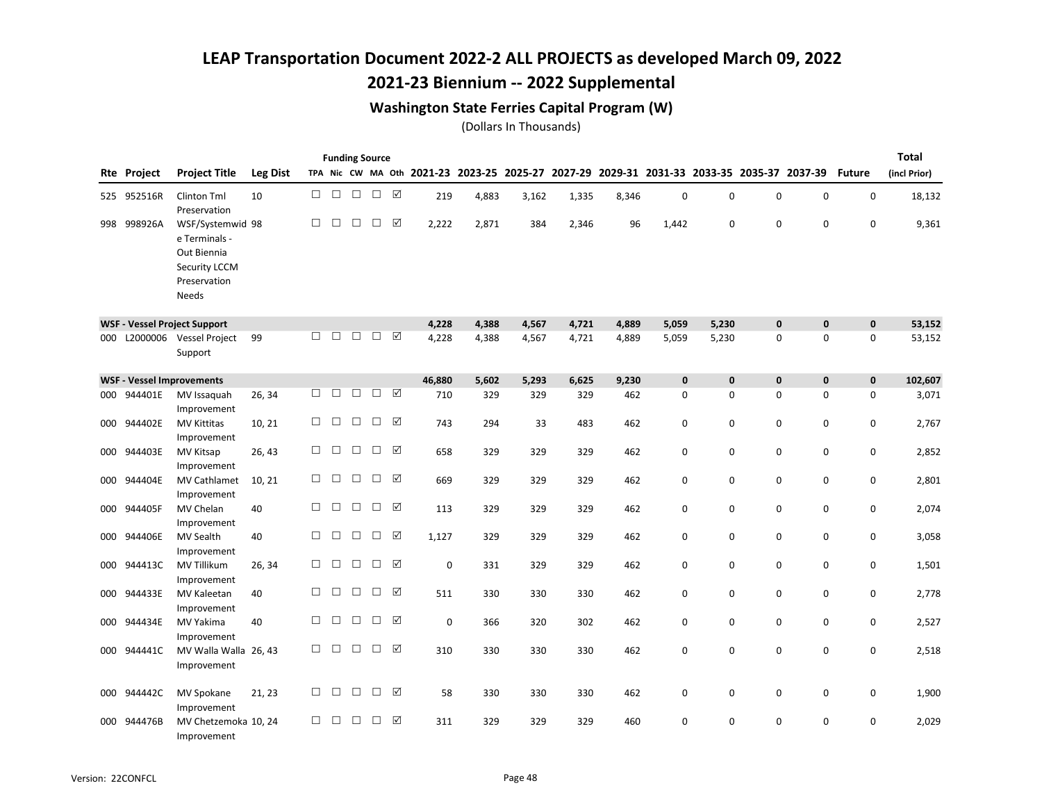## 2021-23 Biennium -- 2022 Supplemental

### Washington State Ferries Capital Program (W)

|     |             |                                                                                                   |                 |             |             |                  | <b>Funding Source</b> |        |        |                                           |       |       |       |                                                 |       |             |             |               | <b>Total</b> |
|-----|-------------|---------------------------------------------------------------------------------------------------|-----------------|-------------|-------------|------------------|-----------------------|--------|--------|-------------------------------------------|-------|-------|-------|-------------------------------------------------|-------|-------------|-------------|---------------|--------------|
|     | Rte Project | <b>Project Title</b>                                                                              | <b>Leg Dist</b> |             |             |                  |                       |        |        | TPA Nic CW MA Oth 2021-23 2023-25 2025-27 |       |       |       | 2027-29 2029-31 2031-33 2033-35 2035-37 2037-39 |       |             |             | <b>Future</b> | (incl Prior) |
|     | 525 952516R | Clinton Tml<br>Preservation                                                                       | 10              | $\Box$      | $\Box$      | $\Box$           | $\Box$                | ☑      | 219    | 4,883                                     | 3,162 | 1,335 | 8,346 | 0                                               | 0     | 0           | 0           | 0             | 18,132       |
|     | 998 998926A | WSF/Systemwid 98<br>e Terminals -<br>Out Biennia<br>Security LCCM<br>Preservation<br><b>Needs</b> |                 | □           | □           | $\Box$           | $\Box$                | ☑      | 2,222  | 2,871                                     | 384   | 2,346 | 96    | 1,442                                           | 0     | 0           | $\mathbf 0$ | 0             | 9,361        |
|     |             | <b>WSF - Vessel Project Support</b>                                                               |                 |             |             |                  |                       |        | 4,228  | 4,388                                     | 4,567 | 4,721 | 4,889 | 5,059                                           | 5,230 | $\mathbf 0$ | $\mathbf 0$ | $\mathbf 0$   | 53,152       |
| 000 | L2000006    | Vessel Project<br>Support                                                                         | 99              | $\Box$      | $\Box$      | $\Box$           | $\Box$                | ☑      | 4,228  | 4,388                                     | 4,567 | 4,721 | 4,889 | 5,059                                           | 5,230 | 0           | 0           | 0             | 53,152       |
|     |             | <b>WSF - Vessel Improvements</b>                                                                  |                 |             |             |                  |                       |        | 46,880 | 5,602                                     | 5,293 | 6,625 | 9,230 | 0                                               | 0     | $\pmb{0}$   | $\pmb{0}$   | $\pmb{0}$     | 102,607      |
| 000 | 944401E     | MV Issaguah<br>Improvement                                                                        | 26, 34          | □           | □           | $\Box$           | $\Box$                | ☑      | 710    | 329                                       | 329   | 329   | 462   | 0                                               | 0     | 0           | 0           | 0             | 3,071        |
| 000 | 944402E     | <b>MV Kittitas</b><br>Improvement                                                                 | 10, 21          | □           | $\Box$      | $\Box$           | $\Box$                | ☑      | 743    | 294                                       | 33    | 483   | 462   | 0                                               | 0     | 0           | 0           | 0             | 2,767        |
| 000 | 944403E     | MV Kitsap<br>Improvement                                                                          | 26, 43          | □           | $\Box$      | $\Box$           | $\Box$                | ☑      | 658    | 329                                       | 329   | 329   | 462   | 0                                               | 0     | 0           | 0           | 0             | 2,852        |
| 000 | 944404E     | <b>MV Cathlamet</b><br>Improvement                                                                | 10, 21          | $\Box$      | $\Box$      | $\Box$           | $\Box$                | ☑      | 669    | 329                                       | 329   | 329   | 462   | 0                                               | 0     | 0           | 0           | 0             | 2,801        |
| 000 | 944405F     | MV Chelan<br>Improvement                                                                          | 40              | □           | $\Box$      | $\Box$           | $\Box$                | ☑      | 113    | 329                                       | 329   | 329   | 462   | 0                                               | 0     | 0           | 0           | 0             | 2,074        |
| 000 | 944406E     | <b>MV Sealth</b><br>Improvement                                                                   | 40              | □           | $\Box$      | $\Box$           | $\Box$                | ☑      | 1,127  | 329                                       | 329   | 329   | 462   | 0                                               | 0     | 0           | 0           | 0             | 3,058        |
| 000 | 944413C     | MV Tillikum<br>Improvement                                                                        | 26, 34          | $\Box$<br>□ | $\Box$<br>□ | $\Box$<br>$\Box$ | $\Box$<br>$\Box$      | ☑<br>☑ | 0      | 331                                       | 329   | 329   | 462   | 0                                               | 0     | 0           | 0           | 0             | 1,501        |
| 000 | 944433E     | MV Kaleetan<br>Improvement                                                                        | 40              | $\Box$      | $\Box$      | $\Box$           | $\Box$                | ☑      | 511    | 330                                       | 330   | 330   | 462   | 0                                               | 0     | 0           | 0           | 0             | 2,778        |
| 000 | 944434E     | MV Yakima<br>Improvement                                                                          | 40              | □           | □           |                  |                       | ☑      | 0      | 366                                       | 320   | 302   | 462   | 0                                               | 0     | 0           | 0           | 0             | 2,527        |
| 000 | 944441C     | MV Walla Walla 26, 43<br>Improvement                                                              |                 |             |             | $\Box$           | $\Box$                |        | 310    | 330                                       | 330   | 330   | 462   | 0                                               | 0     | 0           | 0           | 0             | 2,518        |
| 000 | 944442C     | MV Spokane<br>Improvement                                                                         | 21, 23          | $\Box$      | $\Box$      | $\Box$           | $\Box$                | ☑      | 58     | 330                                       | 330   | 330   | 462   | 0                                               | 0     | 0           | 0           | 0             | 1,900        |
| 000 | 944476B     | MV Chetzemoka 10, 24<br>Improvement                                                               |                 | □           | □           | □                | $\Box$                | ☑      | 311    | 329                                       | 329   | 329   | 460   | 0                                               | 0     | 0           | 0           | 0             | 2,029        |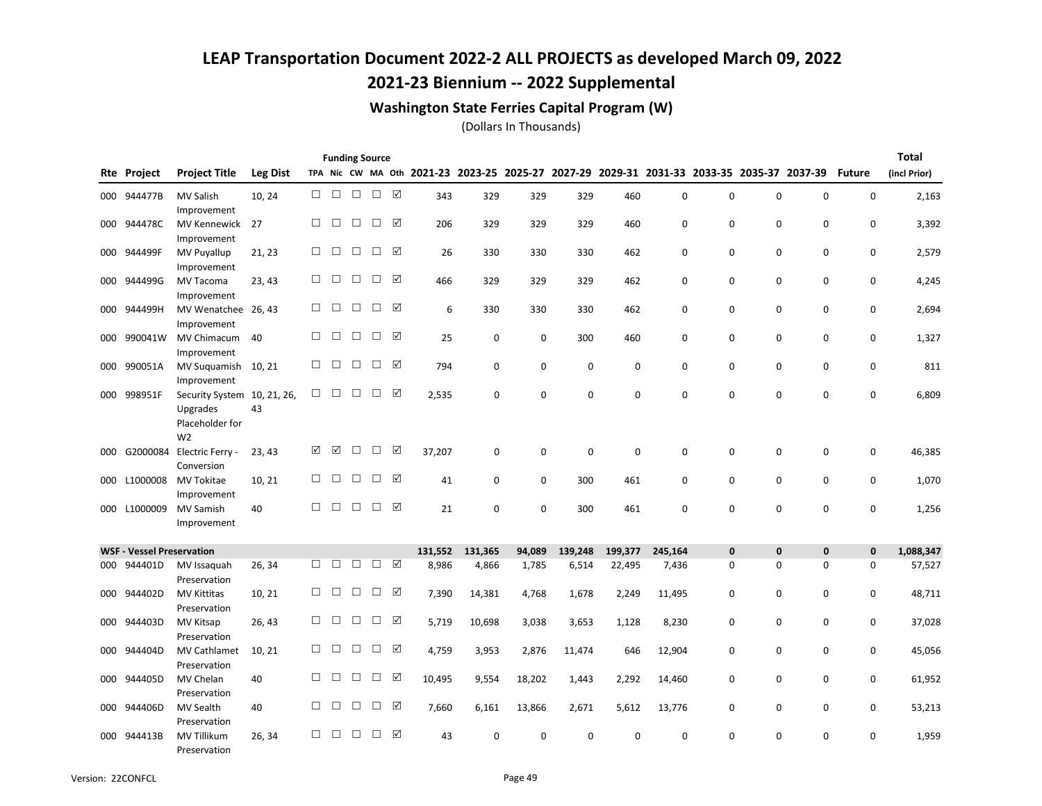## 2021-23 Biennium -- 2022 Supplemental

### Washington State Ferries Capital Program (W)

|     |                                  |                                                                              |                 |        |        |        | <b>Funding Source</b> |                 |                                           |          |             |             |             |         |   |                                                 |             |               | <b>Total</b> |
|-----|----------------------------------|------------------------------------------------------------------------------|-----------------|--------|--------|--------|-----------------------|-----------------|-------------------------------------------|----------|-------------|-------------|-------------|---------|---|-------------------------------------------------|-------------|---------------|--------------|
| Rte | <b>Project</b>                   | <b>Project Title</b>                                                         | <b>Leg Dist</b> |        |        |        |                       |                 | TPA Nic CW MA Oth 2021-23 2023-25 2025-27 |          |             |             |             |         |   | 2027-29 2029-31 2031-33 2033-35 2035-37 2037-39 |             | <b>Future</b> | (incl Prior) |
|     | 000 944477B                      | <b>MV Salish</b><br>Improvement                                              | 10, 24          | $\Box$ | $\Box$ | $\Box$ | $\Box$ $\Box$         |                 | 343                                       | 329      | 329         | 329         | 460         | 0       | 0 | $\mathsf 0$                                     | 0           | $\mathsf 0$   | 2,163        |
|     | 000 944478C                      | <b>MV Kennewick</b><br>Improvement                                           | 27              | □      | $\Box$ | $\Box$ | $\Box$                | ☑               | 206                                       | 329      | 329         | 329         | 460         | 0       | 0 | 0                                               | $\mathbf 0$ | 0             | 3,392        |
| 000 | 944499F                          | <b>MV Puyallup</b><br>Improvement                                            | 21.23           | $\Box$ | $\Box$ | $\Box$ | $\Box$                | $\triangledown$ | 26                                        | 330      | 330         | 330         | 462         | 0       | 0 | 0                                               | $\mathbf 0$ | 0             | 2,579        |
| 000 | 944499G                          | MV Tacoma<br>Improvement                                                     | 23, 43          | □      | $\Box$ | $\Box$ | $\Box$                | ☑               | 466                                       | 329      | 329         | 329         | 462         | 0       | 0 | 0                                               | $\mathbf 0$ | 0             | 4,245        |
| 000 | 944499H                          | MV Wenatchee<br>Improvement                                                  | 26, 43          | П.     | $\Box$ | $\Box$ | $\Box$                | ☑               | 6                                         | 330      | 330         | 330         | 462         | 0       | 0 | 0                                               | 0           | 0             | 2,694        |
| 000 | 990041W                          | MV Chimacum<br>Improvement                                                   | 40              | □      | $\Box$ | $\Box$ | $\Box$                | ☑               | 25                                        | 0        | $\mathbf 0$ | 300         | 460         | 0       | 0 | $\mathbf 0$                                     | $\mathbf 0$ | 0             | 1,327        |
| 000 | 990051A                          | MV Suguamish<br>Improvement                                                  | 10, 21          | □      | □      | $\Box$ | $\Box$                | ☑               | 794                                       | 0        | 0           | $\mathbf 0$ | 0           | 0       | 0 | 0                                               | 0           | 0             | 811          |
| 000 | 998951F                          | Security System 10, 21, 26,<br>Upgrades<br>Placeholder for<br>W <sub>2</sub> | 43              | □      | $\Box$ | $\Box$ | $\Box$                | ☑               | 2,535                                     | 0        | 0           | $\mathbf 0$ | 0           | 0       | 0 | 0                                               | $\mathbf 0$ | 0             | 6,809        |
| 000 | G2000084                         | Electric Ferry -<br>Conversion                                               | 23, 43          | ☑      | ☑      | $\Box$ | $\Box$                | ☑               | 37,207                                    | 0        | 0           | $\mathbf 0$ | $\mathbf 0$ | 0       | 0 | 0                                               | $\mathbf 0$ | 0             | 46,385       |
| 000 | L1000008                         | MV Tokitae<br>Improvement                                                    | 10, 21          | $\Box$ | $\Box$ | $\Box$ | $\Box$                | ☑               | 41                                        | 0        | 0           | 300         | 461         | 0       | 0 | 0                                               | 0           | $\mathbf 0$   | 1,070        |
| 000 | L1000009                         | <b>MV Samish</b><br>Improvement                                              | 40              | □      | □      | □      | $\Box$                | ☑               | 21                                        | $\Omega$ | 0           | 300         | 461         | 0       | 0 | 0                                               | 0           | 0             | 1,256        |
|     | <b>WSF - Vessel Preservation</b> |                                                                              |                 |        |        |        |                       |                 | 131,552                                   | 131,365  | 94,089      | 139,248     | 199,377     | 245,164 | 0 | $\mathbf 0$                                     | $\mathbf 0$ | $\mathbf 0$   | 1,088,347    |
| 000 | 944401D                          | MV Issaquah<br>Preservation                                                  | 26, 34          | □      | П      | $\Box$ | $\Box$                | ☑               | 8,986                                     | 4,866    | 1,785       | 6,514       | 22,495      | 7,436   | 0 | 0                                               | 0           | 0             | 57,527       |
| 000 | 944402D                          | <b>MV Kittitas</b><br>Preservation                                           | 10, 21          | □      | $\Box$ | $\Box$ | $\Box$                | ☑               | 7,390                                     | 14,381   | 4,768       | 1,678       | 2,249       | 11,495  | 0 | 0                                               | $\mathbf 0$ | 0             | 48,711       |
| 000 | 944403D                          | MV Kitsap<br>Preservation                                                    | 26, 43          | □      | $\Box$ | □      | $\Box$                | ☑               | 5,719                                     | 10,698   | 3,038       | 3,653       | 1,128       | 8,230   | 0 | 0                                               | 0           | 0             | 37,028       |
| 000 | 944404D                          | <b>MV Cathlamet</b><br>Preservation                                          | 10, 21          | □      | □      | □      | $\Box$                | ☑               | 4,759                                     | 3,953    | 2,876       | 11,474      | 646         | 12,904  | 0 | 0                                               | 0           | 0             | 45,056       |
| 000 | 944405D                          | MV Chelan<br>Preservation                                                    | 40              | □      | $\Box$ | $\Box$ | $\Box$                | ☑               | 10,495                                    | 9,554    | 18,202      | 1,443       | 2,292       | 14,460  | 0 | $\mathbf 0$                                     | 0           | $\mathbf 0$   | 61,952       |
|     | 000 944406D                      | <b>MV Sealth</b><br>Preservation                                             | 40              | □      | $\Box$ | $\Box$ | $\Box$                | ☑               | 7,660                                     | 6,161    | 13,866      | 2,671       | 5,612       | 13,776  | 0 | 0                                               | 0           | 0             | 53,213       |
|     | 000 944413B                      | MV Tillikum<br>Preservation                                                  | 26, 34          | $\Box$ | □      | $\Box$ | $\Box$                | ☑               | 43                                        | 0        | 0           | $\mathbf 0$ | 0           | 0       | 0 | 0                                               | 0           | 0             | 1,959        |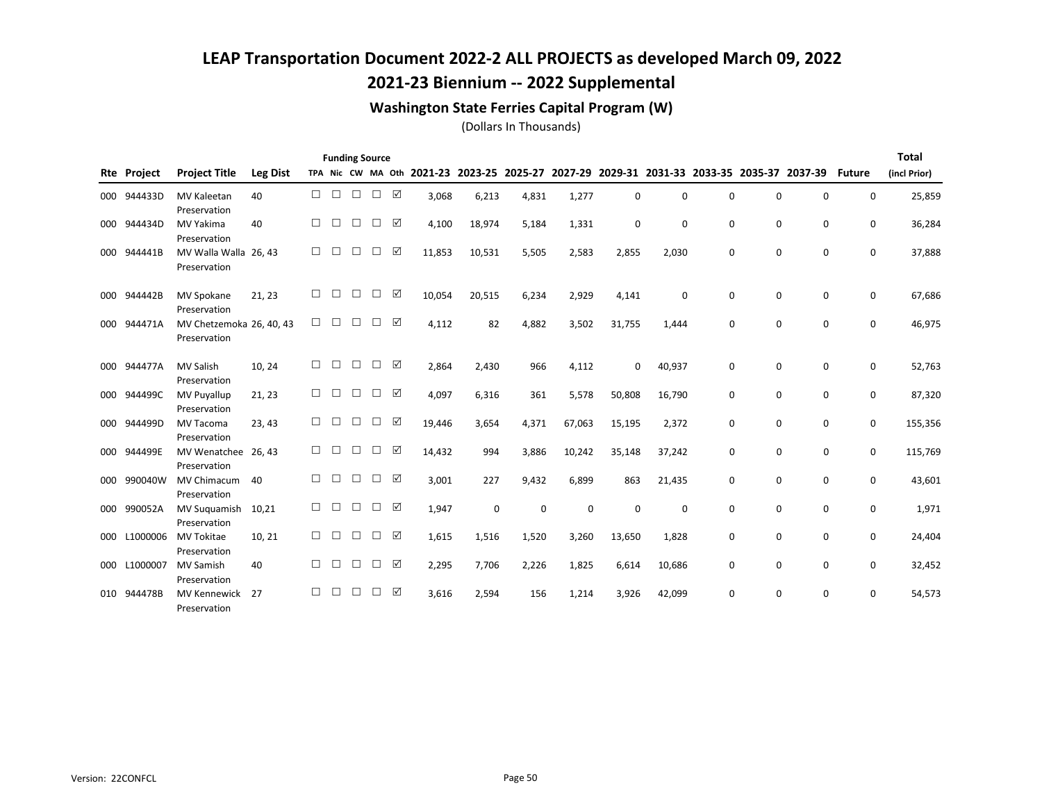## 2021-23 Biennium -- 2022 Supplemental

### Washington State Ferries Capital Program (W)

|     |             |                                          |                 |        |   | <b>Funding Source</b> |        |   |        |        |       |        |             |                                                                                           |   |             |   |               | <b>Total</b> |
|-----|-------------|------------------------------------------|-----------------|--------|---|-----------------------|--------|---|--------|--------|-------|--------|-------------|-------------------------------------------------------------------------------------------|---|-------------|---|---------------|--------------|
|     | Rte Project | <b>Project Title</b>                     | <b>Leg Dist</b> |        |   |                       |        |   |        |        |       |        |             | TPA Nic CW MA Oth 2021-23 2023-25 2025-27 2027-29 2029-31 2031-33 2033-35 2035-37 2037-39 |   |             |   | <b>Future</b> | (incl Prior) |
|     | 000 944433D | MV Kaleetan<br>Preservation              | 40              | $\Box$ | П | $\Box$                | $\Box$ | ☑ | 3,068  | 6,213  | 4,831 | 1,277  | $\mathbf 0$ | 0                                                                                         | 0 | $\mathbf 0$ | 0 | 0             | 25,859       |
|     | 000 944434D | MV Yakima<br>Preservation                | 40              | $\Box$ | □ | □                     | □      | ☑ | 4,100  | 18,974 | 5,184 | 1,331  | 0           | 0                                                                                         | 0 | 0           | 0 | 0             | 36,284       |
| 000 | 944441B     | MV Walla Walla 26, 43<br>Preservation    |                 | $\Box$ | □ | $\Box$                | $\Box$ | ☑ | 11,853 | 10,531 | 5,505 | 2,583  | 2,855       | 2,030                                                                                     | 0 | 0           | 0 | 0             | 37,888       |
|     | 000 944442B | <b>MV Spokane</b><br>Preservation        | 21, 23          | □      | □ | □                     | П      | ☑ | 10,054 | 20,515 | 6,234 | 2,929  | 4,141       | $\Omega$                                                                                  | 0 | 0           | 0 | 0             | 67,686       |
| 000 | 944471A     | MV Chetzemoka 26, 40, 43<br>Preservation |                 | $\Box$ | □ | $\Box$                | □      | ☑ | 4,112  | 82     | 4,882 | 3,502  | 31,755      | 1,444                                                                                     | 0 | $\mathbf 0$ | 0 | 0             | 46,975       |
| 000 | 944477A     | <b>MV Salish</b><br>Preservation         | 10, 24          | П      | □ | □                     | П      | ☑ | 2,864  | 2,430  | 966   | 4,112  | $\mathbf 0$ | 40,937                                                                                    | 0 | 0           | 0 | 0             | 52,763       |
|     | 000 944499C | <b>MV Puyallup</b><br>Preservation       | 21, 23          | $\Box$ | □ | $\Box$                | □      | ☑ | 4,097  | 6,316  | 361   | 5,578  | 50,808      | 16,790                                                                                    | 0 | 0           | 0 | $\mathbf 0$   | 87,320       |
| 000 | 944499D     | <b>MV Tacoma</b><br>Preservation         | 23, 43          | П      | □ | $\Box$                | $\Box$ | ☑ | 19,446 | 3,654  | 4,371 | 67,063 | 15,195      | 2,372                                                                                     | 0 | 0           | 0 | 0             | 155,356      |
| 000 | 944499E     | MV Wenatchee 26, 43<br>Preservation      |                 | $\Box$ | □ | $\Box$                | $\Box$ | ☑ | 14,432 | 994    | 3,886 | 10,242 | 35,148      | 37,242                                                                                    | 0 | $\mathbf 0$ | 0 | 0             | 115,769      |
| 000 | 990040W     | MV Chimacum<br>Preservation              | 40              | П      | П | П                     | П      | ☑ | 3,001  | 227    | 9,432 | 6,899  | 863         | 21,435                                                                                    | 0 | $\mathbf 0$ | 0 | $\mathbf 0$   | 43,601       |
| 000 | 990052A     | MV Suquamish<br>Preservation             | 10,21           | $\Box$ | П | $\Box$                | П      | ☑ | 1,947  | 0      | 0     | 0      | 0           | $\Omega$                                                                                  | 0 | 0           | 0 | 0             | 1,971        |
| 000 | L1000006    | <b>MV Tokitae</b><br>Preservation        | 10, 21          | П      | □ | $\Box$                | $\Box$ | ☑ | 1,615  | 1,516  | 1,520 | 3,260  | 13,650      | 1,828                                                                                     | 0 | 0           | 0 | $\mathbf 0$   | 24,404       |
| 000 | L1000007    | <b>MV Samish</b><br>Preservation         | 40              | П      | □ | $\Box$                | □      | ☑ | 2,295  | 7,706  | 2,226 | 1,825  | 6,614       | 10,686                                                                                    | 0 | $\mathbf 0$ | 0 | $\mathbf 0$   | 32,452       |
| 010 | 944478B     | <b>MV Kennewick</b><br>Preservation      | 27              | П      | П | П                     | П      | ☑ | 3,616  | 2,594  | 156   | 1,214  | 3,926       | 42,099                                                                                    | 0 | 0           | 0 | 0             | 54,573       |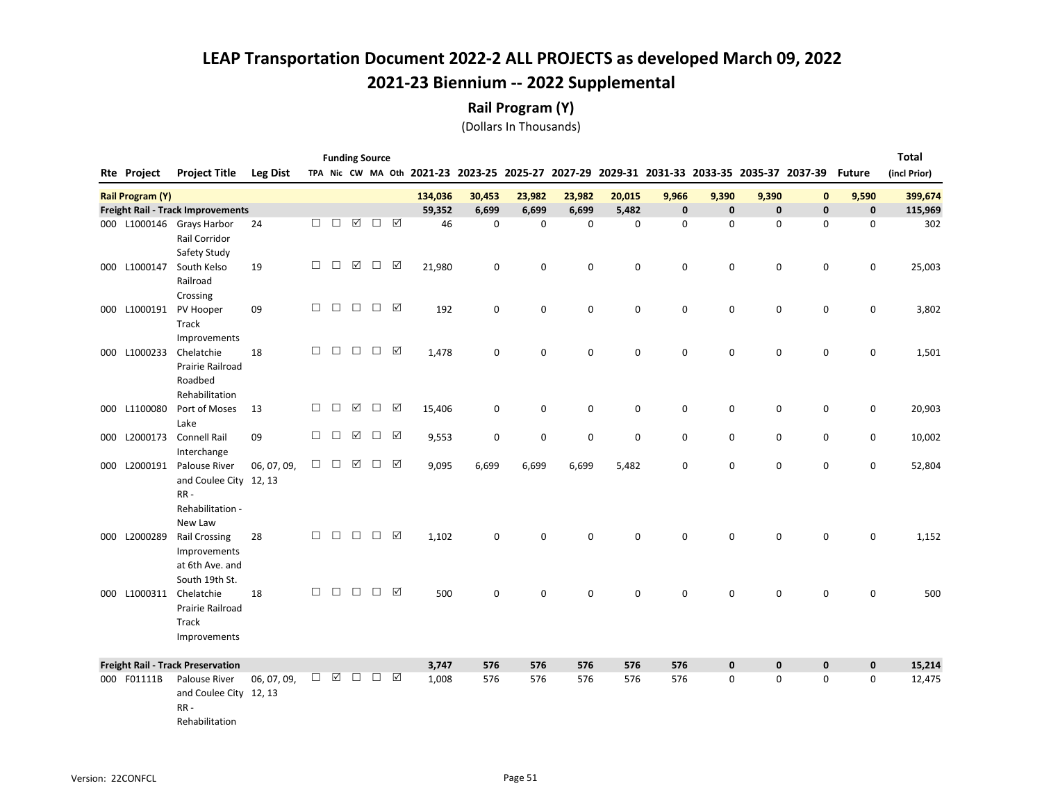## LEAP Transportation Document 2022-2 ALL PROJECTS as developed March 09, 2022 2021-23 Biennium -- 2022 Supplemental

## Rail Program (Y)

|                         |                                                                                      |                 |        | <b>Funding Source</b> |          |        |                      |         |        |             |             |             |             |             |             |                                                                                           |               | <b>Total</b> |
|-------------------------|--------------------------------------------------------------------------------------|-----------------|--------|-----------------------|----------|--------|----------------------|---------|--------|-------------|-------------|-------------|-------------|-------------|-------------|-------------------------------------------------------------------------------------------|---------------|--------------|
| <b>Rte Project</b>      | <b>Project Title</b>                                                                 | <b>Leg Dist</b> |        |                       |          |        |                      |         |        |             |             |             |             |             |             | TPA Nic CW MA Oth 2021-23 2023-25 2025-27 2027-29 2029-31 2031-33 2033-35 2035-37 2037-39 | <b>Future</b> | (incl Prior) |
| <b>Rail Program (Y)</b> |                                                                                      |                 |        |                       |          |        |                      | 134,036 | 30,453 | 23,982      | 23,982      | 20,015      | 9,966       | 9,390       | 9,390       | $\mathbf 0$                                                                               | 9,590         | 399,674      |
|                         | Freight Rail - Track Improvements                                                    |                 |        |                       |          |        |                      | 59,352  | 6,699  | 6,699       | 6,699       | 5,482       | $\pmb{0}$   | $\mathbf 0$ | $\pmb{0}$   | $\mathbf 0$                                                                               | $\pmb{0}$     | 115,969      |
|                         | 000 L1000146 Grays Harbor<br>Rail Corridor<br>Safety Study                           | 24              | $\Box$ | П                     | ☑        | $\Box$ | $\boxed{\mathbf{N}}$ | 46      | 0      | $\mathbf 0$ | $\mathbf 0$ | $\mathbf 0$ | $\mathbf 0$ | $\mathbf 0$ | $\pmb{0}$   | 0                                                                                         | $\pmb{0}$     | 302          |
|                         | 000 L1000147 South Kelso<br>Railroad<br>Crossing                                     | 19              | $\Box$ | □                     | $\Delta$ | $\Box$ | ☑                    | 21,980  | 0      | $\mathbf 0$ | $\mathbf 0$ | $\mathbf 0$ | $\mathbf 0$ | 0           | $\pmb{0}$   | 0                                                                                         | $\pmb{0}$     | 25,003       |
| 000 L1000191            | PV Hooper<br>Track<br>Improvements                                                   | 09              | $\Box$ | $\Box$                | $\Box$   | $\Box$ | ☑                    | 192     | 0      | $\mathsf 0$ | 0           | 0           | 0           | 0           | $\mathbf 0$ | 0                                                                                         | 0             | 3,802        |
| 000 L1000233            | Chelatchie<br>Prairie Railroad<br>Roadbed<br>Rehabilitation                          | 18              | $\Box$ | $\Box$                | $\Box$   | $\Box$ | ☑                    | 1,478   | 0      | 0           | $\mathbf 0$ | $\mathbf 0$ | 0           | 0           | 0           | 0                                                                                         | 0             | 1,501        |
| 000 L1100080            | Port of Moses<br>Lake                                                                | 13              | $\Box$ | $\Box$                | ☑        | $\Box$ | ☑                    | 15,406  | 0      | $\mathsf 0$ | $\mathsf 0$ | 0           | 0           | 0           | 0           | 0                                                                                         | 0             | 20,903       |
| 000 L2000173            | <b>Connell Rail</b><br>Interchange                                                   | 09              | $\Box$ | $\Box$                | ☑        | $\Box$ | ☑                    | 9,553   | 0      | $\mathbf 0$ | $\mathsf 0$ | $\mathbf 0$ | 0           | 0           | $\mathbf 0$ | 0                                                                                         | 0             | 10,002       |
| 000 L2000191            | Palouse River<br>and Coulee City 12, 13<br>$RR -$<br>Rehabilitation -                | 06, 07, 09,     | $\Box$ | $\Box$                | ☑        | $\Box$ | ☑                    | 9,095   | 6,699  | 6,699       | 6,699       | 5,482       | $\mathbf 0$ | 0           | $\mathbf 0$ | 0                                                                                         | 0             | 52,804       |
| 000 L2000289            | New Law<br><b>Rail Crossing</b><br>Improvements<br>at 6th Ave. and<br>South 19th St. | 28              | $\Box$ | $\Box$                | $\Box$   | $\Box$ | $\boxtimes$          | 1,102   | 0      | $\mathbf 0$ | $\mathbf 0$ | $\mathbf 0$ | $\mathbf 0$ | 0           | $\mathbf 0$ | $\mathbf 0$                                                                               | 0             | 1,152        |
| 000 L1000311            | Chelatchie<br>Prairie Railroad<br>Track<br>Improvements                              | 18              | П      | $\Box$                | $\Box$   | $\Box$ | ☑                    | 500     | 0      | 0           | $\mathbf 0$ | $\mathbf 0$ | $\mathbf 0$ | 0           | $\mathbf 0$ | 0                                                                                         | 0             | 500          |
|                         | <b>Freight Rail - Track Preservation</b>                                             |                 |        |                       |          |        |                      | 3,747   | 576    | 576         | 576         | 576         | 576         | 0           | $\pmb{0}$   | $\mathbf 0$                                                                               | $\mathbf 0$   | 15,214       |
| 000 F01111B             | Palouse River<br>and Coulee City 12, 13<br>$RR -$<br>Rehabilitation                  | 06, 07, 09,     | $\Box$ | ☑                     | $\Box$   | $\Box$ | ☑                    | 1,008   | 576    | 576         | 576         | 576         | 576         | 0           | 0           | $\mathbf 0$                                                                               | $\mathbf 0$   | 12,475       |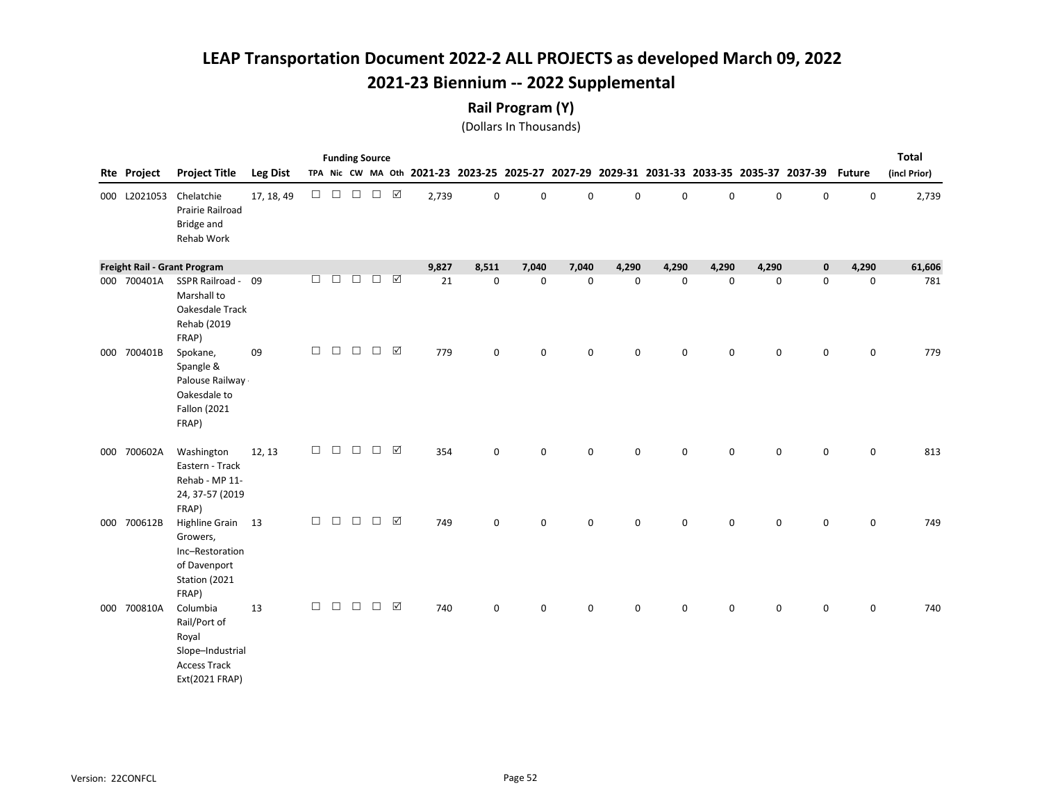## 2021-23 Biennium -- 2022 Supplemental

### Rail Program (Y)

|     |                    |                                                                                                |                 |        |               |        | <b>Funding Source</b> |                 |       |             |             |             |       |             |       |       |                                                                                                  |       | <b>Total</b> |
|-----|--------------------|------------------------------------------------------------------------------------------------|-----------------|--------|---------------|--------|-----------------------|-----------------|-------|-------------|-------------|-------------|-------|-------------|-------|-------|--------------------------------------------------------------------------------------------------|-------|--------------|
|     | <b>Rte Project</b> | <b>Project Title</b>                                                                           | <b>Leg Dist</b> |        |               |        |                       |                 |       |             |             |             |       |             |       |       | TPA Nic CW MA Oth 2021-23 2023-25 2025-27 2027-29 2029-31 2031-33 2033-35 2035-37 2037-39 Future |       | (incl Prior) |
|     | 000 L2021053       | Chelatchie<br>Prairie Railroad<br>Bridge and<br>Rehab Work                                     | 17, 18, 49      |        | $\Box$ $\Box$ | $\Box$ | $\Box$                | ☑               | 2,739 | 0           | 0           | 0           | 0     | $\mathbf 0$ | 0     | 0     | $\pmb{0}$                                                                                        | 0     | 2,739        |
|     |                    | Freight Rail - Grant Program                                                                   |                 |        |               |        |                       |                 | 9,827 | 8,511       | 7,040       | 7,040       | 4,290 | 4,290       | 4,290 | 4,290 | $\mathbf 0$                                                                                      | 4,290 | 61,606       |
|     | 000 700401A        | SSPR Railroad - 09<br>Marshall to<br>Oakesdale Track<br>Rehab (2019<br>FRAP)                   |                 | $\Box$ | $\Box$        | $\Box$ | $\Box$                | ☑               | 21    | $\mathbf 0$ | $\mathbf 0$ | $\mathbf 0$ | 0     | $\mathbf 0$ | 0     | 0     | $\mathsf{O}\xspace$                                                                              | 0     | 781          |
|     | 000 700401B        | Spokane,<br>Spangle &<br>Palouse Railway<br>Oakesdale to<br><b>Fallon (2021</b><br>FRAP)       | 09              | $\Box$ | $\Box$        | $\Box$ | $\Box$                | ☑               | 779   | 0           | 0           | 0           | 0     | 0           | 0     | 0     | $\mathbf 0$                                                                                      | 0     | 779          |
| 000 | 700602A            | Washington<br>Eastern - Track<br>Rehab - MP 11-<br>24, 37-57 (2019<br>FRAP)                    | 12, 13          | $\Box$ | $\Box$        | $\Box$ | $\Box$                | ☑               | 354   | 0           | 0           | 0           | 0     | 0           | 0     | 0     | $\mathbf 0$                                                                                      | 0     | 813          |
|     | 000 700612B        | Highline Grain 13<br>Growers,<br>Inc-Restoration<br>of Davenport<br>Station (2021<br>FRAP)     |                 | $\Box$ | $\Box$        | $\Box$ | $\Box$                | $\triangledown$ | 749   | 0           | 0           | 0           | 0     | 0           | 0     | 0     | 0                                                                                                | 0     | 749          |
|     | 000 700810A        | Columbia<br>Rail/Port of<br>Royal<br>Slope-Industrial<br><b>Access Track</b><br>Ext(2021 FRAP) | 13              | $\Box$ | $\Box$        | $\Box$ | $\Box$                | ☑               | 740   | 0           | 0           | 0           | 0     | 0           | 0     | 0     | 0                                                                                                | 0     | 740          |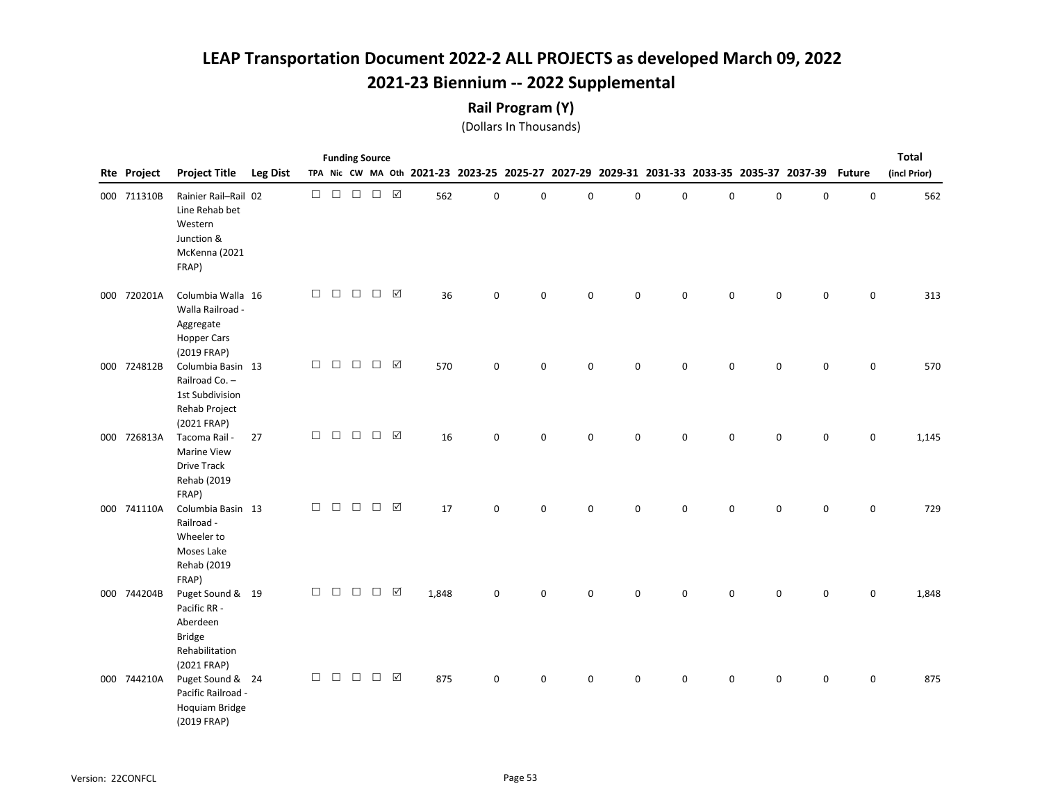## 2021-23 Biennium -- 2022 Supplemental

### Rail Program (Y)

|             |                                                                                           |                 |        |        |        | <b>Funding Source</b> |                             |       |             |                     |             |             |             |             |                                                                                                  |             |             | <b>Total</b> |
|-------------|-------------------------------------------------------------------------------------------|-----------------|--------|--------|--------|-----------------------|-----------------------------|-------|-------------|---------------------|-------------|-------------|-------------|-------------|--------------------------------------------------------------------------------------------------|-------------|-------------|--------------|
| Rte Project | <b>Project Title</b>                                                                      | <b>Leg Dist</b> |        |        |        |                       |                             |       |             |                     |             |             |             |             | TPA Nic CW MA Oth 2021-23 2023-25 2025-27 2027-29 2029-31 2031-33 2033-35 2035-37 2037-39 Future |             |             | (incl Prior) |
| 000 711310B | Rainier Rail-Rail 02<br>Line Rehab bet<br>Western<br>Junction &<br>McKenna (2021<br>FRAP) |                 | $\Box$ | $\Box$ | $\Box$ | $\Box$                | $\boxtimes$                 | 562   | 0           | 0                   | $\mathbf 0$ | $\mathsf 0$ | $\mathbf 0$ | $\mathbf 0$ | 0                                                                                                | $\mathbf 0$ | $\mathsf 0$ | 562          |
| 000 720201A | Columbia Walla 16<br>Walla Railroad -<br>Aggregate<br><b>Hopper Cars</b><br>(2019 FRAP)   |                 | $\Box$ | $\Box$ | $\Box$ | $\Box$                | ☑                           | 36    | 0           | $\mathsf{O}\xspace$ | 0           | 0           | 0           | 0           | 0                                                                                                | 0           | 0           | 313          |
| 000 724812B | Columbia Basin 13<br>Railroad Co. -<br>1st Subdivision<br>Rehab Project<br>(2021 FRAP)    |                 | $\Box$ | $\Box$ | $\Box$ | $\Box$                | ☑                           | 570   | 0           | 0                   | 0           | $\mathbf 0$ | 0           | 0           | 0                                                                                                | 0           | 0           | 570          |
| 000 726813A | Tacoma Rail -<br><b>Marine View</b><br><b>Drive Track</b><br>Rehab (2019<br>FRAP)         | 27              | $\Box$ | $\Box$ | $\Box$ | $\Box$                | ☑                           | 16    | $\mathbf 0$ | 0                   | $\mathbf 0$ | $\mathbf 0$ | $\mathbf 0$ | 0           | 0                                                                                                | $\mathbf 0$ | 0           | 1,145        |
| 000 741110A | Columbia Basin 13<br>Railroad -<br>Wheeler to<br>Moses Lake<br>Rehab (2019<br>FRAP)       |                 | $\Box$ | $\Box$ | $\Box$ | $\Box$                | $\boxed{\textstyle\diagup}$ | 17    | $\mathbf 0$ | 0                   | $\mathbf 0$ | 0           | 0           | 0           | 0                                                                                                | $\mathbf 0$ | 0           | 729          |
| 000 744204B | Puget Sound & 19<br>Pacific RR -<br>Aberdeen<br>Bridge<br>Rehabilitation<br>(2021 FRAP)   |                 | $\Box$ | $\Box$ | $\Box$ | $\Box$                | ☑                           | 1,848 | 0           | 0                   | $\mathsf 0$ | 0           | 0           | 0           | 0                                                                                                | $\mathbf 0$ | 0           | 1,848        |
| 000 744210A | Puget Sound & 24<br>Pacific Railroad -<br>Hoquiam Bridge<br>(2019 FRAP)                   |                 | $\Box$ | $\Box$ | $\Box$ | $\Box$                | $\boxtimes$                 | 875   | 0           | 0                   | 0           | 0           | 0           | 0           | 0                                                                                                | 0           | 0           | 875          |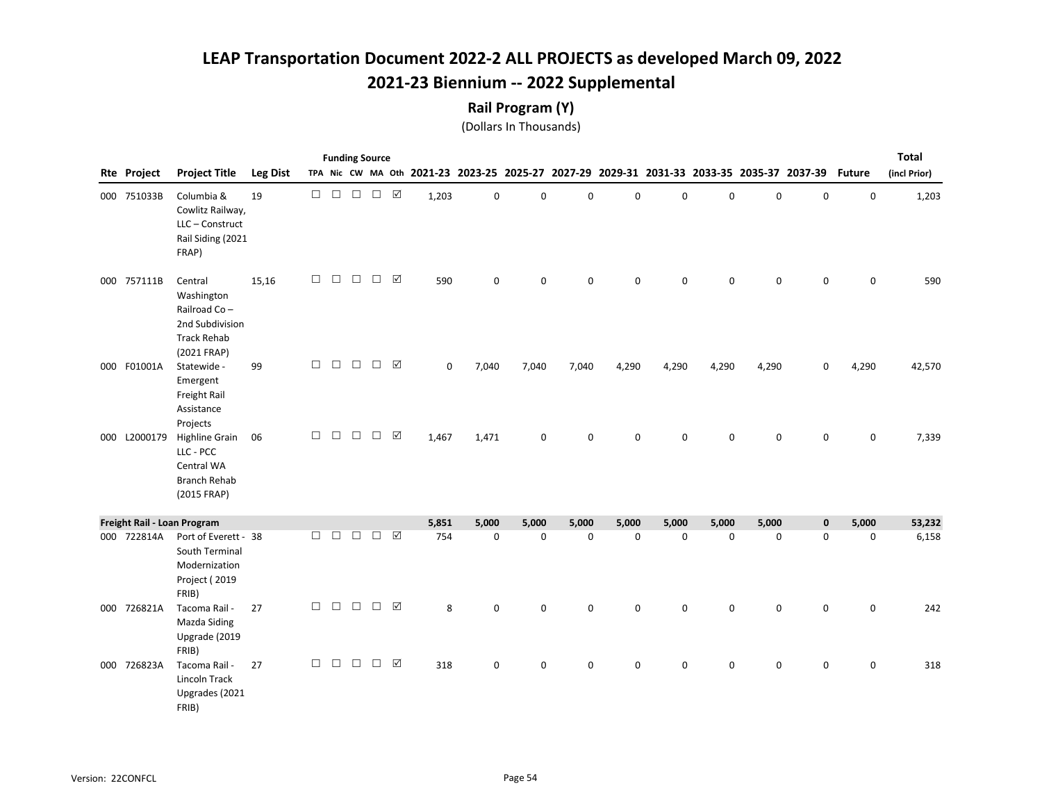## 2021-23 Biennium -- 2022 Supplemental

### Rail Program (Y)

|     |                             |                                                                                               |                 |        |        |        | <b>Funding Source</b>       |   |             |             |             |             |             |             |       |             |                                                                                                  |             | <b>Total</b> |
|-----|-----------------------------|-----------------------------------------------------------------------------------------------|-----------------|--------|--------|--------|-----------------------------|---|-------------|-------------|-------------|-------------|-------------|-------------|-------|-------------|--------------------------------------------------------------------------------------------------|-------------|--------------|
|     | Rte Project                 | <b>Project Title</b>                                                                          | <b>Leg Dist</b> |        |        |        |                             |   |             |             |             |             |             |             |       |             | TPA Nic CW MA Oth 2021-23 2023-25 2025-27 2027-29 2029-31 2031-33 2033-35 2035-37 2037-39 Future |             | (incl Prior) |
|     | 000 751033B                 | Columbia &<br>Cowlitz Railway,<br>LLC - Construct<br>Rail Siding (2021<br>FRAP)               | 19              | $\Box$ |        |        | $\Box$ $\Box$ $\Box$ $\Box$ |   | 1,203       | $\pmb{0}$   | 0           | $\mathbf 0$ | $\mathsf 0$ | $\mathbf 0$ | 0     | $\mathsf 0$ | $\mathsf 0$                                                                                      | $\mathbf 0$ | 1,203        |
|     | 000 757111B                 | Central<br>Washington<br>Railroad Co-<br>2nd Subdivision<br><b>Track Rehab</b><br>(2021 FRAP) | 15,16           | $\Box$ | $\Box$ | $\Box$ | $\Box$                      | ☑ | 590         | $\mathbf 0$ | 0           | $\mathbf 0$ | $\Omega$    | $\Omega$    | 0     | 0           | 0                                                                                                | 0           | 590          |
| 000 | F01001A                     | Statewide -<br>Emergent<br>Freight Rail<br>Assistance<br>Projects                             | 99              | $\Box$ | $\Box$ | $\Box$ | $\Box$ $\Box$               |   | $\mathbf 0$ | 7,040       | 7,040       | 7,040       | 4,290       | 4,290       | 4,290 | 4,290       | 0                                                                                                | 4,290       | 42,570       |
| 000 | L2000179                    | Highline Grain<br>LLC - PCC<br>Central WA<br><b>Branch Rehab</b><br>(2015 FRAP)               | 06              | $\Box$ | $\Box$ | $\Box$ | $\Box$                      | ☑ | 1,467       | 1,471       | 0           | $\mathbf 0$ | 0           | 0           | 0     | 0           | 0                                                                                                | 0           | 7,339        |
|     | Freight Rail - Loan Program |                                                                                               |                 |        |        |        |                             |   | 5,851       | 5,000       | 5,000       | 5,000       | 5,000       | 5,000       | 5,000 | 5,000       | $\mathbf 0$                                                                                      | 5,000       | 53,232       |
|     | 000 722814A                 | Port of Everett - 38<br>South Terminal<br>Modernization<br>Project (2019<br>FRIB)             |                 | $\Box$ | $\Box$ | $\Box$ | $\Box$                      | ☑ | 754         | $\mathbf 0$ | 0           | $\mathbf 0$ | $\mathbf 0$ | $\mathbf 0$ | 0     | $\mathsf 0$ | 0                                                                                                | 0           | 6,158        |
| 000 | 726821A                     | Tacoma Rail -<br>Mazda Siding<br>Upgrade (2019<br>FRIB)                                       | 27              | $\Box$ | $\Box$ | $\Box$ | $\Box$                      | ☑ | 8           | $\mathbf 0$ | $\mathbf 0$ | $\mathbf 0$ | $\Omega$    | $\Omega$    | 0     | $\mathbf 0$ | 0                                                                                                | $\mathbf 0$ | 242          |
| 000 | 726823A                     | Tacoma Rail -<br>Lincoln Track<br>Upgrades (2021<br>FRIB)                                     | 27              | $\Box$ | $\Box$ | $\Box$ | $\Box$                      | ☑ | 318         | 0           | 0           | $\mathbf 0$ | 0           | 0           | 0     | 0           | 0                                                                                                | $\mathbf 0$ | 318          |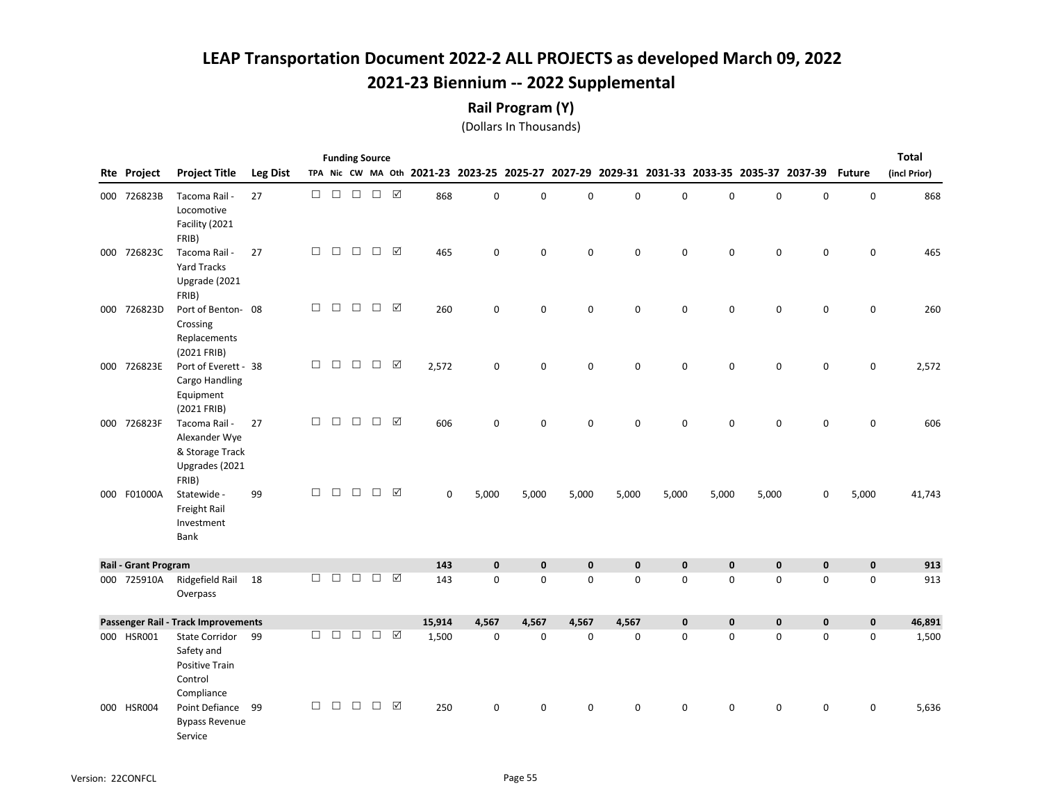## LEAP Transportation Document 2022-2 ALL PROJECTS as developed March 09, 2022 2021-23 Biennium -- 2022 Supplemental

### Rail Program (Y)

|                      |                                                                                       |                 |        |        |        | <b>Funding Source</b> |                      |             |             |                                                                                           |             |             |             |             |             |             |               | <b>Total</b> |
|----------------------|---------------------------------------------------------------------------------------|-----------------|--------|--------|--------|-----------------------|----------------------|-------------|-------------|-------------------------------------------------------------------------------------------|-------------|-------------|-------------|-------------|-------------|-------------|---------------|--------------|
| Rte Project          | <b>Project Title</b>                                                                  | <b>Leg Dist</b> |        |        |        |                       |                      |             |             | TPA Nic CW MA Oth 2021-23 2023-25 2025-27 2027-29 2029-31 2031-33 2033-35 2035-37 2037-39 |             |             |             |             |             |             | <b>Future</b> | (incl Prior) |
| 000 726823B          | Tacoma Rail -<br>Locomotive<br>Facility (2021                                         | 27              | $\Box$ | $\Box$ | $\Box$ | $\Box$                | $\triangledown$      | 868         | 0           | 0                                                                                         | $\mathbf 0$ | 0           | 0           | 0           | $\mathsf 0$ | 0           | $\mathbf 0$   | 868          |
| 000 726823C          | FRIB)<br>Tacoma Rail -<br><b>Yard Tracks</b><br>Upgrade (2021<br>FRIB)                | 27              | $\Box$ | $\Box$ | $\Box$ | $\Box$                | ☑                    | 465         | $\mathbf 0$ | 0                                                                                         | 0           | 0           | $\mathbf 0$ | 0           | $\mathsf 0$ | 0           | $\mathbf 0$   | 465          |
| 000 726823D          | Port of Benton-08<br>Crossing<br>Replacements<br>(2021 FRIB)                          |                 | $\Box$ | $\Box$ | $\Box$ | $\Box$                | ☑                    | 260         | $\mathbf 0$ | 0                                                                                         | $\mathbf 0$ | 0           | 0           | 0           | $\mathbf 0$ | 0           | 0             | 260          |
| 000 726823E          | Port of Everett - 38<br>Cargo Handling<br>Equipment<br>(2021 FRIB)                    |                 | □      | $\Box$ | $\Box$ | $\Box$                | ☑                    | 2,572       | $\mathbf 0$ | 0                                                                                         | $\mathbf 0$ | 0           | $\mathbf 0$ | 0           | $\mathbf 0$ | 0           | 0             | 2,572        |
| 000 726823F          | Tacoma Rail -<br>Alexander Wye<br>& Storage Track<br>Upgrades (2021<br>FRIB)          | 27              | $\Box$ | $\Box$ | $\Box$ | $\Box$                | ☑                    | 606         | 0           | 0                                                                                         | 0           | 0           | 0           | 0           | $\mathbf 0$ | $\mathbf 0$ | $\mathbf 0$   | 606          |
| 000 F01000A          | Statewide -<br>Freight Rail<br>Investment<br>Bank                                     | 99              | $\Box$ | $\Box$ | $\Box$ | $\Box$                | ☑                    | $\mathbf 0$ | 5,000       | 5,000                                                                                     | 5,000       | 5,000       | 5,000       | 5,000       | 5,000       | 0           | 5,000         | 41,743       |
| Rail - Grant Program |                                                                                       |                 |        |        |        |                       |                      | 143         | $\mathbf 0$ | $\mathbf 0$                                                                               | $\mathbf 0$ | $\mathbf 0$ | $\mathbf 0$ | 0           | $\mathbf 0$ | $\mathbf 0$ | $\mathbf 0$   | 913          |
| 000 725910A          | Ridgefield Rail<br>Overpass                                                           | 18              | □      | $\Box$ | $\Box$ | $\Box$                | $\boxed{\checkmark}$ | 143         | $\mathbf 0$ | $\mathbf 0$                                                                               | $\mathbf 0$ | $\mathbf 0$ | $\mathbf 0$ | 0           | 0           | 0           | $\mathbf 0$   | 913          |
|                      | Passenger Rail - Track Improvements                                                   |                 |        |        |        |                       |                      | 15,914      | 4,567       | 4,567                                                                                     | 4,567       | 4,567       | $\mathbf 0$ | $\mathbf 0$ | $\pmb{0}$   | $\pmb{0}$   | $\mathbf 0$   | 46,891       |
| 000 HSR001           | <b>State Corridor</b><br>Safety and<br><b>Positive Train</b><br>Control<br>Compliance | 99              | $\Box$ | $\Box$ | $\Box$ | $\Box$                |                      | 1,500       | 0           | 0                                                                                         | $\mathbf 0$ | $\mathbf 0$ | 0           | 0           | 0           | 0           | $\mathbf 0$   | 1,500        |
| 000 HSR004           | Point Defiance 99<br><b>Bypass Revenue</b><br>Service                                 |                 | $\Box$ | $\Box$ | $\Box$ | $\Box$ $\Box$         |                      | 250         | $\mathbf 0$ | 0                                                                                         | $\mathbf 0$ | 0           | $\mathbf 0$ | 0           | $\mathbf 0$ | 0           | 0             | 5,636        |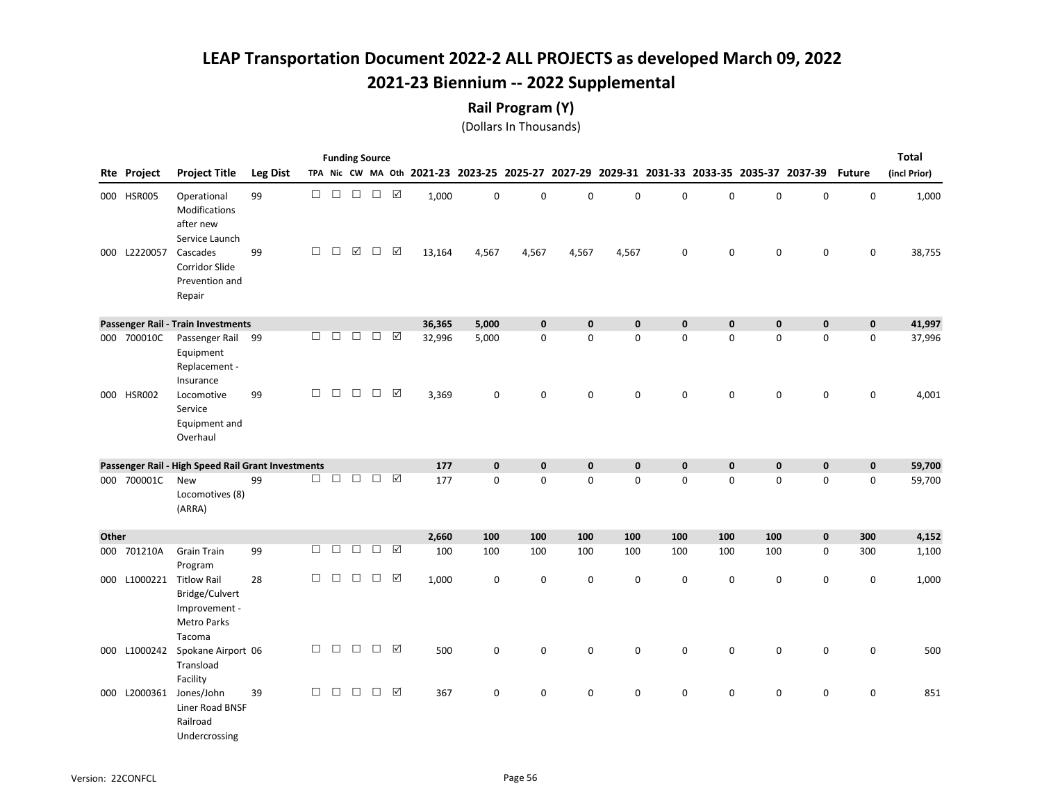## 2021-23 Biennium -- 2022 Supplemental

### Rail Program (Y)

|       |                    |                                                                                       |                 |        |        |               | <b>Funding Source</b> |                      |        |              |              |              |              |              |             |                                                                                           |             |                     | <b>Total</b> |
|-------|--------------------|---------------------------------------------------------------------------------------|-----------------|--------|--------|---------------|-----------------------|----------------------|--------|--------------|--------------|--------------|--------------|--------------|-------------|-------------------------------------------------------------------------------------------|-------------|---------------------|--------------|
|       | <b>Rte Project</b> | <b>Project Title</b>                                                                  | <b>Leg Dist</b> |        |        |               |                       |                      |        |              |              |              |              |              |             | TPA Nic CW MA Oth 2021-23 2023-25 2025-27 2027-29 2029-31 2031-33 2033-35 2035-37 2037-39 |             | <b>Future</b>       | (incl Prior) |
|       | 000 HSR005         | Operational<br>Modifications<br>after new                                             | 99              | $\Box$ | $\Box$ | $\Box$        | $\Box$                | $\boxtimes$          | 1,000  | 0            | 0            | 0            | $\mathbf 0$  | 0            | 0           | $\mathbf 0$                                                                               | $\mathbf 0$ | $\mathsf{O}\xspace$ | 1,000        |
|       | 000 L2220057       | Service Launch<br>Cascades<br>Corridor Slide<br>Prevention and<br>Repair              | 99              | □      | $\Box$ | $\boxtimes$   | $\Box$                | ☑                    | 13,164 | 4,567        | 4,567        | 4,567        | 4,567        | 0            | 0           | $\mathsf 0$                                                                               | 0           | $\mathbf 0$         | 38,755       |
|       |                    | Passenger Rail - Train Investments                                                    |                 |        |        |               |                       |                      | 36,365 | 5,000        | $\mathbf{0}$ | $\mathbf{0}$ | $\mathbf{0}$ | $\mathbf{0}$ | 0           | $\mathbf 0$                                                                               | $\mathbf 0$ | $\mathbf 0$         | 41,997       |
|       | 000 700010C        | Passenger Rail 99<br>Equipment<br>Replacement -<br>Insurance                          |                 | $\Box$ | $\Box$ | $\Box$        | $\Box$                | ☑                    | 32,996 | 5,000        | $\mathbf 0$  | $\mathbf 0$  | $\mathbf 0$  | $\mathbf 0$  | 0           | $\mathsf 0$                                                                               | $\mathbf 0$ | $\mathbf 0$         | 37,996       |
|       | 000 HSR002         | Locomotive<br>Service<br>Equipment and<br>Overhaul                                    | 99              | □      | $\Box$ | $\Box$        | $\Box$                | ☑                    | 3,369  | $\mathbf 0$  | $\mathsf 0$  | $\mathsf 0$  | $\mathbf 0$  | $\mathbf 0$  | 0           | $\mathsf 0$                                                                               | 0           | $\mathbf 0$         | 4,001        |
|       |                    | Passenger Rail - High Speed Rail Grant Investments                                    |                 |        |        |               |                       |                      | 177    | $\mathbf{0}$ | $\mathbf 0$  | $\mathbf{0}$ | $\mathbf{0}$ | $\mathbf 0$  | 0           | $\mathbf 0$                                                                               | $\mathbf 0$ | $\mathbf 0$         | 59,700       |
|       | 000 700001C        | <b>New</b><br>Locomotives (8)<br>(ARRA)                                               | 99              | $\Box$ |        | $\Box$ $\Box$ | $\Box$                | ☑                    | 177    | $\mathbf 0$  | $\mathbf 0$  | $\mathbf 0$  | $\mathbf 0$  | $\mathbf 0$  | 0           | $\mathbf 0$                                                                               | $\mathbf 0$ | $\mathsf 0$         | 59,700       |
| Other |                    |                                                                                       |                 |        |        |               |                       |                      | 2,660  | 100          | 100          | 100          | 100          | 100          | 100         | 100                                                                                       | $\pmb{0}$   | 300                 | 4,152        |
|       | 000 701210A        | <b>Grain Train</b><br>Program                                                         | 99              | $\Box$ | $\Box$ | $\Box$        | $\Box$                | ☑                    | 100    | 100          | 100          | 100          | 100          | 100          | 100         | 100                                                                                       | 0           | 300                 | 1,100        |
|       | 000 L1000221       | <b>Titlow Rail</b><br>Bridge/Culvert<br>Improvement -<br><b>Metro Parks</b><br>Tacoma | 28              | $\Box$ | $\Box$ | $\Box$        | $\Box$                | ☑                    | 1,000  | $\mathbf 0$  | $\mathbf 0$  | $\mathbf 0$  | $\mathbf 0$  | $\mathbf 0$  | 0           | $\mathbf 0$                                                                               | 0           | 0                   | 1,000        |
|       | 000 L1000242       | Spokane Airport 06<br>Transload<br>Facility                                           |                 | □      | $\Box$ | $\Box$        | $\Box$                | ☑                    | 500    | $\mathbf 0$  | 0            | $\mathbf 0$  | $\mathbf 0$  | 0            | 0           | $\mathbf 0$                                                                               | 0           | 0                   | 500          |
|       | 000 L2000361       | Jones/John<br>Liner Road BNSF<br>Railroad<br>Undercrossing                            | 39              | $\Box$ |        | $\Box$ $\Box$ | $\Box$                | $\boxed{\mathbb{Z}}$ | 367    | $\mathbf 0$  | $\mathbf 0$  | $\mathbf 0$  | 0            | $\mathbf 0$  | $\mathsf 0$ | $\mathsf 0$                                                                               | $\mathbf 0$ | $\mathsf 0$         | 851          |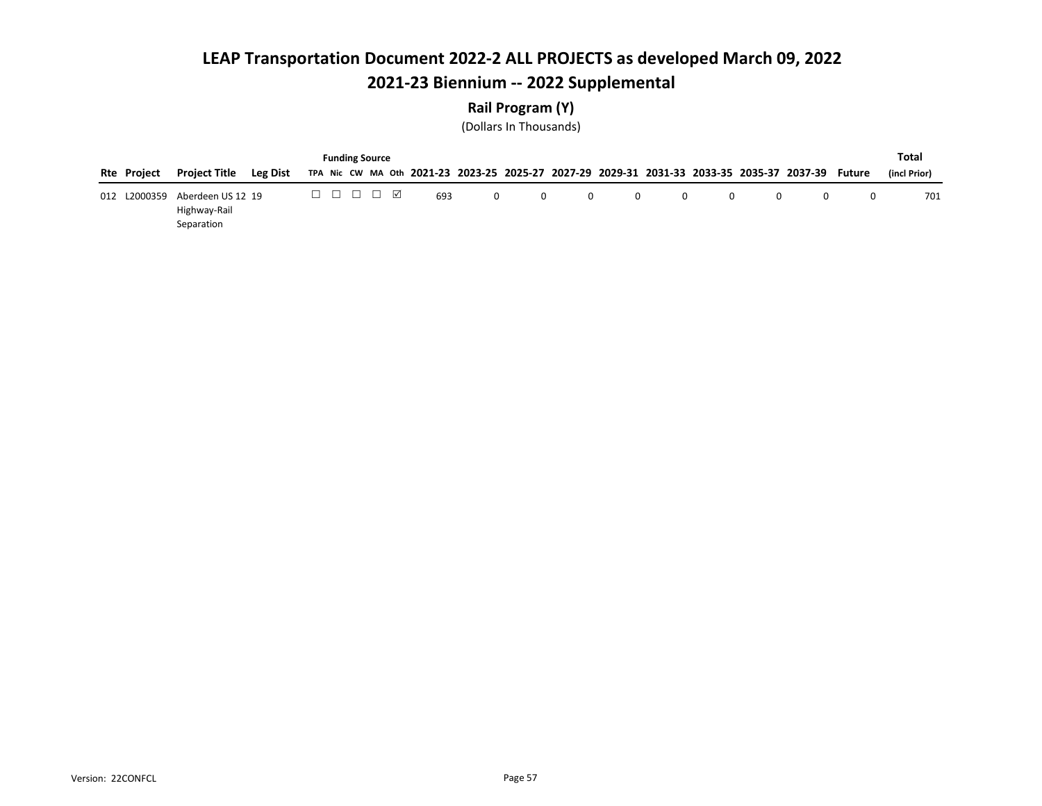## 2021-23 Biennium -- 2022 Supplemental

### Rail Program (Y)

|              |                                                 |          |  | <b>Funding Source</b> |     |          |          |          |          |          |          |          |                                                                                                  | Total        |
|--------------|-------------------------------------------------|----------|--|-----------------------|-----|----------|----------|----------|----------|----------|----------|----------|--------------------------------------------------------------------------------------------------|--------------|
| Rte Project  | Proiect Title                                   | Leg Dist |  |                       |     |          |          |          |          |          |          |          | TPA Nic CW MA Oth 2021-23 2023-25 2025-27 2027-29 2029-31 2031-33 2033-35 2035-37 2037-39 Future | (incl Prior) |
| 012 L2000359 | Aberdeen US 12 19<br>Highway-Rail<br>Separation |          |  | <b>D D D D M</b>      | 693 | $\Omega$ | $\Omega$ | $\Omega$ | $\Omega$ | $\Omega$ | $\Omega$ | $\Omega$ | 0                                                                                                | 701          |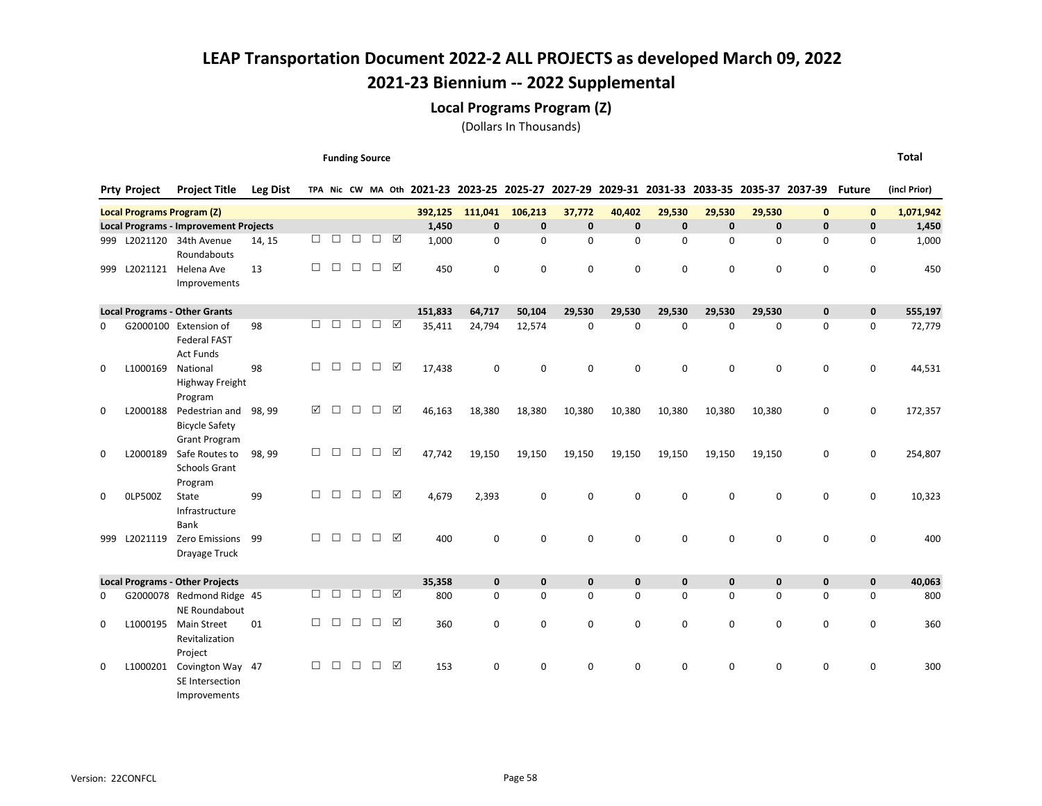## LEAP Transportation Document 2022-2 ALL PROJECTS as developed March 09, 2022 2021-23 Biennium -- 2022 Supplemental

#### Local Programs Program (Z)

(Dollars In Thousands)

Funding Source

|             | <b>Prty Project</b> | <b>Project Title</b>                                             | <b>Leg Dist</b> |        |        |        |        |                      |         | TPA Nic CW MA Oth 2021-23 2023-25 2025-27 2027-29 2029-31 2031-33 2033-35 2035-37 2037-39 |              |              |              |              |              |              |              | <b>Future</b> | (incl Prior) |
|-------------|---------------------|------------------------------------------------------------------|-----------------|--------|--------|--------|--------|----------------------|---------|-------------------------------------------------------------------------------------------|--------------|--------------|--------------|--------------|--------------|--------------|--------------|---------------|--------------|
|             |                     | <b>Local Programs Program (Z)</b>                                |                 |        |        |        |        |                      | 392,125 | 111,041                                                                                   | 106,213      | 37,772       | 40,402       | 29,530       | 29,530       | 29,530       | $\mathbf{0}$ | $\mathbf{0}$  | 1,071,942    |
|             |                     | <b>Local Programs - Improvement Projects</b>                     |                 |        |        |        |        |                      | 1,450   | $\mathbf{0}$                                                                              | $\mathbf{0}$ | $\mathbf{0}$ | $\mathbf{0}$ | $\mathbf{0}$ | $\mathbf{0}$ | $\mathbf{0}$ | $\mathbf 0$  | $\pmb{0}$     | 1,450        |
| 999         |                     | L2021120 34th Avenue<br>Roundabouts                              | 14, 15          | $\Box$ | $\Box$ | $\Box$ | $\Box$ | ☑                    | 1,000   | $\Omega$                                                                                  | $\mathbf{0}$ | $\Omega$     | $\Omega$     | $\mathbf 0$  | 0            | $\mathbf 0$  | 0            | 0             | 1,000        |
| 999         | L2021121            | Helena Ave<br>Improvements                                       | 13              | П      | $\Box$ | $\Box$ | □      | $\boxed{\checkmark}$ | 450     | $\Omega$                                                                                  | 0            | $\Omega$     | $\Omega$     | 0            | 0            | 0            | $\Omega$     | $\Omega$      | 450          |
|             |                     | <b>Local Programs - Other Grants</b>                             |                 |        |        |        |        |                      | 151,833 | 64,717                                                                                    | 50,104       | 29,530       | 29,530       | 29,530       | 29,530       | 29,530       | $\mathbf 0$  | $\mathbf 0$   | 555,197      |
| $\Omega$    |                     | G2000100 Extension of<br><b>Federal FAST</b><br><b>Act Funds</b> | 98              | П      | $\Box$ | $\Box$ | $\Box$ | ☑                    | 35,411  | 24,794                                                                                    | 12,574       | $\mathbf 0$  | 0            | $\mathbf 0$  | $\mathbf 0$  | 0            | $\mathbf 0$  | 0             | 72,779       |
| $\mathbf 0$ | L1000169            | National<br>Highway Freight<br>Program                           | 98              | $\Box$ | $\Box$ | $\Box$ | $\Box$ | ☑                    | 17,438  | 0                                                                                         | 0            | $\mathbf 0$  | $\Omega$     | $\Omega$     | $\mathbf 0$  | $\mathbf 0$  | 0            | 0             | 44,531       |
| 0           | L2000188            | Pedestrian and<br><b>Bicycle Safety</b><br><b>Grant Program</b>  | 98.99           | ☑      | □      | $\Box$ | □      | ☑                    | 46,163  | 18,380                                                                                    | 18,380       | 10,380       | 10,380       | 10,380       | 10,380       | 10,380       | 0            | 0             | 172,357      |
| 0           | L2000189            | Safe Routes to<br><b>Schools Grant</b><br>Program                | 98, 99          | П      | П      | $\Box$ | □      | ☑                    | 47,742  | 19,150                                                                                    | 19,150       | 19,150       | 19,150       | 19,150       | 19,150       | 19,150       | 0            | 0             | 254,807      |
| $\Omega$    | 0LP500Z             | State<br>Infrastructure<br>Bank                                  | 99              | П      | П      | $\Box$ | П      | ☑                    | 4,679   | 2,393                                                                                     | 0            | $\Omega$     | $\Omega$     | 0            | $\Omega$     | $\Omega$     | $\Omega$     | 0             | 10,323       |
| 999         | L2021119            | Zero Emissions<br>Drayage Truck                                  | 99              | П      | П      | □      | П      | ☑                    | 400     | $\Omega$                                                                                  | $\Omega$     | $\Omega$     | $\Omega$     | $\Omega$     | $\Omega$     | $\Omega$     | $\Omega$     | $\Omega$      | 400          |
|             |                     | <b>Local Programs - Other Projects</b>                           |                 |        |        |        |        |                      | 35,358  | $\mathbf{0}$                                                                              | $\mathbf{0}$ | $\mathbf 0$  | 0            | 0            | 0            | $\mathbf 0$  | $\mathbf 0$  | $\pmb{0}$     | 40,063       |
| 0           |                     | G2000078 Redmond Ridge 45<br>NE Roundabout                       |                 | $\Box$ | □      | $\Box$ | П      | $\boxed{\checkmark}$ | 800     | $\mathbf 0$                                                                               | 0            | $\mathbf 0$  | 0            | 0            | 0            | 0            | 0            | 0             | 800          |
| 0           | L1000195            | <b>Main Street</b><br>Revitalization<br>Project                  | 01              | П      | $\Box$ | $\Box$ | $\Box$ | ☑                    | 360     | 0                                                                                         | 0            | $\mathbf 0$  | $\Omega$     | 0            | 0            | 0            | $\mathbf 0$  | 0             | 360          |
| $\Omega$    | L1000201            | Covington Way 47<br>SE Intersection<br>Improvements              |                 | П      | П      | $\Box$ | $\Box$ | $\boxed{\checkmark}$ | 153     | $\Omega$                                                                                  | 0            | $\Omega$     | $\Omega$     | $\mathbf 0$  | 0            | 0            | $\mathbf 0$  | 0             | 300          |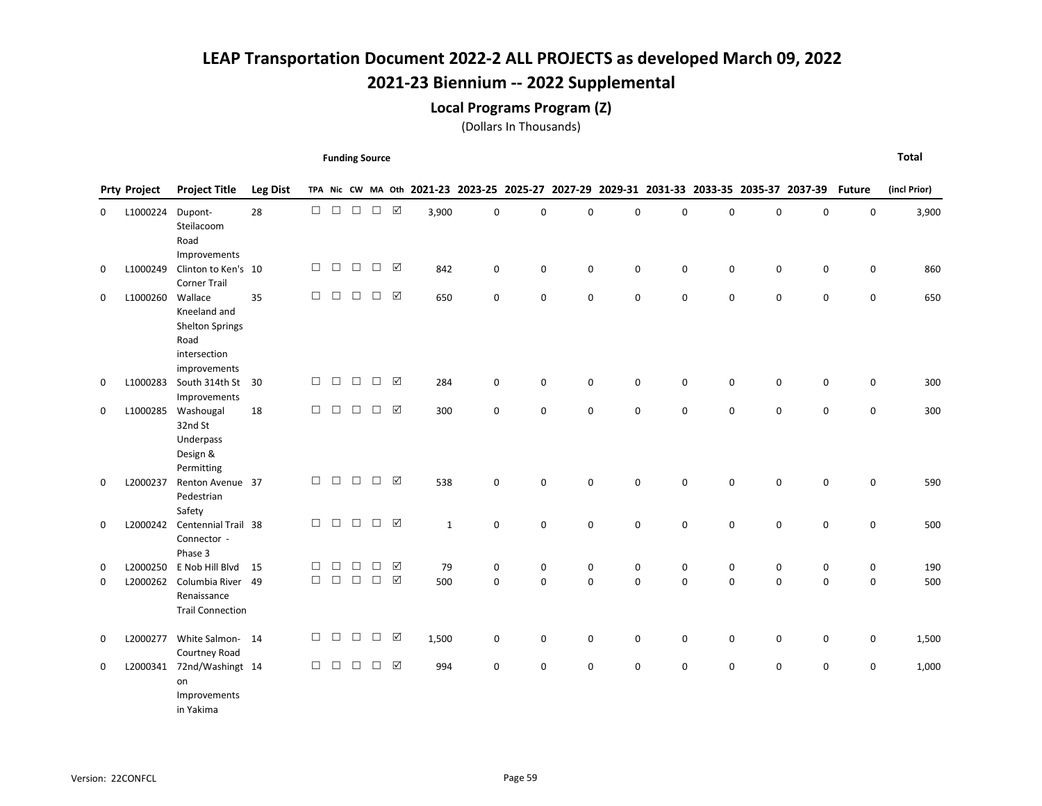## 2021-23 Biennium -- 2022 Supplemental

#### Local Programs Program (Z)

(Dollars In Thousands)

Funding Source

|             | <b>Prty Project</b>  | <b>Project Title</b>                                                           | <b>Leg Dist</b> |             |                  |                  |             |                  |              |             |                                    |                  |                            |                  |             |             | TPA Nic CW MA Oth 2021-23 2023-25 2025-27 2027-29 2029-31 2031-33 2033-35 2035-37 2037-39 | <b>Future</b>    | (incl Prior) |
|-------------|----------------------|--------------------------------------------------------------------------------|-----------------|-------------|------------------|------------------|-------------|------------------|--------------|-------------|------------------------------------|------------------|----------------------------|------------------|-------------|-------------|-------------------------------------------------------------------------------------------|------------------|--------------|
| 0           | L1000224             | Dupont-<br>Steilacoom<br>Road<br>Improvements                                  | 28              | $\Box$      | $\Box$           | $\Box$           | $\Box$      | $\boxtimes$      | 3,900        | 0           | $\mathsf 0$                        | $\mathbf 0$      | $\mathbf 0$                | $\mathbf 0$      | 0           | $\pmb{0}$   | 0                                                                                         | 0                | 3,900        |
| 0           | L1000249             | Clinton to Ken's 10<br><b>Corner Trail</b>                                     |                 | $\Box$      | $\Box$           | $\Box$           | $\Box$      | $\boxtimes$      | 842          | $\mathsf 0$ | $\mathsf{O}\xspace$                | $\pmb{0}$        | $\mathsf 0$                | 0                | 0           | 0           | 0                                                                                         | 0                | 860          |
| 0           | L1000260             | Wallace<br>Kneeland and<br><b>Shelton Springs</b>                              | 35              | $\Box$      | $\Box$           | $\Box$           | $\Box$      | $\boxtimes$      | 650          | 0           | $\mathsf 0$                        | 0                | 0                          | $\mathbf 0$      | 0           | 0           | 0                                                                                         | 0                | 650          |
|             |                      | Road<br>intersection                                                           |                 |             |                  |                  |             |                  |              |             |                                    |                  |                            |                  |             |             |                                                                                           |                  |              |
| 0           | L1000283             | improvements<br>South 314th St                                                 | 30              | $\Box$      | $\Box$           | $\Box$           | □           | ☑                | 284          | 0           | $\mathsf 0$                        | $\mathbf 0$      | $\mathsf 0$                | 0                | 0           | 0           | $\mathsf{O}\xspace$                                                                       | 0                | 300          |
| 0           | L1000285             | Improvements<br>Washougal<br>32nd St<br>Underpass                              | 18              | $\Box$      | □                | $\Box$           | $\Box$      | $\boxtimes$      | 300          | 0           | $\mathsf 0$                        | $\mathbf 0$      | $\mathbf 0$                | 0                | 0           | $\mathbf 0$ | 0                                                                                         | 0                | 300          |
| $\Omega$    | L2000237             | Design &<br>Permitting<br>Renton Avenue 37<br>Pedestrian                       |                 | $\Box$      | $\Box$           | $\Box$           | $\Box$      | $\boxtimes$      | 538          | 0           | $\mathbf 0$                        | $\mathbf 0$      | $\mathbf 0$                | $\mathbf 0$      | $\mathbf 0$ | $\mathbf 0$ | $\mathbf 0$                                                                               | 0                | 590          |
| 0           |                      | Safety<br>L2000242 Centennial Trail 38<br>Connector -<br>Phase 3               |                 | $\Box$      |                  | $\Box$ $\Box$    | $\Box$      | ☑                | $\mathbf{1}$ | 0           | $\mathsf 0$                        | $\mathbf 0$      | 0                          | $\mathbf 0$      | 0           | $\mathbf 0$ | 0                                                                                         | 0                | 500          |
| 0<br>0      | L2000250<br>L2000262 | E Nob Hill Blvd<br>Columbia River 49<br>Renaissance<br><b>Trail Connection</b> | 15              | П<br>$\Box$ | $\Box$<br>$\Box$ | $\Box$<br>$\Box$ | □<br>$\Box$ | ☑<br>$\boxtimes$ | 79<br>500    | 0<br>0      | $\mathsf{O}\xspace$<br>$\mathbf 0$ | 0<br>$\mathbf 0$ | $\mathsf 0$<br>$\mathsf 0$ | 0<br>$\mathsf 0$ | 0<br>0      | 0<br>0      | $\mathsf 0$<br>$\mathsf 0$                                                                | 0<br>$\mathbf 0$ | 190<br>500   |
| $\mathbf 0$ | L2000277             | White Salmon-14                                                                |                 | $\Box$      | $\Box$           | $\Box$           | $\Box$      | ☑                | 1,500        | 0           | $\mathbf 0$                        | $\mathsf 0$      | $\mathsf 0$                | 0                | 0           | $\pmb{0}$   | $\pmb{0}$                                                                                 | $\pmb{0}$        | 1,500        |
| 0           | L2000341             | Courtney Road<br>72nd/Washingt 14<br>on<br>Improvements<br>in Yakima           |                 | $\Box$      | П                | $\Box$           | П           | ☑                | 994          | $\Omega$    | $\mathbf 0$                        | $\Omega$         | $\mathbf 0$                | $\Omega$         | 0           | $\mathbf 0$ | $\mathbf 0$                                                                               | 0                | 1,000        |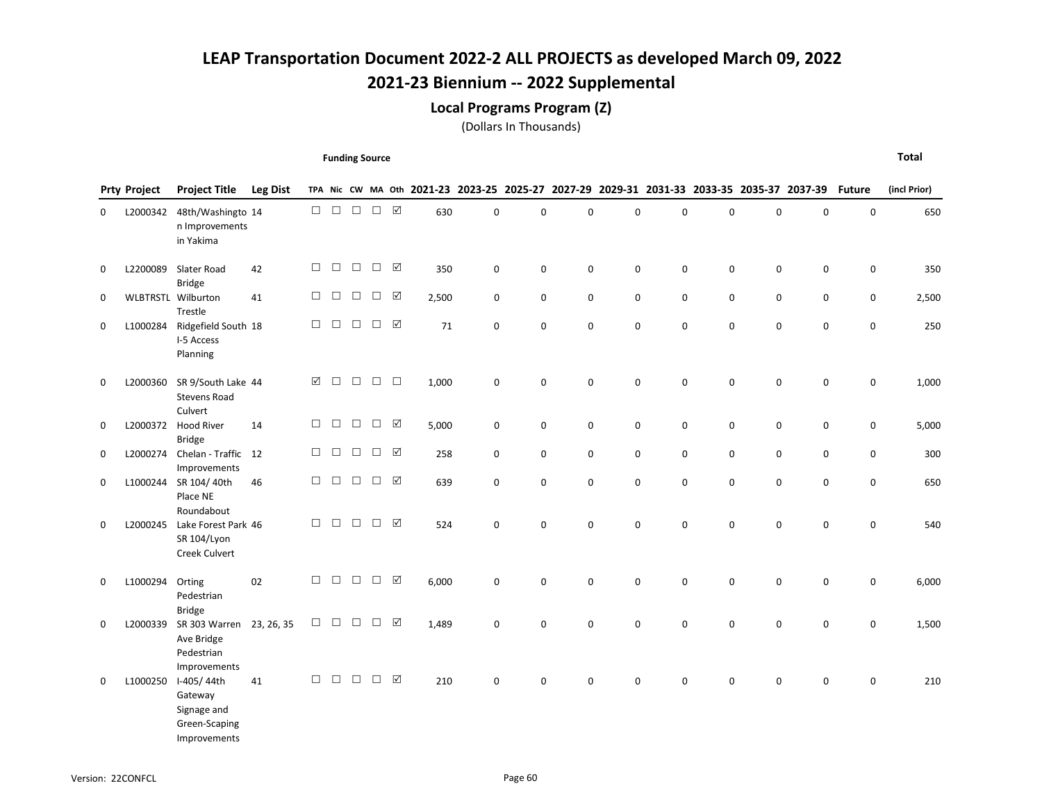## 2021-23 Biennium -- 2022 Supplemental

#### Local Programs Program (Z)

(Dollars In Thousands)

Funding Source

|          | <b>Prty Project</b> | <b>Project Title</b>                                                                  | <b>Leg Dist</b> |        |        |        |        |                      |       |             |                     |             |             |          |             |   | TPA Nic CW MA Oth 2021-23 2023-25 2025-27 2027-29 2029-31 2031-33 2033-35 2035-37 2037-39 | <b>Future</b> | (incl Prior) |
|----------|---------------------|---------------------------------------------------------------------------------------|-----------------|--------|--------|--------|--------|----------------------|-------|-------------|---------------------|-------------|-------------|----------|-------------|---|-------------------------------------------------------------------------------------------|---------------|--------------|
| $\Omega$ | L2000342            | 48th/Washingto 14<br>n Improvements<br>in Yakima                                      |                 | $\Box$ | $\Box$ | $\Box$ | $\Box$ | $\boxed{\checkmark}$ | 630   | 0           | $\pmb{0}$           | $\mathbf 0$ | $\mathbf 0$ | 0        | $\mathbf 0$ | 0 | $\mathbf 0$                                                                               | $\pmb{0}$     | 650          |
| 0        | L2200089            | Slater Road<br><b>Bridge</b>                                                          | 42              | $\Box$ | $\Box$ | $\Box$ | $\Box$ | $\boxtimes$          | 350   | $\pmb{0}$   | 0                   | $\pmb{0}$   | $\mathsf 0$ | 0        | 0           | 0 | $\mathbf 0$                                                                               | $\mathsf 0$   | 350          |
| 0        |                     | WLBTRSTL Wilburton<br>Trestle                                                         | 41              | $\Box$ | $\Box$ | $\Box$ | $\Box$ | ☑                    | 2,500 | 0           | $\pmb{0}$           | 0           | $\mathsf 0$ | 0        | 0           | 0 | $\mathbf 0$                                                                               | $\mathsf 0$   | 2,500        |
| 0        | L1000284            | Ridgefield South 18<br>I-5 Access<br>Planning                                         |                 | $\Box$ | $\Box$ | $\Box$ | $\Box$ | ☑                    | 71    | $\mathbf 0$ | $\mathbf 0$         | $\mathbf 0$ | $\mathbf 0$ | 0        | $\mathbf 0$ | 0 | $\mathbf 0$                                                                               | $\mathsf 0$   | 250          |
| 0        | L2000360            | SR 9/South Lake 44<br><b>Stevens Road</b><br>Culvert                                  |                 | ☑      | $\Box$ | $\Box$ | $\Box$ | $\Box$               | 1,000 | 0           | $\mathsf 0$         | 0           | $\mathbf 0$ | 0        | 0           | 0 | $\pmb{0}$                                                                                 | 0             | 1,000        |
| 0        | L2000372            | <b>Hood River</b><br><b>Bridge</b>                                                    | 14              | $\Box$ | $\Box$ | $\Box$ | $\Box$ | $\boxtimes$          | 5,000 | 0           | $\mathsf 0$         | 0           | $\mathbf 0$ | 0        | 0           | 0 | 0                                                                                         | 0             | 5,000        |
| 0        | L2000274            | Chelan - Traffic 12<br>Improvements                                                   |                 | $\Box$ | $\Box$ | $\Box$ | $\Box$ | ☑                    | 258   | $\pmb{0}$   | $\mathsf{O}\xspace$ | $\mathbf 0$ | $\mathsf 0$ | 0        | 0           | 0 | $\mathsf{O}\xspace$                                                                       | $\mathsf 0$   | 300          |
| 0        |                     | L1000244 SR 104/40th<br>Place NE<br>Roundabout                                        | 46              | $\Box$ | $\Box$ | $\Box$ | $\Box$ | $\boxtimes$          | 639   | 0           | 0                   | $\pmb{0}$   | $\mathsf 0$ | 0        | 0           | 0 | $\mathbf 0$                                                                               | $\mathsf 0$   | 650          |
| $\Omega$ | L2000245            | Lake Forest Park 46<br>SR 104/Lyon<br>Creek Culvert                                   |                 | П      | $\Box$ | $\Box$ | $\Box$ | ☑                    | 524   | $\mathbf 0$ | $\mathbf 0$         | $\Omega$    | $\mathbf 0$ | $\Omega$ | $\mathbf 0$ | 0 | $\mathbf 0$                                                                               | $\mathsf 0$   | 540          |
| 0        | L1000294            | Orting<br>Pedestrian<br><b>Bridge</b>                                                 | 02              | $\Box$ | $\Box$ | $\Box$ | $\Box$ | ☑                    | 6,000 | 0           | $\mathsf 0$         | 0           | $\mathsf 0$ | 0        | 0           | 0 | $\mathbf 0$                                                                               | $\mathsf 0$   | 6,000        |
| 0        | L2000339            | SR 303 Warren<br>Ave Bridge<br>Pedestrian                                             | 23, 26, 35      | $\Box$ | $\Box$ | $\Box$ | $\Box$ | $\boxtimes$          | 1,489 | 0           | $\mathbf 0$         | $\pmb{0}$   | $\mathbf 0$ | 0        | $\mathbf 0$ | 0 | $\mathsf 0$                                                                               | $\mathsf 0$   | 1,500        |
| 0        | L1000250            | Improvements<br>I-405/44th<br>Gateway<br>Signage and<br>Green-Scaping<br>Improvements | 41              | $\Box$ | $\Box$ | $\Box$ | $\Box$ | ☑                    | 210   | 0           | 0                   | $\pmb{0}$   | $\mathsf 0$ | 0        | 0           | 0 | $\mathbf 0$                                                                               | 0             | 210          |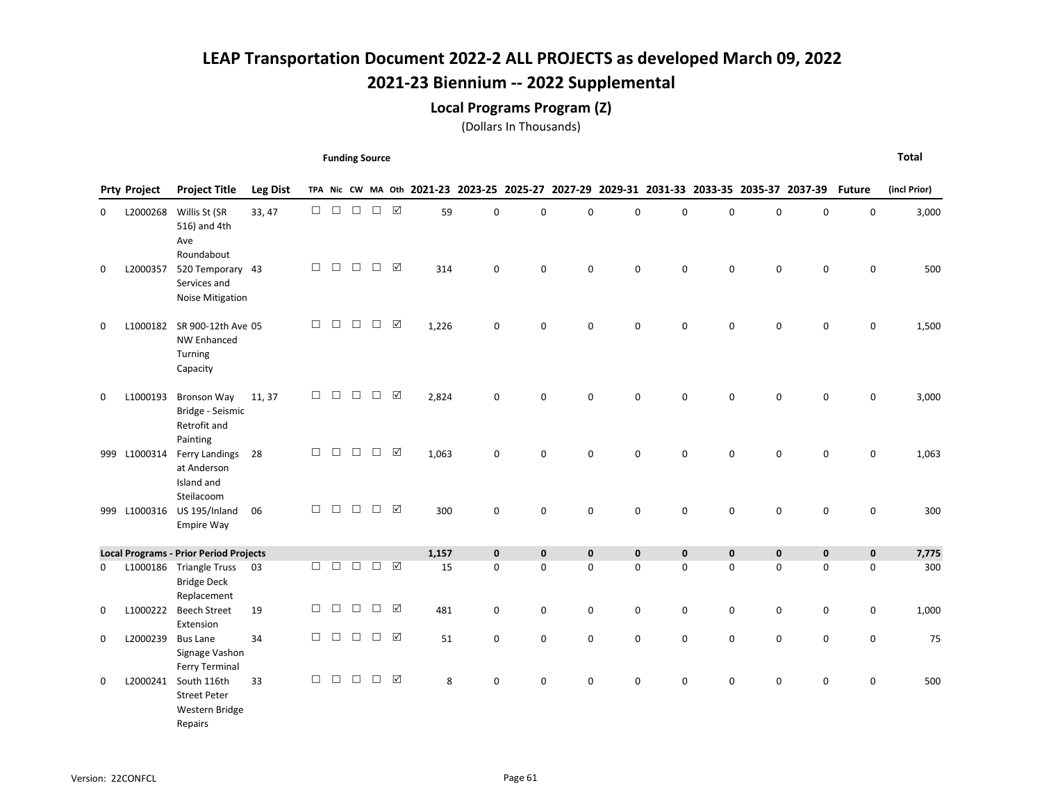## 2021-23 Biennium -- 2022 Supplemental

#### Local Programs Program (Z)

(Dollars In Thousands)

Funding Source

|     | <b>Prty Project</b> | <b>Project Title</b>                                            | <b>Leg Dist</b> |        |        |        |        |                     |       |             |             |             |             |             |           |             | TPA Nic CW MA Oth 2021-23 2023-25 2025-27 2027-29 2029-31 2031-33 2033-35 2035-37 2037-39 | <b>Future</b> | (incl Prior) |
|-----|---------------------|-----------------------------------------------------------------|-----------------|--------|--------|--------|--------|---------------------|-------|-------------|-------------|-------------|-------------|-------------|-----------|-------------|-------------------------------------------------------------------------------------------|---------------|--------------|
| 0   | L2000268            | Willis St (SR<br>516) and 4th<br>Ave<br>Roundabout              | 33, 47          | $\Box$ | $\Box$ | $\Box$ | $\Box$ | ☑                   | 59    | $\mathbf 0$ | 0           | $\mathbf 0$ | 0           | 0           | 0         | $\mathbf 0$ | 0                                                                                         | 0             | 3,000        |
| 0   | L2000357            | 520 Temporary 43<br>Services and<br><b>Noise Mitigation</b>     |                 | $\Box$ | $\Box$ | $\Box$ | $\Box$ | $\boxtimes$         | 314   | 0           | 0           | $\mathbf 0$ | 0           | 0           | 0         | $\mathbf 0$ | 0                                                                                         | $\mathbf 0$   | 500          |
| 0   | L1000182            | SR 900-12th Ave 05<br><b>NW Enhanced</b><br>Turning<br>Capacity |                 | $\Box$ | $\Box$ | $\Box$ | $\Box$ | $\boxtimes$         | 1,226 | 0           | 0           | $\Omega$    | $\Omega$    | $\Omega$    | 0         | $\mathbf 0$ | 0                                                                                         | 0             | 1,500        |
| 0   | L1000193            | Bronson Way<br>Bridge - Seismic<br>Retrofit and<br>Painting     | 11, 37          | П      | $\Box$ | $\Box$ | $\Box$ | $\boxtimes$         | 2,824 | 0           | 0           | $\mathbf 0$ | 0           | 0           | 0         | $\mathbf 0$ | 0                                                                                         | 0             | 3,000        |
|     | 999 L1000314        | Ferry Landings<br>at Anderson<br>Island and<br>Steilacoom       | 28              | $\Box$ | $\Box$ | $\Box$ | $\Box$ | ☑                   | 1,063 | $\mathbf 0$ | 0           | $\mathbf 0$ | 0           | 0           | 0         | 0           | 0                                                                                         | $\mathbf 0$   | 1,063        |
| 999 | L1000316            | US 195/Inland<br>Empire Way                                     | 06              | $\Box$ | $\Box$ | $\Box$ | $\Box$ | ☑                   | 300   | $\mathsf 0$ | 0           | $\mathsf 0$ | 0           | 0           | 0         | $\mathsf 0$ | 0                                                                                         | $\mathsf 0$   | 300          |
|     |                     | <b>Local Programs - Prior Period Projects</b>                   |                 |        |        |        |        |                     | 1,157 | $\mathbf 0$ | $\mathbf 0$ | $\mathbf 0$ | $\mathbf 0$ | $\mathbf 0$ | $\pmb{0}$ | $\mathbf 0$ | $\pmb{\mathsf{o}}$                                                                        | $\mathbf 0$   | 7,775        |
| 0   |                     | L1000186 Triangle Truss<br><b>Bridge Deck</b><br>Replacement    | 03              | $\Box$ | $\Box$ | $\Box$ | $\Box$ | $\boxed{\triangle}$ | 15    | $\mathbf 0$ | 0           | $\mathbf 0$ | 0           | 0           | 0         | $\mathbf 0$ | 0                                                                                         | $\mathbf 0$   | 300          |
| 0   | L1000222            | <b>Beech Street</b><br>Extension                                | 19              | $\Box$ | $\Box$ | $\Box$ | $\Box$ | $\boxtimes$         | 481   | $\mathsf 0$ | 0           | $\mathsf 0$ | 0           | 0           | 0         | $\pmb{0}$   | 0                                                                                         | 0             | 1,000        |
| 0   | L2000239            | <b>Bus Lane</b><br>Signage Vashon<br>Ferry Terminal             | 34              | $\Box$ | $\Box$ | $\Box$ | $\Box$ | $\boxtimes$         | 51    | $\mathsf 0$ | 0           | $\mathsf 0$ | 0           | 0           | 0         | 0           | 0                                                                                         | $\mathsf 0$   | 75           |
| 0   | L2000241            | South 116th<br><b>Street Peter</b><br>Western Bridge<br>Repairs | 33              | $\Box$ | $\Box$ | $\Box$ | $\Box$ | $\boxtimes$         | 8     | $\mathbf 0$ | 0           | $\mathsf 0$ | 0           | 0           | 0         | 0           | 0                                                                                         | $\mathsf 0$   | 500          |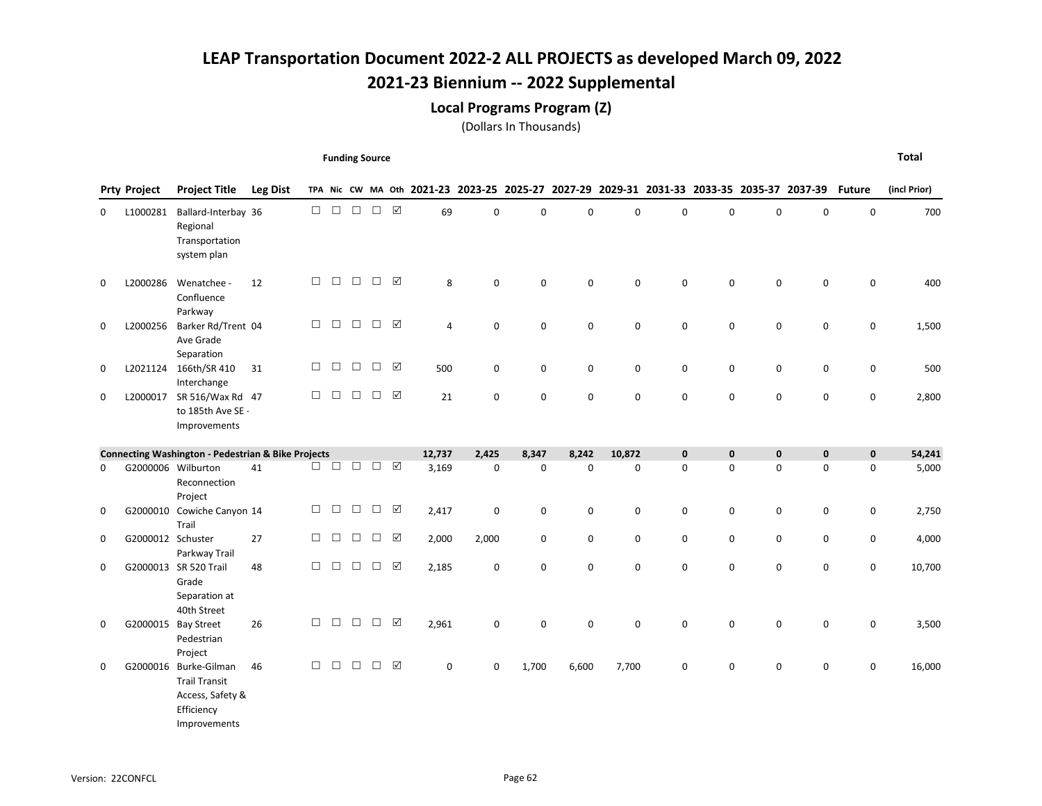## 2021-23 Biennium -- 2022 Supplemental

#### Local Programs Program (Z)

(Dollars In Thousands)

Funding Source

|          | <b>Prty Project</b> | <b>Project Title</b>                                                                            | <b>Leg Dist</b> |        |        |        |        |                 |        |             |             |             |             |              |             |             | TPA Nic CW MA Oth 2021-23 2023-25 2025-27 2027-29 2029-31 2031-33 2033-35 2035-37 2037-39 | <b>Future</b> | (incl Prior) |
|----------|---------------------|-------------------------------------------------------------------------------------------------|-----------------|--------|--------|--------|--------|-----------------|--------|-------------|-------------|-------------|-------------|--------------|-------------|-------------|-------------------------------------------------------------------------------------------|---------------|--------------|
| 0        | L1000281            | Ballard-Interbay 36<br>Regional<br>Transportation<br>system plan                                |                 | $\Box$ | $\Box$ | $\Box$ | $\Box$ | $\triangledown$ | 69     | $\mathbf 0$ | 0           | $\mathbf 0$ | $\mathbf 0$ | 0            | 0           | 0           | $\mathbf 0$                                                                               | $\mathsf 0$   | 700          |
| 0        | L2000286            | Wenatchee -<br>Confluence<br>Parkway                                                            | 12              | $\Box$ | $\Box$ | $\Box$ | $\Box$ | ☑               | 8      | $\mathbf 0$ | 0           | $\mathbf 0$ | $\mathbf 0$ | 0            | $\mathbf 0$ | 0           | $\mathsf 0$                                                                               | $\pmb{0}$     | 400          |
| 0        | L2000256            | Barker Rd/Trent 04<br>Ave Grade<br>Separation                                                   |                 | $\Box$ | $\Box$ | $\Box$ | $\Box$ | ☑               | 4      | $\mathbf 0$ | 0           | $\mathbf 0$ | $\mathbf 0$ | $\mathbf 0$  | 0           | 0           | $\mathbf 0$                                                                               | $\pmb{0}$     | 1,500        |
| 0        |                     | L2021124 166th/SR 410<br>Interchange                                                            | 31              | $\Box$ | $\Box$ | $\Box$ | $\Box$ | ☑               | 500    | 0           | $\mathbf 0$ | $\mathbf 0$ | $\mathsf 0$ | 0            | 0           | 0           | $\mathsf{O}\xspace$                                                                       | $\pmb{0}$     | 500          |
| 0        |                     | L2000017 SR 516/Wax Rd 47<br>to 185th Ave SE -<br>Improvements                                  |                 | $\Box$ | $\Box$ | $\Box$ | $\Box$ | ☑               | 21     | $\mathbf 0$ | $\mathbf 0$ | $\mathbf 0$ | $\mathbf 0$ | 0            | 0           | 0           | $\mathbf 0$                                                                               | 0             | 2,800        |
|          |                     | <b>Connecting Washington - Pedestrian &amp; Bike Projects</b>                                   |                 |        |        |        |        |                 | 12,737 | 2,425       | 8,347       | 8,242       | 10,872      | $\mathbf{0}$ | $\mathbf 0$ | $\mathbf 0$ | $\pmb{0}$                                                                                 | $\pmb{0}$     | 54,241       |
| 0        |                     | G2000006 Wilburton<br>Reconnection<br>Project                                                   | 41              | $\Box$ | $\Box$ | $\Box$ |        | $\Box$ $\Box$   | 3,169  | 0           | $\mathbf 0$ | $\mathbf 0$ | $\mathbf 0$ | $\mathbf 0$  | $\mathbf 0$ | $\mathbf 0$ | $\mathbf 0$                                                                               | $\mathbf 0$   | 5,000        |
| 0        |                     | G2000010 Cowiche Canyon 14<br>Trail                                                             |                 | $\Box$ | $\Box$ | $\Box$ | $\Box$ | ☑               | 2,417  | $\mathbf 0$ | $\mathsf 0$ | 0           | 0           | 0            | 0           | 0           | 0                                                                                         | 0             | 2,750        |
| 0        | G2000012 Schuster   | Parkway Trail                                                                                   | 27              | $\Box$ | $\Box$ | $\Box$ | $\Box$ | ☑               | 2,000  | 2,000       | 0           | 0           | 0           | 0            | 0           | 0           | 0                                                                                         | 0             | 4,000        |
| 0        |                     | G2000013 SR 520 Trail<br>Grade<br>Separation at<br>40th Street                                  | 48              | $\Box$ | $\Box$ | $\Box$ | $\Box$ | ☑               | 2,185  | 0           | $\mathsf 0$ | $\mathbf 0$ | 0           | 0            | 0           | 0           | $\mathbf 0$                                                                               | 0             | 10,700       |
| 0        |                     | G2000015 Bay Street<br>Pedestrian<br>Project                                                    | 26              | $\Box$ | $\Box$ | $\Box$ | $\Box$ | ☑               | 2,961  | 0           | $\pmb{0}$   | $\mathsf 0$ | $\mathsf 0$ | $\mathbf 0$  | 0           | 0           | $\mathbf 0$                                                                               | $\pmb{0}$     | 3,500        |
| $\Omega$ |                     | G2000016 Burke-Gilman<br><b>Trail Transit</b><br>Access, Safety &<br>Efficiency<br>Improvements | 46              | □      | $\Box$ | $\Box$ | $\Box$ | ☑               | 0      | $\mathbf 0$ | 1,700       | 6,600       | 7,700       | 0            | 0           | 0           | $\mathbf 0$                                                                               | $\pmb{0}$     | 16,000       |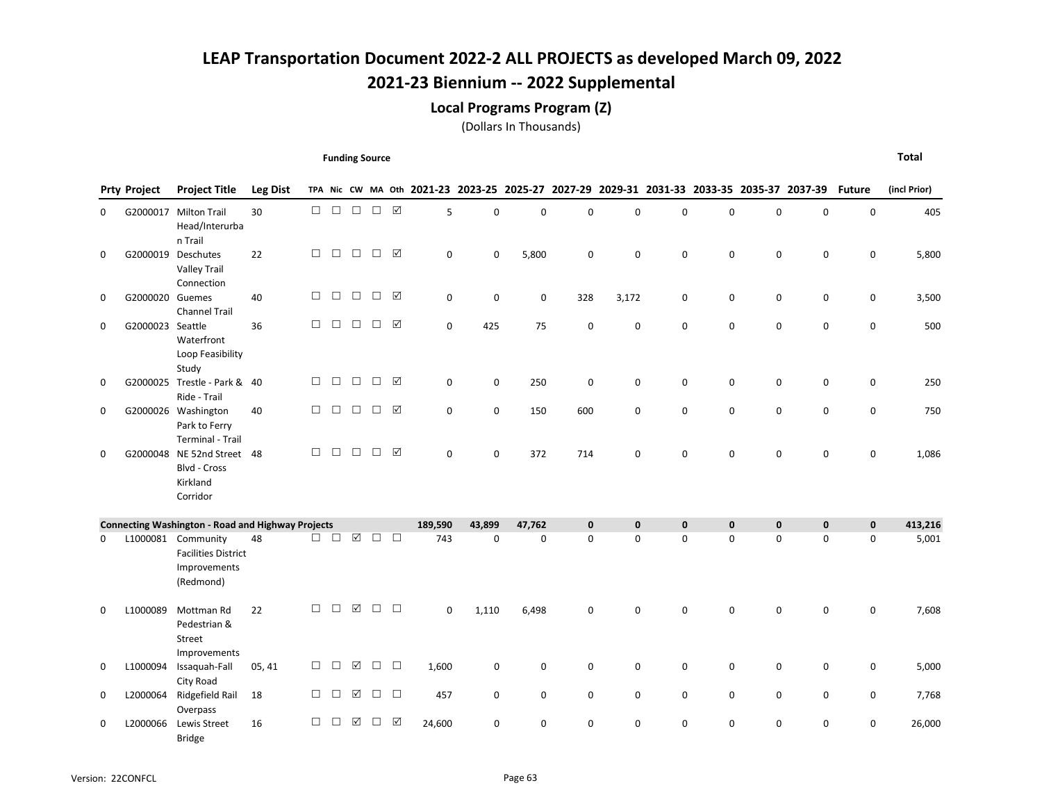## 2021-23 Biennium -- 2022 Supplemental

#### Local Programs Program (Z)

(Dollars In Thousands)

Funding Source

|   | <b>Prty Project</b> | <b>Project Title</b>                                                                                 | <b>Leg Dist</b> |        |        |                      |        |                      |             |        |             |              |              |              |             |             | TPA Nic CW MA Oth 2021-23 2023-25 2025-27 2027-29 2029-31 2031-33 2033-35 2035-37 2037-39 | <b>Future</b> | (incl Prior) |
|---|---------------------|------------------------------------------------------------------------------------------------------|-----------------|--------|--------|----------------------|--------|----------------------|-------------|--------|-------------|--------------|--------------|--------------|-------------|-------------|-------------------------------------------------------------------------------------------|---------------|--------------|
| 0 |                     | G2000017 Milton Trail<br>Head/Interurba<br>n Trail                                                   | 30              | $\Box$ | $\Box$ | $\Box$               | $\Box$ | $\boxed{\mathbb{Z}}$ | 5           | 0      | $\mathbf 0$ | $\mathbf 0$  | $\mathbf 0$  | $\Omega$     | $\mathbf 0$ | 0           | $\mathbf 0$                                                                               | $\mathbf 0$   | 405          |
| 0 |                     | G2000019 Deschutes<br><b>Valley Trail</b><br>Connection                                              | 22              | $\Box$ |        | $\Box$ $\Box$        | $\Box$ | ☑                    | $\mathbf 0$ | 0      | 5,800       | 0            | $\mathbf 0$  | $\mathbf 0$  | 0           | 0           | 0                                                                                         | 0             | 5,800        |
| 0 | G2000020 Guemes     | <b>Channel Trail</b>                                                                                 | 40              | □      | $\Box$ | $\Box$               | $\Box$ | ☑                    | $\mathbf 0$ | 0      | $\mathbf 0$ | 328          | 3,172        | $\mathbf 0$  | 0           | 0           | 0                                                                                         | 0             | 3,500        |
| 0 | G2000023 Seattle    | Waterfront<br>Loop Feasibility                                                                       | 36              | $\Box$ | $\Box$ | $\Box$               | $\Box$ | ☑                    | $\Omega$    | 425    | 75          | $\Omega$     | $\Omega$     | $\Omega$     | $\mathbf 0$ | 0           | $\mathbf 0$                                                                               | 0             | 500          |
| 0 |                     | Study<br>G2000025 Trestle - Park & 40<br>Ride - Trail                                                |                 | $\Box$ |        | $\Box$ $\Box$        | $\Box$ | ☑                    | $\mathbf 0$ | 0      | 250         | 0            | 0            | 0            | 0           | 0           | 0                                                                                         | 0             | 250          |
| 0 |                     | G2000026 Washington<br>Park to Ferry                                                                 | 40              | $\Box$ | $\Box$ | $\Box$               | $\Box$ | ☑                    | $\mathbf 0$ | 0      | 150         | 600          | 0            | $\mathbf 0$  | 0           | 0           | $\mathbf 0$                                                                               | 0             | 750          |
| 0 |                     | <b>Terminal - Trail</b><br>G2000048 NE 52nd Street 48<br><b>Blvd - Cross</b><br>Kirkland<br>Corridor |                 | $\Box$ | $\Box$ | $\Box$               | $\Box$ | ☑                    | $\mathbf 0$ | 0      | 372         | 714          | $\mathsf 0$  | $\mathbf 0$  | 0           | 0           | 0                                                                                         | 0             | 1,086        |
|   |                     | <b>Connecting Washington - Road and Highway Projects</b>                                             |                 |        |        |                      |        |                      | 189,590     | 43,899 | 47,762      | $\mathbf{0}$ | $\mathbf{0}$ | $\mathbf{0}$ | $\pmb{0}$   | $\mathbf 0$ | $\mathbf 0$                                                                               | $\mathbf 0$   | 413,216      |
| 0 | L1000081            | Community<br><b>Facilities District</b><br>Improvements<br>(Redmond)                                 | 48              | $\Box$ | $\Box$ | $\boxtimes$          | $\Box$ | $\Box$               | 743         | 0      | 0           | $\mathbf 0$  | $\mathbf 0$  | $\mathbf 0$  | $\mathbf 0$ | 0           | $\mathbf 0$                                                                               | 0             | 5,001        |
| 0 | L1000089            | Mottman Rd<br>Pedestrian &<br>Street<br>Improvements                                                 | 22              | $\Box$ | $\Box$ | $\boxed{\vee}$       | $\Box$ | $\Box$               | $\mathbf 0$ | 1,110  | 6,498       | $\mathbf 0$  | $\mathbf 0$  | $\Omega$     | $\Omega$    | 0           | $\mathbf 0$                                                                               | 0             | 7,608        |
| 0 | L1000094            | Issaquah-Fall<br>City Road                                                                           | 05, 41          | □      | □      | $\boxed{\checkmark}$ | $\Box$ | $\Box$               | 1,600       | 0      | 0           | 0            | 0            | 0            | 0           | 0           | 0                                                                                         | 0             | 5,000        |
| 0 | L2000064            | Ridgefield Rail<br>Overpass                                                                          | 18              | □      | □      | ☑                    | $\Box$ | $\Box$               | 457         | 0      | $\mathbf 0$ | $\mathbf 0$  | $\mathbf 0$  | 0            | 0           | 0           | $\mathbf 0$                                                                               | 0             | 7,768        |
| 0 | L2000066            | Lewis Street<br><b>Bridge</b>                                                                        | 16              | П      | П      | ☑                    | □      | ☑                    | 24,600      | 0      | $\mathbf 0$ | $\mathbf 0$  | $\mathbf 0$  | $\mathbf 0$  | 0           | 0           | $\mathbf 0$                                                                               | 0             | 26,000       |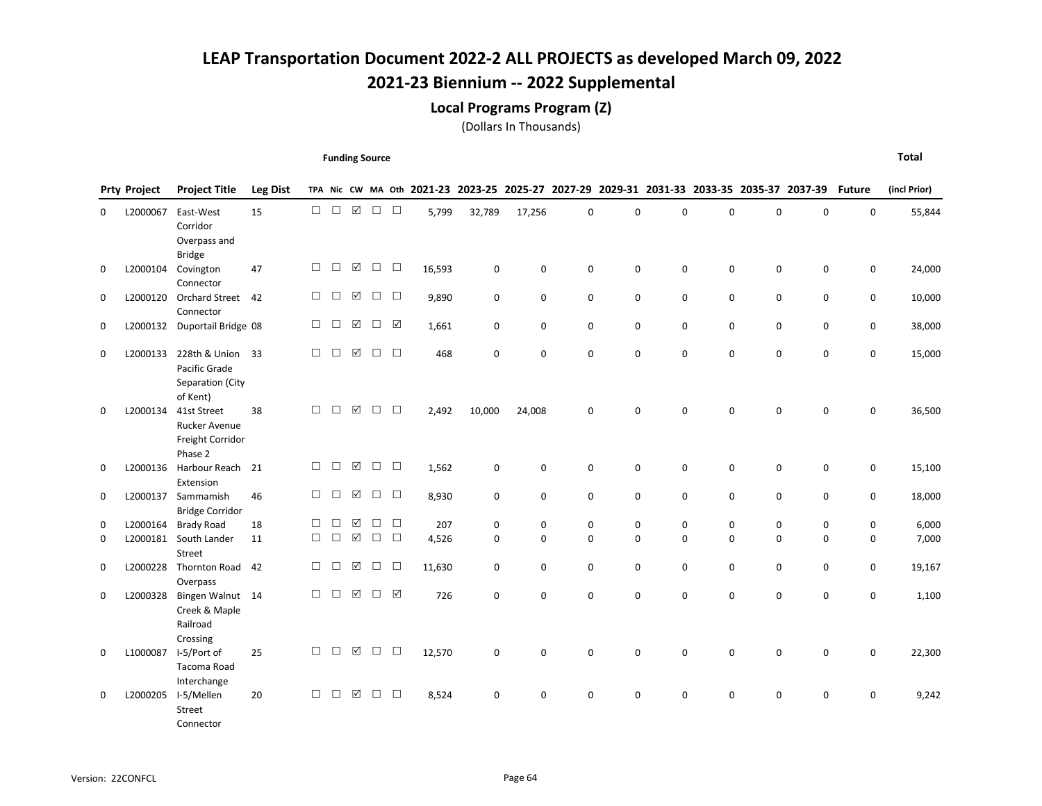## 2021-23 Biennium -- 2022 Supplemental

#### Local Programs Program (Z)

(Dollars In Thousands)

Funding Source

|          | <b>Prty Project</b> | <b>Project Title</b>                                               | <b>Leg Dist</b> |        |        |                      |                   |        |        |             |             |             |          |             |   |             | TPA Nic CW MA Oth 2021-23 2023-25 2025-27 2027-29 2029-31 2031-33 2033-35 2035-37 2037-39 | <b>Future</b>       | (incl Prior) |
|----------|---------------------|--------------------------------------------------------------------|-----------------|--------|--------|----------------------|-------------------|--------|--------|-------------|-------------|-------------|----------|-------------|---|-------------|-------------------------------------------------------------------------------------------|---------------------|--------------|
| 0        | L2000067            | East-West<br>Corridor<br>Overpass and<br><b>Bridge</b>             | 15              | $\Box$ | $\Box$ | $\boxtimes$          | $\Box$            | $\Box$ | 5,799  | 32,789      | 17,256      | $\mathsf 0$ | $\Omega$ | $\mathbf 0$ | 0 | $\mathbf 0$ | $\mathbf 0$                                                                               | $\mathsf 0$         | 55,844       |
| 0        | L2000104            | Covington<br>Connector                                             | 47              | □      | $\Box$ | ☑                    | $\Box$            | $\Box$ | 16,593 | 0           | 0           | $\mathbf 0$ | 0        | $\Omega$    | 0 | $\mathbf 0$ | 0                                                                                         | $\mathbf 0$         | 24,000       |
| 0        | L2000120            | Orchard Street<br>Connector                                        | 42              | $\Box$ | $\Box$ | ☑                    | $\Box$            | $\Box$ | 9,890  | 0           | $\mathbf 0$ | $\mathbf 0$ | 0        | 0           | 0 | $\mathbf 0$ | 0                                                                                         | 0                   | 10,000       |
| 0        |                     | L2000132 Duportail Bridge 08                                       |                 | $\Box$ | $\Box$ | ☑                    | $\Box$            | ☑      | 1,661  | 0           | $\mathbf 0$ | $\mathbf 0$ | 0        | 0           | 0 | $\pmb{0}$   | 0                                                                                         | $\mathbf 0$         | 38,000       |
| 0        | L2000133            | 228th & Union<br>Pacific Grade<br>Separation (City<br>of Kent)     | - 33            | $\Box$ | $\Box$ | ☑                    | $\Box$            | $\Box$ | 468    | 0           | 0           | $\mathbf 0$ | 0        | $\mathbf 0$ | 0 | 0           | $\mathbf 0$                                                                               | $\mathsf 0$         | 15,000       |
| $\Omega$ | L2000134            | 41st Street<br><b>Rucker Avenue</b><br>Freight Corridor<br>Phase 2 | 38              | □      | $\Box$ | ☑                    | $\Box$            | $\Box$ | 2,492  | 10,000      | 24,008      | $\mathbf 0$ | 0        | $\Omega$    | 0 | $\Omega$    | $\Omega$                                                                                  | $\mathbf 0$         | 36,500       |
| 0        | L2000136            | Harbour Reach 21<br>Extension                                      |                 | □      | $\Box$ | ☑                    | $\Box$            | $\Box$ | 1,562  | 0           | $\mathsf 0$ | $\mathbf 0$ | 0        | 0           | 0 | $\mathbf 0$ | 0                                                                                         | $\mathsf{O}\xspace$ | 15,100       |
| 0        |                     | L2000137 Sammamish<br><b>Bridge Corridor</b>                       | 46              | □      | $\Box$ | $\boxed{\checkmark}$ | $\Box$            | $\Box$ | 8,930  | $\mathsf 0$ | 0           | $\mathbf 0$ | 0        | 0           | 0 | 0           | 0                                                                                         | $\mathbf 0$         | 18,000       |
| 0        | L2000164            | <b>Brady Road</b>                                                  | 18              | П      | $\Box$ | ☑                    | $\Box$            | $\Box$ | 207    | 0           | 0           | $\mathbf 0$ | 0        | $\mathbf 0$ | 0 | 0           | 0                                                                                         | $\pmb{0}$           | 6,000        |
| 0        |                     | L2000181 South Lander<br>Street                                    | 11              | $\Box$ | $\Box$ | $\boxed{\checkmark}$ | $\Box$            | $\Box$ | 4,526  | 0           | 0           | $\Omega$    | 0        | $\mathbf 0$ | 0 | $\mathbf 0$ | $\mathbf 0$                                                                               | 0                   | 7,000        |
| 0        | L2000228            | Thornton Road<br>Overpass                                          | 42              | $\Box$ | $\Box$ | ☑                    | $\Box$            | $\Box$ | 11,630 | $\mathbf 0$ | 0           | $\mathbf 0$ | 0        | 0           | 0 | $\mathbf 0$ | $\mathbf 0$                                                                               | 0                   | 19,167       |
| 0        | L2000328            | Bingen Walnut 14<br>Creek & Maple<br>Railroad<br>Crossing          |                 | □      | $\Box$ | ☑                    | $\Box$ \  \, \Box |        | 726    | 0           | 0           | $\mathbf 0$ | 0        | $\mathbf 0$ | 0 | 0           | $\mathbf 0$                                                                               | $\mathbf 0$         | 1,100        |
| 0        | L1000087            | I-5/Port of<br>Tacoma Road<br>Interchange                          | 25              | □      | $\Box$ | ☑                    | $\Box$            | $\Box$ | 12,570 | 0           | 0           | $\mathbf 0$ | 0        | $\mathbf 0$ | 0 | 0           | 0                                                                                         | 0                   | 22,300       |
| 0        | L2000205            | I-5/Mellen<br>Street<br>Connector                                  | 20              | $\Box$ | $\Box$ | $\boxed{\checkmark}$ | $\Box$            | $\Box$ | 8,524  | 0           | 0           | $\mathbf 0$ | 0        | 0           | 0 | 0           | 0                                                                                         | 0                   | 9,242        |